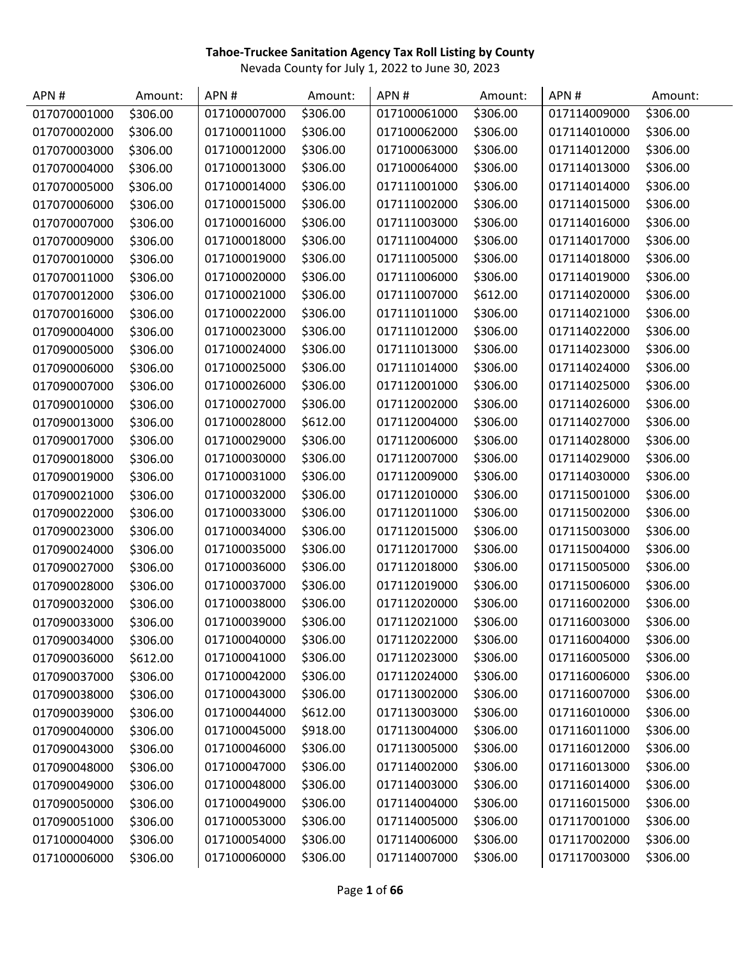| APN#         | Amount:  | APN#         | Amount:  | APN#         | Amount:  | APN#         | Amount:  |
|--------------|----------|--------------|----------|--------------|----------|--------------|----------|
| 017070001000 | \$306.00 | 017100007000 | \$306.00 | 017100061000 | \$306.00 | 017114009000 | \$306.00 |
| 017070002000 | \$306.00 | 017100011000 | \$306.00 | 017100062000 | \$306.00 | 017114010000 | \$306.00 |
| 017070003000 | \$306.00 | 017100012000 | \$306.00 | 017100063000 | \$306.00 | 017114012000 | \$306.00 |
| 017070004000 | \$306.00 | 017100013000 | \$306.00 | 017100064000 | \$306.00 | 017114013000 | \$306.00 |
| 017070005000 | \$306.00 | 017100014000 | \$306.00 | 017111001000 | \$306.00 | 017114014000 | \$306.00 |
| 017070006000 | \$306.00 | 017100015000 | \$306.00 | 017111002000 | \$306.00 | 017114015000 | \$306.00 |
| 017070007000 | \$306.00 | 017100016000 | \$306.00 | 017111003000 | \$306.00 | 017114016000 | \$306.00 |
| 017070009000 | \$306.00 | 017100018000 | \$306.00 | 017111004000 | \$306.00 | 017114017000 | \$306.00 |
| 017070010000 | \$306.00 | 017100019000 | \$306.00 | 017111005000 | \$306.00 | 017114018000 | \$306.00 |
| 017070011000 | \$306.00 | 017100020000 | \$306.00 | 017111006000 | \$306.00 | 017114019000 | \$306.00 |
| 017070012000 | \$306.00 | 017100021000 | \$306.00 | 017111007000 | \$612.00 | 017114020000 | \$306.00 |
| 017070016000 | \$306.00 | 017100022000 | \$306.00 | 017111011000 | \$306.00 | 017114021000 | \$306.00 |
| 017090004000 | \$306.00 | 017100023000 | \$306.00 | 017111012000 | \$306.00 | 017114022000 | \$306.00 |
| 017090005000 | \$306.00 | 017100024000 | \$306.00 | 017111013000 | \$306.00 | 017114023000 | \$306.00 |
| 017090006000 | \$306.00 | 017100025000 | \$306.00 | 017111014000 | \$306.00 | 017114024000 | \$306.00 |
| 017090007000 | \$306.00 | 017100026000 | \$306.00 | 017112001000 | \$306.00 | 017114025000 | \$306.00 |
| 017090010000 | \$306.00 | 017100027000 | \$306.00 | 017112002000 | \$306.00 | 017114026000 | \$306.00 |
| 017090013000 | \$306.00 | 017100028000 | \$612.00 | 017112004000 | \$306.00 | 017114027000 | \$306.00 |
| 017090017000 | \$306.00 | 017100029000 | \$306.00 | 017112006000 | \$306.00 | 017114028000 | \$306.00 |
| 017090018000 | \$306.00 | 017100030000 | \$306.00 | 017112007000 | \$306.00 | 017114029000 | \$306.00 |
| 017090019000 | \$306.00 | 017100031000 | \$306.00 | 017112009000 | \$306.00 | 017114030000 | \$306.00 |
| 017090021000 | \$306.00 | 017100032000 | \$306.00 | 017112010000 | \$306.00 | 017115001000 | \$306.00 |
| 017090022000 | \$306.00 | 017100033000 | \$306.00 | 017112011000 | \$306.00 | 017115002000 | \$306.00 |
| 017090023000 | \$306.00 | 017100034000 | \$306.00 | 017112015000 | \$306.00 | 017115003000 | \$306.00 |
| 017090024000 | \$306.00 | 017100035000 | \$306.00 | 017112017000 | \$306.00 | 017115004000 | \$306.00 |
| 017090027000 | \$306.00 | 017100036000 | \$306.00 | 017112018000 | \$306.00 | 017115005000 | \$306.00 |
| 017090028000 | \$306.00 | 017100037000 | \$306.00 | 017112019000 | \$306.00 | 017115006000 | \$306.00 |
| 017090032000 | \$306.00 | 017100038000 | \$306.00 | 017112020000 | \$306.00 | 017116002000 | \$306.00 |
| 017090033000 | \$306.00 | 017100039000 | \$306.00 | 017112021000 | \$306.00 | 017116003000 | \$306.00 |
| 017090034000 | \$306.00 | 017100040000 | \$306.00 | 017112022000 | \$306.00 | 017116004000 | \$306.00 |
| 017090036000 | \$612.00 | 017100041000 | \$306.00 | 017112023000 | \$306.00 | 017116005000 | \$306.00 |
| 017090037000 | \$306.00 | 017100042000 | \$306.00 | 017112024000 | \$306.00 | 017116006000 | \$306.00 |
| 017090038000 | \$306.00 | 017100043000 | \$306.00 | 017113002000 | \$306.00 | 017116007000 | \$306.00 |
| 017090039000 | \$306.00 | 017100044000 | \$612.00 | 017113003000 | \$306.00 | 017116010000 | \$306.00 |
| 017090040000 | \$306.00 | 017100045000 | \$918.00 | 017113004000 | \$306.00 | 017116011000 | \$306.00 |
| 017090043000 | \$306.00 | 017100046000 | \$306.00 | 017113005000 | \$306.00 | 017116012000 | \$306.00 |
| 017090048000 | \$306.00 | 017100047000 | \$306.00 | 017114002000 | \$306.00 | 017116013000 | \$306.00 |
| 017090049000 | \$306.00 | 017100048000 | \$306.00 | 017114003000 | \$306.00 | 017116014000 | \$306.00 |
| 017090050000 | \$306.00 | 017100049000 | \$306.00 | 017114004000 | \$306.00 | 017116015000 | \$306.00 |
| 017090051000 | \$306.00 | 017100053000 | \$306.00 | 017114005000 | \$306.00 | 017117001000 | \$306.00 |
| 017100004000 | \$306.00 | 017100054000 | \$306.00 | 017114006000 | \$306.00 | 017117002000 | \$306.00 |
| 017100006000 | \$306.00 | 017100060000 | \$306.00 | 017114007000 | \$306.00 | 017117003000 | \$306.00 |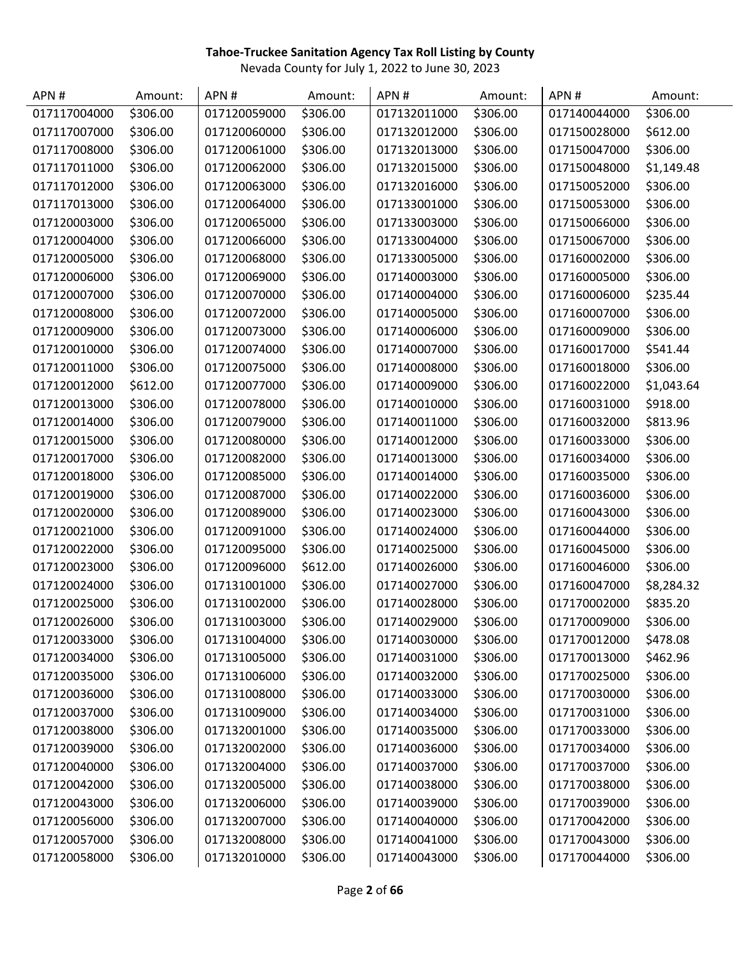| APN#         | Amount:  | APN#         | Amount:  | APN#         | Amount:  | APN#         | Amount:    |
|--------------|----------|--------------|----------|--------------|----------|--------------|------------|
| 017117004000 | \$306.00 | 017120059000 | \$306.00 | 017132011000 | \$306.00 | 017140044000 | \$306.00   |
| 017117007000 | \$306.00 | 017120060000 | \$306.00 | 017132012000 | \$306.00 | 017150028000 | \$612.00   |
| 017117008000 | \$306.00 | 017120061000 | \$306.00 | 017132013000 | \$306.00 | 017150047000 | \$306.00   |
| 017117011000 | \$306.00 | 017120062000 | \$306.00 | 017132015000 | \$306.00 | 017150048000 | \$1,149.48 |
| 017117012000 | \$306.00 | 017120063000 | \$306.00 | 017132016000 | \$306.00 | 017150052000 | \$306.00   |
| 017117013000 | \$306.00 | 017120064000 | \$306.00 | 017133001000 | \$306.00 | 017150053000 | \$306.00   |
| 017120003000 | \$306.00 | 017120065000 | \$306.00 | 017133003000 | \$306.00 | 017150066000 | \$306.00   |
| 017120004000 | \$306.00 | 017120066000 | \$306.00 | 017133004000 | \$306.00 | 017150067000 | \$306.00   |
| 017120005000 | \$306.00 | 017120068000 | \$306.00 | 017133005000 | \$306.00 | 017160002000 | \$306.00   |
| 017120006000 | \$306.00 | 017120069000 | \$306.00 | 017140003000 | \$306.00 | 017160005000 | \$306.00   |
| 017120007000 | \$306.00 | 017120070000 | \$306.00 | 017140004000 | \$306.00 | 017160006000 | \$235.44   |
| 017120008000 | \$306.00 | 017120072000 | \$306.00 | 017140005000 | \$306.00 | 017160007000 | \$306.00   |
| 017120009000 | \$306.00 | 017120073000 | \$306.00 | 017140006000 | \$306.00 | 017160009000 | \$306.00   |
| 017120010000 | \$306.00 | 017120074000 | \$306.00 | 017140007000 | \$306.00 | 017160017000 | \$541.44   |
| 017120011000 | \$306.00 | 017120075000 | \$306.00 | 017140008000 | \$306.00 | 017160018000 | \$306.00   |
| 017120012000 | \$612.00 | 017120077000 | \$306.00 | 017140009000 | \$306.00 | 017160022000 | \$1,043.64 |
| 017120013000 | \$306.00 | 017120078000 | \$306.00 | 017140010000 | \$306.00 | 017160031000 | \$918.00   |
| 017120014000 | \$306.00 | 017120079000 | \$306.00 | 017140011000 | \$306.00 | 017160032000 | \$813.96   |
| 017120015000 | \$306.00 | 017120080000 | \$306.00 | 017140012000 | \$306.00 | 017160033000 | \$306.00   |
| 017120017000 | \$306.00 | 017120082000 | \$306.00 | 017140013000 | \$306.00 | 017160034000 | \$306.00   |
| 017120018000 | \$306.00 | 017120085000 | \$306.00 | 017140014000 | \$306.00 | 017160035000 | \$306.00   |
| 017120019000 | \$306.00 | 017120087000 | \$306.00 | 017140022000 | \$306.00 | 017160036000 | \$306.00   |
| 017120020000 | \$306.00 | 017120089000 | \$306.00 | 017140023000 | \$306.00 | 017160043000 | \$306.00   |
| 017120021000 | \$306.00 | 017120091000 | \$306.00 | 017140024000 | \$306.00 | 017160044000 | \$306.00   |
| 017120022000 | \$306.00 | 017120095000 | \$306.00 | 017140025000 | \$306.00 | 017160045000 | \$306.00   |
| 017120023000 | \$306.00 | 017120096000 | \$612.00 | 017140026000 | \$306.00 | 017160046000 | \$306.00   |
| 017120024000 | \$306.00 | 017131001000 | \$306.00 | 017140027000 | \$306.00 | 017160047000 | \$8,284.32 |
| 017120025000 | \$306.00 | 017131002000 | \$306.00 | 017140028000 | \$306.00 | 017170002000 | \$835.20   |
| 017120026000 | \$306.00 | 017131003000 | \$306.00 | 017140029000 | \$306.00 | 017170009000 | \$306.00   |
| 017120033000 | \$306.00 | 017131004000 | \$306.00 | 017140030000 | \$306.00 | 017170012000 | \$478.08   |
| 017120034000 | \$306.00 | 017131005000 | \$306.00 | 017140031000 | \$306.00 | 017170013000 | \$462.96   |
| 017120035000 | \$306.00 | 017131006000 | \$306.00 | 017140032000 | \$306.00 | 017170025000 | \$306.00   |
| 017120036000 | \$306.00 | 017131008000 | \$306.00 | 017140033000 | \$306.00 | 017170030000 | \$306.00   |
| 017120037000 | \$306.00 | 017131009000 | \$306.00 | 017140034000 | \$306.00 | 017170031000 | \$306.00   |
| 017120038000 | \$306.00 | 017132001000 | \$306.00 | 017140035000 | \$306.00 | 017170033000 | \$306.00   |
| 017120039000 | \$306.00 | 017132002000 | \$306.00 | 017140036000 | \$306.00 | 017170034000 | \$306.00   |
| 017120040000 | \$306.00 | 017132004000 | \$306.00 | 017140037000 | \$306.00 | 017170037000 | \$306.00   |
| 017120042000 | \$306.00 | 017132005000 | \$306.00 | 017140038000 | \$306.00 | 017170038000 | \$306.00   |
| 017120043000 | \$306.00 | 017132006000 | \$306.00 | 017140039000 | \$306.00 | 017170039000 | \$306.00   |
| 017120056000 | \$306.00 | 017132007000 | \$306.00 | 017140040000 | \$306.00 | 017170042000 | \$306.00   |
| 017120057000 | \$306.00 | 017132008000 | \$306.00 | 017140041000 | \$306.00 | 017170043000 | \$306.00   |
| 017120058000 | \$306.00 | 017132010000 | \$306.00 | 017140043000 | \$306.00 | 017170044000 | \$306.00   |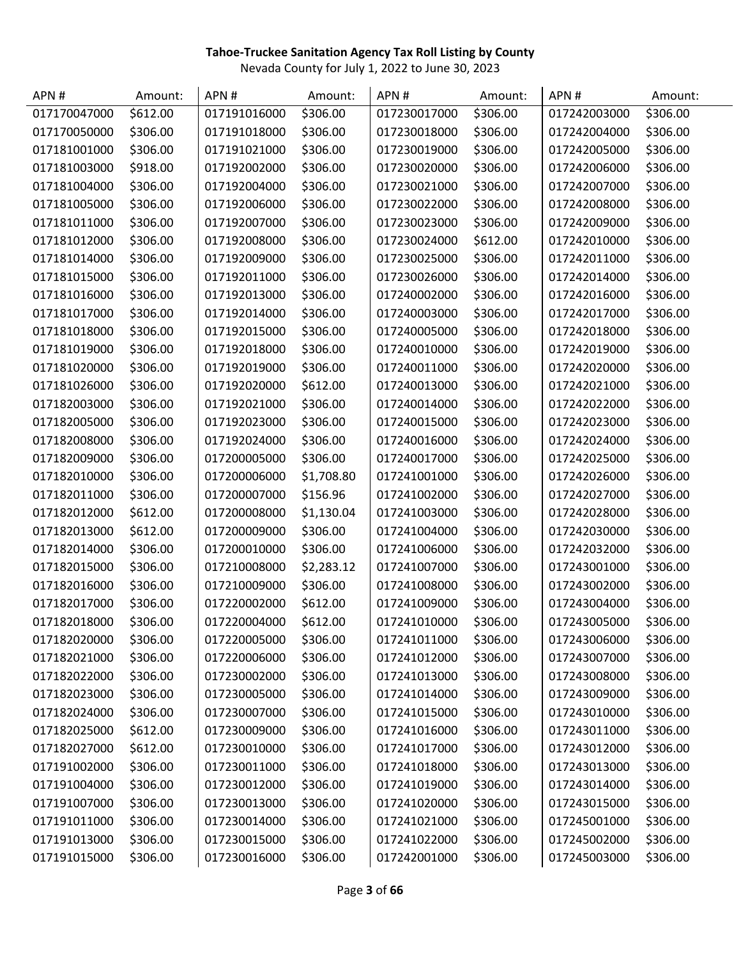| APN#         | Amount:  | APN#         | Amount:    | APN#         | Amount:  | APN#         | Amount:  |
|--------------|----------|--------------|------------|--------------|----------|--------------|----------|
| 017170047000 | \$612.00 | 017191016000 | \$306.00   | 017230017000 | \$306.00 | 017242003000 | \$306.00 |
| 017170050000 | \$306.00 | 017191018000 | \$306.00   | 017230018000 | \$306.00 | 017242004000 | \$306.00 |
| 017181001000 | \$306.00 | 017191021000 | \$306.00   | 017230019000 | \$306.00 | 017242005000 | \$306.00 |
| 017181003000 | \$918.00 | 017192002000 | \$306.00   | 017230020000 | \$306.00 | 017242006000 | \$306.00 |
| 017181004000 | \$306.00 | 017192004000 | \$306.00   | 017230021000 | \$306.00 | 017242007000 | \$306.00 |
| 017181005000 | \$306.00 | 017192006000 | \$306.00   | 017230022000 | \$306.00 | 017242008000 | \$306.00 |
| 017181011000 | \$306.00 | 017192007000 | \$306.00   | 017230023000 | \$306.00 | 017242009000 | \$306.00 |
| 017181012000 | \$306.00 | 017192008000 | \$306.00   | 017230024000 | \$612.00 | 017242010000 | \$306.00 |
| 017181014000 | \$306.00 | 017192009000 | \$306.00   | 017230025000 | \$306.00 | 017242011000 | \$306.00 |
| 017181015000 | \$306.00 | 017192011000 | \$306.00   | 017230026000 | \$306.00 | 017242014000 | \$306.00 |
| 017181016000 | \$306.00 | 017192013000 | \$306.00   | 017240002000 | \$306.00 | 017242016000 | \$306.00 |
| 017181017000 | \$306.00 | 017192014000 | \$306.00   | 017240003000 | \$306.00 | 017242017000 | \$306.00 |
| 017181018000 | \$306.00 | 017192015000 | \$306.00   | 017240005000 | \$306.00 | 017242018000 | \$306.00 |
| 017181019000 | \$306.00 | 017192018000 | \$306.00   | 017240010000 | \$306.00 | 017242019000 | \$306.00 |
| 017181020000 | \$306.00 | 017192019000 | \$306.00   | 017240011000 | \$306.00 | 017242020000 | \$306.00 |
| 017181026000 | \$306.00 | 017192020000 | \$612.00   | 017240013000 | \$306.00 | 017242021000 | \$306.00 |
| 017182003000 | \$306.00 | 017192021000 | \$306.00   | 017240014000 | \$306.00 | 017242022000 | \$306.00 |
| 017182005000 | \$306.00 | 017192023000 | \$306.00   | 017240015000 | \$306.00 | 017242023000 | \$306.00 |
| 017182008000 | \$306.00 | 017192024000 | \$306.00   | 017240016000 | \$306.00 | 017242024000 | \$306.00 |
| 017182009000 | \$306.00 | 017200005000 | \$306.00   | 017240017000 | \$306.00 | 017242025000 | \$306.00 |
| 017182010000 | \$306.00 | 017200006000 | \$1,708.80 | 017241001000 | \$306.00 | 017242026000 | \$306.00 |
| 017182011000 | \$306.00 | 017200007000 | \$156.96   | 017241002000 | \$306.00 | 017242027000 | \$306.00 |
| 017182012000 | \$612.00 | 017200008000 | \$1,130.04 | 017241003000 | \$306.00 | 017242028000 | \$306.00 |
| 017182013000 | \$612.00 | 017200009000 | \$306.00   | 017241004000 | \$306.00 | 017242030000 | \$306.00 |
| 017182014000 | \$306.00 | 017200010000 | \$306.00   | 017241006000 | \$306.00 | 017242032000 | \$306.00 |
| 017182015000 | \$306.00 | 017210008000 | \$2,283.12 | 017241007000 | \$306.00 | 017243001000 | \$306.00 |
| 017182016000 | \$306.00 | 017210009000 | \$306.00   | 017241008000 | \$306.00 | 017243002000 | \$306.00 |
| 017182017000 | \$306.00 | 017220002000 | \$612.00   | 017241009000 | \$306.00 | 017243004000 | \$306.00 |
| 017182018000 | \$306.00 | 017220004000 | \$612.00   | 017241010000 | \$306.00 | 017243005000 | \$306.00 |
| 017182020000 | \$306.00 | 017220005000 | \$306.00   | 017241011000 | \$306.00 | 017243006000 | \$306.00 |
| 017182021000 | \$306.00 | 017220006000 | \$306.00   | 017241012000 | \$306.00 | 017243007000 | \$306.00 |
| 017182022000 | \$306.00 | 017230002000 | \$306.00   | 017241013000 | \$306.00 | 017243008000 | \$306.00 |
| 017182023000 | \$306.00 | 017230005000 | \$306.00   | 017241014000 | \$306.00 | 017243009000 | \$306.00 |
| 017182024000 | \$306.00 | 017230007000 | \$306.00   | 017241015000 | \$306.00 | 017243010000 | \$306.00 |
| 017182025000 | \$612.00 | 017230009000 | \$306.00   | 017241016000 | \$306.00 | 017243011000 | \$306.00 |
| 017182027000 | \$612.00 | 017230010000 | \$306.00   | 017241017000 | \$306.00 | 017243012000 | \$306.00 |
| 017191002000 | \$306.00 | 017230011000 | \$306.00   | 017241018000 | \$306.00 | 017243013000 | \$306.00 |
| 017191004000 | \$306.00 | 017230012000 | \$306.00   | 017241019000 | \$306.00 | 017243014000 | \$306.00 |
| 017191007000 | \$306.00 | 017230013000 | \$306.00   | 017241020000 | \$306.00 | 017243015000 | \$306.00 |
| 017191011000 | \$306.00 | 017230014000 | \$306.00   | 017241021000 | \$306.00 | 017245001000 | \$306.00 |
| 017191013000 | \$306.00 | 017230015000 | \$306.00   | 017241022000 | \$306.00 | 017245002000 | \$306.00 |
| 017191015000 | \$306.00 | 017230016000 | \$306.00   | 017242001000 | \$306.00 | 017245003000 | \$306.00 |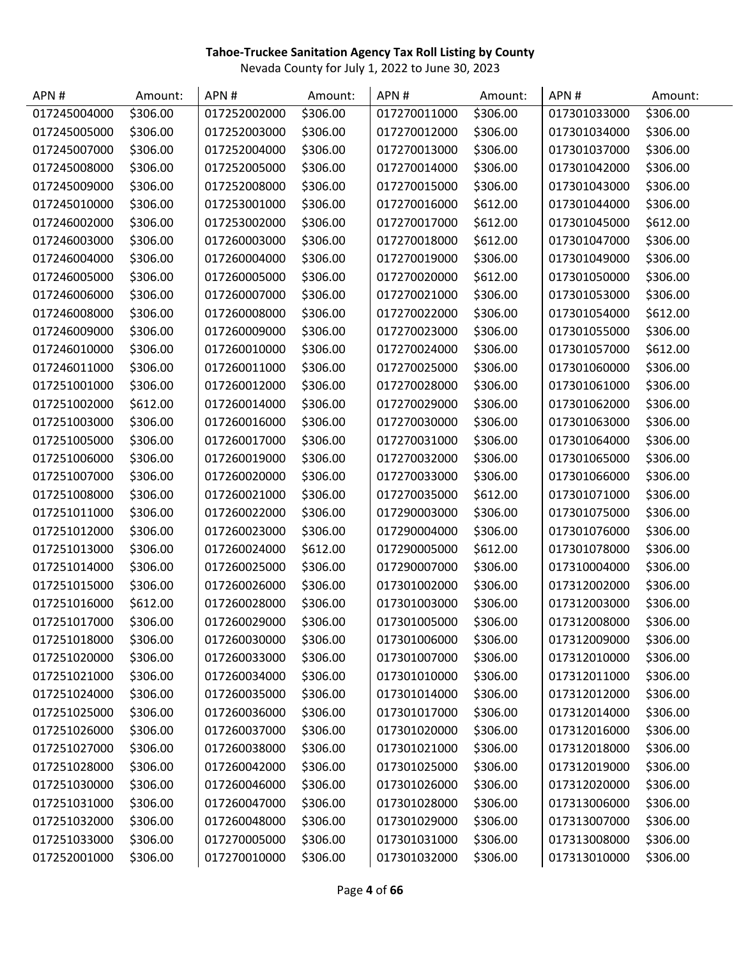| APN#         | Amount:  | APN#         | Amount:  | APN#         | Amount:  | APN#         | Amount:  |
|--------------|----------|--------------|----------|--------------|----------|--------------|----------|
| 017245004000 | \$306.00 | 017252002000 | \$306.00 | 017270011000 | \$306.00 | 017301033000 | \$306.00 |
| 017245005000 | \$306.00 | 017252003000 | \$306.00 | 017270012000 | \$306.00 | 017301034000 | \$306.00 |
| 017245007000 | \$306.00 | 017252004000 | \$306.00 | 017270013000 | \$306.00 | 017301037000 | \$306.00 |
| 017245008000 | \$306.00 | 017252005000 | \$306.00 | 017270014000 | \$306.00 | 017301042000 | \$306.00 |
| 017245009000 | \$306.00 | 017252008000 | \$306.00 | 017270015000 | \$306.00 | 017301043000 | \$306.00 |
| 017245010000 | \$306.00 | 017253001000 | \$306.00 | 017270016000 | \$612.00 | 017301044000 | \$306.00 |
| 017246002000 | \$306.00 | 017253002000 | \$306.00 | 017270017000 | \$612.00 | 017301045000 | \$612.00 |
| 017246003000 | \$306.00 | 017260003000 | \$306.00 | 017270018000 | \$612.00 | 017301047000 | \$306.00 |
| 017246004000 | \$306.00 | 017260004000 | \$306.00 | 017270019000 | \$306.00 | 017301049000 | \$306.00 |
| 017246005000 | \$306.00 | 017260005000 | \$306.00 | 017270020000 | \$612.00 | 017301050000 | \$306.00 |
| 017246006000 | \$306.00 | 017260007000 | \$306.00 | 017270021000 | \$306.00 | 017301053000 | \$306.00 |
| 017246008000 | \$306.00 | 017260008000 | \$306.00 | 017270022000 | \$306.00 | 017301054000 | \$612.00 |
| 017246009000 | \$306.00 | 017260009000 | \$306.00 | 017270023000 | \$306.00 | 017301055000 | \$306.00 |
| 017246010000 | \$306.00 | 017260010000 | \$306.00 | 017270024000 | \$306.00 | 017301057000 | \$612.00 |
| 017246011000 | \$306.00 | 017260011000 | \$306.00 | 017270025000 | \$306.00 | 017301060000 | \$306.00 |
| 017251001000 | \$306.00 | 017260012000 | \$306.00 | 017270028000 | \$306.00 | 017301061000 | \$306.00 |
| 017251002000 | \$612.00 | 017260014000 | \$306.00 | 017270029000 | \$306.00 | 017301062000 | \$306.00 |
| 017251003000 | \$306.00 | 017260016000 | \$306.00 | 017270030000 | \$306.00 | 017301063000 | \$306.00 |
| 017251005000 | \$306.00 | 017260017000 | \$306.00 | 017270031000 | \$306.00 | 017301064000 | \$306.00 |
| 017251006000 | \$306.00 | 017260019000 | \$306.00 | 017270032000 | \$306.00 | 017301065000 | \$306.00 |
| 017251007000 | \$306.00 | 017260020000 | \$306.00 | 017270033000 | \$306.00 | 017301066000 | \$306.00 |
| 017251008000 | \$306.00 | 017260021000 | \$306.00 | 017270035000 | \$612.00 | 017301071000 | \$306.00 |
| 017251011000 | \$306.00 | 017260022000 | \$306.00 | 017290003000 | \$306.00 | 017301075000 | \$306.00 |
| 017251012000 | \$306.00 | 017260023000 | \$306.00 | 017290004000 | \$306.00 | 017301076000 | \$306.00 |
| 017251013000 | \$306.00 | 017260024000 | \$612.00 | 017290005000 | \$612.00 | 017301078000 | \$306.00 |
| 017251014000 | \$306.00 | 017260025000 | \$306.00 | 017290007000 | \$306.00 | 017310004000 | \$306.00 |
| 017251015000 | \$306.00 | 017260026000 | \$306.00 | 017301002000 | \$306.00 | 017312002000 | \$306.00 |
| 017251016000 | \$612.00 | 017260028000 | \$306.00 | 017301003000 | \$306.00 | 017312003000 | \$306.00 |
| 017251017000 | \$306.00 | 017260029000 | \$306.00 | 017301005000 | \$306.00 | 017312008000 | \$306.00 |
| 017251018000 | \$306.00 | 017260030000 | \$306.00 | 017301006000 | \$306.00 | 017312009000 | \$306.00 |
| 017251020000 | \$306.00 | 017260033000 | \$306.00 | 017301007000 | \$306.00 | 017312010000 | \$306.00 |
| 017251021000 | \$306.00 | 017260034000 | \$306.00 | 017301010000 | \$306.00 | 017312011000 | \$306.00 |
| 017251024000 | \$306.00 | 017260035000 | \$306.00 | 017301014000 | \$306.00 | 017312012000 | \$306.00 |
| 017251025000 | \$306.00 | 017260036000 | \$306.00 | 017301017000 | \$306.00 | 017312014000 | \$306.00 |
| 017251026000 | \$306.00 | 017260037000 | \$306.00 | 017301020000 | \$306.00 | 017312016000 | \$306.00 |
| 017251027000 | \$306.00 | 017260038000 | \$306.00 | 017301021000 | \$306.00 | 017312018000 | \$306.00 |
| 017251028000 | \$306.00 | 017260042000 | \$306.00 | 017301025000 | \$306.00 | 017312019000 | \$306.00 |
| 017251030000 | \$306.00 | 017260046000 | \$306.00 | 017301026000 | \$306.00 | 017312020000 | \$306.00 |
| 017251031000 | \$306.00 | 017260047000 | \$306.00 | 017301028000 | \$306.00 | 017313006000 | \$306.00 |
| 017251032000 | \$306.00 | 017260048000 | \$306.00 | 017301029000 | \$306.00 | 017313007000 | \$306.00 |
| 017251033000 | \$306.00 | 017270005000 | \$306.00 | 017301031000 | \$306.00 | 017313008000 | \$306.00 |
| 017252001000 | \$306.00 | 017270010000 | \$306.00 | 017301032000 | \$306.00 | 017313010000 | \$306.00 |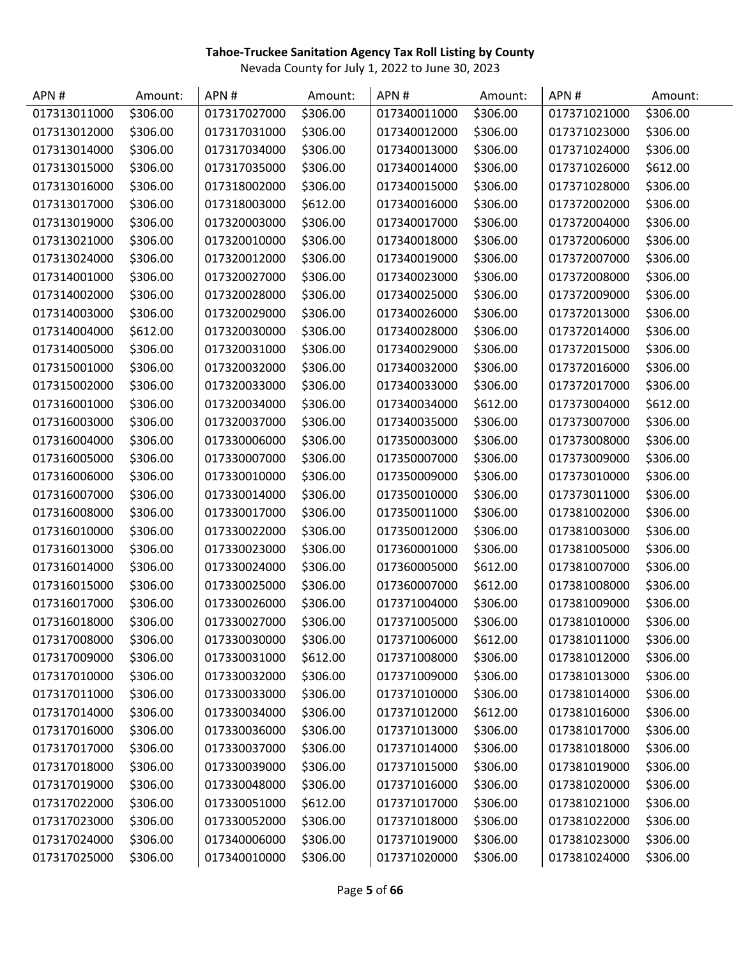| APN#         | Amount:  | APN#         | Amount:  | APN#         | Amount:  | APN#         | Amount:  |
|--------------|----------|--------------|----------|--------------|----------|--------------|----------|
| 017313011000 | \$306.00 | 017317027000 | \$306.00 | 017340011000 | \$306.00 | 017371021000 | \$306.00 |
| 017313012000 | \$306.00 | 017317031000 | \$306.00 | 017340012000 | \$306.00 | 017371023000 | \$306.00 |
| 017313014000 | \$306.00 | 017317034000 | \$306.00 | 017340013000 | \$306.00 | 017371024000 | \$306.00 |
| 017313015000 | \$306.00 | 017317035000 | \$306.00 | 017340014000 | \$306.00 | 017371026000 | \$612.00 |
| 017313016000 | \$306.00 | 017318002000 | \$306.00 | 017340015000 | \$306.00 | 017371028000 | \$306.00 |
| 017313017000 | \$306.00 | 017318003000 | \$612.00 | 017340016000 | \$306.00 | 017372002000 | \$306.00 |
| 017313019000 | \$306.00 | 017320003000 | \$306.00 | 017340017000 | \$306.00 | 017372004000 | \$306.00 |
| 017313021000 | \$306.00 | 017320010000 | \$306.00 | 017340018000 | \$306.00 | 017372006000 | \$306.00 |
| 017313024000 | \$306.00 | 017320012000 | \$306.00 | 017340019000 | \$306.00 | 017372007000 | \$306.00 |
| 017314001000 | \$306.00 | 017320027000 | \$306.00 | 017340023000 | \$306.00 | 017372008000 | \$306.00 |
| 017314002000 | \$306.00 | 017320028000 | \$306.00 | 017340025000 | \$306.00 | 017372009000 | \$306.00 |
| 017314003000 | \$306.00 | 017320029000 | \$306.00 | 017340026000 | \$306.00 | 017372013000 | \$306.00 |
| 017314004000 | \$612.00 | 017320030000 | \$306.00 | 017340028000 | \$306.00 | 017372014000 | \$306.00 |
| 017314005000 | \$306.00 | 017320031000 | \$306.00 | 017340029000 | \$306.00 | 017372015000 | \$306.00 |
| 017315001000 | \$306.00 | 017320032000 | \$306.00 | 017340032000 | \$306.00 | 017372016000 | \$306.00 |
| 017315002000 | \$306.00 | 017320033000 | \$306.00 | 017340033000 | \$306.00 | 017372017000 | \$306.00 |
| 017316001000 | \$306.00 | 017320034000 | \$306.00 | 017340034000 | \$612.00 | 017373004000 | \$612.00 |
| 017316003000 | \$306.00 | 017320037000 | \$306.00 | 017340035000 | \$306.00 | 017373007000 | \$306.00 |
| 017316004000 | \$306.00 | 017330006000 | \$306.00 | 017350003000 | \$306.00 | 017373008000 | \$306.00 |
| 017316005000 | \$306.00 | 017330007000 | \$306.00 | 017350007000 | \$306.00 | 017373009000 | \$306.00 |
| 017316006000 | \$306.00 | 017330010000 | \$306.00 | 017350009000 | \$306.00 | 017373010000 | \$306.00 |
| 017316007000 | \$306.00 | 017330014000 | \$306.00 | 017350010000 | \$306.00 | 017373011000 | \$306.00 |
| 017316008000 | \$306.00 | 017330017000 | \$306.00 | 017350011000 | \$306.00 | 017381002000 | \$306.00 |
| 017316010000 | \$306.00 | 017330022000 | \$306.00 | 017350012000 | \$306.00 | 017381003000 | \$306.00 |
| 017316013000 | \$306.00 | 017330023000 | \$306.00 | 017360001000 | \$306.00 | 017381005000 | \$306.00 |
| 017316014000 | \$306.00 | 017330024000 | \$306.00 | 017360005000 | \$612.00 | 017381007000 | \$306.00 |
| 017316015000 | \$306.00 | 017330025000 | \$306.00 | 017360007000 | \$612.00 | 017381008000 | \$306.00 |
| 017316017000 | \$306.00 | 017330026000 | \$306.00 | 017371004000 | \$306.00 | 017381009000 | \$306.00 |
| 017316018000 | \$306.00 | 017330027000 | \$306.00 | 017371005000 | \$306.00 | 017381010000 | \$306.00 |
| 017317008000 | \$306.00 | 017330030000 | \$306.00 | 017371006000 | \$612.00 | 017381011000 | \$306.00 |
| 017317009000 | \$306.00 | 017330031000 | \$612.00 | 017371008000 | \$306.00 | 017381012000 | \$306.00 |
| 017317010000 | \$306.00 | 017330032000 | \$306.00 | 017371009000 | \$306.00 | 017381013000 | \$306.00 |
| 017317011000 | \$306.00 | 017330033000 | \$306.00 | 017371010000 | \$306.00 | 017381014000 | \$306.00 |
| 017317014000 | \$306.00 | 017330034000 | \$306.00 | 017371012000 | \$612.00 | 017381016000 | \$306.00 |
| 017317016000 | \$306.00 | 017330036000 | \$306.00 | 017371013000 | \$306.00 | 017381017000 | \$306.00 |
| 017317017000 | \$306.00 | 017330037000 | \$306.00 | 017371014000 | \$306.00 | 017381018000 | \$306.00 |
| 017317018000 | \$306.00 | 017330039000 | \$306.00 | 017371015000 | \$306.00 | 017381019000 | \$306.00 |
| 017317019000 | \$306.00 | 017330048000 | \$306.00 | 017371016000 | \$306.00 | 017381020000 | \$306.00 |
| 017317022000 | \$306.00 | 017330051000 | \$612.00 | 017371017000 | \$306.00 | 017381021000 | \$306.00 |
| 017317023000 | \$306.00 | 017330052000 | \$306.00 | 017371018000 | \$306.00 | 017381022000 | \$306.00 |
| 017317024000 | \$306.00 | 017340006000 | \$306.00 | 017371019000 | \$306.00 | 017381023000 | \$306.00 |
| 017317025000 | \$306.00 | 017340010000 | \$306.00 | 017371020000 | \$306.00 | 017381024000 | \$306.00 |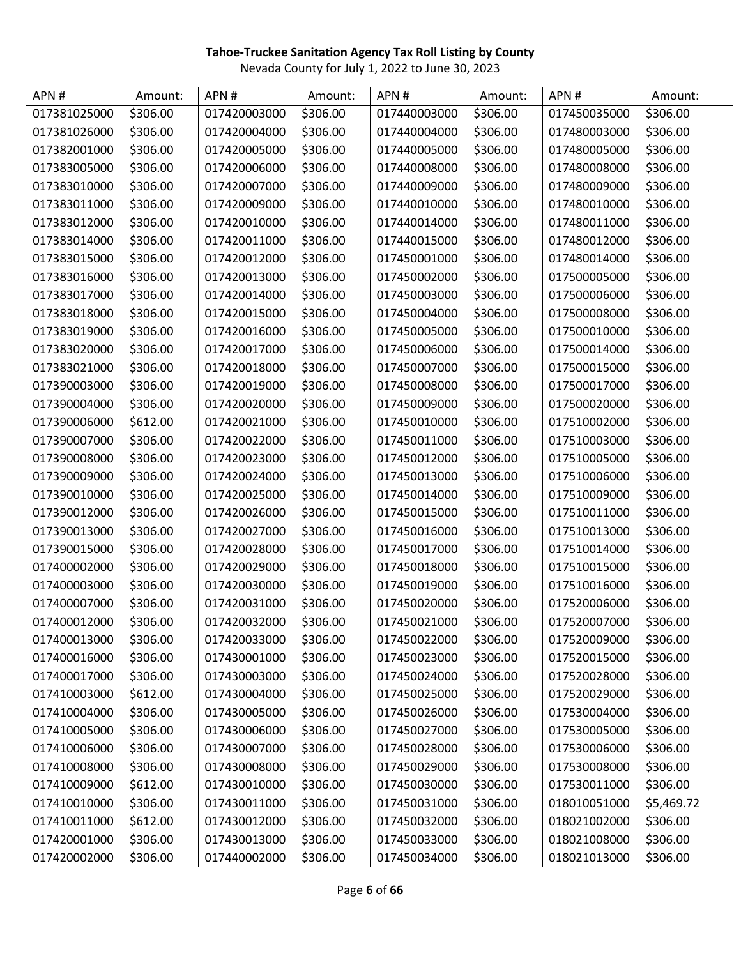| APN #        | Amount:  | APN#         | Amount:  | APN#         | Amount:  | APN#         | Amount:    |
|--------------|----------|--------------|----------|--------------|----------|--------------|------------|
| 017381025000 | \$306.00 | 017420003000 | \$306.00 | 017440003000 | \$306.00 | 017450035000 | \$306.00   |
| 017381026000 | \$306.00 | 017420004000 | \$306.00 | 017440004000 | \$306.00 | 017480003000 | \$306.00   |
| 017382001000 | \$306.00 | 017420005000 | \$306.00 | 017440005000 | \$306.00 | 017480005000 | \$306.00   |
| 017383005000 | \$306.00 | 017420006000 | \$306.00 | 017440008000 | \$306.00 | 017480008000 | \$306.00   |
| 017383010000 | \$306.00 | 017420007000 | \$306.00 | 017440009000 | \$306.00 | 017480009000 | \$306.00   |
| 017383011000 | \$306.00 | 017420009000 | \$306.00 | 017440010000 | \$306.00 | 017480010000 | \$306.00   |
| 017383012000 | \$306.00 | 017420010000 | \$306.00 | 017440014000 | \$306.00 | 017480011000 | \$306.00   |
| 017383014000 | \$306.00 | 017420011000 | \$306.00 | 017440015000 | \$306.00 | 017480012000 | \$306.00   |
| 017383015000 | \$306.00 | 017420012000 | \$306.00 | 017450001000 | \$306.00 | 017480014000 | \$306.00   |
| 017383016000 | \$306.00 | 017420013000 | \$306.00 | 017450002000 | \$306.00 | 017500005000 | \$306.00   |
| 017383017000 | \$306.00 | 017420014000 | \$306.00 | 017450003000 | \$306.00 | 017500006000 | \$306.00   |
| 017383018000 | \$306.00 | 017420015000 | \$306.00 | 017450004000 | \$306.00 | 017500008000 | \$306.00   |
| 017383019000 | \$306.00 | 017420016000 | \$306.00 | 017450005000 | \$306.00 | 017500010000 | \$306.00   |
| 017383020000 | \$306.00 | 017420017000 | \$306.00 | 017450006000 | \$306.00 | 017500014000 | \$306.00   |
| 017383021000 | \$306.00 | 017420018000 | \$306.00 | 017450007000 | \$306.00 | 017500015000 | \$306.00   |
| 017390003000 | \$306.00 | 017420019000 | \$306.00 | 017450008000 | \$306.00 | 017500017000 | \$306.00   |
| 017390004000 | \$306.00 | 017420020000 | \$306.00 | 017450009000 | \$306.00 | 017500020000 | \$306.00   |
| 017390006000 | \$612.00 | 017420021000 | \$306.00 | 017450010000 | \$306.00 | 017510002000 | \$306.00   |
| 017390007000 | \$306.00 | 017420022000 | \$306.00 | 017450011000 | \$306.00 | 017510003000 | \$306.00   |
| 017390008000 | \$306.00 | 017420023000 | \$306.00 | 017450012000 | \$306.00 | 017510005000 | \$306.00   |
| 017390009000 | \$306.00 | 017420024000 | \$306.00 | 017450013000 | \$306.00 | 017510006000 | \$306.00   |
| 017390010000 | \$306.00 | 017420025000 | \$306.00 | 017450014000 | \$306.00 | 017510009000 | \$306.00   |
| 017390012000 | \$306.00 | 017420026000 | \$306.00 | 017450015000 | \$306.00 | 017510011000 | \$306.00   |
| 017390013000 | \$306.00 | 017420027000 | \$306.00 | 017450016000 | \$306.00 | 017510013000 | \$306.00   |
| 017390015000 | \$306.00 | 017420028000 | \$306.00 | 017450017000 | \$306.00 | 017510014000 | \$306.00   |
| 017400002000 | \$306.00 | 017420029000 | \$306.00 | 017450018000 | \$306.00 | 017510015000 | \$306.00   |
| 017400003000 | \$306.00 | 017420030000 | \$306.00 | 017450019000 | \$306.00 | 017510016000 | \$306.00   |
| 017400007000 | \$306.00 | 017420031000 | \$306.00 | 017450020000 | \$306.00 | 017520006000 | \$306.00   |
| 017400012000 | \$306.00 | 017420032000 | \$306.00 | 017450021000 | \$306.00 | 017520007000 | \$306.00   |
| 017400013000 | \$306.00 | 017420033000 | \$306.00 | 017450022000 | \$306.00 | 017520009000 | \$306.00   |
| 017400016000 | \$306.00 | 017430001000 | \$306.00 | 017450023000 | \$306.00 | 017520015000 | \$306.00   |
| 017400017000 | \$306.00 | 017430003000 | \$306.00 | 017450024000 | \$306.00 | 017520028000 | \$306.00   |
| 017410003000 | \$612.00 | 017430004000 | \$306.00 | 017450025000 | \$306.00 | 017520029000 | \$306.00   |
| 017410004000 | \$306.00 | 017430005000 | \$306.00 | 017450026000 | \$306.00 | 017530004000 | \$306.00   |
| 017410005000 | \$306.00 | 017430006000 | \$306.00 | 017450027000 | \$306.00 | 017530005000 | \$306.00   |
| 017410006000 | \$306.00 | 017430007000 | \$306.00 | 017450028000 | \$306.00 | 017530006000 | \$306.00   |
| 017410008000 | \$306.00 | 017430008000 | \$306.00 | 017450029000 | \$306.00 | 017530008000 | \$306.00   |
| 017410009000 | \$612.00 | 017430010000 | \$306.00 | 017450030000 | \$306.00 | 017530011000 | \$306.00   |
| 017410010000 | \$306.00 | 017430011000 | \$306.00 | 017450031000 | \$306.00 | 018010051000 | \$5,469.72 |
| 017410011000 | \$612.00 | 017430012000 | \$306.00 | 017450032000 | \$306.00 | 018021002000 | \$306.00   |
| 017420001000 | \$306.00 | 017430013000 | \$306.00 | 017450033000 | \$306.00 | 018021008000 | \$306.00   |
| 017420002000 | \$306.00 | 017440002000 | \$306.00 | 017450034000 | \$306.00 | 018021013000 | \$306.00   |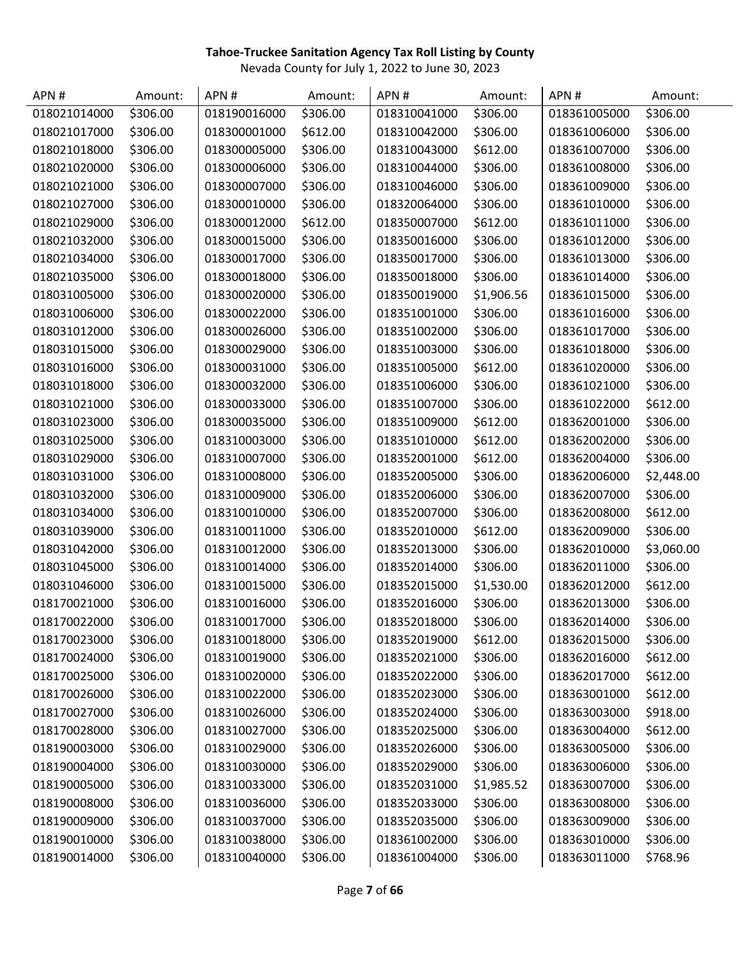| APN#         | Amount:  | APN#         | Amount:  | APN#         | Amount:    | APN#         | Amount:    |
|--------------|----------|--------------|----------|--------------|------------|--------------|------------|
| 018021014000 | \$306.00 | 018190016000 | \$306.00 | 018310041000 | \$306.00   | 018361005000 | \$306.00   |
| 018021017000 | \$306.00 | 018300001000 | \$612.00 | 018310042000 | \$306.00   | 018361006000 | \$306.00   |
| 018021018000 | \$306.00 | 018300005000 | \$306.00 | 018310043000 | \$612.00   | 018361007000 | \$306.00   |
| 018021020000 | \$306.00 | 018300006000 | \$306.00 | 018310044000 | \$306.00   | 018361008000 | \$306.00   |
| 018021021000 | \$306.00 | 018300007000 | \$306.00 | 018310046000 | \$306.00   | 018361009000 | \$306.00   |
| 018021027000 | \$306.00 | 018300010000 | \$306.00 | 018320064000 | \$306.00   | 018361010000 | \$306.00   |
| 018021029000 | \$306.00 | 018300012000 | \$612.00 | 018350007000 | \$612.00   | 018361011000 | \$306.00   |
| 018021032000 | \$306.00 | 018300015000 | \$306.00 | 018350016000 | \$306.00   | 018361012000 | \$306.00   |
| 018021034000 | \$306.00 | 018300017000 | \$306.00 | 018350017000 | \$306.00   | 018361013000 | \$306.00   |
| 018021035000 | \$306.00 | 018300018000 | \$306.00 | 018350018000 | \$306.00   | 018361014000 | \$306.00   |
| 018031005000 | \$306.00 | 018300020000 | \$306.00 | 018350019000 | \$1,906.56 | 018361015000 | \$306.00   |
| 018031006000 | \$306.00 | 018300022000 | \$306.00 | 018351001000 | \$306.00   | 018361016000 | \$306.00   |
| 018031012000 | \$306.00 | 018300026000 | \$306.00 | 018351002000 | \$306.00   | 018361017000 | \$306.00   |
| 018031015000 | \$306.00 | 018300029000 | \$306.00 | 018351003000 | \$306.00   | 018361018000 | \$306.00   |
| 018031016000 | \$306.00 | 018300031000 | \$306.00 | 018351005000 | \$612.00   | 018361020000 | \$306.00   |
| 018031018000 | \$306.00 | 018300032000 | \$306.00 | 018351006000 | \$306.00   | 018361021000 | \$306.00   |
| 018031021000 | \$306.00 | 018300033000 | \$306.00 | 018351007000 | \$306.00   | 018361022000 | \$612.00   |
| 018031023000 | \$306.00 | 018300035000 | \$306.00 | 018351009000 | \$612.00   | 018362001000 | \$306.00   |
| 018031025000 | \$306.00 | 018310003000 | \$306.00 | 018351010000 | \$612.00   | 018362002000 | \$306.00   |
| 018031029000 | \$306.00 | 018310007000 | \$306.00 | 018352001000 | \$612.00   | 018362004000 | \$306.00   |
| 018031031000 | \$306.00 | 018310008000 | \$306.00 | 018352005000 | \$306.00   | 018362006000 | \$2,448.00 |
| 018031032000 | \$306.00 | 018310009000 | \$306.00 | 018352006000 | \$306.00   | 018362007000 | \$306.00   |
| 018031034000 | \$306.00 | 018310010000 | \$306.00 | 018352007000 | \$306.00   | 018362008000 | \$612.00   |
| 018031039000 | \$306.00 | 018310011000 | \$306.00 | 018352010000 | \$612.00   | 018362009000 | \$306.00   |
| 018031042000 | \$306.00 | 018310012000 | \$306.00 | 018352013000 | \$306.00   | 018362010000 | \$3,060.00 |
| 018031045000 | \$306.00 | 018310014000 | \$306.00 | 018352014000 | \$306.00   | 018362011000 | \$306.00   |
| 018031046000 | \$306.00 | 018310015000 | \$306.00 | 018352015000 | \$1,530.00 | 018362012000 | \$612.00   |
| 018170021000 | \$306.00 | 018310016000 | \$306.00 | 018352016000 | \$306.00   | 018362013000 | \$306.00   |
| 018170022000 | \$306.00 | 018310017000 | \$306.00 | 018352018000 | \$306.00   | 018362014000 | \$306.00   |
| 018170023000 | \$306.00 | 018310018000 | \$306.00 | 018352019000 | \$612.00   | 018362015000 | \$306.00   |
| 018170024000 | \$306.00 | 018310019000 | \$306.00 | 018352021000 | \$306.00   | 018362016000 | \$612.00   |
| 018170025000 | \$306.00 | 018310020000 | \$306.00 | 018352022000 | \$306.00   | 018362017000 | \$612.00   |
| 018170026000 | \$306.00 | 018310022000 | \$306.00 | 018352023000 | \$306.00   | 018363001000 | \$612.00   |
| 018170027000 | \$306.00 | 018310026000 | \$306.00 | 018352024000 | \$306.00   | 018363003000 | \$918.00   |
| 018170028000 | \$306.00 | 018310027000 | \$306.00 | 018352025000 | \$306.00   | 018363004000 | \$612.00   |
| 018190003000 | \$306.00 | 018310029000 | \$306.00 | 018352026000 | \$306.00   | 018363005000 | \$306.00   |
| 018190004000 | \$306.00 | 018310030000 | \$306.00 | 018352029000 | \$306.00   | 018363006000 | \$306.00   |
| 018190005000 | \$306.00 | 018310033000 | \$306.00 | 018352031000 | \$1,985.52 | 018363007000 | \$306.00   |
| 018190008000 | \$306.00 | 018310036000 | \$306.00 | 018352033000 | \$306.00   | 018363008000 | \$306.00   |
| 018190009000 | \$306.00 | 018310037000 | \$306.00 | 018352035000 | \$306.00   | 018363009000 | \$306.00   |
| 018190010000 | \$306.00 | 018310038000 | \$306.00 | 018361002000 | \$306.00   | 018363010000 | \$306.00   |
| 018190014000 | \$306.00 | 018310040000 | \$306.00 | 018361004000 | \$306.00   | 018363011000 | \$768.96   |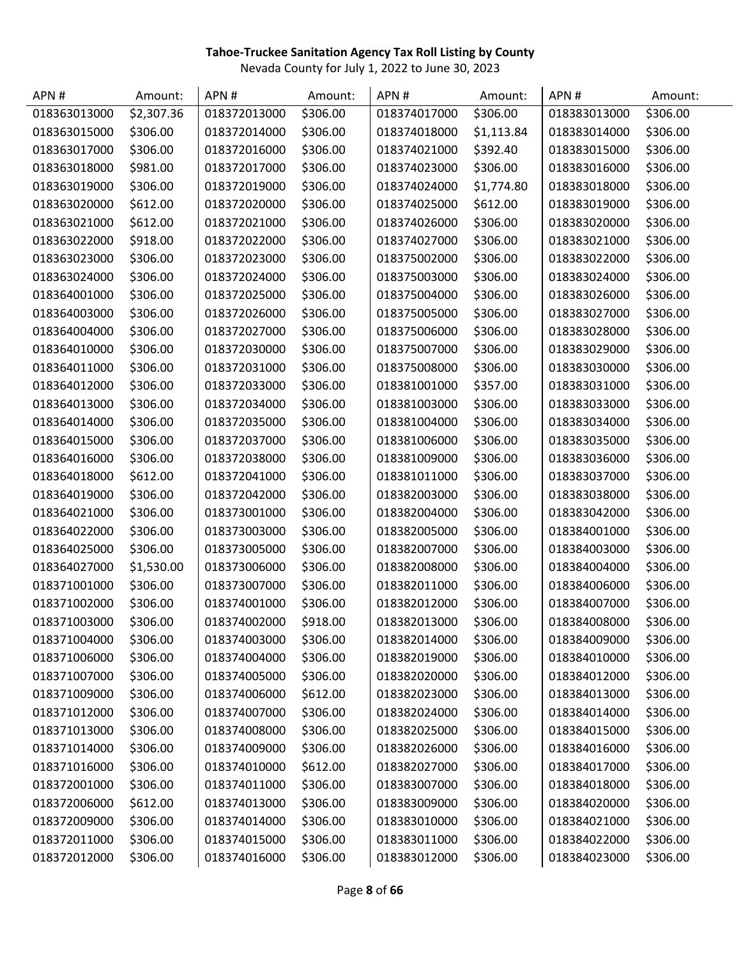| APN#         | Amount:    | APN#         | Amount:  | APN#         | Amount:    | APN#         | Amount:  |
|--------------|------------|--------------|----------|--------------|------------|--------------|----------|
| 018363013000 | \$2,307.36 | 018372013000 | \$306.00 | 018374017000 | \$306.00   | 018383013000 | \$306.00 |
| 018363015000 | \$306.00   | 018372014000 | \$306.00 | 018374018000 | \$1,113.84 | 018383014000 | \$306.00 |
| 018363017000 | \$306.00   | 018372016000 | \$306.00 | 018374021000 | \$392.40   | 018383015000 | \$306.00 |
| 018363018000 | \$981.00   | 018372017000 | \$306.00 | 018374023000 | \$306.00   | 018383016000 | \$306.00 |
| 018363019000 | \$306.00   | 018372019000 | \$306.00 | 018374024000 | \$1,774.80 | 018383018000 | \$306.00 |
| 018363020000 | \$612.00   | 018372020000 | \$306.00 | 018374025000 | \$612.00   | 018383019000 | \$306.00 |
| 018363021000 | \$612.00   | 018372021000 | \$306.00 | 018374026000 | \$306.00   | 018383020000 | \$306.00 |
| 018363022000 | \$918.00   | 018372022000 | \$306.00 | 018374027000 | \$306.00   | 018383021000 | \$306.00 |
| 018363023000 | \$306.00   | 018372023000 | \$306.00 | 018375002000 | \$306.00   | 018383022000 | \$306.00 |
| 018363024000 | \$306.00   | 018372024000 | \$306.00 | 018375003000 | \$306.00   | 018383024000 | \$306.00 |
| 018364001000 | \$306.00   | 018372025000 | \$306.00 | 018375004000 | \$306.00   | 018383026000 | \$306.00 |
| 018364003000 | \$306.00   | 018372026000 | \$306.00 | 018375005000 | \$306.00   | 018383027000 | \$306.00 |
| 018364004000 | \$306.00   | 018372027000 | \$306.00 | 018375006000 | \$306.00   | 018383028000 | \$306.00 |
| 018364010000 | \$306.00   | 018372030000 | \$306.00 | 018375007000 | \$306.00   | 018383029000 | \$306.00 |
| 018364011000 | \$306.00   | 018372031000 | \$306.00 | 018375008000 | \$306.00   | 018383030000 | \$306.00 |
| 018364012000 | \$306.00   | 018372033000 | \$306.00 | 018381001000 | \$357.00   | 018383031000 | \$306.00 |
| 018364013000 | \$306.00   | 018372034000 | \$306.00 | 018381003000 | \$306.00   | 018383033000 | \$306.00 |
| 018364014000 | \$306.00   | 018372035000 | \$306.00 | 018381004000 | \$306.00   | 018383034000 | \$306.00 |
| 018364015000 | \$306.00   | 018372037000 | \$306.00 | 018381006000 | \$306.00   | 018383035000 | \$306.00 |
| 018364016000 | \$306.00   | 018372038000 | \$306.00 | 018381009000 | \$306.00   | 018383036000 | \$306.00 |
| 018364018000 | \$612.00   | 018372041000 | \$306.00 | 018381011000 | \$306.00   | 018383037000 | \$306.00 |
| 018364019000 | \$306.00   | 018372042000 | \$306.00 | 018382003000 | \$306.00   | 018383038000 | \$306.00 |
| 018364021000 | \$306.00   | 018373001000 | \$306.00 | 018382004000 | \$306.00   | 018383042000 | \$306.00 |
| 018364022000 | \$306.00   | 018373003000 | \$306.00 | 018382005000 | \$306.00   | 018384001000 | \$306.00 |
| 018364025000 | \$306.00   | 018373005000 | \$306.00 | 018382007000 | \$306.00   | 018384003000 | \$306.00 |
| 018364027000 | \$1,530.00 | 018373006000 | \$306.00 | 018382008000 | \$306.00   | 018384004000 | \$306.00 |
| 018371001000 | \$306.00   | 018373007000 | \$306.00 | 018382011000 | \$306.00   | 018384006000 | \$306.00 |
| 018371002000 | \$306.00   | 018374001000 | \$306.00 | 018382012000 | \$306.00   | 018384007000 | \$306.00 |
| 018371003000 | \$306.00   | 018374002000 | \$918.00 | 018382013000 | \$306.00   | 018384008000 | \$306.00 |
| 018371004000 | \$306.00   | 018374003000 | \$306.00 | 018382014000 | \$306.00   | 018384009000 | \$306.00 |
| 018371006000 | \$306.00   | 018374004000 | \$306.00 | 018382019000 | \$306.00   | 018384010000 | \$306.00 |
| 018371007000 | \$306.00   | 018374005000 | \$306.00 | 018382020000 | \$306.00   | 018384012000 | \$306.00 |
| 018371009000 | \$306.00   | 018374006000 | \$612.00 | 018382023000 | \$306.00   | 018384013000 | \$306.00 |
| 018371012000 | \$306.00   | 018374007000 | \$306.00 | 018382024000 | \$306.00   | 018384014000 | \$306.00 |
| 018371013000 | \$306.00   | 018374008000 | \$306.00 | 018382025000 | \$306.00   | 018384015000 | \$306.00 |
| 018371014000 | \$306.00   | 018374009000 | \$306.00 | 018382026000 | \$306.00   | 018384016000 | \$306.00 |
| 018371016000 | \$306.00   | 018374010000 | \$612.00 | 018382027000 | \$306.00   | 018384017000 | \$306.00 |
| 018372001000 | \$306.00   | 018374011000 | \$306.00 | 018383007000 | \$306.00   | 018384018000 | \$306.00 |
| 018372006000 | \$612.00   | 018374013000 | \$306.00 | 018383009000 | \$306.00   | 018384020000 | \$306.00 |
| 018372009000 | \$306.00   | 018374014000 | \$306.00 | 018383010000 | \$306.00   | 018384021000 | \$306.00 |
| 018372011000 | \$306.00   | 018374015000 | \$306.00 | 018383011000 | \$306.00   | 018384022000 | \$306.00 |
| 018372012000 | \$306.00   | 018374016000 | \$306.00 | 018383012000 | \$306.00   | 018384023000 | \$306.00 |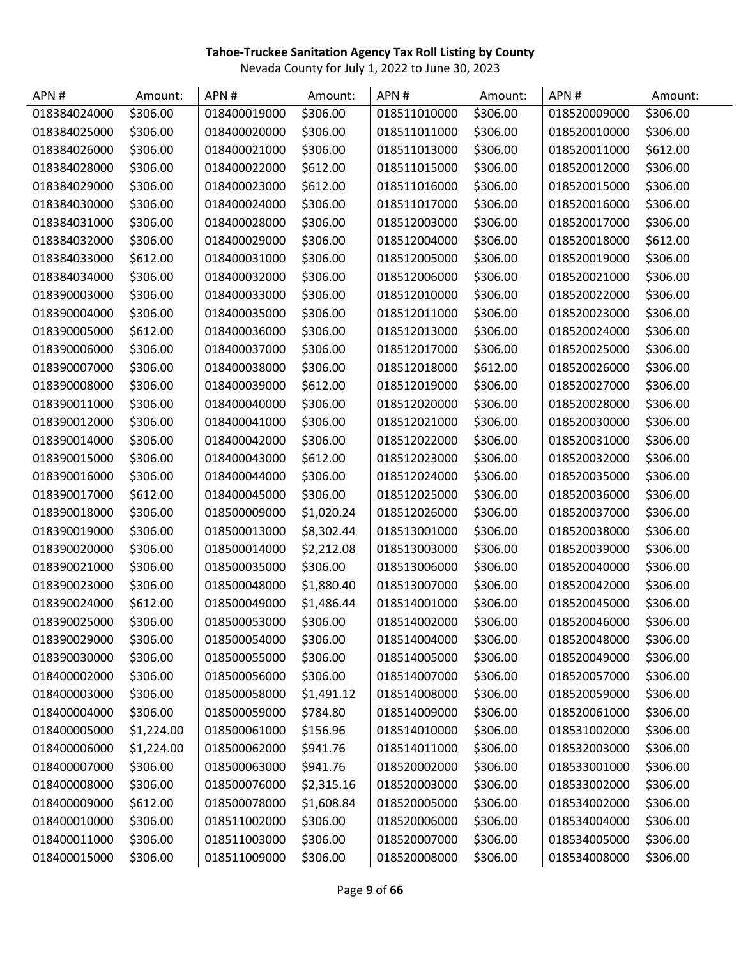| APN#         | Amount:    | APN#         | Amount:    | APN#         | Amount:  | APN#         | Amount:  |
|--------------|------------|--------------|------------|--------------|----------|--------------|----------|
| 018384024000 | \$306.00   | 018400019000 | \$306.00   | 018511010000 | \$306.00 | 018520009000 | \$306.00 |
| 018384025000 | \$306.00   | 018400020000 | \$306.00   | 018511011000 | \$306.00 | 018520010000 | \$306.00 |
| 018384026000 | \$306.00   | 018400021000 | \$306.00   | 018511013000 | \$306.00 | 018520011000 | \$612.00 |
| 018384028000 | \$306.00   | 018400022000 | \$612.00   | 018511015000 | \$306.00 | 018520012000 | \$306.00 |
| 018384029000 | \$306.00   | 018400023000 | \$612.00   | 018511016000 | \$306.00 | 018520015000 | \$306.00 |
| 018384030000 | \$306.00   | 018400024000 | \$306.00   | 018511017000 | \$306.00 | 018520016000 | \$306.00 |
| 018384031000 | \$306.00   | 018400028000 | \$306.00   | 018512003000 | \$306.00 | 018520017000 | \$306.00 |
| 018384032000 | \$306.00   | 018400029000 | \$306.00   | 018512004000 | \$306.00 | 018520018000 | \$612.00 |
| 018384033000 | \$612.00   | 018400031000 | \$306.00   | 018512005000 | \$306.00 | 018520019000 | \$306.00 |
| 018384034000 | \$306.00   | 018400032000 | \$306.00   | 018512006000 | \$306.00 | 018520021000 | \$306.00 |
| 018390003000 | \$306.00   | 018400033000 | \$306.00   | 018512010000 | \$306.00 | 018520022000 | \$306.00 |
| 018390004000 | \$306.00   | 018400035000 | \$306.00   | 018512011000 | \$306.00 | 018520023000 | \$306.00 |
| 018390005000 | \$612.00   | 018400036000 | \$306.00   | 018512013000 | \$306.00 | 018520024000 | \$306.00 |
| 018390006000 | \$306.00   | 018400037000 | \$306.00   | 018512017000 | \$306.00 | 018520025000 | \$306.00 |
| 018390007000 | \$306.00   | 018400038000 | \$306.00   | 018512018000 | \$612.00 | 018520026000 | \$306.00 |
| 018390008000 | \$306.00   | 018400039000 | \$612.00   | 018512019000 | \$306.00 | 018520027000 | \$306.00 |
| 018390011000 | \$306.00   | 018400040000 | \$306.00   | 018512020000 | \$306.00 | 018520028000 | \$306.00 |
| 018390012000 | \$306.00   | 018400041000 | \$306.00   | 018512021000 | \$306.00 | 018520030000 | \$306.00 |
| 018390014000 | \$306.00   | 018400042000 | \$306.00   | 018512022000 | \$306.00 | 018520031000 | \$306.00 |
| 018390015000 | \$306.00   | 018400043000 | \$612.00   | 018512023000 | \$306.00 | 018520032000 | \$306.00 |
| 018390016000 | \$306.00   | 018400044000 | \$306.00   | 018512024000 | \$306.00 | 018520035000 | \$306.00 |
| 018390017000 | \$612.00   | 018400045000 | \$306.00   | 018512025000 | \$306.00 | 018520036000 | \$306.00 |
| 018390018000 | \$306.00   | 018500009000 | \$1,020.24 | 018512026000 | \$306.00 | 018520037000 | \$306.00 |
| 018390019000 | \$306.00   | 018500013000 | \$8,302.44 | 018513001000 | \$306.00 | 018520038000 | \$306.00 |
| 018390020000 | \$306.00   | 018500014000 | \$2,212.08 | 018513003000 | \$306.00 | 018520039000 | \$306.00 |
| 018390021000 | \$306.00   | 018500035000 | \$306.00   | 018513006000 | \$306.00 | 018520040000 | \$306.00 |
| 018390023000 | \$306.00   | 018500048000 | \$1,880.40 | 018513007000 | \$306.00 | 018520042000 | \$306.00 |
| 018390024000 | \$612.00   | 018500049000 | \$1,486.44 | 018514001000 | \$306.00 | 018520045000 | \$306.00 |
| 018390025000 | \$306.00   | 018500053000 | \$306.00   | 018514002000 | \$306.00 | 018520046000 | \$306.00 |
| 018390029000 | \$306.00   | 018500054000 | \$306.00   | 018514004000 | \$306.00 | 018520048000 | \$306.00 |
| 018390030000 | \$306.00   | 018500055000 | \$306.00   | 018514005000 | \$306.00 | 018520049000 | \$306.00 |
| 018400002000 | \$306.00   | 018500056000 | \$306.00   | 018514007000 | \$306.00 | 018520057000 | \$306.00 |
| 018400003000 | \$306.00   | 018500058000 | \$1,491.12 | 018514008000 | \$306.00 | 018520059000 | \$306.00 |
| 018400004000 | \$306.00   | 018500059000 | \$784.80   | 018514009000 | \$306.00 | 018520061000 | \$306.00 |
| 018400005000 | \$1,224.00 | 018500061000 | \$156.96   | 018514010000 | \$306.00 | 018531002000 | \$306.00 |
| 018400006000 | \$1,224.00 | 018500062000 | \$941.76   | 018514011000 | \$306.00 | 018532003000 | \$306.00 |
| 018400007000 | \$306.00   | 018500063000 | \$941.76   | 018520002000 | \$306.00 | 018533001000 | \$306.00 |
| 018400008000 | \$306.00   | 018500076000 | \$2,315.16 | 018520003000 | \$306.00 | 018533002000 | \$306.00 |
| 018400009000 | \$612.00   | 018500078000 | \$1,608.84 | 018520005000 | \$306.00 | 018534002000 | \$306.00 |
| 018400010000 | \$306.00   | 018511002000 | \$306.00   | 018520006000 | \$306.00 | 018534004000 | \$306.00 |
| 018400011000 | \$306.00   | 018511003000 | \$306.00   | 018520007000 | \$306.00 | 018534005000 | \$306.00 |
| 018400015000 | \$306.00   | 018511009000 | \$306.00   | 018520008000 | \$306.00 | 018534008000 | \$306.00 |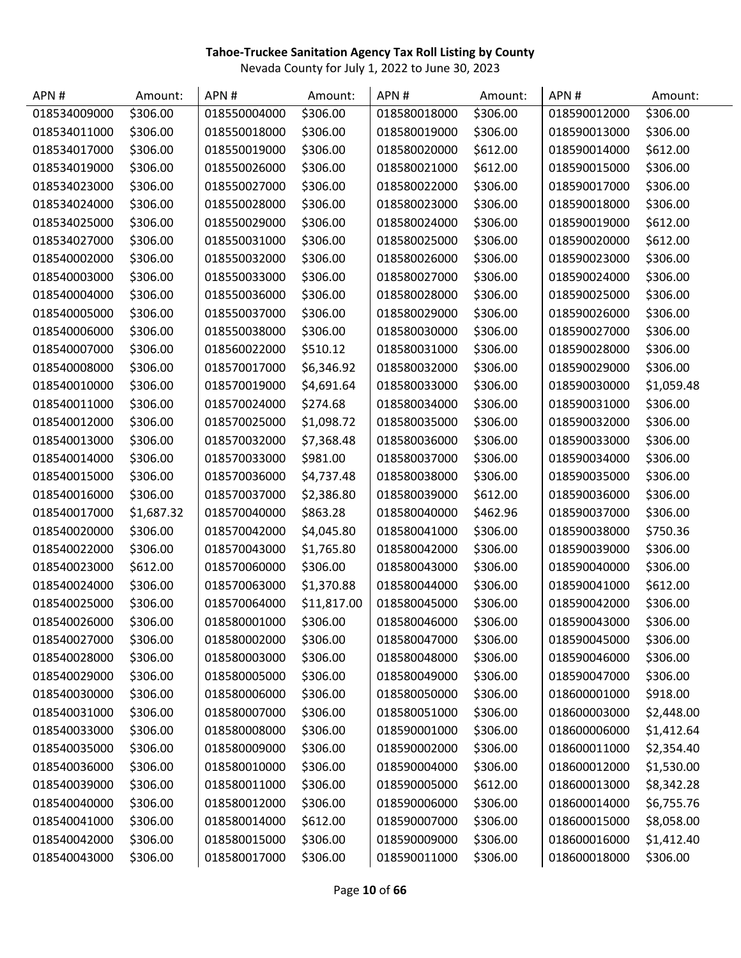| APN#         | Amount:    | APN#         | Amount:     | APN#         | Amount:  | APN#         | Amount:    |
|--------------|------------|--------------|-------------|--------------|----------|--------------|------------|
| 018534009000 | \$306.00   | 018550004000 | \$306.00    | 018580018000 | \$306.00 | 018590012000 | \$306.00   |
| 018534011000 | \$306.00   | 018550018000 | \$306.00    | 018580019000 | \$306.00 | 018590013000 | \$306.00   |
| 018534017000 | \$306.00   | 018550019000 | \$306.00    | 018580020000 | \$612.00 | 018590014000 | \$612.00   |
| 018534019000 | \$306.00   | 018550026000 | \$306.00    | 018580021000 | \$612.00 | 018590015000 | \$306.00   |
| 018534023000 | \$306.00   | 018550027000 | \$306.00    | 018580022000 | \$306.00 | 018590017000 | \$306.00   |
| 018534024000 | \$306.00   | 018550028000 | \$306.00    | 018580023000 | \$306.00 | 018590018000 | \$306.00   |
| 018534025000 | \$306.00   | 018550029000 | \$306.00    | 018580024000 | \$306.00 | 018590019000 | \$612.00   |
| 018534027000 | \$306.00   | 018550031000 | \$306.00    | 018580025000 | \$306.00 | 018590020000 | \$612.00   |
| 018540002000 | \$306.00   | 018550032000 | \$306.00    | 018580026000 | \$306.00 | 018590023000 | \$306.00   |
| 018540003000 | \$306.00   | 018550033000 | \$306.00    | 018580027000 | \$306.00 | 018590024000 | \$306.00   |
| 018540004000 | \$306.00   | 018550036000 | \$306.00    | 018580028000 | \$306.00 | 018590025000 | \$306.00   |
| 018540005000 | \$306.00   | 018550037000 | \$306.00    | 018580029000 | \$306.00 | 018590026000 | \$306.00   |
| 018540006000 | \$306.00   | 018550038000 | \$306.00    | 018580030000 | \$306.00 | 018590027000 | \$306.00   |
| 018540007000 | \$306.00   | 018560022000 | \$510.12    | 018580031000 | \$306.00 | 018590028000 | \$306.00   |
| 018540008000 | \$306.00   | 018570017000 | \$6,346.92  | 018580032000 | \$306.00 | 018590029000 | \$306.00   |
| 018540010000 | \$306.00   | 018570019000 | \$4,691.64  | 018580033000 | \$306.00 | 018590030000 | \$1,059.48 |
| 018540011000 | \$306.00   | 018570024000 | \$274.68    | 018580034000 | \$306.00 | 018590031000 | \$306.00   |
| 018540012000 | \$306.00   | 018570025000 | \$1,098.72  | 018580035000 | \$306.00 | 018590032000 | \$306.00   |
| 018540013000 | \$306.00   | 018570032000 | \$7,368.48  | 018580036000 | \$306.00 | 018590033000 | \$306.00   |
| 018540014000 | \$306.00   | 018570033000 | \$981.00    | 018580037000 | \$306.00 | 018590034000 | \$306.00   |
| 018540015000 | \$306.00   | 018570036000 | \$4,737.48  | 018580038000 | \$306.00 | 018590035000 | \$306.00   |
| 018540016000 | \$306.00   | 018570037000 | \$2,386.80  | 018580039000 | \$612.00 | 018590036000 | \$306.00   |
| 018540017000 | \$1,687.32 | 018570040000 | \$863.28    | 018580040000 | \$462.96 | 018590037000 | \$306.00   |
| 018540020000 | \$306.00   | 018570042000 | \$4,045.80  | 018580041000 | \$306.00 | 018590038000 | \$750.36   |
| 018540022000 | \$306.00   | 018570043000 | \$1,765.80  | 018580042000 | \$306.00 | 018590039000 | \$306.00   |
| 018540023000 | \$612.00   | 018570060000 | \$306.00    | 018580043000 | \$306.00 | 018590040000 | \$306.00   |
| 018540024000 | \$306.00   | 018570063000 | \$1,370.88  | 018580044000 | \$306.00 | 018590041000 | \$612.00   |
| 018540025000 | \$306.00   | 018570064000 | \$11,817.00 | 018580045000 | \$306.00 | 018590042000 | \$306.00   |
| 018540026000 | \$306.00   | 018580001000 | \$306.00    | 018580046000 | \$306.00 | 018590043000 | \$306.00   |
| 018540027000 | \$306.00   | 018580002000 | \$306.00    | 018580047000 | \$306.00 | 018590045000 | \$306.00   |
| 018540028000 | \$306.00   | 018580003000 | \$306.00    | 018580048000 | \$306.00 | 018590046000 | \$306.00   |
| 018540029000 | \$306.00   | 018580005000 | \$306.00    | 018580049000 | \$306.00 | 018590047000 | \$306.00   |
| 018540030000 | \$306.00   | 018580006000 | \$306.00    | 018580050000 | \$306.00 | 018600001000 | \$918.00   |
| 018540031000 | \$306.00   | 018580007000 | \$306.00    | 018580051000 | \$306.00 | 018600003000 | \$2,448.00 |
| 018540033000 | \$306.00   | 018580008000 | \$306.00    | 018590001000 | \$306.00 | 018600006000 | \$1,412.64 |
| 018540035000 | \$306.00   | 018580009000 | \$306.00    | 018590002000 | \$306.00 | 018600011000 | \$2,354.40 |
| 018540036000 | \$306.00   | 018580010000 | \$306.00    | 018590004000 | \$306.00 | 018600012000 | \$1,530.00 |
| 018540039000 | \$306.00   | 018580011000 | \$306.00    | 018590005000 | \$612.00 | 018600013000 | \$8,342.28 |
| 018540040000 | \$306.00   | 018580012000 | \$306.00    | 018590006000 | \$306.00 | 018600014000 | \$6,755.76 |
| 018540041000 | \$306.00   | 018580014000 | \$612.00    | 018590007000 | \$306.00 | 018600015000 | \$8,058.00 |
| 018540042000 | \$306.00   | 018580015000 | \$306.00    | 018590009000 | \$306.00 | 018600016000 | \$1,412.40 |
| 018540043000 | \$306.00   | 018580017000 | \$306.00    | 018590011000 | \$306.00 | 018600018000 | \$306.00   |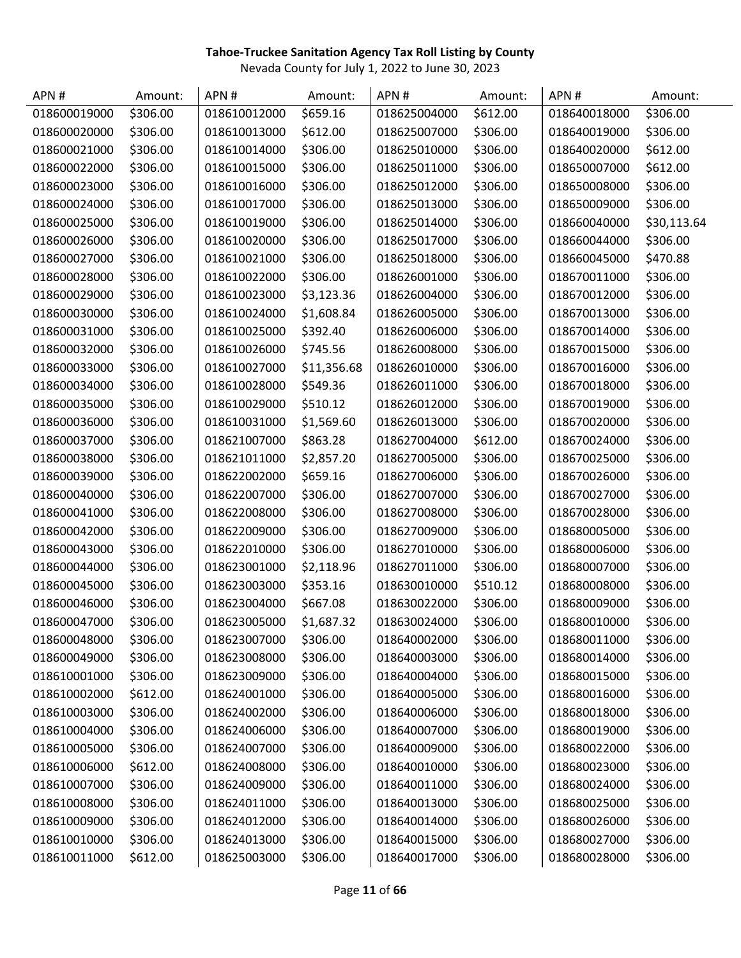| APN#         | Amount:  | APN#         | Amount:     | APN#         | Amount:  | APN#         | Amount:     |
|--------------|----------|--------------|-------------|--------------|----------|--------------|-------------|
| 018600019000 | \$306.00 | 018610012000 | \$659.16    | 018625004000 | \$612.00 | 018640018000 | \$306.00    |
| 018600020000 | \$306.00 | 018610013000 | \$612.00    | 018625007000 | \$306.00 | 018640019000 | \$306.00    |
| 018600021000 | \$306.00 | 018610014000 | \$306.00    | 018625010000 | \$306.00 | 018640020000 | \$612.00    |
| 018600022000 | \$306.00 | 018610015000 | \$306.00    | 018625011000 | \$306.00 | 018650007000 | \$612.00    |
| 018600023000 | \$306.00 | 018610016000 | \$306.00    | 018625012000 | \$306.00 | 018650008000 | \$306.00    |
| 018600024000 | \$306.00 | 018610017000 | \$306.00    | 018625013000 | \$306.00 | 018650009000 | \$306.00    |
| 018600025000 | \$306.00 | 018610019000 | \$306.00    | 018625014000 | \$306.00 | 018660040000 | \$30,113.64 |
| 018600026000 | \$306.00 | 018610020000 | \$306.00    | 018625017000 | \$306.00 | 018660044000 | \$306.00    |
| 018600027000 | \$306.00 | 018610021000 | \$306.00    | 018625018000 | \$306.00 | 018660045000 | \$470.88    |
| 018600028000 | \$306.00 | 018610022000 | \$306.00    | 018626001000 | \$306.00 | 018670011000 | \$306.00    |
| 018600029000 | \$306.00 | 018610023000 | \$3,123.36  | 018626004000 | \$306.00 | 018670012000 | \$306.00    |
| 018600030000 | \$306.00 | 018610024000 | \$1,608.84  | 018626005000 | \$306.00 | 018670013000 | \$306.00    |
| 018600031000 | \$306.00 | 018610025000 | \$392.40    | 018626006000 | \$306.00 | 018670014000 | \$306.00    |
| 018600032000 | \$306.00 | 018610026000 | \$745.56    | 018626008000 | \$306.00 | 018670015000 | \$306.00    |
| 018600033000 | \$306.00 | 018610027000 | \$11,356.68 | 018626010000 | \$306.00 | 018670016000 | \$306.00    |
| 018600034000 | \$306.00 | 018610028000 | \$549.36    | 018626011000 | \$306.00 | 018670018000 | \$306.00    |
| 018600035000 | \$306.00 | 018610029000 | \$510.12    | 018626012000 | \$306.00 | 018670019000 | \$306.00    |
| 018600036000 | \$306.00 | 018610031000 | \$1,569.60  | 018626013000 | \$306.00 | 018670020000 | \$306.00    |
| 018600037000 | \$306.00 | 018621007000 | \$863.28    | 018627004000 | \$612.00 | 018670024000 | \$306.00    |
| 018600038000 | \$306.00 | 018621011000 | \$2,857.20  | 018627005000 | \$306.00 | 018670025000 | \$306.00    |
| 018600039000 | \$306.00 | 018622002000 | \$659.16    | 018627006000 | \$306.00 | 018670026000 | \$306.00    |
| 018600040000 | \$306.00 | 018622007000 | \$306.00    | 018627007000 | \$306.00 | 018670027000 | \$306.00    |
| 018600041000 | \$306.00 | 018622008000 | \$306.00    | 018627008000 | \$306.00 | 018670028000 | \$306.00    |
| 018600042000 | \$306.00 | 018622009000 | \$306.00    | 018627009000 | \$306.00 | 018680005000 | \$306.00    |
| 018600043000 | \$306.00 | 018622010000 | \$306.00    | 018627010000 | \$306.00 | 018680006000 | \$306.00    |
| 018600044000 | \$306.00 | 018623001000 | \$2,118.96  | 018627011000 | \$306.00 | 018680007000 | \$306.00    |
| 018600045000 | \$306.00 | 018623003000 | \$353.16    | 018630010000 | \$510.12 | 018680008000 | \$306.00    |
| 018600046000 | \$306.00 | 018623004000 | \$667.08    | 018630022000 | \$306.00 | 018680009000 | \$306.00    |
| 018600047000 | \$306.00 | 018623005000 | \$1,687.32  | 018630024000 | \$306.00 | 018680010000 | \$306.00    |
| 018600048000 | \$306.00 | 018623007000 | \$306.00    | 018640002000 | \$306.00 | 018680011000 | \$306.00    |
| 018600049000 | \$306.00 | 018623008000 | \$306.00    | 018640003000 | \$306.00 | 018680014000 | \$306.00    |
| 018610001000 | \$306.00 | 018623009000 | \$306.00    | 018640004000 | \$306.00 | 018680015000 | \$306.00    |
| 018610002000 | \$612.00 | 018624001000 | \$306.00    | 018640005000 | \$306.00 | 018680016000 | \$306.00    |
| 018610003000 | \$306.00 | 018624002000 | \$306.00    | 018640006000 | \$306.00 | 018680018000 | \$306.00    |
| 018610004000 | \$306.00 | 018624006000 | \$306.00    | 018640007000 | \$306.00 | 018680019000 | \$306.00    |
| 018610005000 | \$306.00 | 018624007000 | \$306.00    | 018640009000 | \$306.00 | 018680022000 | \$306.00    |
| 018610006000 | \$612.00 | 018624008000 | \$306.00    | 018640010000 | \$306.00 | 018680023000 | \$306.00    |
| 018610007000 | \$306.00 | 018624009000 | \$306.00    | 018640011000 | \$306.00 | 018680024000 | \$306.00    |
| 018610008000 | \$306.00 | 018624011000 | \$306.00    | 018640013000 | \$306.00 | 018680025000 | \$306.00    |
| 018610009000 | \$306.00 | 018624012000 | \$306.00    | 018640014000 | \$306.00 | 018680026000 | \$306.00    |
| 018610010000 | \$306.00 | 018624013000 | \$306.00    | 018640015000 | \$306.00 | 018680027000 | \$306.00    |
| 018610011000 | \$612.00 | 018625003000 | \$306.00    | 018640017000 | \$306.00 | 018680028000 | \$306.00    |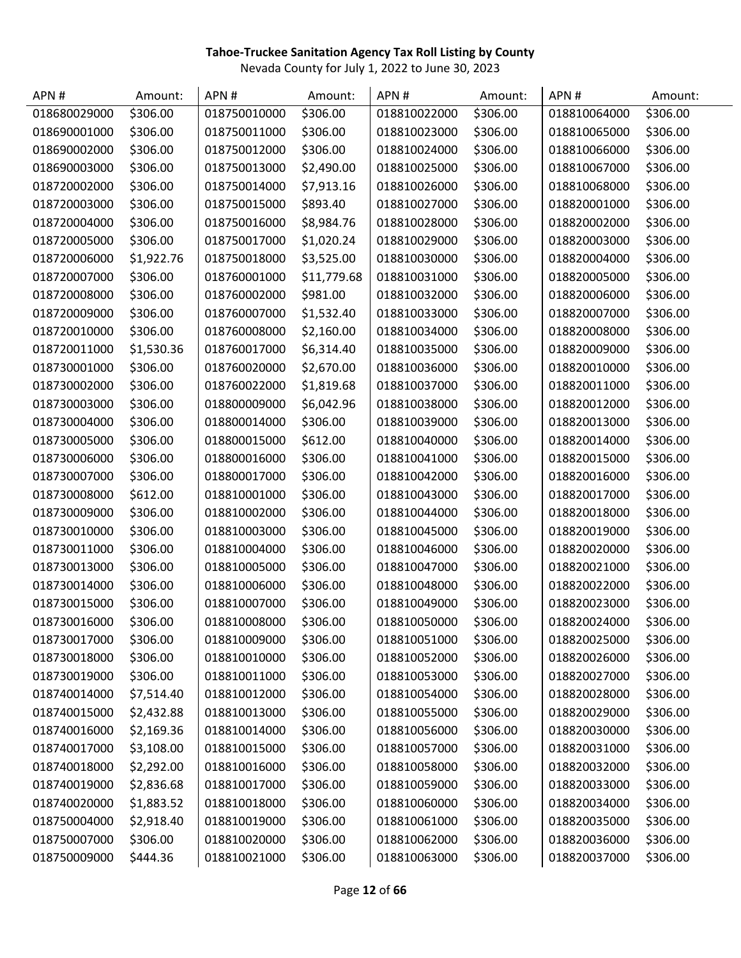| APN#         | Amount:    | APN#         | Amount:     | APN#         | Amount:  | APN#         | Amount:  |
|--------------|------------|--------------|-------------|--------------|----------|--------------|----------|
| 018680029000 | \$306.00   | 018750010000 | \$306.00    | 018810022000 | \$306.00 | 018810064000 | \$306.00 |
| 018690001000 | \$306.00   | 018750011000 | \$306.00    | 018810023000 | \$306.00 | 018810065000 | \$306.00 |
| 018690002000 | \$306.00   | 018750012000 | \$306.00    | 018810024000 | \$306.00 | 018810066000 | \$306.00 |
| 018690003000 | \$306.00   | 018750013000 | \$2,490.00  | 018810025000 | \$306.00 | 018810067000 | \$306.00 |
| 018720002000 | \$306.00   | 018750014000 | \$7,913.16  | 018810026000 | \$306.00 | 018810068000 | \$306.00 |
| 018720003000 | \$306.00   | 018750015000 | \$893.40    | 018810027000 | \$306.00 | 018820001000 | \$306.00 |
| 018720004000 | \$306.00   | 018750016000 | \$8,984.76  | 018810028000 | \$306.00 | 018820002000 | \$306.00 |
| 018720005000 | \$306.00   | 018750017000 | \$1,020.24  | 018810029000 | \$306.00 | 018820003000 | \$306.00 |
| 018720006000 | \$1,922.76 | 018750018000 | \$3,525.00  | 018810030000 | \$306.00 | 018820004000 | \$306.00 |
| 018720007000 | \$306.00   | 018760001000 | \$11,779.68 | 018810031000 | \$306.00 | 018820005000 | \$306.00 |
| 018720008000 | \$306.00   | 018760002000 | \$981.00    | 018810032000 | \$306.00 | 018820006000 | \$306.00 |
| 018720009000 | \$306.00   | 018760007000 | \$1,532.40  | 018810033000 | \$306.00 | 018820007000 | \$306.00 |
| 018720010000 | \$306.00   | 018760008000 | \$2,160.00  | 018810034000 | \$306.00 | 018820008000 | \$306.00 |
| 018720011000 | \$1,530.36 | 018760017000 | \$6,314.40  | 018810035000 | \$306.00 | 018820009000 | \$306.00 |
| 018730001000 | \$306.00   | 018760020000 | \$2,670.00  | 018810036000 | \$306.00 | 018820010000 | \$306.00 |
| 018730002000 | \$306.00   | 018760022000 | \$1,819.68  | 018810037000 | \$306.00 | 018820011000 | \$306.00 |
| 018730003000 | \$306.00   | 018800009000 | \$6,042.96  | 018810038000 | \$306.00 | 018820012000 | \$306.00 |
| 018730004000 | \$306.00   | 018800014000 | \$306.00    | 018810039000 | \$306.00 | 018820013000 | \$306.00 |
| 018730005000 | \$306.00   | 018800015000 | \$612.00    | 018810040000 | \$306.00 | 018820014000 | \$306.00 |
| 018730006000 | \$306.00   | 018800016000 | \$306.00    | 018810041000 | \$306.00 | 018820015000 | \$306.00 |
| 018730007000 | \$306.00   | 018800017000 | \$306.00    | 018810042000 | \$306.00 | 018820016000 | \$306.00 |
| 018730008000 | \$612.00   | 018810001000 | \$306.00    | 018810043000 | \$306.00 | 018820017000 | \$306.00 |
| 018730009000 | \$306.00   | 018810002000 | \$306.00    | 018810044000 | \$306.00 | 018820018000 | \$306.00 |
| 018730010000 | \$306.00   | 018810003000 | \$306.00    | 018810045000 | \$306.00 | 018820019000 | \$306.00 |
| 018730011000 | \$306.00   | 018810004000 | \$306.00    | 018810046000 | \$306.00 | 018820020000 | \$306.00 |
| 018730013000 | \$306.00   | 018810005000 | \$306.00    | 018810047000 | \$306.00 | 018820021000 | \$306.00 |
| 018730014000 | \$306.00   | 018810006000 | \$306.00    | 018810048000 | \$306.00 | 018820022000 | \$306.00 |
| 018730015000 | \$306.00   | 018810007000 | \$306.00    | 018810049000 | \$306.00 | 018820023000 | \$306.00 |
| 018730016000 | \$306.00   | 018810008000 | \$306.00    | 018810050000 | \$306.00 | 018820024000 | \$306.00 |
| 018730017000 | \$306.00   | 018810009000 | \$306.00    | 018810051000 | \$306.00 | 018820025000 | \$306.00 |
| 018730018000 | \$306.00   | 018810010000 | \$306.00    | 018810052000 | \$306.00 | 018820026000 | \$306.00 |
| 018730019000 | \$306.00   | 018810011000 | \$306.00    | 018810053000 | \$306.00 | 018820027000 | \$306.00 |
| 018740014000 | \$7,514.40 | 018810012000 | \$306.00    | 018810054000 | \$306.00 | 018820028000 | \$306.00 |
| 018740015000 | \$2,432.88 | 018810013000 | \$306.00    | 018810055000 | \$306.00 | 018820029000 | \$306.00 |
| 018740016000 | \$2,169.36 | 018810014000 | \$306.00    | 018810056000 | \$306.00 | 018820030000 | \$306.00 |
| 018740017000 | \$3,108.00 | 018810015000 | \$306.00    | 018810057000 | \$306.00 | 018820031000 | \$306.00 |
| 018740018000 | \$2,292.00 | 018810016000 | \$306.00    | 018810058000 | \$306.00 | 018820032000 | \$306.00 |
| 018740019000 | \$2,836.68 | 018810017000 | \$306.00    | 018810059000 | \$306.00 | 018820033000 | \$306.00 |
| 018740020000 | \$1,883.52 | 018810018000 | \$306.00    | 018810060000 | \$306.00 | 018820034000 | \$306.00 |
| 018750004000 | \$2,918.40 | 018810019000 | \$306.00    | 018810061000 | \$306.00 | 018820035000 | \$306.00 |
| 018750007000 | \$306.00   | 018810020000 | \$306.00    | 018810062000 | \$306.00 | 018820036000 | \$306.00 |
| 018750009000 | \$444.36   | 018810021000 | \$306.00    | 018810063000 | \$306.00 | 018820037000 | \$306.00 |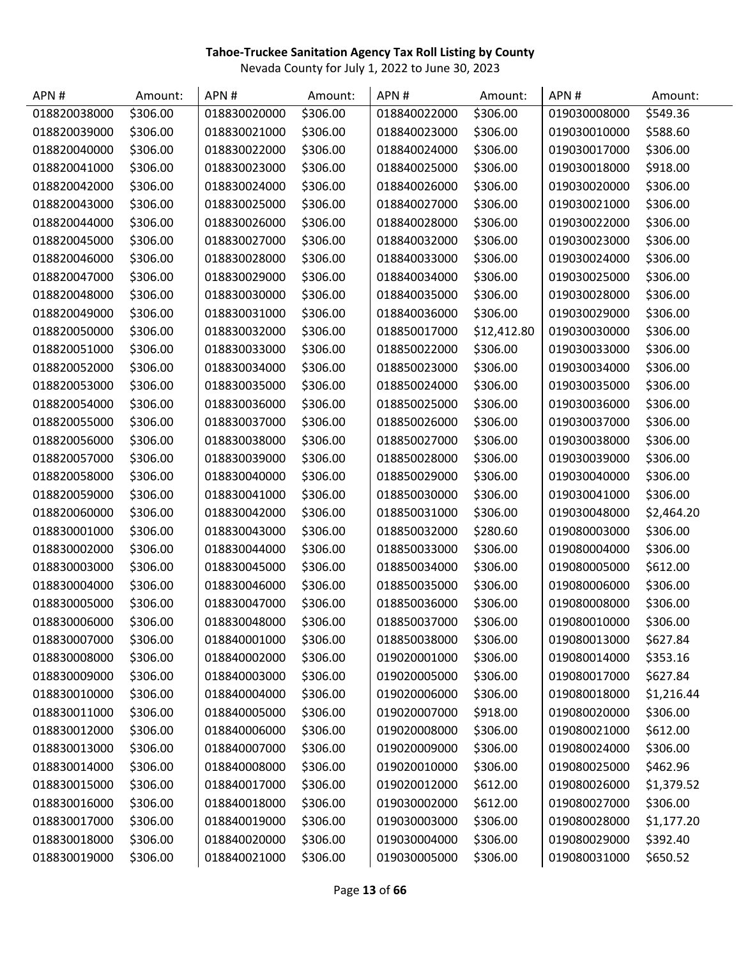| APN#         | Amount:  | APN#         | Amount:  | APN#         | Amount:     | APN#         | Amount:    |
|--------------|----------|--------------|----------|--------------|-------------|--------------|------------|
| 018820038000 | \$306.00 | 018830020000 | \$306.00 | 018840022000 | \$306.00    | 019030008000 | \$549.36   |
| 018820039000 | \$306.00 | 018830021000 | \$306.00 | 018840023000 | \$306.00    | 019030010000 | \$588.60   |
| 018820040000 | \$306.00 | 018830022000 | \$306.00 | 018840024000 | \$306.00    | 019030017000 | \$306.00   |
| 018820041000 | \$306.00 | 018830023000 | \$306.00 | 018840025000 | \$306.00    | 019030018000 | \$918.00   |
| 018820042000 | \$306.00 | 018830024000 | \$306.00 | 018840026000 | \$306.00    | 019030020000 | \$306.00   |
| 018820043000 | \$306.00 | 018830025000 | \$306.00 | 018840027000 | \$306.00    | 019030021000 | \$306.00   |
| 018820044000 | \$306.00 | 018830026000 | \$306.00 | 018840028000 | \$306.00    | 019030022000 | \$306.00   |
| 018820045000 | \$306.00 | 018830027000 | \$306.00 | 018840032000 | \$306.00    | 019030023000 | \$306.00   |
| 018820046000 | \$306.00 | 018830028000 | \$306.00 | 018840033000 | \$306.00    | 019030024000 | \$306.00   |
| 018820047000 | \$306.00 | 018830029000 | \$306.00 | 018840034000 | \$306.00    | 019030025000 | \$306.00   |
| 018820048000 | \$306.00 | 018830030000 | \$306.00 | 018840035000 | \$306.00    | 019030028000 | \$306.00   |
| 018820049000 | \$306.00 | 018830031000 | \$306.00 | 018840036000 | \$306.00    | 019030029000 | \$306.00   |
| 018820050000 | \$306.00 | 018830032000 | \$306.00 | 018850017000 | \$12,412.80 | 019030030000 | \$306.00   |
| 018820051000 | \$306.00 | 018830033000 | \$306.00 | 018850022000 | \$306.00    | 019030033000 | \$306.00   |
| 018820052000 | \$306.00 | 018830034000 | \$306.00 | 018850023000 | \$306.00    | 019030034000 | \$306.00   |
| 018820053000 | \$306.00 | 018830035000 | \$306.00 | 018850024000 | \$306.00    | 019030035000 | \$306.00   |
| 018820054000 | \$306.00 | 018830036000 | \$306.00 | 018850025000 | \$306.00    | 019030036000 | \$306.00   |
| 018820055000 | \$306.00 | 018830037000 | \$306.00 | 018850026000 | \$306.00    | 019030037000 | \$306.00   |
| 018820056000 | \$306.00 | 018830038000 | \$306.00 | 018850027000 | \$306.00    | 019030038000 | \$306.00   |
| 018820057000 | \$306.00 | 018830039000 | \$306.00 | 018850028000 | \$306.00    | 019030039000 | \$306.00   |
| 018820058000 | \$306.00 | 018830040000 | \$306.00 | 018850029000 | \$306.00    | 019030040000 | \$306.00   |
| 018820059000 | \$306.00 | 018830041000 | \$306.00 | 018850030000 | \$306.00    | 019030041000 | \$306.00   |
| 018820060000 | \$306.00 | 018830042000 | \$306.00 | 018850031000 | \$306.00    | 019030048000 | \$2,464.20 |
| 018830001000 | \$306.00 | 018830043000 | \$306.00 | 018850032000 | \$280.60    | 019080003000 | \$306.00   |
| 018830002000 | \$306.00 | 018830044000 | \$306.00 | 018850033000 | \$306.00    | 019080004000 | \$306.00   |
| 018830003000 | \$306.00 | 018830045000 | \$306.00 | 018850034000 | \$306.00    | 019080005000 | \$612.00   |
| 018830004000 | \$306.00 | 018830046000 | \$306.00 | 018850035000 | \$306.00    | 019080006000 | \$306.00   |
| 018830005000 | \$306.00 | 018830047000 | \$306.00 | 018850036000 | \$306.00    | 019080008000 | \$306.00   |
| 018830006000 | \$306.00 | 018830048000 | \$306.00 | 018850037000 | \$306.00    | 019080010000 | \$306.00   |
| 018830007000 | \$306.00 | 018840001000 | \$306.00 | 018850038000 | \$306.00    | 019080013000 | \$627.84   |
| 018830008000 | \$306.00 | 018840002000 | \$306.00 | 019020001000 | \$306.00    | 019080014000 | \$353.16   |
| 018830009000 | \$306.00 | 018840003000 | \$306.00 | 019020005000 | \$306.00    | 019080017000 | \$627.84   |
| 018830010000 | \$306.00 | 018840004000 | \$306.00 | 019020006000 | \$306.00    | 019080018000 | \$1,216.44 |
| 018830011000 | \$306.00 | 018840005000 | \$306.00 | 019020007000 | \$918.00    | 019080020000 | \$306.00   |
| 018830012000 | \$306.00 | 018840006000 | \$306.00 | 019020008000 | \$306.00    | 019080021000 | \$612.00   |
| 018830013000 | \$306.00 | 018840007000 | \$306.00 | 019020009000 | \$306.00    | 019080024000 | \$306.00   |
| 018830014000 | \$306.00 | 018840008000 | \$306.00 | 019020010000 | \$306.00    | 019080025000 | \$462.96   |
| 018830015000 | \$306.00 | 018840017000 | \$306.00 | 019020012000 | \$612.00    | 019080026000 | \$1,379.52 |
| 018830016000 | \$306.00 | 018840018000 | \$306.00 | 019030002000 | \$612.00    | 019080027000 | \$306.00   |
| 018830017000 | \$306.00 | 018840019000 | \$306.00 | 019030003000 | \$306.00    | 019080028000 | \$1,177.20 |
| 018830018000 | \$306.00 | 018840020000 | \$306.00 | 019030004000 | \$306.00    | 019080029000 | \$392.40   |
| 018830019000 | \$306.00 | 018840021000 | \$306.00 | 019030005000 | \$306.00    | 019080031000 | \$650.52   |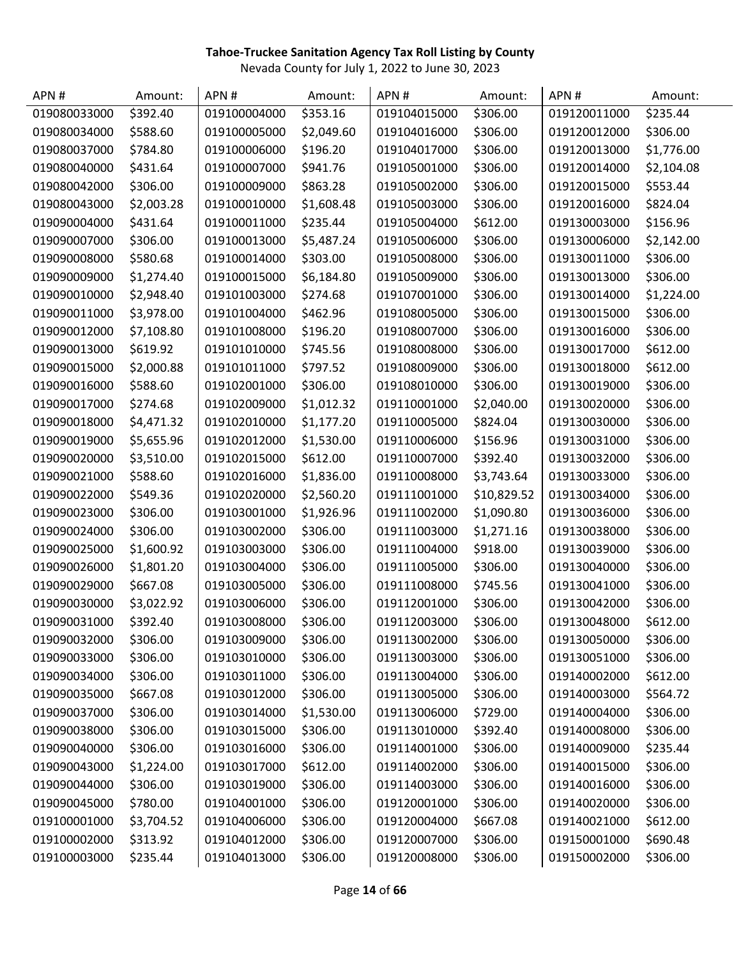| APN#         | Amount:    | APN#         | Amount:    | APN#         | Amount:     | APN#         | Amount:    |
|--------------|------------|--------------|------------|--------------|-------------|--------------|------------|
| 019080033000 | \$392.40   | 019100004000 | \$353.16   | 019104015000 | \$306.00    | 019120011000 | \$235.44   |
| 019080034000 | \$588.60   | 019100005000 | \$2,049.60 | 019104016000 | \$306.00    | 019120012000 | \$306.00   |
| 019080037000 | \$784.80   | 019100006000 | \$196.20   | 019104017000 | \$306.00    | 019120013000 | \$1,776.00 |
| 019080040000 | \$431.64   | 019100007000 | \$941.76   | 019105001000 | \$306.00    | 019120014000 | \$2,104.08 |
| 019080042000 | \$306.00   | 019100009000 | \$863.28   | 019105002000 | \$306.00    | 019120015000 | \$553.44   |
| 019080043000 | \$2,003.28 | 019100010000 | \$1,608.48 | 019105003000 | \$306.00    | 019120016000 | \$824.04   |
| 019090004000 | \$431.64   | 019100011000 | \$235.44   | 019105004000 | \$612.00    | 019130003000 | \$156.96   |
| 019090007000 | \$306.00   | 019100013000 | \$5,487.24 | 019105006000 | \$306.00    | 019130006000 | \$2,142.00 |
| 019090008000 | \$580.68   | 019100014000 | \$303.00   | 019105008000 | \$306.00    | 019130011000 | \$306.00   |
| 019090009000 | \$1,274.40 | 019100015000 | \$6,184.80 | 019105009000 | \$306.00    | 019130013000 | \$306.00   |
| 019090010000 | \$2,948.40 | 019101003000 | \$274.68   | 019107001000 | \$306.00    | 019130014000 | \$1,224.00 |
| 019090011000 | \$3,978.00 | 019101004000 | \$462.96   | 019108005000 | \$306.00    | 019130015000 | \$306.00   |
| 019090012000 | \$7,108.80 | 019101008000 | \$196.20   | 019108007000 | \$306.00    | 019130016000 | \$306.00   |
| 019090013000 | \$619.92   | 019101010000 | \$745.56   | 019108008000 | \$306.00    | 019130017000 | \$612.00   |
| 019090015000 | \$2,000.88 | 019101011000 | \$797.52   | 019108009000 | \$306.00    | 019130018000 | \$612.00   |
| 019090016000 | \$588.60   | 019102001000 | \$306.00   | 019108010000 | \$306.00    | 019130019000 | \$306.00   |
| 019090017000 | \$274.68   | 019102009000 | \$1,012.32 | 019110001000 | \$2,040.00  | 019130020000 | \$306.00   |
| 019090018000 | \$4,471.32 | 019102010000 | \$1,177.20 | 019110005000 | \$824.04    | 019130030000 | \$306.00   |
| 019090019000 | \$5,655.96 | 019102012000 | \$1,530.00 | 019110006000 | \$156.96    | 019130031000 | \$306.00   |
| 019090020000 | \$3,510.00 | 019102015000 | \$612.00   | 019110007000 | \$392.40    | 019130032000 | \$306.00   |
| 019090021000 | \$588.60   | 019102016000 | \$1,836.00 | 019110008000 | \$3,743.64  | 019130033000 | \$306.00   |
| 019090022000 | \$549.36   | 019102020000 | \$2,560.20 | 019111001000 | \$10,829.52 | 019130034000 | \$306.00   |
| 019090023000 | \$306.00   | 019103001000 | \$1,926.96 | 019111002000 | \$1,090.80  | 019130036000 | \$306.00   |
| 019090024000 | \$306.00   | 019103002000 | \$306.00   | 019111003000 | \$1,271.16  | 019130038000 | \$306.00   |
| 019090025000 | \$1,600.92 | 019103003000 | \$306.00   | 019111004000 | \$918.00    | 019130039000 | \$306.00   |
| 019090026000 | \$1,801.20 | 019103004000 | \$306.00   | 019111005000 | \$306.00    | 019130040000 | \$306.00   |
| 019090029000 | \$667.08   | 019103005000 | \$306.00   | 019111008000 | \$745.56    | 019130041000 | \$306.00   |
| 019090030000 | \$3,022.92 | 019103006000 | \$306.00   | 019112001000 | \$306.00    | 019130042000 | \$306.00   |
| 019090031000 | \$392.40   | 019103008000 | \$306.00   | 019112003000 | \$306.00    | 019130048000 | \$612.00   |
| 019090032000 | \$306.00   | 019103009000 | \$306.00   | 019113002000 | \$306.00    | 019130050000 | \$306.00   |
| 019090033000 | \$306.00   | 019103010000 | \$306.00   | 019113003000 | \$306.00    | 019130051000 | \$306.00   |
| 019090034000 | \$306.00   | 019103011000 | \$306.00   | 019113004000 | \$306.00    | 019140002000 | \$612.00   |
| 019090035000 | \$667.08   | 019103012000 | \$306.00   | 019113005000 | \$306.00    | 019140003000 | \$564.72   |
| 019090037000 | \$306.00   | 019103014000 | \$1,530.00 | 019113006000 | \$729.00    | 019140004000 | \$306.00   |
| 019090038000 | \$306.00   | 019103015000 | \$306.00   | 019113010000 | \$392.40    | 019140008000 | \$306.00   |
| 019090040000 | \$306.00   | 019103016000 | \$306.00   | 019114001000 | \$306.00    | 019140009000 | \$235.44   |
| 019090043000 | \$1,224.00 | 019103017000 | \$612.00   | 019114002000 | \$306.00    | 019140015000 | \$306.00   |
| 019090044000 | \$306.00   | 019103019000 | \$306.00   | 019114003000 | \$306.00    | 019140016000 | \$306.00   |
| 019090045000 | \$780.00   | 019104001000 | \$306.00   | 019120001000 | \$306.00    | 019140020000 | \$306.00   |
| 019100001000 | \$3,704.52 | 019104006000 | \$306.00   | 019120004000 | \$667.08    | 019140021000 | \$612.00   |
| 019100002000 | \$313.92   | 019104012000 | \$306.00   | 019120007000 | \$306.00    | 019150001000 | \$690.48   |
| 019100003000 | \$235.44   | 019104013000 | \$306.00   | 019120008000 | \$306.00    | 019150002000 | \$306.00   |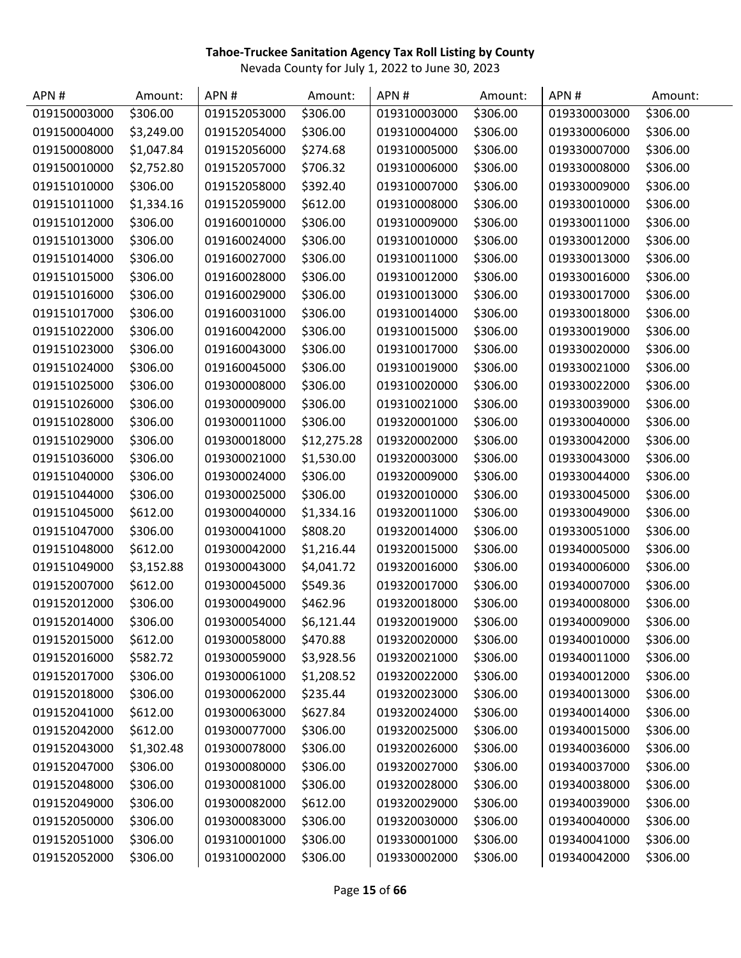| APN#         | Amount:    | APN#         | Amount:     | APN#         | Amount:  | APN#         | Amount:  |
|--------------|------------|--------------|-------------|--------------|----------|--------------|----------|
| 019150003000 | \$306.00   | 019152053000 | \$306.00    | 019310003000 | \$306.00 | 019330003000 | \$306.00 |
| 019150004000 | \$3,249.00 | 019152054000 | \$306.00    | 019310004000 | \$306.00 | 019330006000 | \$306.00 |
| 019150008000 | \$1,047.84 | 019152056000 | \$274.68    | 019310005000 | \$306.00 | 019330007000 | \$306.00 |
| 019150010000 | \$2,752.80 | 019152057000 | \$706.32    | 019310006000 | \$306.00 | 019330008000 | \$306.00 |
| 019151010000 | \$306.00   | 019152058000 | \$392.40    | 019310007000 | \$306.00 | 019330009000 | \$306.00 |
| 019151011000 | \$1,334.16 | 019152059000 | \$612.00    | 019310008000 | \$306.00 | 019330010000 | \$306.00 |
| 019151012000 | \$306.00   | 019160010000 | \$306.00    | 019310009000 | \$306.00 | 019330011000 | \$306.00 |
| 019151013000 | \$306.00   | 019160024000 | \$306.00    | 019310010000 | \$306.00 | 019330012000 | \$306.00 |
| 019151014000 | \$306.00   | 019160027000 | \$306.00    | 019310011000 | \$306.00 | 019330013000 | \$306.00 |
| 019151015000 | \$306.00   | 019160028000 | \$306.00    | 019310012000 | \$306.00 | 019330016000 | \$306.00 |
| 019151016000 | \$306.00   | 019160029000 | \$306.00    | 019310013000 | \$306.00 | 019330017000 | \$306.00 |
| 019151017000 | \$306.00   | 019160031000 | \$306.00    | 019310014000 | \$306.00 | 019330018000 | \$306.00 |
| 019151022000 | \$306.00   | 019160042000 | \$306.00    | 019310015000 | \$306.00 | 019330019000 | \$306.00 |
| 019151023000 | \$306.00   | 019160043000 | \$306.00    | 019310017000 | \$306.00 | 019330020000 | \$306.00 |
| 019151024000 | \$306.00   | 019160045000 | \$306.00    | 019310019000 | \$306.00 | 019330021000 | \$306.00 |
| 019151025000 | \$306.00   | 019300008000 | \$306.00    | 019310020000 | \$306.00 | 019330022000 | \$306.00 |
| 019151026000 | \$306.00   | 019300009000 | \$306.00    | 019310021000 | \$306.00 | 019330039000 | \$306.00 |
| 019151028000 | \$306.00   | 019300011000 | \$306.00    | 019320001000 | \$306.00 | 019330040000 | \$306.00 |
| 019151029000 | \$306.00   | 019300018000 | \$12,275.28 | 019320002000 | \$306.00 | 019330042000 | \$306.00 |
| 019151036000 | \$306.00   | 019300021000 | \$1,530.00  | 019320003000 | \$306.00 | 019330043000 | \$306.00 |
| 019151040000 | \$306.00   | 019300024000 | \$306.00    | 019320009000 | \$306.00 | 019330044000 | \$306.00 |
| 019151044000 | \$306.00   | 019300025000 | \$306.00    | 019320010000 | \$306.00 | 019330045000 | \$306.00 |
| 019151045000 | \$612.00   | 019300040000 | \$1,334.16  | 019320011000 | \$306.00 | 019330049000 | \$306.00 |
| 019151047000 | \$306.00   | 019300041000 | \$808.20    | 019320014000 | \$306.00 | 019330051000 | \$306.00 |
| 019151048000 | \$612.00   | 019300042000 | \$1,216.44  | 019320015000 | \$306.00 | 019340005000 | \$306.00 |
| 019151049000 | \$3,152.88 | 019300043000 | \$4,041.72  | 019320016000 | \$306.00 | 019340006000 | \$306.00 |
| 019152007000 | \$612.00   | 019300045000 | \$549.36    | 019320017000 | \$306.00 | 019340007000 | \$306.00 |
| 019152012000 | \$306.00   | 019300049000 | \$462.96    | 019320018000 | \$306.00 | 019340008000 | \$306.00 |
| 019152014000 | \$306.00   | 019300054000 | \$6,121.44  | 019320019000 | \$306.00 | 019340009000 | \$306.00 |
| 019152015000 | \$612.00   | 019300058000 | \$470.88    | 019320020000 | \$306.00 | 019340010000 | \$306.00 |
| 019152016000 | \$582.72   | 019300059000 | \$3,928.56  | 019320021000 | \$306.00 | 019340011000 | \$306.00 |
| 019152017000 | \$306.00   | 019300061000 | \$1,208.52  | 019320022000 | \$306.00 | 019340012000 | \$306.00 |
| 019152018000 | \$306.00   | 019300062000 | \$235.44    | 019320023000 | \$306.00 | 019340013000 | \$306.00 |
| 019152041000 | \$612.00   | 019300063000 | \$627.84    | 019320024000 | \$306.00 | 019340014000 | \$306.00 |
| 019152042000 | \$612.00   | 019300077000 | \$306.00    | 019320025000 | \$306.00 | 019340015000 | \$306.00 |
| 019152043000 | \$1,302.48 | 019300078000 | \$306.00    | 019320026000 | \$306.00 | 019340036000 | \$306.00 |
| 019152047000 | \$306.00   | 019300080000 | \$306.00    | 019320027000 | \$306.00 | 019340037000 | \$306.00 |
| 019152048000 | \$306.00   | 019300081000 | \$306.00    | 019320028000 | \$306.00 | 019340038000 | \$306.00 |
| 019152049000 | \$306.00   | 019300082000 | \$612.00    | 019320029000 | \$306.00 | 019340039000 | \$306.00 |
| 019152050000 | \$306.00   | 019300083000 | \$306.00    | 019320030000 | \$306.00 | 019340040000 | \$306.00 |
| 019152051000 | \$306.00   | 019310001000 | \$306.00    | 019330001000 | \$306.00 | 019340041000 | \$306.00 |
| 019152052000 | \$306.00   | 019310002000 | \$306.00    | 019330002000 | \$306.00 | 019340042000 | \$306.00 |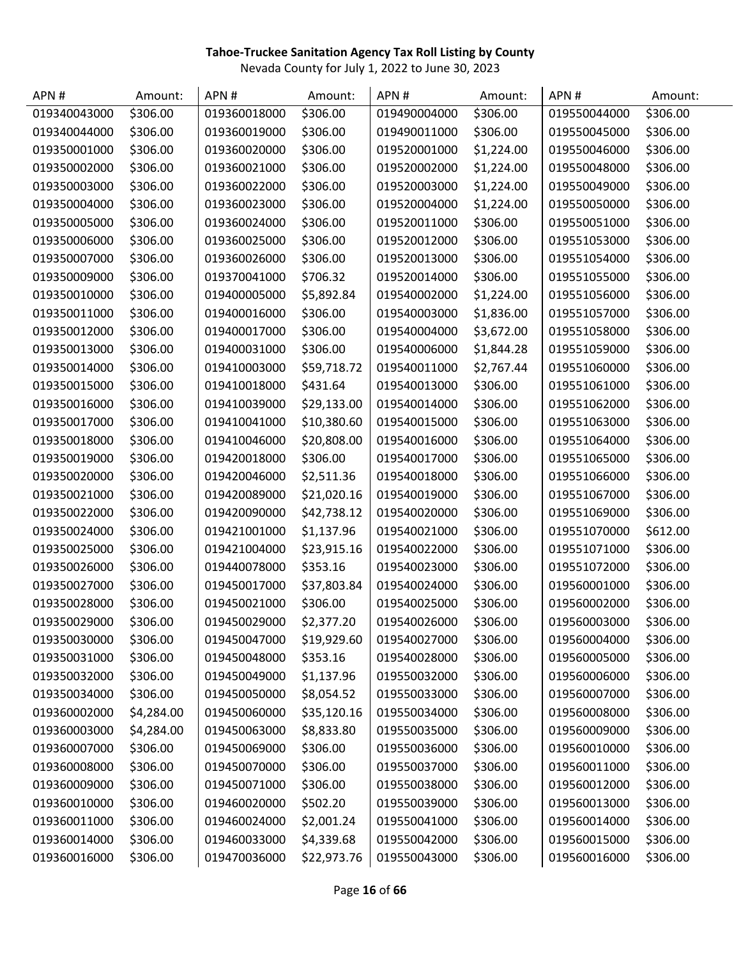| APN#         | Amount:    | APN#         | Amount:     | APN#         | Amount:    | APN#         | Amount:  |
|--------------|------------|--------------|-------------|--------------|------------|--------------|----------|
| 019340043000 | \$306.00   | 019360018000 | \$306.00    | 019490004000 | \$306.00   | 019550044000 | \$306.00 |
| 019340044000 | \$306.00   | 019360019000 | \$306.00    | 019490011000 | \$306.00   | 019550045000 | \$306.00 |
| 019350001000 | \$306.00   | 019360020000 | \$306.00    | 019520001000 | \$1,224.00 | 019550046000 | \$306.00 |
| 019350002000 | \$306.00   | 019360021000 | \$306.00    | 019520002000 | \$1,224.00 | 019550048000 | \$306.00 |
| 019350003000 | \$306.00   | 019360022000 | \$306.00    | 019520003000 | \$1,224.00 | 019550049000 | \$306.00 |
| 019350004000 | \$306.00   | 019360023000 | \$306.00    | 019520004000 | \$1,224.00 | 019550050000 | \$306.00 |
| 019350005000 | \$306.00   | 019360024000 | \$306.00    | 019520011000 | \$306.00   | 019550051000 | \$306.00 |
| 019350006000 | \$306.00   | 019360025000 | \$306.00    | 019520012000 | \$306.00   | 019551053000 | \$306.00 |
| 019350007000 | \$306.00   | 019360026000 | \$306.00    | 019520013000 | \$306.00   | 019551054000 | \$306.00 |
| 019350009000 | \$306.00   | 019370041000 | \$706.32    | 019520014000 | \$306.00   | 019551055000 | \$306.00 |
| 019350010000 | \$306.00   | 019400005000 | \$5,892.84  | 019540002000 | \$1,224.00 | 019551056000 | \$306.00 |
| 019350011000 | \$306.00   | 019400016000 | \$306.00    | 019540003000 | \$1,836.00 | 019551057000 | \$306.00 |
| 019350012000 | \$306.00   | 019400017000 | \$306.00    | 019540004000 | \$3,672.00 | 019551058000 | \$306.00 |
| 019350013000 | \$306.00   | 019400031000 | \$306.00    | 019540006000 | \$1,844.28 | 019551059000 | \$306.00 |
| 019350014000 | \$306.00   | 019410003000 | \$59,718.72 | 019540011000 | \$2,767.44 | 019551060000 | \$306.00 |
| 019350015000 | \$306.00   | 019410018000 | \$431.64    | 019540013000 | \$306.00   | 019551061000 | \$306.00 |
| 019350016000 | \$306.00   | 019410039000 | \$29,133.00 | 019540014000 | \$306.00   | 019551062000 | \$306.00 |
| 019350017000 | \$306.00   | 019410041000 | \$10,380.60 | 019540015000 | \$306.00   | 019551063000 | \$306.00 |
| 019350018000 | \$306.00   | 019410046000 | \$20,808.00 | 019540016000 | \$306.00   | 019551064000 | \$306.00 |
| 019350019000 | \$306.00   | 019420018000 | \$306.00    | 019540017000 | \$306.00   | 019551065000 | \$306.00 |
| 019350020000 | \$306.00   | 019420046000 | \$2,511.36  | 019540018000 | \$306.00   | 019551066000 | \$306.00 |
| 019350021000 | \$306.00   | 019420089000 | \$21,020.16 | 019540019000 | \$306.00   | 019551067000 | \$306.00 |
| 019350022000 | \$306.00   | 019420090000 | \$42,738.12 | 019540020000 | \$306.00   | 019551069000 | \$306.00 |
| 019350024000 | \$306.00   | 019421001000 | \$1,137.96  | 019540021000 | \$306.00   | 019551070000 | \$612.00 |
| 019350025000 | \$306.00   | 019421004000 | \$23,915.16 | 019540022000 | \$306.00   | 019551071000 | \$306.00 |
| 019350026000 | \$306.00   | 019440078000 | \$353.16    | 019540023000 | \$306.00   | 019551072000 | \$306.00 |
| 019350027000 | \$306.00   | 019450017000 | \$37,803.84 | 019540024000 | \$306.00   | 019560001000 | \$306.00 |
| 019350028000 | \$306.00   | 019450021000 | \$306.00    | 019540025000 | \$306.00   | 019560002000 | \$306.00 |
| 019350029000 | \$306.00   | 019450029000 | \$2,377.20  | 019540026000 | \$306.00   | 019560003000 | \$306.00 |
| 019350030000 | \$306.00   | 019450047000 | \$19,929.60 | 019540027000 | \$306.00   | 019560004000 | \$306.00 |
| 019350031000 | \$306.00   | 019450048000 | \$353.16    | 019540028000 | \$306.00   | 019560005000 | \$306.00 |
| 019350032000 | \$306.00   | 019450049000 | \$1,137.96  | 019550032000 | \$306.00   | 019560006000 | \$306.00 |
| 019350034000 | \$306.00   | 019450050000 | \$8,054.52  | 019550033000 | \$306.00   | 019560007000 | \$306.00 |
| 019360002000 | \$4,284.00 | 019450060000 | \$35,120.16 | 019550034000 | \$306.00   | 019560008000 | \$306.00 |
| 019360003000 | \$4,284.00 | 019450063000 | \$8,833.80  | 019550035000 | \$306.00   | 019560009000 | \$306.00 |
| 019360007000 | \$306.00   | 019450069000 | \$306.00    | 019550036000 | \$306.00   | 019560010000 | \$306.00 |
| 019360008000 | \$306.00   | 019450070000 | \$306.00    | 019550037000 | \$306.00   | 019560011000 | \$306.00 |
| 019360009000 | \$306.00   | 019450071000 | \$306.00    | 019550038000 | \$306.00   | 019560012000 | \$306.00 |
| 019360010000 | \$306.00   | 019460020000 | \$502.20    | 019550039000 | \$306.00   | 019560013000 | \$306.00 |
| 019360011000 | \$306.00   | 019460024000 | \$2,001.24  | 019550041000 | \$306.00   | 019560014000 | \$306.00 |
| 019360014000 | \$306.00   | 019460033000 | \$4,339.68  | 019550042000 | \$306.00   | 019560015000 | \$306.00 |
| 019360016000 | \$306.00   | 019470036000 | \$22,973.76 | 019550043000 | \$306.00   | 019560016000 | \$306.00 |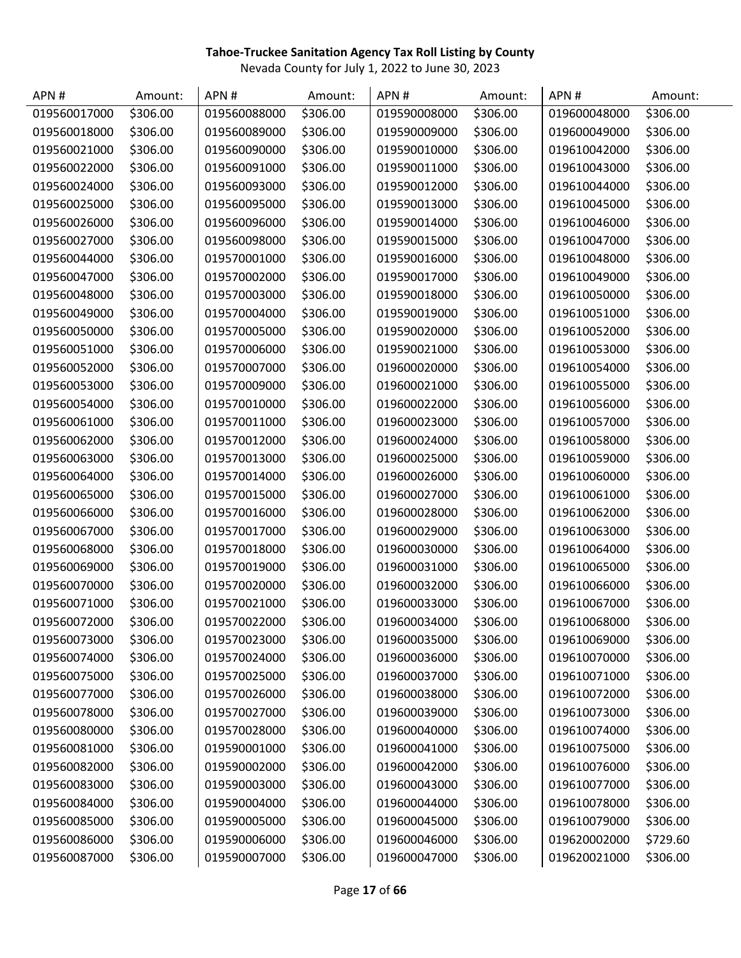| APN#         | Amount:  | APN#         | Amount:  | APN#         | Amount:  | APN#         | Amount:  |
|--------------|----------|--------------|----------|--------------|----------|--------------|----------|
| 019560017000 | \$306.00 | 019560088000 | \$306.00 | 019590008000 | \$306.00 | 019600048000 | \$306.00 |
| 019560018000 | \$306.00 | 019560089000 | \$306.00 | 019590009000 | \$306.00 | 019600049000 | \$306.00 |
| 019560021000 | \$306.00 | 019560090000 | \$306.00 | 019590010000 | \$306.00 | 019610042000 | \$306.00 |
| 019560022000 | \$306.00 | 019560091000 | \$306.00 | 019590011000 | \$306.00 | 019610043000 | \$306.00 |
| 019560024000 | \$306.00 | 019560093000 | \$306.00 | 019590012000 | \$306.00 | 019610044000 | \$306.00 |
| 019560025000 | \$306.00 | 019560095000 | \$306.00 | 019590013000 | \$306.00 | 019610045000 | \$306.00 |
| 019560026000 | \$306.00 | 019560096000 | \$306.00 | 019590014000 | \$306.00 | 019610046000 | \$306.00 |
| 019560027000 | \$306.00 | 019560098000 | \$306.00 | 019590015000 | \$306.00 | 019610047000 | \$306.00 |
| 019560044000 | \$306.00 | 019570001000 | \$306.00 | 019590016000 | \$306.00 | 019610048000 | \$306.00 |
| 019560047000 | \$306.00 | 019570002000 | \$306.00 | 019590017000 | \$306.00 | 019610049000 | \$306.00 |
| 019560048000 | \$306.00 | 019570003000 | \$306.00 | 019590018000 | \$306.00 | 019610050000 | \$306.00 |
| 019560049000 | \$306.00 | 019570004000 | \$306.00 | 019590019000 | \$306.00 | 019610051000 | \$306.00 |
| 019560050000 | \$306.00 | 019570005000 | \$306.00 | 019590020000 | \$306.00 | 019610052000 | \$306.00 |
| 019560051000 | \$306.00 | 019570006000 | \$306.00 | 019590021000 | \$306.00 | 019610053000 | \$306.00 |
| 019560052000 | \$306.00 | 019570007000 | \$306.00 | 019600020000 | \$306.00 | 019610054000 | \$306.00 |
| 019560053000 | \$306.00 | 019570009000 | \$306.00 | 019600021000 | \$306.00 | 019610055000 | \$306.00 |
| 019560054000 | \$306.00 | 019570010000 | \$306.00 | 019600022000 | \$306.00 | 019610056000 | \$306.00 |
| 019560061000 | \$306.00 | 019570011000 | \$306.00 | 019600023000 | \$306.00 | 019610057000 | \$306.00 |
| 019560062000 | \$306.00 | 019570012000 | \$306.00 | 019600024000 | \$306.00 | 019610058000 | \$306.00 |
| 019560063000 | \$306.00 | 019570013000 | \$306.00 | 019600025000 | \$306.00 | 019610059000 | \$306.00 |
| 019560064000 | \$306.00 | 019570014000 | \$306.00 | 019600026000 | \$306.00 | 019610060000 | \$306.00 |
| 019560065000 | \$306.00 | 019570015000 | \$306.00 | 019600027000 | \$306.00 | 019610061000 | \$306.00 |
| 019560066000 | \$306.00 | 019570016000 | \$306.00 | 019600028000 | \$306.00 | 019610062000 | \$306.00 |
| 019560067000 | \$306.00 | 019570017000 | \$306.00 | 019600029000 | \$306.00 | 019610063000 | \$306.00 |
| 019560068000 | \$306.00 | 019570018000 | \$306.00 | 019600030000 | \$306.00 | 019610064000 | \$306.00 |
| 019560069000 | \$306.00 | 019570019000 | \$306.00 | 019600031000 | \$306.00 | 019610065000 | \$306.00 |
| 019560070000 | \$306.00 | 019570020000 | \$306.00 | 019600032000 | \$306.00 | 019610066000 | \$306.00 |
| 019560071000 | \$306.00 | 019570021000 | \$306.00 | 019600033000 | \$306.00 | 019610067000 | \$306.00 |
| 019560072000 | \$306.00 | 019570022000 | \$306.00 | 019600034000 | \$306.00 | 019610068000 | \$306.00 |
| 019560073000 | \$306.00 | 019570023000 | \$306.00 | 019600035000 | \$306.00 | 019610069000 | \$306.00 |
| 019560074000 | \$306.00 | 019570024000 | \$306.00 | 019600036000 | \$306.00 | 019610070000 | \$306.00 |
| 019560075000 | \$306.00 | 019570025000 | \$306.00 | 019600037000 | \$306.00 | 019610071000 | \$306.00 |
| 019560077000 | \$306.00 | 019570026000 | \$306.00 | 019600038000 | \$306.00 | 019610072000 | \$306.00 |
| 019560078000 | \$306.00 | 019570027000 | \$306.00 | 019600039000 | \$306.00 | 019610073000 | \$306.00 |
| 019560080000 | \$306.00 | 019570028000 | \$306.00 | 019600040000 | \$306.00 | 019610074000 | \$306.00 |
| 019560081000 | \$306.00 | 019590001000 | \$306.00 | 019600041000 | \$306.00 | 019610075000 | \$306.00 |
| 019560082000 | \$306.00 | 019590002000 | \$306.00 | 019600042000 | \$306.00 | 019610076000 | \$306.00 |
| 019560083000 | \$306.00 | 019590003000 | \$306.00 | 019600043000 | \$306.00 | 019610077000 | \$306.00 |
| 019560084000 | \$306.00 | 019590004000 | \$306.00 | 019600044000 | \$306.00 | 019610078000 | \$306.00 |
| 019560085000 | \$306.00 | 019590005000 | \$306.00 | 019600045000 | \$306.00 | 019610079000 | \$306.00 |
| 019560086000 | \$306.00 | 019590006000 | \$306.00 | 019600046000 | \$306.00 | 019620002000 | \$729.60 |
| 019560087000 | \$306.00 | 019590007000 | \$306.00 | 019600047000 | \$306.00 | 019620021000 | \$306.00 |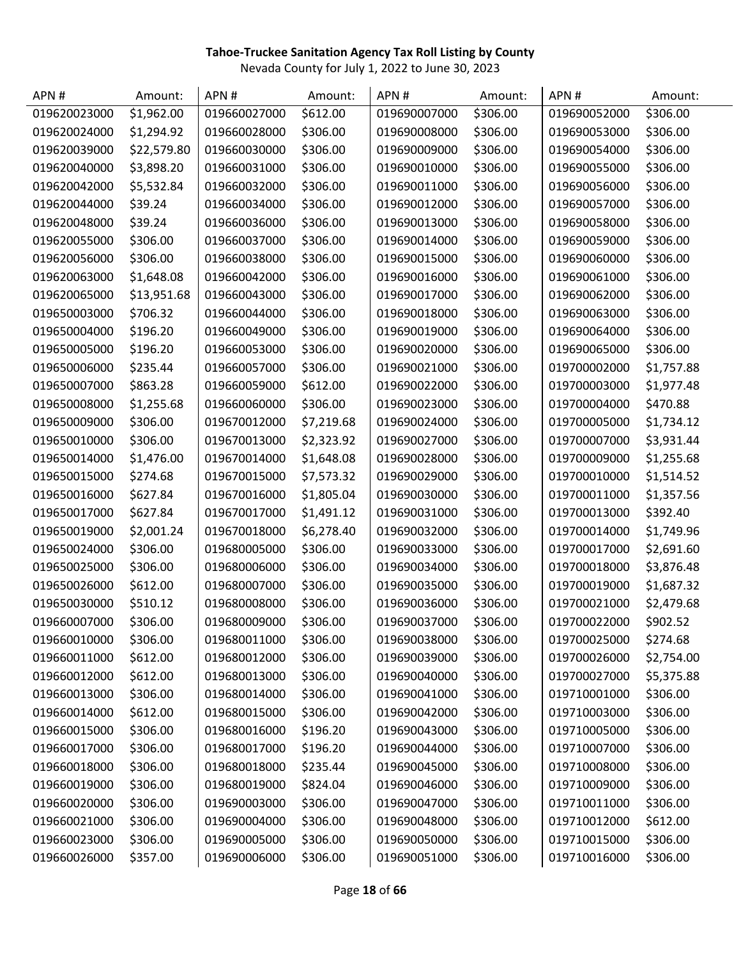| APN#         | Amount:                | APN#         | Amount:    | APN#         | Amount:  | APN#         | Amount:    |
|--------------|------------------------|--------------|------------|--------------|----------|--------------|------------|
| 019620023000 | $\overline{51,962.00}$ | 019660027000 | \$612.00   | 019690007000 | \$306.00 | 019690052000 | \$306.00   |
| 019620024000 | \$1,294.92             | 019660028000 | \$306.00   | 019690008000 | \$306.00 | 019690053000 | \$306.00   |
| 019620039000 | \$22,579.80            | 019660030000 | \$306.00   | 019690009000 | \$306.00 | 019690054000 | \$306.00   |
| 019620040000 | \$3,898.20             | 019660031000 | \$306.00   | 019690010000 | \$306.00 | 019690055000 | \$306.00   |
| 019620042000 | \$5,532.84             | 019660032000 | \$306.00   | 019690011000 | \$306.00 | 019690056000 | \$306.00   |
| 019620044000 | \$39.24                | 019660034000 | \$306.00   | 019690012000 | \$306.00 | 019690057000 | \$306.00   |
| 019620048000 | \$39.24                | 019660036000 | \$306.00   | 019690013000 | \$306.00 | 019690058000 | \$306.00   |
| 019620055000 | \$306.00               | 019660037000 | \$306.00   | 019690014000 | \$306.00 | 019690059000 | \$306.00   |
| 019620056000 | \$306.00               | 019660038000 | \$306.00   | 019690015000 | \$306.00 | 019690060000 | \$306.00   |
| 019620063000 | \$1,648.08             | 019660042000 | \$306.00   | 019690016000 | \$306.00 | 019690061000 | \$306.00   |
| 019620065000 | \$13,951.68            | 019660043000 | \$306.00   | 019690017000 | \$306.00 | 019690062000 | \$306.00   |
| 019650003000 | \$706.32               | 019660044000 | \$306.00   | 019690018000 | \$306.00 | 019690063000 | \$306.00   |
| 019650004000 | \$196.20               | 019660049000 | \$306.00   | 019690019000 | \$306.00 | 019690064000 | \$306.00   |
| 019650005000 | \$196.20               | 019660053000 | \$306.00   | 019690020000 | \$306.00 | 019690065000 | \$306.00   |
| 019650006000 | \$235.44               | 019660057000 | \$306.00   | 019690021000 | \$306.00 | 019700002000 | \$1,757.88 |
| 019650007000 | \$863.28               | 019660059000 | \$612.00   | 019690022000 | \$306.00 | 019700003000 | \$1,977.48 |
| 019650008000 | \$1,255.68             | 019660060000 | \$306.00   | 019690023000 | \$306.00 | 019700004000 | \$470.88   |
| 019650009000 | \$306.00               | 019670012000 | \$7,219.68 | 019690024000 | \$306.00 | 019700005000 | \$1,734.12 |
| 019650010000 | \$306.00               | 019670013000 | \$2,323.92 | 019690027000 | \$306.00 | 019700007000 | \$3,931.44 |
| 019650014000 | \$1,476.00             | 019670014000 | \$1,648.08 | 019690028000 | \$306.00 | 019700009000 | \$1,255.68 |
| 019650015000 | \$274.68               | 019670015000 | \$7,573.32 | 019690029000 | \$306.00 | 019700010000 | \$1,514.52 |
| 019650016000 | \$627.84               | 019670016000 | \$1,805.04 | 019690030000 | \$306.00 | 019700011000 | \$1,357.56 |
| 019650017000 | \$627.84               | 019670017000 | \$1,491.12 | 019690031000 | \$306.00 | 019700013000 | \$392.40   |
| 019650019000 | \$2,001.24             | 019670018000 | \$6,278.40 | 019690032000 | \$306.00 | 019700014000 | \$1,749.96 |
| 019650024000 | \$306.00               | 019680005000 | \$306.00   | 019690033000 | \$306.00 | 019700017000 | \$2,691.60 |
| 019650025000 | \$306.00               | 019680006000 | \$306.00   | 019690034000 | \$306.00 | 019700018000 | \$3,876.48 |
| 019650026000 | \$612.00               | 019680007000 | \$306.00   | 019690035000 | \$306.00 | 019700019000 | \$1,687.32 |
| 019650030000 | \$510.12               | 019680008000 | \$306.00   | 019690036000 | \$306.00 | 019700021000 | \$2,479.68 |
| 019660007000 | \$306.00               | 019680009000 | \$306.00   | 019690037000 | \$306.00 | 019700022000 | \$902.52   |
| 019660010000 | \$306.00               | 019680011000 | \$306.00   | 019690038000 | \$306.00 | 019700025000 | \$274.68   |
| 019660011000 | \$612.00               | 019680012000 | \$306.00   | 019690039000 | \$306.00 | 019700026000 | \$2,754.00 |
| 019660012000 | \$612.00               | 019680013000 | \$306.00   | 019690040000 | \$306.00 | 019700027000 | \$5,375.88 |
| 019660013000 | \$306.00               | 019680014000 | \$306.00   | 019690041000 | \$306.00 | 019710001000 | \$306.00   |
| 019660014000 | \$612.00               | 019680015000 | \$306.00   | 019690042000 | \$306.00 | 019710003000 | \$306.00   |
| 019660015000 | \$306.00               | 019680016000 | \$196.20   | 019690043000 | \$306.00 | 019710005000 | \$306.00   |
| 019660017000 | \$306.00               | 019680017000 | \$196.20   | 019690044000 | \$306.00 | 019710007000 | \$306.00   |
| 019660018000 | \$306.00               | 019680018000 | \$235.44   | 019690045000 | \$306.00 | 019710008000 | \$306.00   |
| 019660019000 | \$306.00               | 019680019000 | \$824.04   | 019690046000 | \$306.00 | 019710009000 | \$306.00   |
| 019660020000 | \$306.00               | 019690003000 | \$306.00   | 019690047000 | \$306.00 | 019710011000 | \$306.00   |
| 019660021000 | \$306.00               | 019690004000 | \$306.00   | 019690048000 | \$306.00 | 019710012000 | \$612.00   |
| 019660023000 | \$306.00               | 019690005000 | \$306.00   | 019690050000 | \$306.00 | 019710015000 | \$306.00   |
| 019660026000 | \$357.00               | 019690006000 | \$306.00   | 019690051000 | \$306.00 | 019710016000 | \$306.00   |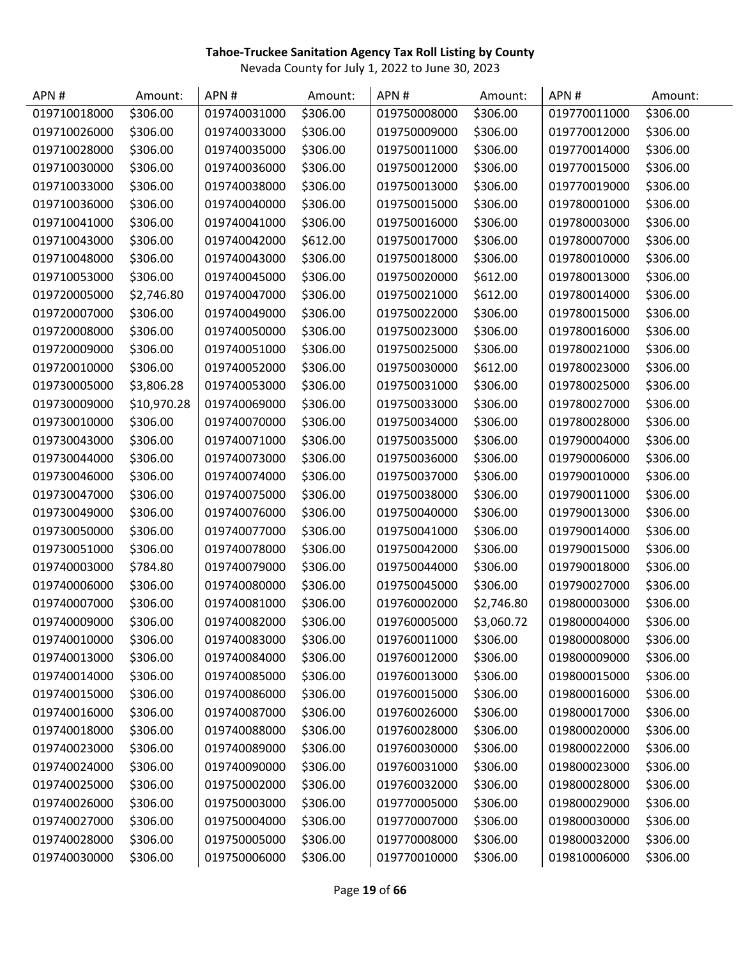| APN#         | Amount:     | APN#         | Amount:  | APN#         | Amount:    | APN#         | Amount:  |
|--------------|-------------|--------------|----------|--------------|------------|--------------|----------|
| 019710018000 | \$306.00    | 019740031000 | \$306.00 | 019750008000 | \$306.00   | 019770011000 | \$306.00 |
| 019710026000 | \$306.00    | 019740033000 | \$306.00 | 019750009000 | \$306.00   | 019770012000 | \$306.00 |
| 019710028000 | \$306.00    | 019740035000 | \$306.00 | 019750011000 | \$306.00   | 019770014000 | \$306.00 |
| 019710030000 | \$306.00    | 019740036000 | \$306.00 | 019750012000 | \$306.00   | 019770015000 | \$306.00 |
| 019710033000 | \$306.00    | 019740038000 | \$306.00 | 019750013000 | \$306.00   | 019770019000 | \$306.00 |
| 019710036000 | \$306.00    | 019740040000 | \$306.00 | 019750015000 | \$306.00   | 019780001000 | \$306.00 |
| 019710041000 | \$306.00    | 019740041000 | \$306.00 | 019750016000 | \$306.00   | 019780003000 | \$306.00 |
| 019710043000 | \$306.00    | 019740042000 | \$612.00 | 019750017000 | \$306.00   | 019780007000 | \$306.00 |
| 019710048000 | \$306.00    | 019740043000 | \$306.00 | 019750018000 | \$306.00   | 019780010000 | \$306.00 |
| 019710053000 | \$306.00    | 019740045000 | \$306.00 | 019750020000 | \$612.00   | 019780013000 | \$306.00 |
| 019720005000 | \$2,746.80  | 019740047000 | \$306.00 | 019750021000 | \$612.00   | 019780014000 | \$306.00 |
| 019720007000 | \$306.00    | 019740049000 | \$306.00 | 019750022000 | \$306.00   | 019780015000 | \$306.00 |
| 019720008000 | \$306.00    | 019740050000 | \$306.00 | 019750023000 | \$306.00   | 019780016000 | \$306.00 |
| 019720009000 | \$306.00    | 019740051000 | \$306.00 | 019750025000 | \$306.00   | 019780021000 | \$306.00 |
| 019720010000 | \$306.00    | 019740052000 | \$306.00 | 019750030000 | \$612.00   | 019780023000 | \$306.00 |
| 019730005000 | \$3,806.28  | 019740053000 | \$306.00 | 019750031000 | \$306.00   | 019780025000 | \$306.00 |
| 019730009000 | \$10,970.28 | 019740069000 | \$306.00 | 019750033000 | \$306.00   | 019780027000 | \$306.00 |
| 019730010000 | \$306.00    | 019740070000 | \$306.00 | 019750034000 | \$306.00   | 019780028000 | \$306.00 |
| 019730043000 | \$306.00    | 019740071000 | \$306.00 | 019750035000 | \$306.00   | 019790004000 | \$306.00 |
| 019730044000 | \$306.00    | 019740073000 | \$306.00 | 019750036000 | \$306.00   | 019790006000 | \$306.00 |
| 019730046000 | \$306.00    | 019740074000 | \$306.00 | 019750037000 | \$306.00   | 019790010000 | \$306.00 |
| 019730047000 | \$306.00    | 019740075000 | \$306.00 | 019750038000 | \$306.00   | 019790011000 | \$306.00 |
| 019730049000 | \$306.00    | 019740076000 | \$306.00 | 019750040000 | \$306.00   | 019790013000 | \$306.00 |
| 019730050000 | \$306.00    | 019740077000 | \$306.00 | 019750041000 | \$306.00   | 019790014000 | \$306.00 |
| 019730051000 | \$306.00    | 019740078000 | \$306.00 | 019750042000 | \$306.00   | 019790015000 | \$306.00 |
| 019740003000 | \$784.80    | 019740079000 | \$306.00 | 019750044000 | \$306.00   | 019790018000 | \$306.00 |
| 019740006000 | \$306.00    | 019740080000 | \$306.00 | 019750045000 | \$306.00   | 019790027000 | \$306.00 |
| 019740007000 | \$306.00    | 019740081000 | \$306.00 | 019760002000 | \$2,746.80 | 019800003000 | \$306.00 |
| 019740009000 | \$306.00    | 019740082000 | \$306.00 | 019760005000 | \$3,060.72 | 019800004000 | \$306.00 |
| 019740010000 | \$306.00    | 019740083000 | \$306.00 | 019760011000 | \$306.00   | 019800008000 | \$306.00 |
| 019740013000 | \$306.00    | 019740084000 | \$306.00 | 019760012000 | \$306.00   | 019800009000 | \$306.00 |
| 019740014000 | \$306.00    | 019740085000 | \$306.00 | 019760013000 | \$306.00   | 019800015000 | \$306.00 |
| 019740015000 | \$306.00    | 019740086000 | \$306.00 | 019760015000 | \$306.00   | 019800016000 | \$306.00 |
| 019740016000 | \$306.00    | 019740087000 | \$306.00 | 019760026000 | \$306.00   | 019800017000 | \$306.00 |
| 019740018000 | \$306.00    | 019740088000 | \$306.00 | 019760028000 | \$306.00   | 019800020000 | \$306.00 |
| 019740023000 | \$306.00    | 019740089000 | \$306.00 | 019760030000 | \$306.00   | 019800022000 | \$306.00 |
| 019740024000 | \$306.00    | 019740090000 | \$306.00 | 019760031000 | \$306.00   | 019800023000 | \$306.00 |
| 019740025000 | \$306.00    | 019750002000 | \$306.00 | 019760032000 | \$306.00   | 019800028000 | \$306.00 |
| 019740026000 | \$306.00    | 019750003000 | \$306.00 | 019770005000 | \$306.00   | 019800029000 | \$306.00 |
| 019740027000 | \$306.00    | 019750004000 | \$306.00 | 019770007000 | \$306.00   | 019800030000 | \$306.00 |
| 019740028000 | \$306.00    | 019750005000 | \$306.00 | 019770008000 | \$306.00   | 019800032000 | \$306.00 |
| 019740030000 | \$306.00    | 019750006000 | \$306.00 | 019770010000 | \$306.00   | 019810006000 | \$306.00 |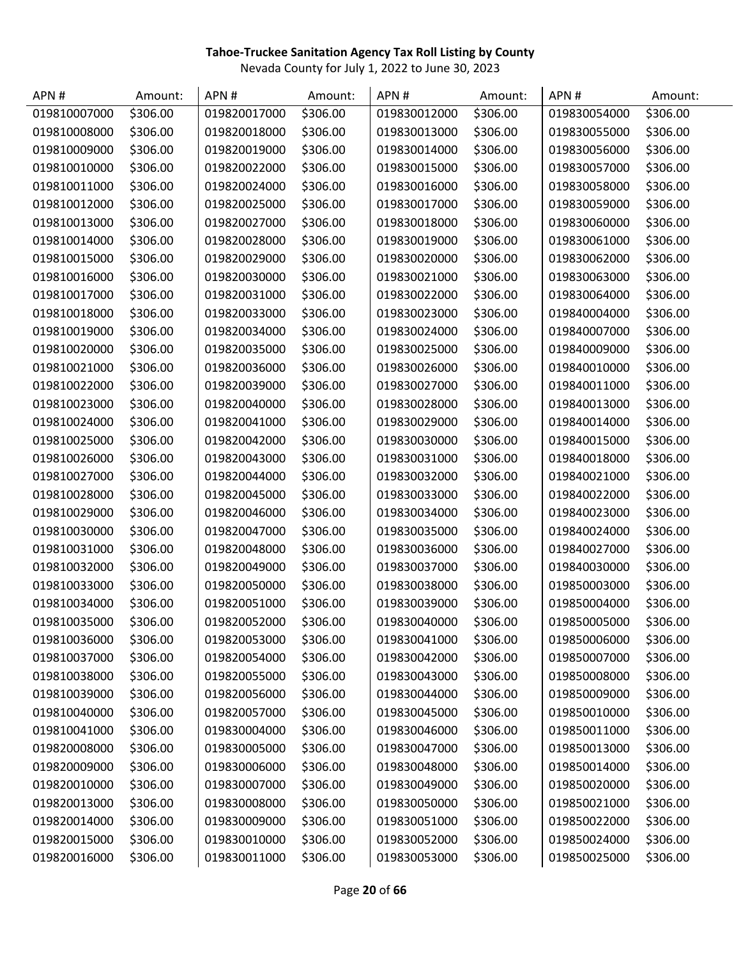| APN#         | Amount:  | APN#         | Amount:  | APN#         | Amount:  | APN#         | Amount:  |
|--------------|----------|--------------|----------|--------------|----------|--------------|----------|
| 019810007000 | \$306.00 | 019820017000 | \$306.00 | 019830012000 | \$306.00 | 019830054000 | \$306.00 |
| 019810008000 | \$306.00 | 019820018000 | \$306.00 | 019830013000 | \$306.00 | 019830055000 | \$306.00 |
| 019810009000 | \$306.00 | 019820019000 | \$306.00 | 019830014000 | \$306.00 | 019830056000 | \$306.00 |
| 019810010000 | \$306.00 | 019820022000 | \$306.00 | 019830015000 | \$306.00 | 019830057000 | \$306.00 |
| 019810011000 | \$306.00 | 019820024000 | \$306.00 | 019830016000 | \$306.00 | 019830058000 | \$306.00 |
| 019810012000 | \$306.00 | 019820025000 | \$306.00 | 019830017000 | \$306.00 | 019830059000 | \$306.00 |
| 019810013000 | \$306.00 | 019820027000 | \$306.00 | 019830018000 | \$306.00 | 019830060000 | \$306.00 |
| 019810014000 | \$306.00 | 019820028000 | \$306.00 | 019830019000 | \$306.00 | 019830061000 | \$306.00 |
| 019810015000 | \$306.00 | 019820029000 | \$306.00 | 019830020000 | \$306.00 | 019830062000 | \$306.00 |
| 019810016000 | \$306.00 | 019820030000 | \$306.00 | 019830021000 | \$306.00 | 019830063000 | \$306.00 |
| 019810017000 | \$306.00 | 019820031000 | \$306.00 | 019830022000 | \$306.00 | 019830064000 | \$306.00 |
| 019810018000 | \$306.00 | 019820033000 | \$306.00 | 019830023000 | \$306.00 | 019840004000 | \$306.00 |
| 019810019000 | \$306.00 | 019820034000 | \$306.00 | 019830024000 | \$306.00 | 019840007000 | \$306.00 |
| 019810020000 | \$306.00 | 019820035000 | \$306.00 | 019830025000 | \$306.00 | 019840009000 | \$306.00 |
| 019810021000 | \$306.00 | 019820036000 | \$306.00 | 019830026000 | \$306.00 | 019840010000 | \$306.00 |
| 019810022000 | \$306.00 | 019820039000 | \$306.00 | 019830027000 | \$306.00 | 019840011000 | \$306.00 |
| 019810023000 | \$306.00 | 019820040000 | \$306.00 | 019830028000 | \$306.00 | 019840013000 | \$306.00 |
| 019810024000 | \$306.00 | 019820041000 | \$306.00 | 019830029000 | \$306.00 | 019840014000 | \$306.00 |
| 019810025000 | \$306.00 | 019820042000 | \$306.00 | 019830030000 | \$306.00 | 019840015000 | \$306.00 |
| 019810026000 | \$306.00 | 019820043000 | \$306.00 | 019830031000 | \$306.00 | 019840018000 | \$306.00 |
| 019810027000 | \$306.00 | 019820044000 | \$306.00 | 019830032000 | \$306.00 | 019840021000 | \$306.00 |
| 019810028000 | \$306.00 | 019820045000 | \$306.00 | 019830033000 | \$306.00 | 019840022000 | \$306.00 |
| 019810029000 | \$306.00 | 019820046000 | \$306.00 | 019830034000 | \$306.00 | 019840023000 | \$306.00 |
| 019810030000 | \$306.00 | 019820047000 | \$306.00 | 019830035000 | \$306.00 | 019840024000 | \$306.00 |
| 019810031000 | \$306.00 | 019820048000 | \$306.00 | 019830036000 | \$306.00 | 019840027000 | \$306.00 |
| 019810032000 | \$306.00 | 019820049000 | \$306.00 | 019830037000 | \$306.00 | 019840030000 | \$306.00 |
| 019810033000 | \$306.00 | 019820050000 | \$306.00 | 019830038000 | \$306.00 | 019850003000 | \$306.00 |
| 019810034000 | \$306.00 | 019820051000 | \$306.00 | 019830039000 | \$306.00 | 019850004000 | \$306.00 |
| 019810035000 | \$306.00 | 019820052000 | \$306.00 | 019830040000 | \$306.00 | 019850005000 | \$306.00 |
| 019810036000 | \$306.00 | 019820053000 | \$306.00 | 019830041000 | \$306.00 | 019850006000 | \$306.00 |
| 019810037000 | \$306.00 | 019820054000 | \$306.00 | 019830042000 | \$306.00 | 019850007000 | \$306.00 |
| 019810038000 | \$306.00 | 019820055000 | \$306.00 | 019830043000 | \$306.00 | 019850008000 | \$306.00 |
| 019810039000 | \$306.00 | 019820056000 | \$306.00 | 019830044000 | \$306.00 | 019850009000 | \$306.00 |
| 019810040000 | \$306.00 | 019820057000 | \$306.00 | 019830045000 | \$306.00 | 019850010000 | \$306.00 |
| 019810041000 | \$306.00 | 019830004000 | \$306.00 | 019830046000 | \$306.00 | 019850011000 | \$306.00 |
| 019820008000 | \$306.00 | 019830005000 | \$306.00 | 019830047000 | \$306.00 | 019850013000 | \$306.00 |
| 019820009000 | \$306.00 | 019830006000 | \$306.00 | 019830048000 | \$306.00 | 019850014000 | \$306.00 |
| 019820010000 | \$306.00 | 019830007000 | \$306.00 | 019830049000 | \$306.00 | 019850020000 | \$306.00 |
| 019820013000 | \$306.00 | 019830008000 | \$306.00 | 019830050000 | \$306.00 | 019850021000 | \$306.00 |
| 019820014000 | \$306.00 | 019830009000 | \$306.00 | 019830051000 | \$306.00 | 019850022000 | \$306.00 |
| 019820015000 | \$306.00 | 019830010000 | \$306.00 | 019830052000 | \$306.00 | 019850024000 | \$306.00 |
| 019820016000 | \$306.00 | 019830011000 | \$306.00 | 019830053000 | \$306.00 | 019850025000 | \$306.00 |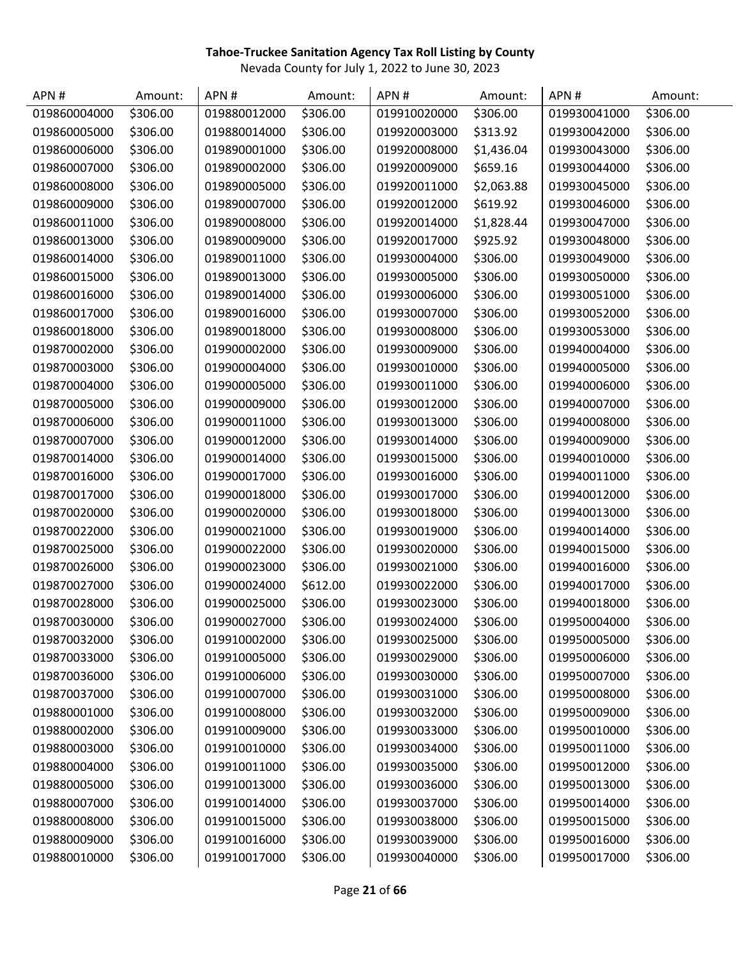| APN#         | Amount:  | APN#         | Amount:  | APN#         | Amount:    | APN#         | Amount:  |
|--------------|----------|--------------|----------|--------------|------------|--------------|----------|
| 019860004000 | \$306.00 | 019880012000 | \$306.00 | 019910020000 | \$306.00   | 019930041000 | \$306.00 |
| 019860005000 | \$306.00 | 019880014000 | \$306.00 | 019920003000 | \$313.92   | 019930042000 | \$306.00 |
| 019860006000 | \$306.00 | 019890001000 | \$306.00 | 019920008000 | \$1,436.04 | 019930043000 | \$306.00 |
| 019860007000 | \$306.00 | 019890002000 | \$306.00 | 019920009000 | \$659.16   | 019930044000 | \$306.00 |
| 019860008000 | \$306.00 | 019890005000 | \$306.00 | 019920011000 | \$2,063.88 | 019930045000 | \$306.00 |
| 019860009000 | \$306.00 | 019890007000 | \$306.00 | 019920012000 | \$619.92   | 019930046000 | \$306.00 |
| 019860011000 | \$306.00 | 019890008000 | \$306.00 | 019920014000 | \$1,828.44 | 019930047000 | \$306.00 |
| 019860013000 | \$306.00 | 019890009000 | \$306.00 | 019920017000 | \$925.92   | 019930048000 | \$306.00 |
| 019860014000 | \$306.00 | 019890011000 | \$306.00 | 019930004000 | \$306.00   | 019930049000 | \$306.00 |
| 019860015000 | \$306.00 | 019890013000 | \$306.00 | 019930005000 | \$306.00   | 019930050000 | \$306.00 |
| 019860016000 | \$306.00 | 019890014000 | \$306.00 | 019930006000 | \$306.00   | 019930051000 | \$306.00 |
| 019860017000 | \$306.00 | 019890016000 | \$306.00 | 019930007000 | \$306.00   | 019930052000 | \$306.00 |
| 019860018000 | \$306.00 | 019890018000 | \$306.00 | 019930008000 | \$306.00   | 019930053000 | \$306.00 |
| 019870002000 | \$306.00 | 019900002000 | \$306.00 | 019930009000 | \$306.00   | 019940004000 | \$306.00 |
| 019870003000 | \$306.00 | 019900004000 | \$306.00 | 019930010000 | \$306.00   | 019940005000 | \$306.00 |
| 019870004000 | \$306.00 | 019900005000 | \$306.00 | 019930011000 | \$306.00   | 019940006000 | \$306.00 |
| 019870005000 | \$306.00 | 019900009000 | \$306.00 | 019930012000 | \$306.00   | 019940007000 | \$306.00 |
| 019870006000 | \$306.00 | 019900011000 | \$306.00 | 019930013000 | \$306.00   | 019940008000 | \$306.00 |
| 019870007000 | \$306.00 | 019900012000 | \$306.00 | 019930014000 | \$306.00   | 019940009000 | \$306.00 |
| 019870014000 | \$306.00 | 019900014000 | \$306.00 | 019930015000 | \$306.00   | 019940010000 | \$306.00 |
| 019870016000 | \$306.00 | 019900017000 | \$306.00 | 019930016000 | \$306.00   | 019940011000 | \$306.00 |
| 019870017000 | \$306.00 | 019900018000 | \$306.00 | 019930017000 | \$306.00   | 019940012000 | \$306.00 |
| 019870020000 | \$306.00 | 019900020000 | \$306.00 | 019930018000 | \$306.00   | 019940013000 | \$306.00 |
| 019870022000 | \$306.00 | 019900021000 | \$306.00 | 019930019000 | \$306.00   | 019940014000 | \$306.00 |
| 019870025000 | \$306.00 | 019900022000 | \$306.00 | 019930020000 | \$306.00   | 019940015000 | \$306.00 |
| 019870026000 | \$306.00 | 019900023000 | \$306.00 | 019930021000 | \$306.00   | 019940016000 | \$306.00 |
| 019870027000 | \$306.00 | 019900024000 | \$612.00 | 019930022000 | \$306.00   | 019940017000 | \$306.00 |
| 019870028000 | \$306.00 | 019900025000 | \$306.00 | 019930023000 | \$306.00   | 019940018000 | \$306.00 |
| 019870030000 | \$306.00 | 019900027000 | \$306.00 | 019930024000 | \$306.00   | 019950004000 | \$306.00 |
| 019870032000 | \$306.00 | 019910002000 | \$306.00 | 019930025000 | \$306.00   | 019950005000 | \$306.00 |
| 019870033000 | \$306.00 | 019910005000 | \$306.00 | 019930029000 | \$306.00   | 019950006000 | \$306.00 |
| 019870036000 | \$306.00 | 019910006000 | \$306.00 | 019930030000 | \$306.00   | 019950007000 | \$306.00 |
| 019870037000 | \$306.00 | 019910007000 | \$306.00 | 019930031000 | \$306.00   | 019950008000 | \$306.00 |
| 019880001000 | \$306.00 | 019910008000 | \$306.00 | 019930032000 | \$306.00   | 019950009000 | \$306.00 |
| 019880002000 | \$306.00 | 019910009000 | \$306.00 | 019930033000 | \$306.00   | 019950010000 | \$306.00 |
| 019880003000 | \$306.00 | 019910010000 | \$306.00 | 019930034000 | \$306.00   | 019950011000 | \$306.00 |
| 019880004000 | \$306.00 | 019910011000 | \$306.00 | 019930035000 | \$306.00   | 019950012000 | \$306.00 |
| 019880005000 | \$306.00 | 019910013000 | \$306.00 | 019930036000 | \$306.00   | 019950013000 | \$306.00 |
| 019880007000 | \$306.00 | 019910014000 | \$306.00 | 019930037000 | \$306.00   | 019950014000 | \$306.00 |
| 019880008000 | \$306.00 | 019910015000 | \$306.00 | 019930038000 | \$306.00   | 019950015000 | \$306.00 |
| 019880009000 | \$306.00 | 019910016000 | \$306.00 | 019930039000 | \$306.00   | 019950016000 | \$306.00 |
| 019880010000 | \$306.00 | 019910017000 | \$306.00 | 019930040000 | \$306.00   | 019950017000 | \$306.00 |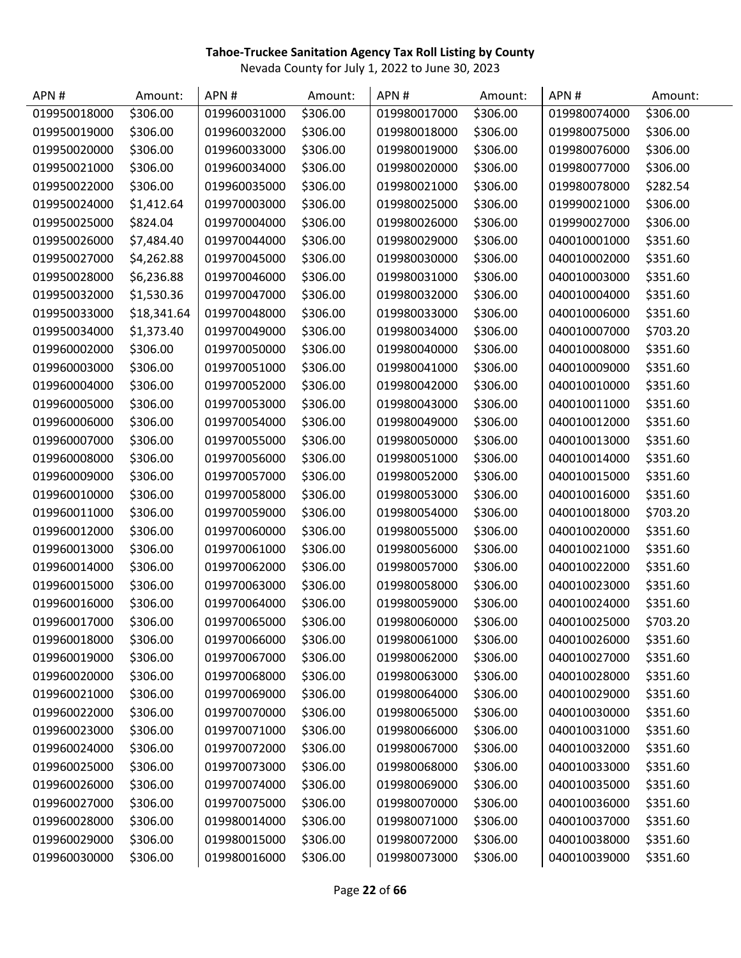| APN#         | Amount:     | APN#         | Amount:  | APN#         | Amount:  | APN#         | Amount:  |
|--------------|-------------|--------------|----------|--------------|----------|--------------|----------|
| 019950018000 | \$306.00    | 019960031000 | \$306.00 | 019980017000 | \$306.00 | 019980074000 | \$306.00 |
| 019950019000 | \$306.00    | 019960032000 | \$306.00 | 019980018000 | \$306.00 | 019980075000 | \$306.00 |
| 019950020000 | \$306.00    | 019960033000 | \$306.00 | 019980019000 | \$306.00 | 019980076000 | \$306.00 |
| 019950021000 | \$306.00    | 019960034000 | \$306.00 | 019980020000 | \$306.00 | 019980077000 | \$306.00 |
| 019950022000 | \$306.00    | 019960035000 | \$306.00 | 019980021000 | \$306.00 | 019980078000 | \$282.54 |
| 019950024000 | \$1,412.64  | 019970003000 | \$306.00 | 019980025000 | \$306.00 | 019990021000 | \$306.00 |
| 019950025000 | \$824.04    | 019970004000 | \$306.00 | 019980026000 | \$306.00 | 019990027000 | \$306.00 |
| 019950026000 | \$7,484.40  | 019970044000 | \$306.00 | 019980029000 | \$306.00 | 040010001000 | \$351.60 |
| 019950027000 | \$4,262.88  | 019970045000 | \$306.00 | 019980030000 | \$306.00 | 040010002000 | \$351.60 |
| 019950028000 | \$6,236.88  | 019970046000 | \$306.00 | 019980031000 | \$306.00 | 040010003000 | \$351.60 |
| 019950032000 | \$1,530.36  | 019970047000 | \$306.00 | 019980032000 | \$306.00 | 040010004000 | \$351.60 |
| 019950033000 | \$18,341.64 | 019970048000 | \$306.00 | 019980033000 | \$306.00 | 040010006000 | \$351.60 |
| 019950034000 | \$1,373.40  | 019970049000 | \$306.00 | 019980034000 | \$306.00 | 040010007000 | \$703.20 |
| 019960002000 | \$306.00    | 019970050000 | \$306.00 | 019980040000 | \$306.00 | 040010008000 | \$351.60 |
| 019960003000 | \$306.00    | 019970051000 | \$306.00 | 019980041000 | \$306.00 | 040010009000 | \$351.60 |
| 019960004000 | \$306.00    | 019970052000 | \$306.00 | 019980042000 | \$306.00 | 040010010000 | \$351.60 |
| 019960005000 | \$306.00    | 019970053000 | \$306.00 | 019980043000 | \$306.00 | 040010011000 | \$351.60 |
| 019960006000 | \$306.00    | 019970054000 | \$306.00 | 019980049000 | \$306.00 | 040010012000 | \$351.60 |
| 019960007000 | \$306.00    | 019970055000 | \$306.00 | 019980050000 | \$306.00 | 040010013000 | \$351.60 |
| 019960008000 | \$306.00    | 019970056000 | \$306.00 | 019980051000 | \$306.00 | 040010014000 | \$351.60 |
| 019960009000 | \$306.00    | 019970057000 | \$306.00 | 019980052000 | \$306.00 | 040010015000 | \$351.60 |
| 019960010000 | \$306.00    | 019970058000 | \$306.00 | 019980053000 | \$306.00 | 040010016000 | \$351.60 |
| 019960011000 | \$306.00    | 019970059000 | \$306.00 | 019980054000 | \$306.00 | 040010018000 | \$703.20 |
| 019960012000 | \$306.00    | 019970060000 | \$306.00 | 019980055000 | \$306.00 | 040010020000 | \$351.60 |
| 019960013000 | \$306.00    | 019970061000 | \$306.00 | 019980056000 | \$306.00 | 040010021000 | \$351.60 |
| 019960014000 | \$306.00    | 019970062000 | \$306.00 | 019980057000 | \$306.00 | 040010022000 | \$351.60 |
| 019960015000 | \$306.00    | 019970063000 | \$306.00 | 019980058000 | \$306.00 | 040010023000 | \$351.60 |
| 019960016000 | \$306.00    | 019970064000 | \$306.00 | 019980059000 | \$306.00 | 040010024000 | \$351.60 |
| 019960017000 | \$306.00    | 019970065000 | \$306.00 | 019980060000 | \$306.00 | 040010025000 | \$703.20 |
| 019960018000 | \$306.00    | 019970066000 | \$306.00 | 019980061000 | \$306.00 | 040010026000 | \$351.60 |
| 019960019000 | \$306.00    | 019970067000 | \$306.00 | 019980062000 | \$306.00 | 040010027000 | \$351.60 |
| 019960020000 | \$306.00    | 019970068000 | \$306.00 | 019980063000 | \$306.00 | 040010028000 | \$351.60 |
| 019960021000 | \$306.00    | 019970069000 | \$306.00 | 019980064000 | \$306.00 | 040010029000 | \$351.60 |
| 019960022000 | \$306.00    | 019970070000 | \$306.00 | 019980065000 | \$306.00 | 040010030000 | \$351.60 |
| 019960023000 | \$306.00    | 019970071000 | \$306.00 | 019980066000 | \$306.00 | 040010031000 | \$351.60 |
| 019960024000 | \$306.00    | 019970072000 | \$306.00 | 019980067000 | \$306.00 | 040010032000 | \$351.60 |
| 019960025000 | \$306.00    | 019970073000 | \$306.00 | 019980068000 | \$306.00 | 040010033000 | \$351.60 |
| 019960026000 | \$306.00    | 019970074000 | \$306.00 | 019980069000 | \$306.00 | 040010035000 | \$351.60 |
| 019960027000 | \$306.00    | 019970075000 | \$306.00 | 019980070000 | \$306.00 | 040010036000 | \$351.60 |
| 019960028000 | \$306.00    | 019980014000 | \$306.00 | 019980071000 | \$306.00 | 040010037000 | \$351.60 |
| 019960029000 | \$306.00    | 019980015000 | \$306.00 | 019980072000 | \$306.00 | 040010038000 | \$351.60 |
| 019960030000 | \$306.00    | 019980016000 | \$306.00 | 019980073000 | \$306.00 | 040010039000 | \$351.60 |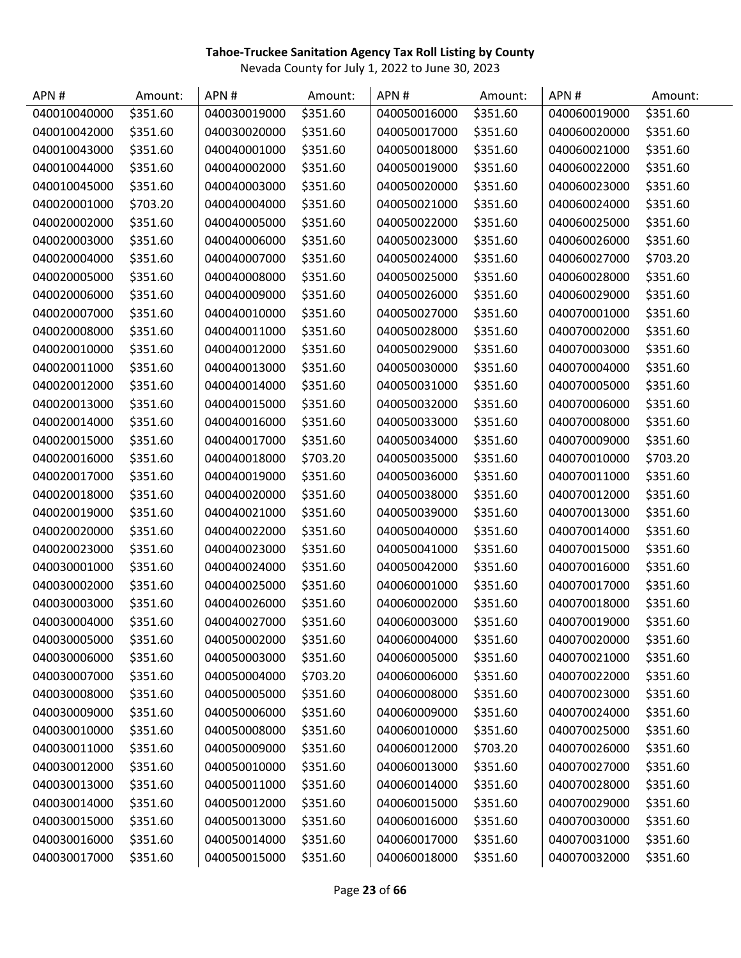| APN#         | Amount:  | APN#         | Amount:  | APN#         | Amount:  | APN#         | Amount:  |
|--------------|----------|--------------|----------|--------------|----------|--------------|----------|
| 040010040000 | \$351.60 | 040030019000 | \$351.60 | 040050016000 | \$351.60 | 040060019000 | \$351.60 |
| 040010042000 | \$351.60 | 040030020000 | \$351.60 | 040050017000 | \$351.60 | 040060020000 | \$351.60 |
| 040010043000 | \$351.60 | 040040001000 | \$351.60 | 040050018000 | \$351.60 | 040060021000 | \$351.60 |
| 040010044000 | \$351.60 | 040040002000 | \$351.60 | 040050019000 | \$351.60 | 040060022000 | \$351.60 |
| 040010045000 | \$351.60 | 040040003000 | \$351.60 | 040050020000 | \$351.60 | 040060023000 | \$351.60 |
| 040020001000 | \$703.20 | 040040004000 | \$351.60 | 040050021000 | \$351.60 | 040060024000 | \$351.60 |
| 040020002000 | \$351.60 | 040040005000 | \$351.60 | 040050022000 | \$351.60 | 040060025000 | \$351.60 |
| 040020003000 | \$351.60 | 040040006000 | \$351.60 | 040050023000 | \$351.60 | 040060026000 | \$351.60 |
| 040020004000 | \$351.60 | 040040007000 | \$351.60 | 040050024000 | \$351.60 | 040060027000 | \$703.20 |
| 040020005000 | \$351.60 | 040040008000 | \$351.60 | 040050025000 | \$351.60 | 040060028000 | \$351.60 |
| 040020006000 | \$351.60 | 040040009000 | \$351.60 | 040050026000 | \$351.60 | 040060029000 | \$351.60 |
| 040020007000 | \$351.60 | 040040010000 | \$351.60 | 040050027000 | \$351.60 | 040070001000 | \$351.60 |
| 040020008000 | \$351.60 | 040040011000 | \$351.60 | 040050028000 | \$351.60 | 040070002000 | \$351.60 |
| 040020010000 | \$351.60 | 040040012000 | \$351.60 | 040050029000 | \$351.60 | 040070003000 | \$351.60 |
| 040020011000 | \$351.60 | 040040013000 | \$351.60 | 040050030000 | \$351.60 | 040070004000 | \$351.60 |
| 040020012000 | \$351.60 | 040040014000 | \$351.60 | 040050031000 | \$351.60 | 040070005000 | \$351.60 |
| 040020013000 | \$351.60 | 040040015000 | \$351.60 | 040050032000 | \$351.60 | 040070006000 | \$351.60 |
| 040020014000 | \$351.60 | 040040016000 | \$351.60 | 040050033000 | \$351.60 | 040070008000 | \$351.60 |
| 040020015000 | \$351.60 | 040040017000 | \$351.60 | 040050034000 | \$351.60 | 040070009000 | \$351.60 |
| 040020016000 | \$351.60 | 040040018000 | \$703.20 | 040050035000 | \$351.60 | 040070010000 | \$703.20 |
| 040020017000 | \$351.60 | 040040019000 | \$351.60 | 040050036000 | \$351.60 | 040070011000 | \$351.60 |
| 040020018000 | \$351.60 | 040040020000 | \$351.60 | 040050038000 | \$351.60 | 040070012000 | \$351.60 |
| 040020019000 | \$351.60 | 040040021000 | \$351.60 | 040050039000 | \$351.60 | 040070013000 | \$351.60 |
| 040020020000 | \$351.60 | 040040022000 | \$351.60 | 040050040000 | \$351.60 | 040070014000 | \$351.60 |
| 040020023000 | \$351.60 | 040040023000 | \$351.60 | 040050041000 | \$351.60 | 040070015000 | \$351.60 |
| 040030001000 | \$351.60 | 040040024000 | \$351.60 | 040050042000 | \$351.60 | 040070016000 | \$351.60 |
| 040030002000 | \$351.60 | 040040025000 | \$351.60 | 040060001000 | \$351.60 | 040070017000 | \$351.60 |
| 040030003000 | \$351.60 | 040040026000 | \$351.60 | 040060002000 | \$351.60 | 040070018000 | \$351.60 |
| 040030004000 | \$351.60 | 040040027000 | \$351.60 | 040060003000 | \$351.60 | 040070019000 | \$351.60 |
| 040030005000 | \$351.60 | 040050002000 | \$351.60 | 040060004000 | \$351.60 | 040070020000 | \$351.60 |
| 040030006000 | \$351.60 | 040050003000 | \$351.60 | 040060005000 | \$351.60 | 040070021000 | \$351.60 |
| 040030007000 | \$351.60 | 040050004000 | \$703.20 | 040060006000 | \$351.60 | 040070022000 | \$351.60 |
| 040030008000 | \$351.60 | 040050005000 | \$351.60 | 040060008000 | \$351.60 | 040070023000 | \$351.60 |
| 040030009000 | \$351.60 | 040050006000 | \$351.60 | 040060009000 | \$351.60 | 040070024000 | \$351.60 |
| 040030010000 | \$351.60 | 040050008000 | \$351.60 | 040060010000 | \$351.60 | 040070025000 | \$351.60 |
| 040030011000 | \$351.60 | 040050009000 | \$351.60 | 040060012000 | \$703.20 | 040070026000 | \$351.60 |
| 040030012000 | \$351.60 | 040050010000 | \$351.60 | 040060013000 | \$351.60 | 040070027000 | \$351.60 |
| 040030013000 | \$351.60 | 040050011000 | \$351.60 | 040060014000 | \$351.60 | 040070028000 | \$351.60 |
| 040030014000 | \$351.60 | 040050012000 | \$351.60 | 040060015000 | \$351.60 | 040070029000 | \$351.60 |
| 040030015000 | \$351.60 | 040050013000 | \$351.60 | 040060016000 | \$351.60 | 040070030000 | \$351.60 |
| 040030016000 | \$351.60 | 040050014000 | \$351.60 | 040060017000 | \$351.60 | 040070031000 | \$351.60 |
| 040030017000 | \$351.60 | 040050015000 | \$351.60 | 040060018000 | \$351.60 | 040070032000 | \$351.60 |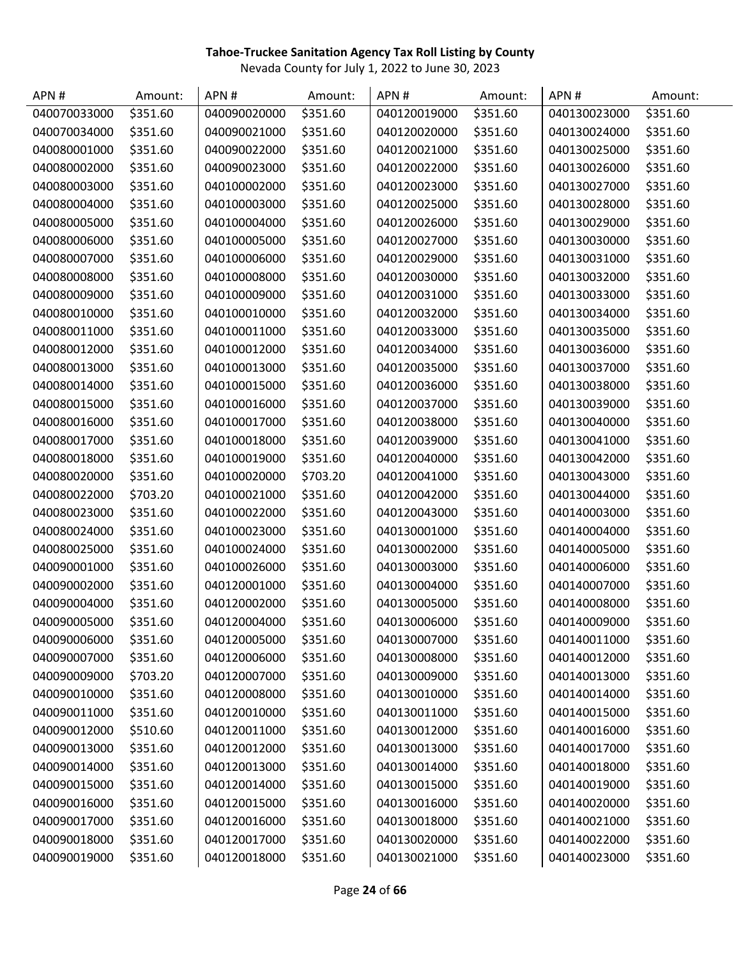| APN#         | Amount:  | APN#         | Amount:  | APN#         | Amount:  | APN#         | Amount:  |
|--------------|----------|--------------|----------|--------------|----------|--------------|----------|
| 040070033000 | \$351.60 | 040090020000 | \$351.60 | 040120019000 | \$351.60 | 040130023000 | \$351.60 |
| 040070034000 | \$351.60 | 040090021000 | \$351.60 | 040120020000 | \$351.60 | 040130024000 | \$351.60 |
| 040080001000 | \$351.60 | 040090022000 | \$351.60 | 040120021000 | \$351.60 | 040130025000 | \$351.60 |
| 040080002000 | \$351.60 | 040090023000 | \$351.60 | 040120022000 | \$351.60 | 040130026000 | \$351.60 |
| 040080003000 | \$351.60 | 040100002000 | \$351.60 | 040120023000 | \$351.60 | 040130027000 | \$351.60 |
| 040080004000 | \$351.60 | 040100003000 | \$351.60 | 040120025000 | \$351.60 | 040130028000 | \$351.60 |
| 040080005000 | \$351.60 | 040100004000 | \$351.60 | 040120026000 | \$351.60 | 040130029000 | \$351.60 |
| 040080006000 | \$351.60 | 040100005000 | \$351.60 | 040120027000 | \$351.60 | 040130030000 | \$351.60 |
| 040080007000 | \$351.60 | 040100006000 | \$351.60 | 040120029000 | \$351.60 | 040130031000 | \$351.60 |
| 040080008000 | \$351.60 | 040100008000 | \$351.60 | 040120030000 | \$351.60 | 040130032000 | \$351.60 |
| 040080009000 | \$351.60 | 040100009000 | \$351.60 | 040120031000 | \$351.60 | 040130033000 | \$351.60 |
| 040080010000 | \$351.60 | 040100010000 | \$351.60 | 040120032000 | \$351.60 | 040130034000 | \$351.60 |
| 040080011000 | \$351.60 | 040100011000 | \$351.60 | 040120033000 | \$351.60 | 040130035000 | \$351.60 |
| 040080012000 | \$351.60 | 040100012000 | \$351.60 | 040120034000 | \$351.60 | 040130036000 | \$351.60 |
| 040080013000 | \$351.60 | 040100013000 | \$351.60 | 040120035000 | \$351.60 | 040130037000 | \$351.60 |
| 040080014000 | \$351.60 | 040100015000 | \$351.60 | 040120036000 | \$351.60 | 040130038000 | \$351.60 |
| 040080015000 | \$351.60 | 040100016000 | \$351.60 | 040120037000 | \$351.60 | 040130039000 | \$351.60 |
| 040080016000 | \$351.60 | 040100017000 | \$351.60 | 040120038000 | \$351.60 | 040130040000 | \$351.60 |
| 040080017000 | \$351.60 | 040100018000 | \$351.60 | 040120039000 | \$351.60 | 040130041000 | \$351.60 |
| 040080018000 | \$351.60 | 040100019000 | \$351.60 | 040120040000 | \$351.60 | 040130042000 | \$351.60 |
| 040080020000 | \$351.60 | 040100020000 | \$703.20 | 040120041000 | \$351.60 | 040130043000 | \$351.60 |
| 040080022000 | \$703.20 | 040100021000 | \$351.60 | 040120042000 | \$351.60 | 040130044000 | \$351.60 |
| 040080023000 | \$351.60 | 040100022000 | \$351.60 | 040120043000 | \$351.60 | 040140003000 | \$351.60 |
| 040080024000 | \$351.60 | 040100023000 | \$351.60 | 040130001000 | \$351.60 | 040140004000 | \$351.60 |
| 040080025000 | \$351.60 | 040100024000 | \$351.60 | 040130002000 | \$351.60 | 040140005000 | \$351.60 |
| 040090001000 | \$351.60 | 040100026000 | \$351.60 | 040130003000 | \$351.60 | 040140006000 | \$351.60 |
| 040090002000 | \$351.60 | 040120001000 | \$351.60 | 040130004000 | \$351.60 | 040140007000 | \$351.60 |
| 040090004000 | \$351.60 | 040120002000 | \$351.60 | 040130005000 | \$351.60 | 040140008000 | \$351.60 |
| 040090005000 | \$351.60 | 040120004000 | \$351.60 | 040130006000 | \$351.60 | 040140009000 | \$351.60 |
| 040090006000 | \$351.60 | 040120005000 | \$351.60 | 040130007000 | \$351.60 | 040140011000 | \$351.60 |
| 040090007000 | \$351.60 | 040120006000 | \$351.60 | 040130008000 | \$351.60 | 040140012000 | \$351.60 |
| 040090009000 | \$703.20 | 040120007000 | \$351.60 | 040130009000 | \$351.60 | 040140013000 | \$351.60 |
| 040090010000 | \$351.60 | 040120008000 | \$351.60 | 040130010000 | \$351.60 | 040140014000 | \$351.60 |
| 040090011000 | \$351.60 | 040120010000 | \$351.60 | 040130011000 | \$351.60 | 040140015000 | \$351.60 |
| 040090012000 | \$510.60 | 040120011000 | \$351.60 | 040130012000 | \$351.60 | 040140016000 | \$351.60 |
| 040090013000 | \$351.60 | 040120012000 | \$351.60 | 040130013000 | \$351.60 | 040140017000 | \$351.60 |
| 040090014000 | \$351.60 | 040120013000 | \$351.60 | 040130014000 | \$351.60 | 040140018000 | \$351.60 |
| 040090015000 | \$351.60 | 040120014000 | \$351.60 | 040130015000 | \$351.60 | 040140019000 | \$351.60 |
| 040090016000 | \$351.60 | 040120015000 | \$351.60 | 040130016000 | \$351.60 | 040140020000 | \$351.60 |
| 040090017000 | \$351.60 | 040120016000 | \$351.60 | 040130018000 | \$351.60 | 040140021000 | \$351.60 |
| 040090018000 | \$351.60 | 040120017000 | \$351.60 | 040130020000 | \$351.60 | 040140022000 | \$351.60 |
| 040090019000 | \$351.60 | 040120018000 | \$351.60 | 040130021000 | \$351.60 | 040140023000 | \$351.60 |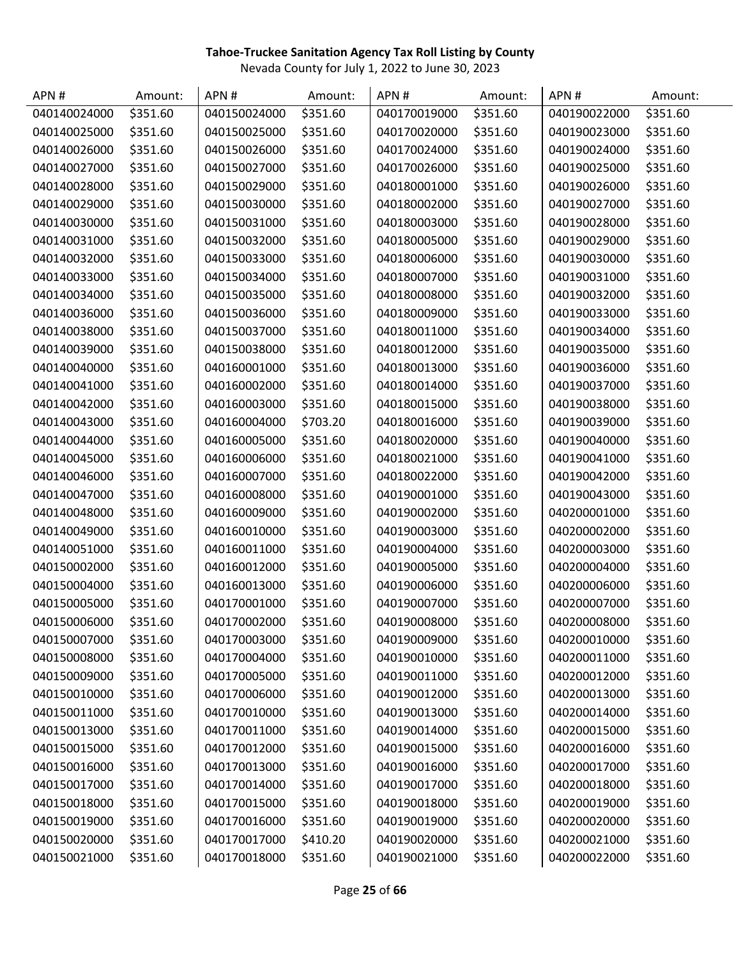| APN#         | Amount:  | APN#         | Amount:  | APN#         | Amount:  | APN#         | Amount:  |
|--------------|----------|--------------|----------|--------------|----------|--------------|----------|
| 040140024000 | \$351.60 | 040150024000 | \$351.60 | 040170019000 | \$351.60 | 040190022000 | \$351.60 |
| 040140025000 | \$351.60 | 040150025000 | \$351.60 | 040170020000 | \$351.60 | 040190023000 | \$351.60 |
| 040140026000 | \$351.60 | 040150026000 | \$351.60 | 040170024000 | \$351.60 | 040190024000 | \$351.60 |
| 040140027000 | \$351.60 | 040150027000 | \$351.60 | 040170026000 | \$351.60 | 040190025000 | \$351.60 |
| 040140028000 | \$351.60 | 040150029000 | \$351.60 | 040180001000 | \$351.60 | 040190026000 | \$351.60 |
| 040140029000 | \$351.60 | 040150030000 | \$351.60 | 040180002000 | \$351.60 | 040190027000 | \$351.60 |
| 040140030000 | \$351.60 | 040150031000 | \$351.60 | 040180003000 | \$351.60 | 040190028000 | \$351.60 |
| 040140031000 | \$351.60 | 040150032000 | \$351.60 | 040180005000 | \$351.60 | 040190029000 | \$351.60 |
| 040140032000 | \$351.60 | 040150033000 | \$351.60 | 040180006000 | \$351.60 | 040190030000 | \$351.60 |
| 040140033000 | \$351.60 | 040150034000 | \$351.60 | 040180007000 | \$351.60 | 040190031000 | \$351.60 |
| 040140034000 | \$351.60 | 040150035000 | \$351.60 | 040180008000 | \$351.60 | 040190032000 | \$351.60 |
| 040140036000 | \$351.60 | 040150036000 | \$351.60 | 040180009000 | \$351.60 | 040190033000 | \$351.60 |
| 040140038000 | \$351.60 | 040150037000 | \$351.60 | 040180011000 | \$351.60 | 040190034000 | \$351.60 |
| 040140039000 | \$351.60 | 040150038000 | \$351.60 | 040180012000 | \$351.60 | 040190035000 | \$351.60 |
| 040140040000 | \$351.60 | 040160001000 | \$351.60 | 040180013000 | \$351.60 | 040190036000 | \$351.60 |
| 040140041000 | \$351.60 | 040160002000 | \$351.60 | 040180014000 | \$351.60 | 040190037000 | \$351.60 |
| 040140042000 | \$351.60 | 040160003000 | \$351.60 | 040180015000 | \$351.60 | 040190038000 | \$351.60 |
| 040140043000 | \$351.60 | 040160004000 | \$703.20 | 040180016000 | \$351.60 | 040190039000 | \$351.60 |
| 040140044000 | \$351.60 | 040160005000 | \$351.60 | 040180020000 | \$351.60 | 040190040000 | \$351.60 |
| 040140045000 | \$351.60 | 040160006000 | \$351.60 | 040180021000 | \$351.60 | 040190041000 | \$351.60 |
| 040140046000 | \$351.60 | 040160007000 | \$351.60 | 040180022000 | \$351.60 | 040190042000 | \$351.60 |
| 040140047000 | \$351.60 | 040160008000 | \$351.60 | 040190001000 | \$351.60 | 040190043000 | \$351.60 |
| 040140048000 | \$351.60 | 040160009000 | \$351.60 | 040190002000 | \$351.60 | 040200001000 | \$351.60 |
| 040140049000 | \$351.60 | 040160010000 | \$351.60 | 040190003000 | \$351.60 | 040200002000 | \$351.60 |
| 040140051000 | \$351.60 | 040160011000 | \$351.60 | 040190004000 | \$351.60 | 040200003000 | \$351.60 |
| 040150002000 | \$351.60 | 040160012000 | \$351.60 | 040190005000 | \$351.60 | 040200004000 | \$351.60 |
| 040150004000 | \$351.60 | 040160013000 | \$351.60 | 040190006000 | \$351.60 | 040200006000 | \$351.60 |
| 040150005000 | \$351.60 | 040170001000 | \$351.60 | 040190007000 | \$351.60 | 040200007000 | \$351.60 |
| 040150006000 | \$351.60 | 040170002000 | \$351.60 | 040190008000 | \$351.60 | 040200008000 | \$351.60 |
| 040150007000 | \$351.60 | 040170003000 | \$351.60 | 040190009000 | \$351.60 | 040200010000 | \$351.60 |
| 040150008000 | \$351.60 | 040170004000 | \$351.60 | 040190010000 | \$351.60 | 040200011000 | \$351.60 |
| 040150009000 | \$351.60 | 040170005000 | \$351.60 | 040190011000 | \$351.60 | 040200012000 | \$351.60 |
| 040150010000 | \$351.60 | 040170006000 | \$351.60 | 040190012000 | \$351.60 | 040200013000 | \$351.60 |
| 040150011000 | \$351.60 | 040170010000 | \$351.60 | 040190013000 | \$351.60 | 040200014000 | \$351.60 |
| 040150013000 | \$351.60 | 040170011000 | \$351.60 | 040190014000 | \$351.60 | 040200015000 | \$351.60 |
| 040150015000 | \$351.60 | 040170012000 | \$351.60 | 040190015000 | \$351.60 | 040200016000 | \$351.60 |
| 040150016000 | \$351.60 | 040170013000 | \$351.60 | 040190016000 | \$351.60 | 040200017000 | \$351.60 |
| 040150017000 | \$351.60 | 040170014000 | \$351.60 | 040190017000 | \$351.60 | 040200018000 | \$351.60 |
| 040150018000 | \$351.60 | 040170015000 | \$351.60 | 040190018000 | \$351.60 | 040200019000 | \$351.60 |
| 040150019000 | \$351.60 | 040170016000 | \$351.60 | 040190019000 | \$351.60 | 040200020000 | \$351.60 |
| 040150020000 | \$351.60 | 040170017000 | \$410.20 | 040190020000 | \$351.60 | 040200021000 | \$351.60 |
| 040150021000 | \$351.60 | 040170018000 | \$351.60 | 040190021000 | \$351.60 | 040200022000 | \$351.60 |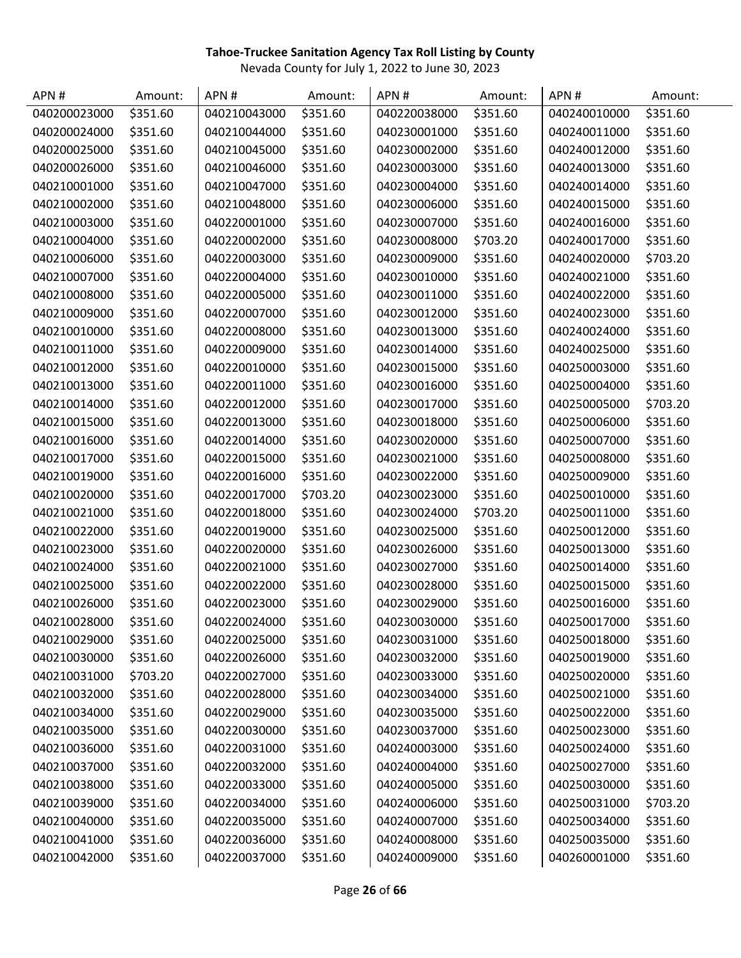| APN#         | Amount:  | APN#         | Amount:  | APN#         | Amount:  | APN#         | Amount:  |
|--------------|----------|--------------|----------|--------------|----------|--------------|----------|
| 040200023000 | \$351.60 | 040210043000 | \$351.60 | 040220038000 | \$351.60 | 040240010000 | \$351.60 |
| 040200024000 | \$351.60 | 040210044000 | \$351.60 | 040230001000 | \$351.60 | 040240011000 | \$351.60 |
| 040200025000 | \$351.60 | 040210045000 | \$351.60 | 040230002000 | \$351.60 | 040240012000 | \$351.60 |
| 040200026000 | \$351.60 | 040210046000 | \$351.60 | 040230003000 | \$351.60 | 040240013000 | \$351.60 |
| 040210001000 | \$351.60 | 040210047000 | \$351.60 | 040230004000 | \$351.60 | 040240014000 | \$351.60 |
| 040210002000 | \$351.60 | 040210048000 | \$351.60 | 040230006000 | \$351.60 | 040240015000 | \$351.60 |
| 040210003000 | \$351.60 | 040220001000 | \$351.60 | 040230007000 | \$351.60 | 040240016000 | \$351.60 |
| 040210004000 | \$351.60 | 040220002000 | \$351.60 | 040230008000 | \$703.20 | 040240017000 | \$351.60 |
| 040210006000 | \$351.60 | 040220003000 | \$351.60 | 040230009000 | \$351.60 | 040240020000 | \$703.20 |
| 040210007000 | \$351.60 | 040220004000 | \$351.60 | 040230010000 | \$351.60 | 040240021000 | \$351.60 |
| 040210008000 | \$351.60 | 040220005000 | \$351.60 | 040230011000 | \$351.60 | 040240022000 | \$351.60 |
| 040210009000 | \$351.60 | 040220007000 | \$351.60 | 040230012000 | \$351.60 | 040240023000 | \$351.60 |
| 040210010000 | \$351.60 | 040220008000 | \$351.60 | 040230013000 | \$351.60 | 040240024000 | \$351.60 |
| 040210011000 | \$351.60 | 040220009000 | \$351.60 | 040230014000 | \$351.60 | 040240025000 | \$351.60 |
| 040210012000 | \$351.60 | 040220010000 | \$351.60 | 040230015000 | \$351.60 | 040250003000 | \$351.60 |
| 040210013000 | \$351.60 | 040220011000 | \$351.60 | 040230016000 | \$351.60 | 040250004000 | \$351.60 |
| 040210014000 | \$351.60 | 040220012000 | \$351.60 | 040230017000 | \$351.60 | 040250005000 | \$703.20 |
| 040210015000 | \$351.60 | 040220013000 | \$351.60 | 040230018000 | \$351.60 | 040250006000 | \$351.60 |
| 040210016000 | \$351.60 | 040220014000 | \$351.60 | 040230020000 | \$351.60 | 040250007000 | \$351.60 |
| 040210017000 | \$351.60 | 040220015000 | \$351.60 | 040230021000 | \$351.60 | 040250008000 | \$351.60 |
| 040210019000 | \$351.60 | 040220016000 | \$351.60 | 040230022000 | \$351.60 | 040250009000 | \$351.60 |
| 040210020000 | \$351.60 | 040220017000 | \$703.20 | 040230023000 | \$351.60 | 040250010000 | \$351.60 |
| 040210021000 | \$351.60 | 040220018000 | \$351.60 | 040230024000 | \$703.20 | 040250011000 | \$351.60 |
| 040210022000 | \$351.60 | 040220019000 | \$351.60 | 040230025000 | \$351.60 | 040250012000 | \$351.60 |
| 040210023000 | \$351.60 | 040220020000 | \$351.60 | 040230026000 | \$351.60 | 040250013000 | \$351.60 |
| 040210024000 | \$351.60 | 040220021000 | \$351.60 | 040230027000 | \$351.60 | 040250014000 | \$351.60 |
| 040210025000 | \$351.60 | 040220022000 | \$351.60 | 040230028000 | \$351.60 | 040250015000 | \$351.60 |
| 040210026000 | \$351.60 | 040220023000 | \$351.60 | 040230029000 | \$351.60 | 040250016000 | \$351.60 |
| 040210028000 | \$351.60 | 040220024000 | \$351.60 | 040230030000 | \$351.60 | 040250017000 | \$351.60 |
| 040210029000 | \$351.60 | 040220025000 | \$351.60 | 040230031000 | \$351.60 | 040250018000 | \$351.60 |
| 040210030000 | \$351.60 | 040220026000 | \$351.60 | 040230032000 | \$351.60 | 040250019000 | \$351.60 |
| 040210031000 | \$703.20 | 040220027000 | \$351.60 | 040230033000 | \$351.60 | 040250020000 | \$351.60 |
| 040210032000 | \$351.60 | 040220028000 | \$351.60 | 040230034000 | \$351.60 | 040250021000 | \$351.60 |
| 040210034000 | \$351.60 | 040220029000 | \$351.60 | 040230035000 | \$351.60 | 040250022000 | \$351.60 |
| 040210035000 | \$351.60 | 040220030000 | \$351.60 | 040230037000 | \$351.60 | 040250023000 | \$351.60 |
| 040210036000 | \$351.60 | 040220031000 | \$351.60 | 040240003000 | \$351.60 | 040250024000 | \$351.60 |
| 040210037000 | \$351.60 | 040220032000 | \$351.60 | 040240004000 | \$351.60 | 040250027000 | \$351.60 |
| 040210038000 | \$351.60 | 040220033000 | \$351.60 | 040240005000 | \$351.60 | 040250030000 | \$351.60 |
| 040210039000 | \$351.60 | 040220034000 | \$351.60 | 040240006000 | \$351.60 | 040250031000 | \$703.20 |
| 040210040000 | \$351.60 | 040220035000 | \$351.60 | 040240007000 | \$351.60 | 040250034000 | \$351.60 |
| 040210041000 | \$351.60 | 040220036000 | \$351.60 | 040240008000 | \$351.60 | 040250035000 | \$351.60 |
| 040210042000 | \$351.60 | 040220037000 | \$351.60 | 040240009000 | \$351.60 | 040260001000 | \$351.60 |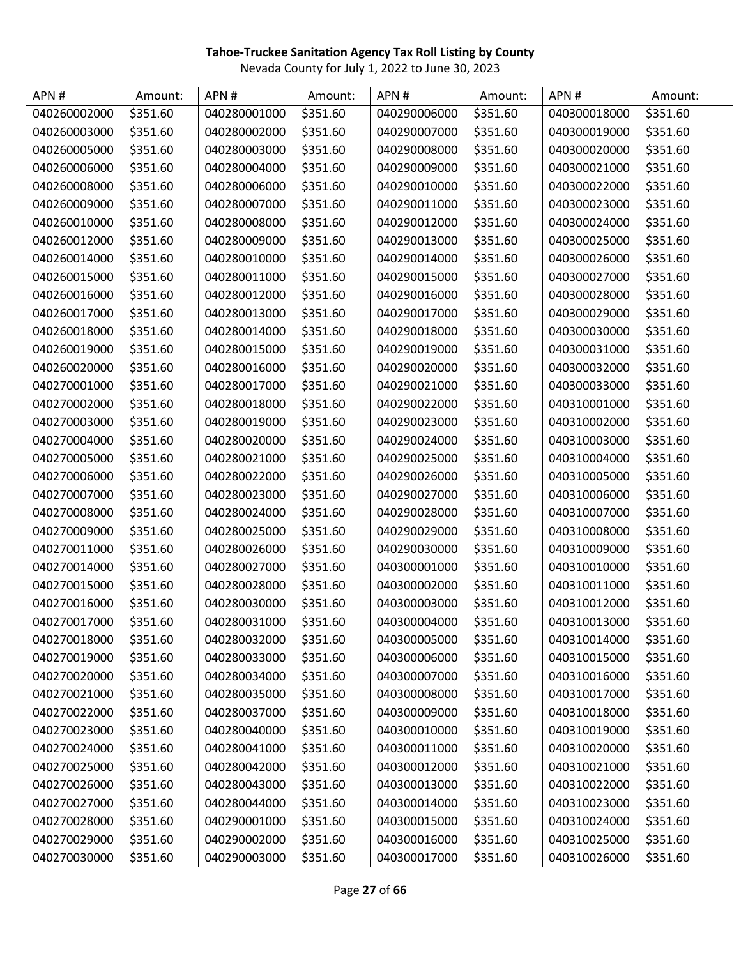| APN#         | Amount:  | APN#         | Amount:  | APN#         | Amount:  | APN#         | Amount:  |
|--------------|----------|--------------|----------|--------------|----------|--------------|----------|
| 040260002000 | \$351.60 | 040280001000 | \$351.60 | 040290006000 | \$351.60 | 040300018000 | \$351.60 |
| 040260003000 | \$351.60 | 040280002000 | \$351.60 | 040290007000 | \$351.60 | 040300019000 | \$351.60 |
| 040260005000 | \$351.60 | 040280003000 | \$351.60 | 040290008000 | \$351.60 | 040300020000 | \$351.60 |
| 040260006000 | \$351.60 | 040280004000 | \$351.60 | 040290009000 | \$351.60 | 040300021000 | \$351.60 |
| 040260008000 | \$351.60 | 040280006000 | \$351.60 | 040290010000 | \$351.60 | 040300022000 | \$351.60 |
| 040260009000 | \$351.60 | 040280007000 | \$351.60 | 040290011000 | \$351.60 | 040300023000 | \$351.60 |
| 040260010000 | \$351.60 | 040280008000 | \$351.60 | 040290012000 | \$351.60 | 040300024000 | \$351.60 |
| 040260012000 | \$351.60 | 040280009000 | \$351.60 | 040290013000 | \$351.60 | 040300025000 | \$351.60 |
| 040260014000 | \$351.60 | 040280010000 | \$351.60 | 040290014000 | \$351.60 | 040300026000 | \$351.60 |
| 040260015000 | \$351.60 | 040280011000 | \$351.60 | 040290015000 | \$351.60 | 040300027000 | \$351.60 |
| 040260016000 | \$351.60 | 040280012000 | \$351.60 | 040290016000 | \$351.60 | 040300028000 | \$351.60 |
| 040260017000 | \$351.60 | 040280013000 | \$351.60 | 040290017000 | \$351.60 | 040300029000 | \$351.60 |
| 040260018000 | \$351.60 | 040280014000 | \$351.60 | 040290018000 | \$351.60 | 040300030000 | \$351.60 |
| 040260019000 | \$351.60 | 040280015000 | \$351.60 | 040290019000 | \$351.60 | 040300031000 | \$351.60 |
| 040260020000 | \$351.60 | 040280016000 | \$351.60 | 040290020000 | \$351.60 | 040300032000 | \$351.60 |
| 040270001000 | \$351.60 | 040280017000 | \$351.60 | 040290021000 | \$351.60 | 040300033000 | \$351.60 |
| 040270002000 | \$351.60 | 040280018000 | \$351.60 | 040290022000 | \$351.60 | 040310001000 | \$351.60 |
| 040270003000 | \$351.60 | 040280019000 | \$351.60 | 040290023000 | \$351.60 | 040310002000 | \$351.60 |
| 040270004000 | \$351.60 | 040280020000 | \$351.60 | 040290024000 | \$351.60 | 040310003000 | \$351.60 |
| 040270005000 | \$351.60 | 040280021000 | \$351.60 | 040290025000 | \$351.60 | 040310004000 | \$351.60 |
| 040270006000 | \$351.60 | 040280022000 | \$351.60 | 040290026000 | \$351.60 | 040310005000 | \$351.60 |
| 040270007000 | \$351.60 | 040280023000 | \$351.60 | 040290027000 | \$351.60 | 040310006000 | \$351.60 |
| 040270008000 | \$351.60 | 040280024000 | \$351.60 | 040290028000 | \$351.60 | 040310007000 | \$351.60 |
| 040270009000 | \$351.60 | 040280025000 | \$351.60 | 040290029000 | \$351.60 | 040310008000 | \$351.60 |
| 040270011000 | \$351.60 | 040280026000 | \$351.60 | 040290030000 | \$351.60 | 040310009000 | \$351.60 |
| 040270014000 | \$351.60 | 040280027000 | \$351.60 | 040300001000 | \$351.60 | 040310010000 | \$351.60 |
| 040270015000 | \$351.60 | 040280028000 | \$351.60 | 040300002000 | \$351.60 | 040310011000 | \$351.60 |
| 040270016000 | \$351.60 | 040280030000 | \$351.60 | 040300003000 | \$351.60 | 040310012000 | \$351.60 |
| 040270017000 | \$351.60 | 040280031000 | \$351.60 | 040300004000 | \$351.60 | 040310013000 | \$351.60 |
| 040270018000 | \$351.60 | 040280032000 | \$351.60 | 040300005000 | \$351.60 | 040310014000 | \$351.60 |
| 040270019000 | \$351.60 | 040280033000 | \$351.60 | 040300006000 | \$351.60 | 040310015000 | \$351.60 |
| 040270020000 | \$351.60 | 040280034000 | \$351.60 | 040300007000 | \$351.60 | 040310016000 | \$351.60 |
| 040270021000 | \$351.60 | 040280035000 | \$351.60 | 040300008000 | \$351.60 | 040310017000 | \$351.60 |
| 040270022000 | \$351.60 | 040280037000 | \$351.60 | 040300009000 | \$351.60 | 040310018000 | \$351.60 |
| 040270023000 | \$351.60 | 040280040000 | \$351.60 | 040300010000 | \$351.60 | 040310019000 | \$351.60 |
| 040270024000 | \$351.60 | 040280041000 | \$351.60 | 040300011000 | \$351.60 | 040310020000 | \$351.60 |
| 040270025000 | \$351.60 | 040280042000 | \$351.60 | 040300012000 | \$351.60 | 040310021000 | \$351.60 |
| 040270026000 | \$351.60 | 040280043000 | \$351.60 | 040300013000 | \$351.60 | 040310022000 | \$351.60 |
| 040270027000 | \$351.60 | 040280044000 | \$351.60 | 040300014000 | \$351.60 | 040310023000 | \$351.60 |
| 040270028000 | \$351.60 | 040290001000 | \$351.60 | 040300015000 | \$351.60 | 040310024000 | \$351.60 |
| 040270029000 | \$351.60 | 040290002000 | \$351.60 | 040300016000 | \$351.60 | 040310025000 | \$351.60 |
| 040270030000 | \$351.60 | 040290003000 | \$351.60 | 040300017000 | \$351.60 | 040310026000 | \$351.60 |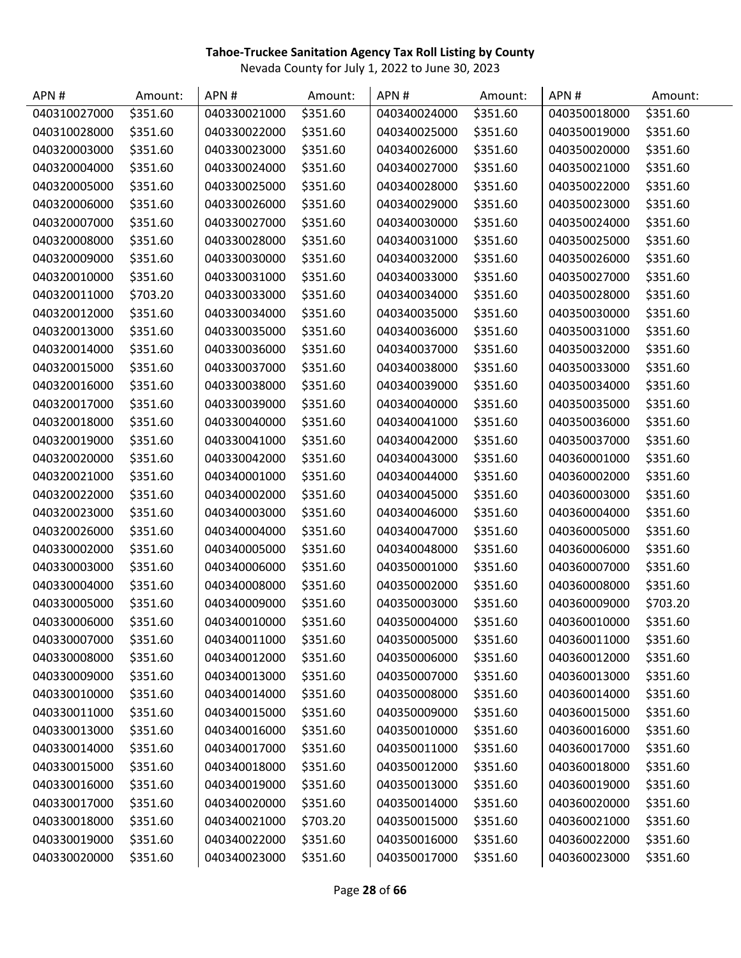| APN#         | Amount:  | APN#         | Amount:  | APN#         | Amount:  | APN#         | Amount:  |
|--------------|----------|--------------|----------|--------------|----------|--------------|----------|
| 040310027000 | \$351.60 | 040330021000 | \$351.60 | 040340024000 | \$351.60 | 040350018000 | \$351.60 |
| 040310028000 | \$351.60 | 040330022000 | \$351.60 | 040340025000 | \$351.60 | 040350019000 | \$351.60 |
| 040320003000 | \$351.60 | 040330023000 | \$351.60 | 040340026000 | \$351.60 | 040350020000 | \$351.60 |
| 040320004000 | \$351.60 | 040330024000 | \$351.60 | 040340027000 | \$351.60 | 040350021000 | \$351.60 |
| 040320005000 | \$351.60 | 040330025000 | \$351.60 | 040340028000 | \$351.60 | 040350022000 | \$351.60 |
| 040320006000 | \$351.60 | 040330026000 | \$351.60 | 040340029000 | \$351.60 | 040350023000 | \$351.60 |
| 040320007000 | \$351.60 | 040330027000 | \$351.60 | 040340030000 | \$351.60 | 040350024000 | \$351.60 |
| 040320008000 | \$351.60 | 040330028000 | \$351.60 | 040340031000 | \$351.60 | 040350025000 | \$351.60 |
| 040320009000 | \$351.60 | 040330030000 | \$351.60 | 040340032000 | \$351.60 | 040350026000 | \$351.60 |
| 040320010000 | \$351.60 | 040330031000 | \$351.60 | 040340033000 | \$351.60 | 040350027000 | \$351.60 |
| 040320011000 | \$703.20 | 040330033000 | \$351.60 | 040340034000 | \$351.60 | 040350028000 | \$351.60 |
| 040320012000 | \$351.60 | 040330034000 | \$351.60 | 040340035000 | \$351.60 | 040350030000 | \$351.60 |
| 040320013000 | \$351.60 | 040330035000 | \$351.60 | 040340036000 | \$351.60 | 040350031000 | \$351.60 |
| 040320014000 | \$351.60 | 040330036000 | \$351.60 | 040340037000 | \$351.60 | 040350032000 | \$351.60 |
| 040320015000 | \$351.60 | 040330037000 | \$351.60 | 040340038000 | \$351.60 | 040350033000 | \$351.60 |
| 040320016000 | \$351.60 | 040330038000 | \$351.60 | 040340039000 | \$351.60 | 040350034000 | \$351.60 |
| 040320017000 | \$351.60 | 040330039000 | \$351.60 | 040340040000 | \$351.60 | 040350035000 | \$351.60 |
| 040320018000 | \$351.60 | 040330040000 | \$351.60 | 040340041000 | \$351.60 | 040350036000 | \$351.60 |
| 040320019000 | \$351.60 | 040330041000 | \$351.60 | 040340042000 | \$351.60 | 040350037000 | \$351.60 |
| 040320020000 | \$351.60 | 040330042000 | \$351.60 | 040340043000 | \$351.60 | 040360001000 | \$351.60 |
| 040320021000 | \$351.60 | 040340001000 | \$351.60 | 040340044000 | \$351.60 | 040360002000 | \$351.60 |
| 040320022000 | \$351.60 | 040340002000 | \$351.60 | 040340045000 | \$351.60 | 040360003000 | \$351.60 |
| 040320023000 | \$351.60 | 040340003000 | \$351.60 | 040340046000 | \$351.60 | 040360004000 | \$351.60 |
| 040320026000 | \$351.60 | 040340004000 | \$351.60 | 040340047000 | \$351.60 | 040360005000 | \$351.60 |
| 040330002000 | \$351.60 | 040340005000 | \$351.60 | 040340048000 | \$351.60 | 040360006000 | \$351.60 |
| 040330003000 | \$351.60 | 040340006000 | \$351.60 | 040350001000 | \$351.60 | 040360007000 | \$351.60 |
| 040330004000 | \$351.60 | 040340008000 | \$351.60 | 040350002000 | \$351.60 | 040360008000 | \$351.60 |
| 040330005000 | \$351.60 | 040340009000 | \$351.60 | 040350003000 | \$351.60 | 040360009000 | \$703.20 |
| 040330006000 | \$351.60 | 040340010000 | \$351.60 | 040350004000 | \$351.60 | 040360010000 | \$351.60 |
| 040330007000 | \$351.60 | 040340011000 | \$351.60 | 040350005000 | \$351.60 | 040360011000 | \$351.60 |
| 040330008000 | \$351.60 | 040340012000 | \$351.60 | 040350006000 | \$351.60 | 040360012000 | \$351.60 |
| 040330009000 | \$351.60 | 040340013000 | \$351.60 | 040350007000 | \$351.60 | 040360013000 | \$351.60 |
| 040330010000 | \$351.60 | 040340014000 | \$351.60 | 040350008000 | \$351.60 | 040360014000 | \$351.60 |
| 040330011000 | \$351.60 | 040340015000 | \$351.60 | 040350009000 | \$351.60 | 040360015000 | \$351.60 |
| 040330013000 | \$351.60 | 040340016000 | \$351.60 | 040350010000 | \$351.60 | 040360016000 | \$351.60 |
| 040330014000 | \$351.60 | 040340017000 | \$351.60 | 040350011000 | \$351.60 | 040360017000 | \$351.60 |
| 040330015000 | \$351.60 | 040340018000 | \$351.60 | 040350012000 | \$351.60 | 040360018000 | \$351.60 |
| 040330016000 | \$351.60 | 040340019000 | \$351.60 | 040350013000 | \$351.60 | 040360019000 | \$351.60 |
| 040330017000 | \$351.60 | 040340020000 | \$351.60 | 040350014000 | \$351.60 | 040360020000 | \$351.60 |
| 040330018000 | \$351.60 | 040340021000 | \$703.20 | 040350015000 | \$351.60 | 040360021000 | \$351.60 |
| 040330019000 | \$351.60 | 040340022000 | \$351.60 | 040350016000 | \$351.60 | 040360022000 | \$351.60 |
| 040330020000 | \$351.60 | 040340023000 | \$351.60 | 040350017000 | \$351.60 | 040360023000 | \$351.60 |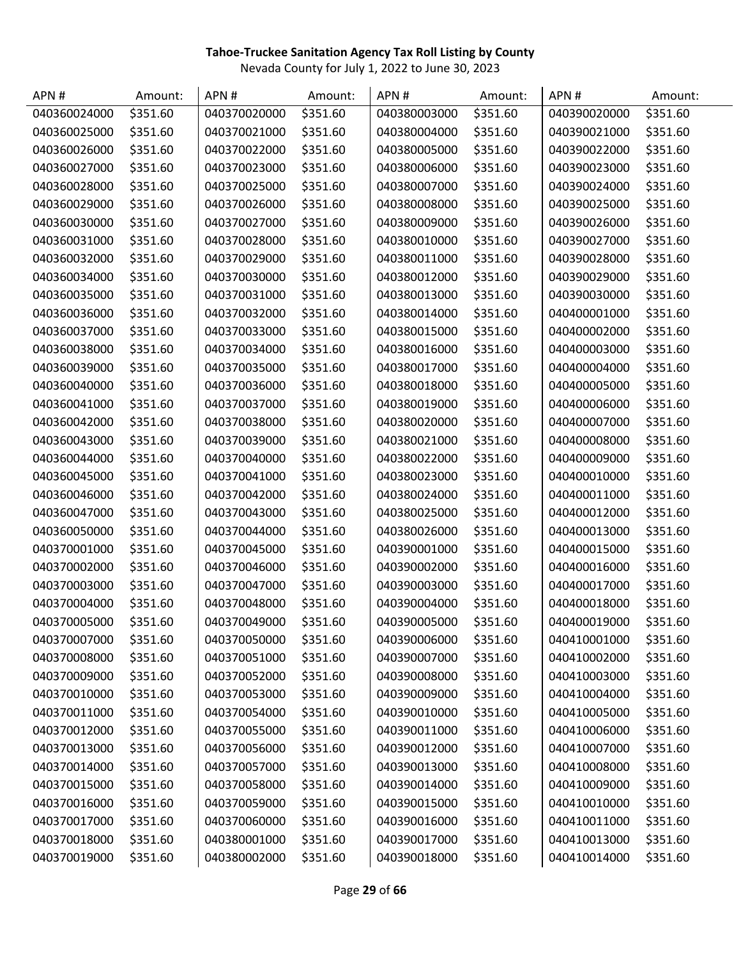| APN#         | Amount:  | APN#         | Amount:  | APN#         | Amount:  | APN#         | Amount:  |
|--------------|----------|--------------|----------|--------------|----------|--------------|----------|
| 040360024000 | \$351.60 | 040370020000 | \$351.60 | 040380003000 | \$351.60 | 040390020000 | \$351.60 |
| 040360025000 | \$351.60 | 040370021000 | \$351.60 | 040380004000 | \$351.60 | 040390021000 | \$351.60 |
| 040360026000 | \$351.60 | 040370022000 | \$351.60 | 040380005000 | \$351.60 | 040390022000 | \$351.60 |
| 040360027000 | \$351.60 | 040370023000 | \$351.60 | 040380006000 | \$351.60 | 040390023000 | \$351.60 |
| 040360028000 | \$351.60 | 040370025000 | \$351.60 | 040380007000 | \$351.60 | 040390024000 | \$351.60 |
| 040360029000 | \$351.60 | 040370026000 | \$351.60 | 040380008000 | \$351.60 | 040390025000 | \$351.60 |
| 040360030000 | \$351.60 | 040370027000 | \$351.60 | 040380009000 | \$351.60 | 040390026000 | \$351.60 |
| 040360031000 | \$351.60 | 040370028000 | \$351.60 | 040380010000 | \$351.60 | 040390027000 | \$351.60 |
| 040360032000 | \$351.60 | 040370029000 | \$351.60 | 040380011000 | \$351.60 | 040390028000 | \$351.60 |
| 040360034000 | \$351.60 | 040370030000 | \$351.60 | 040380012000 | \$351.60 | 040390029000 | \$351.60 |
| 040360035000 | \$351.60 | 040370031000 | \$351.60 | 040380013000 | \$351.60 | 040390030000 | \$351.60 |
| 040360036000 | \$351.60 | 040370032000 | \$351.60 | 040380014000 | \$351.60 | 040400001000 | \$351.60 |
| 040360037000 | \$351.60 | 040370033000 | \$351.60 | 040380015000 | \$351.60 | 040400002000 | \$351.60 |
| 040360038000 | \$351.60 | 040370034000 | \$351.60 | 040380016000 | \$351.60 | 040400003000 | \$351.60 |
| 040360039000 | \$351.60 | 040370035000 | \$351.60 | 040380017000 | \$351.60 | 040400004000 | \$351.60 |
| 040360040000 | \$351.60 | 040370036000 | \$351.60 | 040380018000 | \$351.60 | 040400005000 | \$351.60 |
| 040360041000 | \$351.60 | 040370037000 | \$351.60 | 040380019000 | \$351.60 | 040400006000 | \$351.60 |
| 040360042000 | \$351.60 | 040370038000 | \$351.60 | 040380020000 | \$351.60 | 040400007000 | \$351.60 |
| 040360043000 | \$351.60 | 040370039000 | \$351.60 | 040380021000 | \$351.60 | 040400008000 | \$351.60 |
| 040360044000 | \$351.60 | 040370040000 | \$351.60 | 040380022000 | \$351.60 | 040400009000 | \$351.60 |
| 040360045000 | \$351.60 | 040370041000 | \$351.60 | 040380023000 | \$351.60 | 040400010000 | \$351.60 |
| 040360046000 | \$351.60 | 040370042000 | \$351.60 | 040380024000 | \$351.60 | 040400011000 | \$351.60 |
| 040360047000 | \$351.60 | 040370043000 | \$351.60 | 040380025000 | \$351.60 | 040400012000 | \$351.60 |
| 040360050000 | \$351.60 | 040370044000 | \$351.60 | 040380026000 | \$351.60 | 040400013000 | \$351.60 |
| 040370001000 | \$351.60 | 040370045000 | \$351.60 | 040390001000 | \$351.60 | 040400015000 | \$351.60 |
| 040370002000 | \$351.60 | 040370046000 | \$351.60 | 040390002000 | \$351.60 | 040400016000 | \$351.60 |
| 040370003000 | \$351.60 | 040370047000 | \$351.60 | 040390003000 | \$351.60 | 040400017000 | \$351.60 |
| 040370004000 | \$351.60 | 040370048000 | \$351.60 | 040390004000 | \$351.60 | 040400018000 | \$351.60 |
| 040370005000 | \$351.60 | 040370049000 | \$351.60 | 040390005000 | \$351.60 | 040400019000 | \$351.60 |
| 040370007000 | \$351.60 | 040370050000 | \$351.60 | 040390006000 | \$351.60 | 040410001000 | \$351.60 |
| 040370008000 | \$351.60 | 040370051000 | \$351.60 | 040390007000 | \$351.60 | 040410002000 | \$351.60 |
| 040370009000 | \$351.60 | 040370052000 | \$351.60 | 040390008000 | \$351.60 | 040410003000 | \$351.60 |
| 040370010000 | \$351.60 | 040370053000 | \$351.60 | 040390009000 | \$351.60 | 040410004000 | \$351.60 |
| 040370011000 | \$351.60 | 040370054000 | \$351.60 | 040390010000 | \$351.60 | 040410005000 | \$351.60 |
| 040370012000 | \$351.60 | 040370055000 | \$351.60 | 040390011000 | \$351.60 | 040410006000 | \$351.60 |
| 040370013000 | \$351.60 | 040370056000 | \$351.60 | 040390012000 | \$351.60 | 040410007000 | \$351.60 |
| 040370014000 | \$351.60 | 040370057000 | \$351.60 | 040390013000 | \$351.60 | 040410008000 | \$351.60 |
| 040370015000 | \$351.60 | 040370058000 | \$351.60 | 040390014000 | \$351.60 | 040410009000 | \$351.60 |
| 040370016000 | \$351.60 | 040370059000 | \$351.60 | 040390015000 | \$351.60 | 040410010000 | \$351.60 |
| 040370017000 | \$351.60 | 040370060000 | \$351.60 | 040390016000 | \$351.60 | 040410011000 | \$351.60 |
| 040370018000 | \$351.60 | 040380001000 | \$351.60 | 040390017000 | \$351.60 | 040410013000 | \$351.60 |
| 040370019000 | \$351.60 | 040380002000 | \$351.60 | 040390018000 | \$351.60 | 040410014000 | \$351.60 |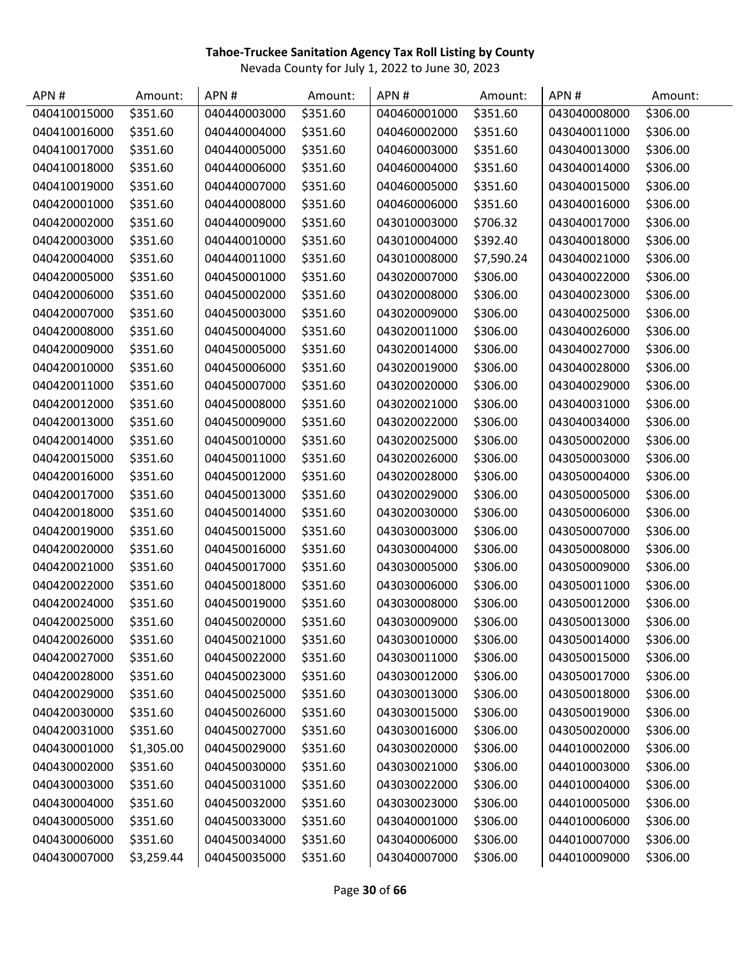| APN#         | Amount:    | APN#         | Amount:  | APN#         | Amount:    | APN#         | Amount:  |
|--------------|------------|--------------|----------|--------------|------------|--------------|----------|
| 040410015000 | \$351.60   | 040440003000 | \$351.60 | 040460001000 | \$351.60   | 043040008000 | \$306.00 |
| 040410016000 | \$351.60   | 040440004000 | \$351.60 | 040460002000 | \$351.60   | 043040011000 | \$306.00 |
| 040410017000 | \$351.60   | 040440005000 | \$351.60 | 040460003000 | \$351.60   | 043040013000 | \$306.00 |
| 040410018000 | \$351.60   | 040440006000 | \$351.60 | 040460004000 | \$351.60   | 043040014000 | \$306.00 |
| 040410019000 | \$351.60   | 040440007000 | \$351.60 | 040460005000 | \$351.60   | 043040015000 | \$306.00 |
| 040420001000 | \$351.60   | 040440008000 | \$351.60 | 040460006000 | \$351.60   | 043040016000 | \$306.00 |
| 040420002000 | \$351.60   | 040440009000 | \$351.60 | 043010003000 | \$706.32   | 043040017000 | \$306.00 |
| 040420003000 | \$351.60   | 040440010000 | \$351.60 | 043010004000 | \$392.40   | 043040018000 | \$306.00 |
| 040420004000 | \$351.60   | 040440011000 | \$351.60 | 043010008000 | \$7,590.24 | 043040021000 | \$306.00 |
| 040420005000 | \$351.60   | 040450001000 | \$351.60 | 043020007000 | \$306.00   | 043040022000 | \$306.00 |
| 040420006000 | \$351.60   | 040450002000 | \$351.60 | 043020008000 | \$306.00   | 043040023000 | \$306.00 |
| 040420007000 | \$351.60   | 040450003000 | \$351.60 | 043020009000 | \$306.00   | 043040025000 | \$306.00 |
| 040420008000 | \$351.60   | 040450004000 | \$351.60 | 043020011000 | \$306.00   | 043040026000 | \$306.00 |
| 040420009000 | \$351.60   | 040450005000 | \$351.60 | 043020014000 | \$306.00   | 043040027000 | \$306.00 |
| 040420010000 | \$351.60   | 040450006000 | \$351.60 | 043020019000 | \$306.00   | 043040028000 | \$306.00 |
| 040420011000 | \$351.60   | 040450007000 | \$351.60 | 043020020000 | \$306.00   | 043040029000 | \$306.00 |
| 040420012000 | \$351.60   | 040450008000 | \$351.60 | 043020021000 | \$306.00   | 043040031000 | \$306.00 |
| 040420013000 | \$351.60   | 040450009000 | \$351.60 | 043020022000 | \$306.00   | 043040034000 | \$306.00 |
| 040420014000 | \$351.60   | 040450010000 | \$351.60 | 043020025000 | \$306.00   | 043050002000 | \$306.00 |
| 040420015000 | \$351.60   | 040450011000 | \$351.60 | 043020026000 | \$306.00   | 043050003000 | \$306.00 |
| 040420016000 | \$351.60   | 040450012000 | \$351.60 | 043020028000 | \$306.00   | 043050004000 | \$306.00 |
| 040420017000 | \$351.60   | 040450013000 | \$351.60 | 043020029000 | \$306.00   | 043050005000 | \$306.00 |
| 040420018000 | \$351.60   | 040450014000 | \$351.60 | 043020030000 | \$306.00   | 043050006000 | \$306.00 |
| 040420019000 | \$351.60   | 040450015000 | \$351.60 | 043030003000 | \$306.00   | 043050007000 | \$306.00 |
| 040420020000 | \$351.60   | 040450016000 | \$351.60 | 043030004000 | \$306.00   | 043050008000 | \$306.00 |
| 040420021000 | \$351.60   | 040450017000 | \$351.60 | 043030005000 | \$306.00   | 043050009000 | \$306.00 |
| 040420022000 | \$351.60   | 040450018000 | \$351.60 | 043030006000 | \$306.00   | 043050011000 | \$306.00 |
| 040420024000 | \$351.60   | 040450019000 | \$351.60 | 043030008000 | \$306.00   | 043050012000 | \$306.00 |
| 040420025000 | \$351.60   | 040450020000 | \$351.60 | 043030009000 | \$306.00   | 043050013000 | \$306.00 |
| 040420026000 | \$351.60   | 040450021000 | \$351.60 | 043030010000 | \$306.00   | 043050014000 | \$306.00 |
| 040420027000 | \$351.60   | 040450022000 | \$351.60 | 043030011000 | \$306.00   | 043050015000 | \$306.00 |
| 040420028000 | \$351.60   | 040450023000 | \$351.60 | 043030012000 | \$306.00   | 043050017000 | \$306.00 |
| 040420029000 | \$351.60   | 040450025000 | \$351.60 | 043030013000 | \$306.00   | 043050018000 | \$306.00 |
| 040420030000 | \$351.60   | 040450026000 | \$351.60 | 043030015000 | \$306.00   | 043050019000 | \$306.00 |
| 040420031000 | \$351.60   | 040450027000 | \$351.60 | 043030016000 | \$306.00   | 043050020000 | \$306.00 |
| 040430001000 | \$1,305.00 | 040450029000 | \$351.60 | 043030020000 | \$306.00   | 044010002000 | \$306.00 |
| 040430002000 | \$351.60   | 040450030000 | \$351.60 | 043030021000 | \$306.00   | 044010003000 | \$306.00 |
| 040430003000 | \$351.60   | 040450031000 | \$351.60 | 043030022000 | \$306.00   | 044010004000 | \$306.00 |
| 040430004000 | \$351.60   | 040450032000 | \$351.60 | 043030023000 | \$306.00   | 044010005000 | \$306.00 |
| 040430005000 | \$351.60   | 040450033000 | \$351.60 | 043040001000 | \$306.00   | 044010006000 | \$306.00 |
| 040430006000 | \$351.60   | 040450034000 | \$351.60 | 043040006000 | \$306.00   | 044010007000 | \$306.00 |
| 040430007000 | \$3,259.44 | 040450035000 | \$351.60 | 043040007000 | \$306.00   | 044010009000 | \$306.00 |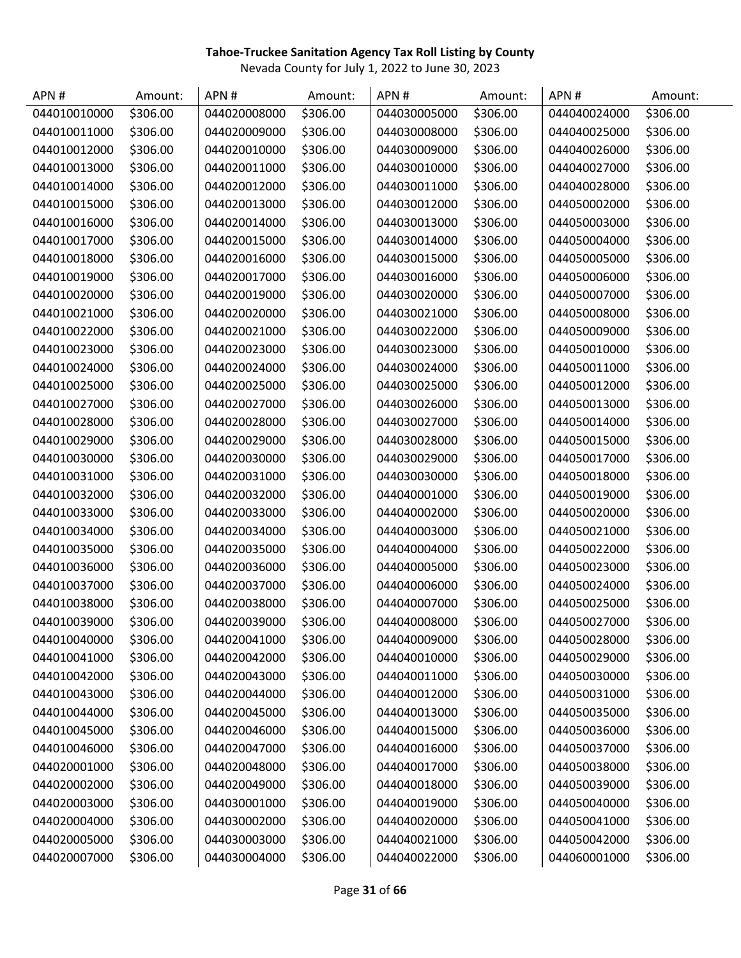| APN#         | Amount:  | APN#         | Amount:  | APN#         | Amount:  | APN#         | Amount:  |
|--------------|----------|--------------|----------|--------------|----------|--------------|----------|
| 044010010000 | \$306.00 | 044020008000 | \$306.00 | 044030005000 | \$306.00 | 044040024000 | \$306.00 |
| 044010011000 | \$306.00 | 044020009000 | \$306.00 | 044030008000 | \$306.00 | 044040025000 | \$306.00 |
| 044010012000 | \$306.00 | 044020010000 | \$306.00 | 044030009000 | \$306.00 | 044040026000 | \$306.00 |
| 044010013000 | \$306.00 | 044020011000 | \$306.00 | 044030010000 | \$306.00 | 044040027000 | \$306.00 |
| 044010014000 | \$306.00 | 044020012000 | \$306.00 | 044030011000 | \$306.00 | 044040028000 | \$306.00 |
| 044010015000 | \$306.00 | 044020013000 | \$306.00 | 044030012000 | \$306.00 | 044050002000 | \$306.00 |
| 044010016000 | \$306.00 | 044020014000 | \$306.00 | 044030013000 | \$306.00 | 044050003000 | \$306.00 |
| 044010017000 | \$306.00 | 044020015000 | \$306.00 | 044030014000 | \$306.00 | 044050004000 | \$306.00 |
| 044010018000 | \$306.00 | 044020016000 | \$306.00 | 044030015000 | \$306.00 | 044050005000 | \$306.00 |
| 044010019000 | \$306.00 | 044020017000 | \$306.00 | 044030016000 | \$306.00 | 044050006000 | \$306.00 |
| 044010020000 | \$306.00 | 044020019000 | \$306.00 | 044030020000 | \$306.00 | 044050007000 | \$306.00 |
| 044010021000 | \$306.00 | 044020020000 | \$306.00 | 044030021000 | \$306.00 | 044050008000 | \$306.00 |
| 044010022000 | \$306.00 | 044020021000 | \$306.00 | 044030022000 | \$306.00 | 044050009000 | \$306.00 |
| 044010023000 | \$306.00 | 044020023000 | \$306.00 | 044030023000 | \$306.00 | 044050010000 | \$306.00 |
| 044010024000 | \$306.00 | 044020024000 | \$306.00 | 044030024000 | \$306.00 | 044050011000 | \$306.00 |
| 044010025000 | \$306.00 | 044020025000 | \$306.00 | 044030025000 | \$306.00 | 044050012000 | \$306.00 |
| 044010027000 | \$306.00 | 044020027000 | \$306.00 | 044030026000 | \$306.00 | 044050013000 | \$306.00 |
| 044010028000 | \$306.00 | 044020028000 | \$306.00 | 044030027000 | \$306.00 | 044050014000 | \$306.00 |
| 044010029000 | \$306.00 | 044020029000 | \$306.00 | 044030028000 | \$306.00 | 044050015000 | \$306.00 |
| 044010030000 | \$306.00 | 044020030000 | \$306.00 | 044030029000 | \$306.00 | 044050017000 | \$306.00 |
| 044010031000 | \$306.00 | 044020031000 | \$306.00 | 044030030000 | \$306.00 | 044050018000 | \$306.00 |
| 044010032000 | \$306.00 | 044020032000 | \$306.00 | 044040001000 | \$306.00 | 044050019000 | \$306.00 |
| 044010033000 | \$306.00 | 044020033000 | \$306.00 | 044040002000 | \$306.00 | 044050020000 | \$306.00 |
| 044010034000 | \$306.00 | 044020034000 | \$306.00 | 044040003000 | \$306.00 | 044050021000 | \$306.00 |
| 044010035000 | \$306.00 | 044020035000 | \$306.00 | 044040004000 | \$306.00 | 044050022000 | \$306.00 |
| 044010036000 | \$306.00 | 044020036000 | \$306.00 | 044040005000 | \$306.00 | 044050023000 | \$306.00 |
| 044010037000 | \$306.00 | 044020037000 | \$306.00 | 044040006000 | \$306.00 | 044050024000 | \$306.00 |
| 044010038000 | \$306.00 | 044020038000 | \$306.00 | 044040007000 | \$306.00 | 044050025000 | \$306.00 |
| 044010039000 | \$306.00 | 044020039000 | \$306.00 | 044040008000 | \$306.00 | 044050027000 | \$306.00 |
| 044010040000 | \$306.00 | 044020041000 | \$306.00 | 044040009000 | \$306.00 | 044050028000 | \$306.00 |
| 044010041000 | \$306.00 | 044020042000 | \$306.00 | 044040010000 | \$306.00 | 044050029000 | \$306.00 |
| 044010042000 | \$306.00 | 044020043000 | \$306.00 | 044040011000 | \$306.00 | 044050030000 | \$306.00 |
| 044010043000 | \$306.00 | 044020044000 | \$306.00 | 044040012000 | \$306.00 | 044050031000 | \$306.00 |
| 044010044000 | \$306.00 | 044020045000 | \$306.00 | 044040013000 | \$306.00 | 044050035000 | \$306.00 |
| 044010045000 | \$306.00 | 044020046000 | \$306.00 | 044040015000 | \$306.00 | 044050036000 | \$306.00 |
| 044010046000 | \$306.00 | 044020047000 | \$306.00 | 044040016000 | \$306.00 | 044050037000 | \$306.00 |
| 044020001000 | \$306.00 | 044020048000 | \$306.00 | 044040017000 | \$306.00 | 044050038000 | \$306.00 |
| 044020002000 | \$306.00 | 044020049000 | \$306.00 | 044040018000 | \$306.00 | 044050039000 | \$306.00 |
| 044020003000 | \$306.00 | 044030001000 | \$306.00 | 044040019000 | \$306.00 | 044050040000 | \$306.00 |
| 044020004000 | \$306.00 | 044030002000 | \$306.00 | 044040020000 | \$306.00 | 044050041000 | \$306.00 |
| 044020005000 | \$306.00 | 044030003000 | \$306.00 | 044040021000 | \$306.00 | 044050042000 | \$306.00 |
| 044020007000 | \$306.00 | 044030004000 | \$306.00 | 044040022000 | \$306.00 | 044060001000 | \$306.00 |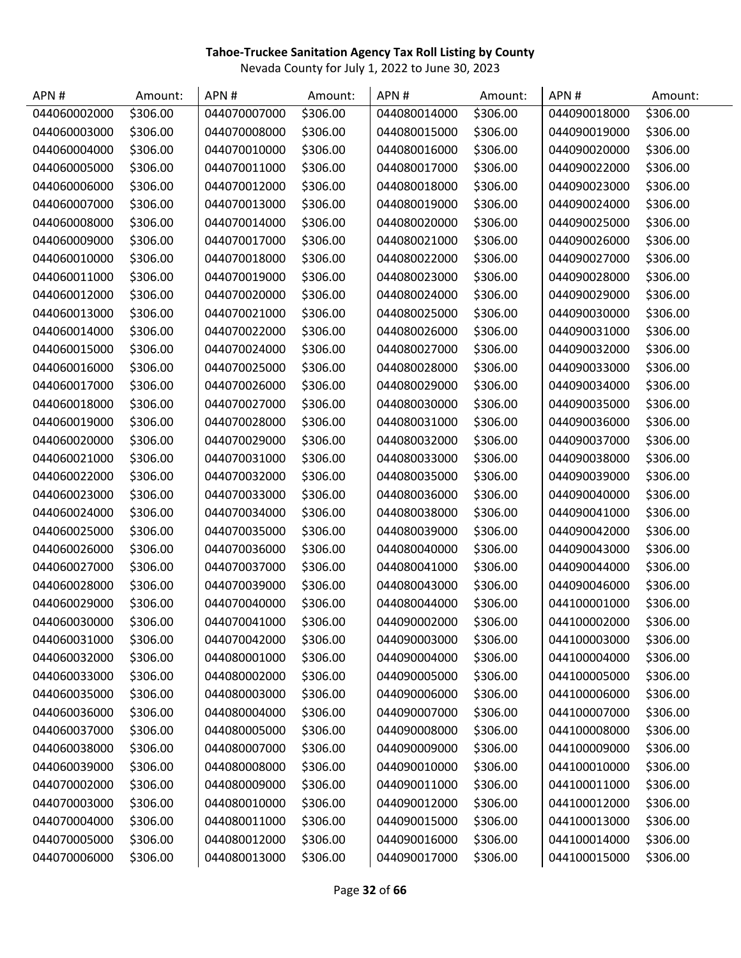| APN#         | Amount:  | APN#         | Amount:  | APN#         | Amount:  | APN#         | Amount:  |
|--------------|----------|--------------|----------|--------------|----------|--------------|----------|
| 044060002000 | \$306.00 | 044070007000 | \$306.00 | 044080014000 | \$306.00 | 044090018000 | \$306.00 |
| 044060003000 | \$306.00 | 044070008000 | \$306.00 | 044080015000 | \$306.00 | 044090019000 | \$306.00 |
| 044060004000 | \$306.00 | 044070010000 | \$306.00 | 044080016000 | \$306.00 | 044090020000 | \$306.00 |
| 044060005000 | \$306.00 | 044070011000 | \$306.00 | 044080017000 | \$306.00 | 044090022000 | \$306.00 |
| 044060006000 | \$306.00 | 044070012000 | \$306.00 | 044080018000 | \$306.00 | 044090023000 | \$306.00 |
| 044060007000 | \$306.00 | 044070013000 | \$306.00 | 044080019000 | \$306.00 | 044090024000 | \$306.00 |
| 044060008000 | \$306.00 | 044070014000 | \$306.00 | 044080020000 | \$306.00 | 044090025000 | \$306.00 |
| 044060009000 | \$306.00 | 044070017000 | \$306.00 | 044080021000 | \$306.00 | 044090026000 | \$306.00 |
| 044060010000 | \$306.00 | 044070018000 | \$306.00 | 044080022000 | \$306.00 | 044090027000 | \$306.00 |
| 044060011000 | \$306.00 | 044070019000 | \$306.00 | 044080023000 | \$306.00 | 044090028000 | \$306.00 |
| 044060012000 | \$306.00 | 044070020000 | \$306.00 | 044080024000 | \$306.00 | 044090029000 | \$306.00 |
| 044060013000 | \$306.00 | 044070021000 | \$306.00 | 044080025000 | \$306.00 | 044090030000 | \$306.00 |
| 044060014000 | \$306.00 | 044070022000 | \$306.00 | 044080026000 | \$306.00 | 044090031000 | \$306.00 |
| 044060015000 | \$306.00 | 044070024000 | \$306.00 | 044080027000 | \$306.00 | 044090032000 | \$306.00 |
| 044060016000 | \$306.00 | 044070025000 | \$306.00 | 044080028000 | \$306.00 | 044090033000 | \$306.00 |
| 044060017000 | \$306.00 | 044070026000 | \$306.00 | 044080029000 | \$306.00 | 044090034000 | \$306.00 |
| 044060018000 | \$306.00 | 044070027000 | \$306.00 | 044080030000 | \$306.00 | 044090035000 | \$306.00 |
| 044060019000 | \$306.00 | 044070028000 | \$306.00 | 044080031000 | \$306.00 | 044090036000 | \$306.00 |
| 044060020000 | \$306.00 | 044070029000 | \$306.00 | 044080032000 | \$306.00 | 044090037000 | \$306.00 |
| 044060021000 | \$306.00 | 044070031000 | \$306.00 | 044080033000 | \$306.00 | 044090038000 | \$306.00 |
| 044060022000 | \$306.00 | 044070032000 | \$306.00 | 044080035000 | \$306.00 | 044090039000 | \$306.00 |
| 044060023000 | \$306.00 | 044070033000 | \$306.00 | 044080036000 | \$306.00 | 044090040000 | \$306.00 |
| 044060024000 | \$306.00 | 044070034000 | \$306.00 | 044080038000 | \$306.00 | 044090041000 | \$306.00 |
| 044060025000 | \$306.00 | 044070035000 | \$306.00 | 044080039000 | \$306.00 | 044090042000 | \$306.00 |
| 044060026000 | \$306.00 | 044070036000 | \$306.00 | 044080040000 | \$306.00 | 044090043000 | \$306.00 |
| 044060027000 | \$306.00 | 044070037000 | \$306.00 | 044080041000 | \$306.00 | 044090044000 | \$306.00 |
| 044060028000 | \$306.00 | 044070039000 | \$306.00 | 044080043000 | \$306.00 | 044090046000 | \$306.00 |
| 044060029000 | \$306.00 | 044070040000 | \$306.00 | 044080044000 | \$306.00 | 044100001000 | \$306.00 |
| 044060030000 | \$306.00 | 044070041000 | \$306.00 | 044090002000 | \$306.00 | 044100002000 | \$306.00 |
| 044060031000 | \$306.00 | 044070042000 | \$306.00 | 044090003000 | \$306.00 | 044100003000 | \$306.00 |
| 044060032000 | \$306.00 | 044080001000 | \$306.00 | 044090004000 | \$306.00 | 044100004000 | \$306.00 |
| 044060033000 | \$306.00 | 044080002000 | \$306.00 | 044090005000 | \$306.00 | 044100005000 | \$306.00 |
| 044060035000 | \$306.00 | 044080003000 | \$306.00 | 044090006000 | \$306.00 | 044100006000 | \$306.00 |
| 044060036000 | \$306.00 | 044080004000 | \$306.00 | 044090007000 | \$306.00 | 044100007000 | \$306.00 |
| 044060037000 | \$306.00 | 044080005000 | \$306.00 | 044090008000 | \$306.00 | 044100008000 | \$306.00 |
| 044060038000 | \$306.00 | 044080007000 | \$306.00 | 044090009000 | \$306.00 | 044100009000 | \$306.00 |
| 044060039000 | \$306.00 | 044080008000 | \$306.00 | 044090010000 | \$306.00 | 044100010000 | \$306.00 |
| 044070002000 | \$306.00 | 044080009000 | \$306.00 | 044090011000 | \$306.00 | 044100011000 | \$306.00 |
| 044070003000 | \$306.00 | 044080010000 | \$306.00 | 044090012000 | \$306.00 | 044100012000 | \$306.00 |
| 044070004000 | \$306.00 | 044080011000 | \$306.00 | 044090015000 | \$306.00 | 044100013000 | \$306.00 |
| 044070005000 | \$306.00 | 044080012000 | \$306.00 | 044090016000 | \$306.00 | 044100014000 | \$306.00 |
| 044070006000 | \$306.00 | 044080013000 | \$306.00 | 044090017000 | \$306.00 | 044100015000 | \$306.00 |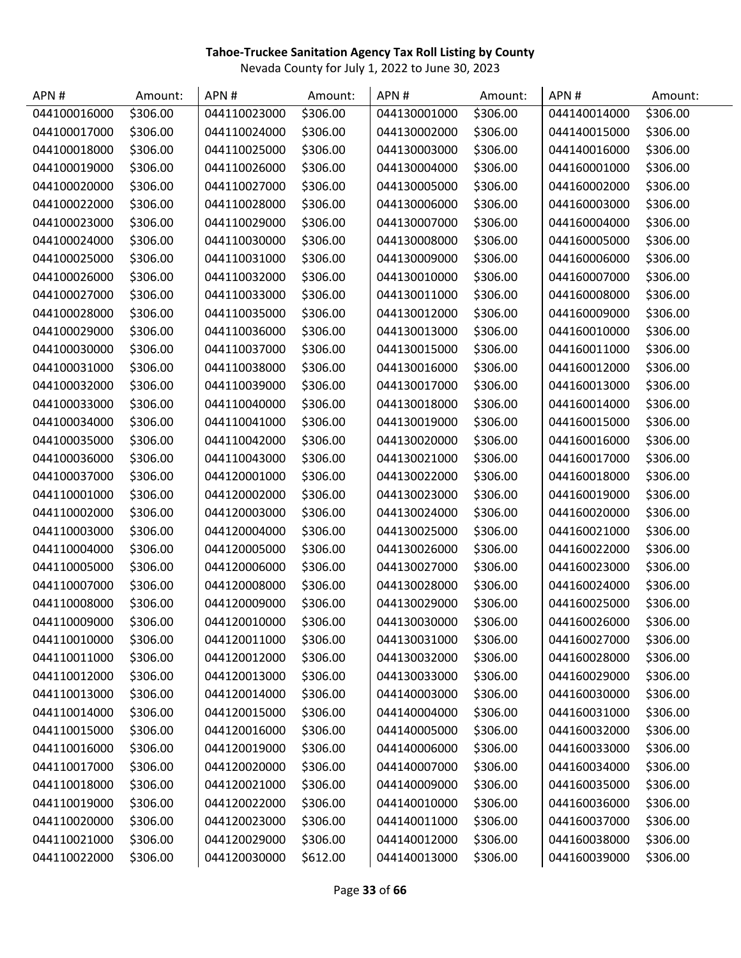| APN#         | Amount:  | APN#         | Amount:  | APN#         | Amount:  | APN#         | Amount:  |
|--------------|----------|--------------|----------|--------------|----------|--------------|----------|
| 044100016000 | \$306.00 | 044110023000 | \$306.00 | 044130001000 | \$306.00 | 044140014000 | \$306.00 |
| 044100017000 | \$306.00 | 044110024000 | \$306.00 | 044130002000 | \$306.00 | 044140015000 | \$306.00 |
| 044100018000 | \$306.00 | 044110025000 | \$306.00 | 044130003000 | \$306.00 | 044140016000 | \$306.00 |
| 044100019000 | \$306.00 | 044110026000 | \$306.00 | 044130004000 | \$306.00 | 044160001000 | \$306.00 |
| 044100020000 | \$306.00 | 044110027000 | \$306.00 | 044130005000 | \$306.00 | 044160002000 | \$306.00 |
| 044100022000 | \$306.00 | 044110028000 | \$306.00 | 044130006000 | \$306.00 | 044160003000 | \$306.00 |
| 044100023000 | \$306.00 | 044110029000 | \$306.00 | 044130007000 | \$306.00 | 044160004000 | \$306.00 |
| 044100024000 | \$306.00 | 044110030000 | \$306.00 | 044130008000 | \$306.00 | 044160005000 | \$306.00 |
| 044100025000 | \$306.00 | 044110031000 | \$306.00 | 044130009000 | \$306.00 | 044160006000 | \$306.00 |
| 044100026000 | \$306.00 | 044110032000 | \$306.00 | 044130010000 | \$306.00 | 044160007000 | \$306.00 |
| 044100027000 | \$306.00 | 044110033000 | \$306.00 | 044130011000 | \$306.00 | 044160008000 | \$306.00 |
| 044100028000 | \$306.00 | 044110035000 | \$306.00 | 044130012000 | \$306.00 | 044160009000 | \$306.00 |
| 044100029000 | \$306.00 | 044110036000 | \$306.00 | 044130013000 | \$306.00 | 044160010000 | \$306.00 |
| 044100030000 | \$306.00 | 044110037000 | \$306.00 | 044130015000 | \$306.00 | 044160011000 | \$306.00 |
| 044100031000 | \$306.00 | 044110038000 | \$306.00 | 044130016000 | \$306.00 | 044160012000 | \$306.00 |
| 044100032000 | \$306.00 | 044110039000 | \$306.00 | 044130017000 | \$306.00 | 044160013000 | \$306.00 |
| 044100033000 | \$306.00 | 044110040000 | \$306.00 | 044130018000 | \$306.00 | 044160014000 | \$306.00 |
| 044100034000 | \$306.00 | 044110041000 | \$306.00 | 044130019000 | \$306.00 | 044160015000 | \$306.00 |
| 044100035000 | \$306.00 | 044110042000 | \$306.00 | 044130020000 | \$306.00 | 044160016000 | \$306.00 |
| 044100036000 | \$306.00 | 044110043000 | \$306.00 | 044130021000 | \$306.00 | 044160017000 | \$306.00 |
| 044100037000 | \$306.00 | 044120001000 | \$306.00 | 044130022000 | \$306.00 | 044160018000 | \$306.00 |
| 044110001000 | \$306.00 | 044120002000 | \$306.00 | 044130023000 | \$306.00 | 044160019000 | \$306.00 |
| 044110002000 | \$306.00 | 044120003000 | \$306.00 | 044130024000 | \$306.00 | 044160020000 | \$306.00 |
| 044110003000 | \$306.00 | 044120004000 | \$306.00 | 044130025000 | \$306.00 | 044160021000 | \$306.00 |
| 044110004000 | \$306.00 | 044120005000 | \$306.00 | 044130026000 | \$306.00 | 044160022000 | \$306.00 |
| 044110005000 | \$306.00 | 044120006000 | \$306.00 | 044130027000 | \$306.00 | 044160023000 | \$306.00 |
| 044110007000 | \$306.00 | 044120008000 | \$306.00 | 044130028000 | \$306.00 | 044160024000 | \$306.00 |
| 044110008000 | \$306.00 | 044120009000 | \$306.00 | 044130029000 | \$306.00 | 044160025000 | \$306.00 |
| 044110009000 | \$306.00 | 044120010000 | \$306.00 | 044130030000 | \$306.00 | 044160026000 | \$306.00 |
| 044110010000 | \$306.00 | 044120011000 | \$306.00 | 044130031000 | \$306.00 | 044160027000 | \$306.00 |
| 044110011000 | \$306.00 | 044120012000 | \$306.00 | 044130032000 | \$306.00 | 044160028000 | \$306.00 |
| 044110012000 | \$306.00 | 044120013000 | \$306.00 | 044130033000 | \$306.00 | 044160029000 | \$306.00 |
| 044110013000 | \$306.00 | 044120014000 | \$306.00 | 044140003000 | \$306.00 | 044160030000 | \$306.00 |
| 044110014000 | \$306.00 | 044120015000 | \$306.00 | 044140004000 | \$306.00 | 044160031000 | \$306.00 |
| 044110015000 | \$306.00 | 044120016000 | \$306.00 | 044140005000 | \$306.00 | 044160032000 | \$306.00 |
| 044110016000 | \$306.00 | 044120019000 | \$306.00 | 044140006000 | \$306.00 | 044160033000 | \$306.00 |
| 044110017000 | \$306.00 | 044120020000 | \$306.00 | 044140007000 | \$306.00 | 044160034000 | \$306.00 |
| 044110018000 | \$306.00 | 044120021000 | \$306.00 | 044140009000 | \$306.00 | 044160035000 | \$306.00 |
| 044110019000 | \$306.00 | 044120022000 | \$306.00 | 044140010000 | \$306.00 | 044160036000 | \$306.00 |
| 044110020000 | \$306.00 | 044120023000 | \$306.00 | 044140011000 | \$306.00 | 044160037000 | \$306.00 |
| 044110021000 | \$306.00 | 044120029000 | \$306.00 | 044140012000 | \$306.00 | 044160038000 | \$306.00 |
| 044110022000 | \$306.00 | 044120030000 | \$612.00 | 044140013000 | \$306.00 | 044160039000 | \$306.00 |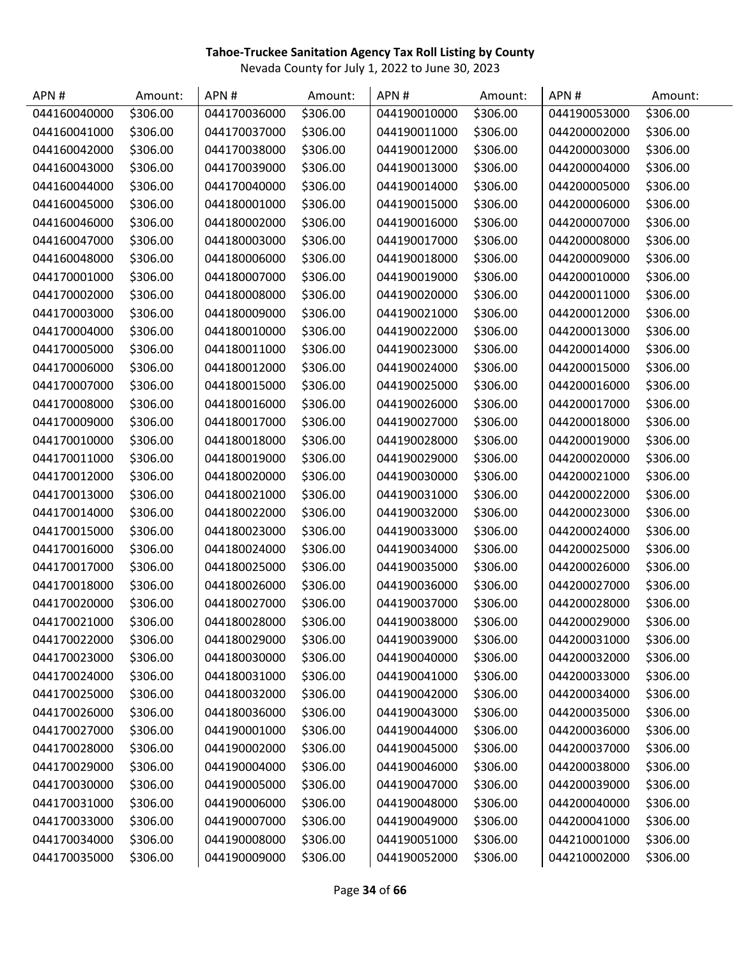| APN#         | Amount:  | APN#         | Amount:  | APN#         | Amount:  | APN#         | Amount:  |
|--------------|----------|--------------|----------|--------------|----------|--------------|----------|
| 044160040000 | \$306.00 | 044170036000 | \$306.00 | 044190010000 | \$306.00 | 044190053000 | \$306.00 |
| 044160041000 | \$306.00 | 044170037000 | \$306.00 | 044190011000 | \$306.00 | 044200002000 | \$306.00 |
| 044160042000 | \$306.00 | 044170038000 | \$306.00 | 044190012000 | \$306.00 | 044200003000 | \$306.00 |
| 044160043000 | \$306.00 | 044170039000 | \$306.00 | 044190013000 | \$306.00 | 044200004000 | \$306.00 |
| 044160044000 | \$306.00 | 044170040000 | \$306.00 | 044190014000 | \$306.00 | 044200005000 | \$306.00 |
| 044160045000 | \$306.00 | 044180001000 | \$306.00 | 044190015000 | \$306.00 | 044200006000 | \$306.00 |
| 044160046000 | \$306.00 | 044180002000 | \$306.00 | 044190016000 | \$306.00 | 044200007000 | \$306.00 |
| 044160047000 | \$306.00 | 044180003000 | \$306.00 | 044190017000 | \$306.00 | 044200008000 | \$306.00 |
| 044160048000 | \$306.00 | 044180006000 | \$306.00 | 044190018000 | \$306.00 | 044200009000 | \$306.00 |
| 044170001000 | \$306.00 | 044180007000 | \$306.00 | 044190019000 | \$306.00 | 044200010000 | \$306.00 |
| 044170002000 | \$306.00 | 044180008000 | \$306.00 | 044190020000 | \$306.00 | 044200011000 | \$306.00 |
| 044170003000 | \$306.00 | 044180009000 | \$306.00 | 044190021000 | \$306.00 | 044200012000 | \$306.00 |
| 044170004000 | \$306.00 | 044180010000 | \$306.00 | 044190022000 | \$306.00 | 044200013000 | \$306.00 |
| 044170005000 | \$306.00 | 044180011000 | \$306.00 | 044190023000 | \$306.00 | 044200014000 | \$306.00 |
| 044170006000 | \$306.00 | 044180012000 | \$306.00 | 044190024000 | \$306.00 | 044200015000 | \$306.00 |
| 044170007000 | \$306.00 | 044180015000 | \$306.00 | 044190025000 | \$306.00 | 044200016000 | \$306.00 |
| 044170008000 | \$306.00 | 044180016000 | \$306.00 | 044190026000 | \$306.00 | 044200017000 | \$306.00 |
| 044170009000 | \$306.00 | 044180017000 | \$306.00 | 044190027000 | \$306.00 | 044200018000 | \$306.00 |
| 044170010000 | \$306.00 | 044180018000 | \$306.00 | 044190028000 | \$306.00 | 044200019000 | \$306.00 |
| 044170011000 | \$306.00 | 044180019000 | \$306.00 | 044190029000 | \$306.00 | 044200020000 | \$306.00 |
| 044170012000 | \$306.00 | 044180020000 | \$306.00 | 044190030000 | \$306.00 | 044200021000 | \$306.00 |
| 044170013000 | \$306.00 | 044180021000 | \$306.00 | 044190031000 | \$306.00 | 044200022000 | \$306.00 |
| 044170014000 | \$306.00 | 044180022000 | \$306.00 | 044190032000 | \$306.00 | 044200023000 | \$306.00 |
| 044170015000 | \$306.00 | 044180023000 | \$306.00 | 044190033000 | \$306.00 | 044200024000 | \$306.00 |
| 044170016000 | \$306.00 | 044180024000 | \$306.00 | 044190034000 | \$306.00 | 044200025000 | \$306.00 |
| 044170017000 | \$306.00 | 044180025000 | \$306.00 | 044190035000 | \$306.00 | 044200026000 | \$306.00 |
| 044170018000 | \$306.00 | 044180026000 | \$306.00 | 044190036000 | \$306.00 | 044200027000 | \$306.00 |
| 044170020000 | \$306.00 | 044180027000 | \$306.00 | 044190037000 | \$306.00 | 044200028000 | \$306.00 |
| 044170021000 | \$306.00 | 044180028000 | \$306.00 | 044190038000 | \$306.00 | 044200029000 | \$306.00 |
| 044170022000 | \$306.00 | 044180029000 | \$306.00 | 044190039000 | \$306.00 | 044200031000 | \$306.00 |
| 044170023000 | \$306.00 | 044180030000 | \$306.00 | 044190040000 | \$306.00 | 044200032000 | \$306.00 |
| 044170024000 | \$306.00 | 044180031000 | \$306.00 | 044190041000 | \$306.00 | 044200033000 | \$306.00 |
| 044170025000 | \$306.00 | 044180032000 | \$306.00 | 044190042000 | \$306.00 | 044200034000 | \$306.00 |
| 044170026000 | \$306.00 | 044180036000 | \$306.00 | 044190043000 | \$306.00 | 044200035000 | \$306.00 |
| 044170027000 | \$306.00 | 044190001000 | \$306.00 | 044190044000 | \$306.00 | 044200036000 | \$306.00 |
| 044170028000 | \$306.00 | 044190002000 | \$306.00 | 044190045000 | \$306.00 | 044200037000 | \$306.00 |
| 044170029000 | \$306.00 | 044190004000 | \$306.00 | 044190046000 | \$306.00 | 044200038000 | \$306.00 |
| 044170030000 | \$306.00 | 044190005000 | \$306.00 | 044190047000 | \$306.00 | 044200039000 | \$306.00 |
| 044170031000 | \$306.00 | 044190006000 | \$306.00 | 044190048000 | \$306.00 | 044200040000 | \$306.00 |
| 044170033000 | \$306.00 | 044190007000 | \$306.00 | 044190049000 | \$306.00 | 044200041000 | \$306.00 |
| 044170034000 | \$306.00 | 044190008000 | \$306.00 | 044190051000 | \$306.00 | 044210001000 | \$306.00 |
| 044170035000 | \$306.00 | 044190009000 | \$306.00 | 044190052000 | \$306.00 | 044210002000 | \$306.00 |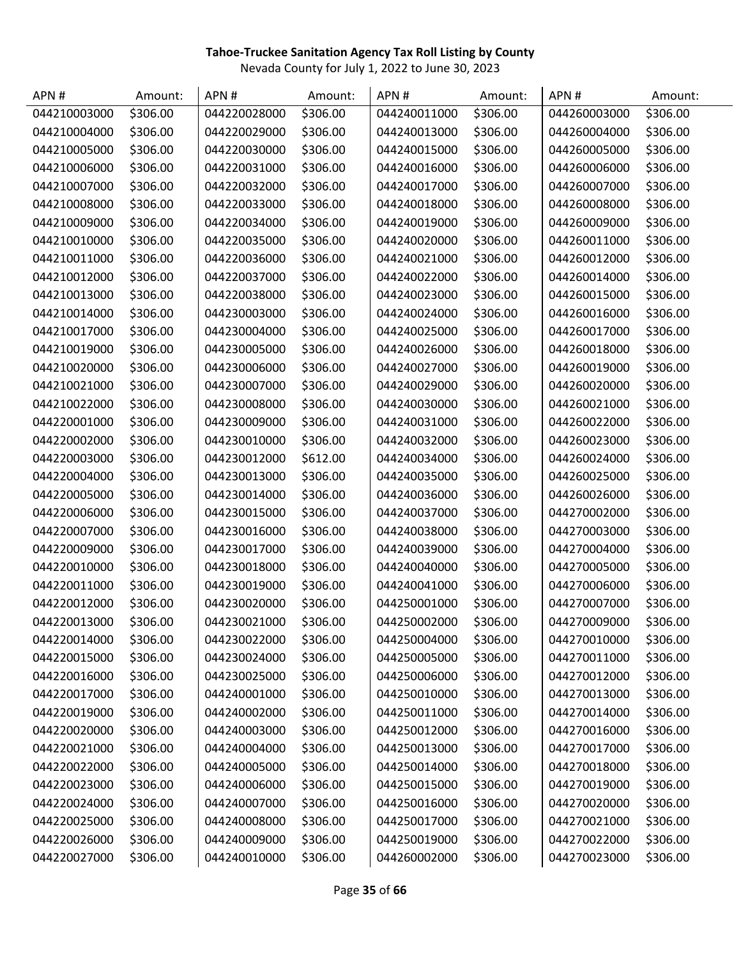| APN#         | Amount:  | APN#         | Amount:  | APN#         | Amount:  | APN#         | Amount:  |
|--------------|----------|--------------|----------|--------------|----------|--------------|----------|
| 044210003000 | \$306.00 | 044220028000 | \$306.00 | 044240011000 | \$306.00 | 044260003000 | \$306.00 |
| 044210004000 | \$306.00 | 044220029000 | \$306.00 | 044240013000 | \$306.00 | 044260004000 | \$306.00 |
| 044210005000 | \$306.00 | 044220030000 | \$306.00 | 044240015000 | \$306.00 | 044260005000 | \$306.00 |
| 044210006000 | \$306.00 | 044220031000 | \$306.00 | 044240016000 | \$306.00 | 044260006000 | \$306.00 |
| 044210007000 | \$306.00 | 044220032000 | \$306.00 | 044240017000 | \$306.00 | 044260007000 | \$306.00 |
| 044210008000 | \$306.00 | 044220033000 | \$306.00 | 044240018000 | \$306.00 | 044260008000 | \$306.00 |
| 044210009000 | \$306.00 | 044220034000 | \$306.00 | 044240019000 | \$306.00 | 044260009000 | \$306.00 |
| 044210010000 | \$306.00 | 044220035000 | \$306.00 | 044240020000 | \$306.00 | 044260011000 | \$306.00 |
| 044210011000 | \$306.00 | 044220036000 | \$306.00 | 044240021000 | \$306.00 | 044260012000 | \$306.00 |
| 044210012000 | \$306.00 | 044220037000 | \$306.00 | 044240022000 | \$306.00 | 044260014000 | \$306.00 |
| 044210013000 | \$306.00 | 044220038000 | \$306.00 | 044240023000 | \$306.00 | 044260015000 | \$306.00 |
| 044210014000 | \$306.00 | 044230003000 | \$306.00 | 044240024000 | \$306.00 | 044260016000 | \$306.00 |
| 044210017000 | \$306.00 | 044230004000 | \$306.00 | 044240025000 | \$306.00 | 044260017000 | \$306.00 |
| 044210019000 | \$306.00 | 044230005000 | \$306.00 | 044240026000 | \$306.00 | 044260018000 | \$306.00 |
| 044210020000 | \$306.00 | 044230006000 | \$306.00 | 044240027000 | \$306.00 | 044260019000 | \$306.00 |
| 044210021000 | \$306.00 | 044230007000 | \$306.00 | 044240029000 | \$306.00 | 044260020000 | \$306.00 |
| 044210022000 | \$306.00 | 044230008000 | \$306.00 | 044240030000 | \$306.00 | 044260021000 | \$306.00 |
| 044220001000 | \$306.00 | 044230009000 | \$306.00 | 044240031000 | \$306.00 | 044260022000 | \$306.00 |
| 044220002000 | \$306.00 | 044230010000 | \$306.00 | 044240032000 | \$306.00 | 044260023000 | \$306.00 |
| 044220003000 | \$306.00 | 044230012000 | \$612.00 | 044240034000 | \$306.00 | 044260024000 | \$306.00 |
| 044220004000 | \$306.00 | 044230013000 | \$306.00 | 044240035000 | \$306.00 | 044260025000 | \$306.00 |
| 044220005000 | \$306.00 | 044230014000 | \$306.00 | 044240036000 | \$306.00 | 044260026000 | \$306.00 |
| 044220006000 | \$306.00 | 044230015000 | \$306.00 | 044240037000 | \$306.00 | 044270002000 | \$306.00 |
| 044220007000 | \$306.00 | 044230016000 | \$306.00 | 044240038000 | \$306.00 | 044270003000 | \$306.00 |
| 044220009000 | \$306.00 | 044230017000 | \$306.00 | 044240039000 | \$306.00 | 044270004000 | \$306.00 |
| 044220010000 | \$306.00 | 044230018000 | \$306.00 | 044240040000 | \$306.00 | 044270005000 | \$306.00 |
| 044220011000 | \$306.00 | 044230019000 | \$306.00 | 044240041000 | \$306.00 | 044270006000 | \$306.00 |
| 044220012000 | \$306.00 | 044230020000 | \$306.00 | 044250001000 | \$306.00 | 044270007000 | \$306.00 |
| 044220013000 | \$306.00 | 044230021000 | \$306.00 | 044250002000 | \$306.00 | 044270009000 | \$306.00 |
| 044220014000 | \$306.00 | 044230022000 | \$306.00 | 044250004000 | \$306.00 | 044270010000 | \$306.00 |
| 044220015000 | \$306.00 | 044230024000 | \$306.00 | 044250005000 | \$306.00 | 044270011000 | \$306.00 |
| 044220016000 | \$306.00 | 044230025000 | \$306.00 | 044250006000 | \$306.00 | 044270012000 | \$306.00 |
| 044220017000 | \$306.00 | 044240001000 | \$306.00 | 044250010000 | \$306.00 | 044270013000 | \$306.00 |
| 044220019000 | \$306.00 | 044240002000 | \$306.00 | 044250011000 | \$306.00 | 044270014000 | \$306.00 |
| 044220020000 | \$306.00 | 044240003000 | \$306.00 | 044250012000 | \$306.00 | 044270016000 | \$306.00 |
| 044220021000 | \$306.00 | 044240004000 | \$306.00 | 044250013000 | \$306.00 | 044270017000 | \$306.00 |
| 044220022000 | \$306.00 | 044240005000 | \$306.00 | 044250014000 | \$306.00 | 044270018000 | \$306.00 |
| 044220023000 | \$306.00 | 044240006000 | \$306.00 | 044250015000 | \$306.00 | 044270019000 | \$306.00 |
| 044220024000 | \$306.00 | 044240007000 | \$306.00 | 044250016000 | \$306.00 | 044270020000 | \$306.00 |
| 044220025000 | \$306.00 | 044240008000 | \$306.00 | 044250017000 | \$306.00 | 044270021000 | \$306.00 |
| 044220026000 | \$306.00 | 044240009000 | \$306.00 | 044250019000 | \$306.00 | 044270022000 | \$306.00 |
| 044220027000 | \$306.00 | 044240010000 | \$306.00 | 044260002000 | \$306.00 | 044270023000 | \$306.00 |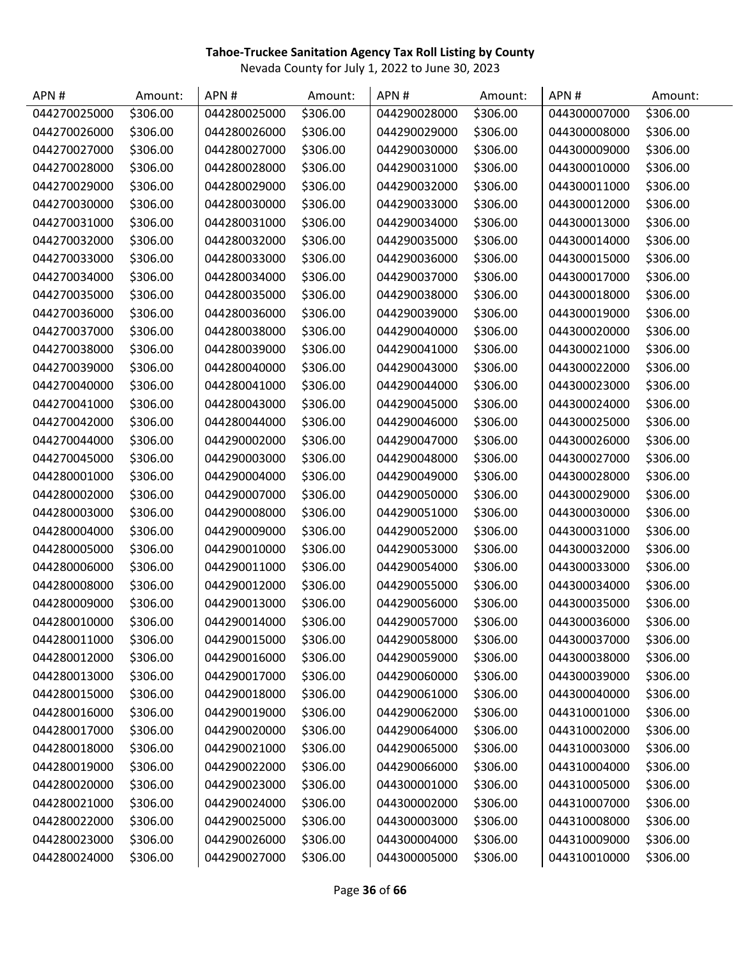| APN#         | Amount:  | APN#         | Amount:  | APN#         | Amount:  | APN#         | Amount:  |
|--------------|----------|--------------|----------|--------------|----------|--------------|----------|
| 044270025000 | \$306.00 | 044280025000 | \$306.00 | 044290028000 | \$306.00 | 044300007000 | \$306.00 |
| 044270026000 | \$306.00 | 044280026000 | \$306.00 | 044290029000 | \$306.00 | 044300008000 | \$306.00 |
| 044270027000 | \$306.00 | 044280027000 | \$306.00 | 044290030000 | \$306.00 | 044300009000 | \$306.00 |
| 044270028000 | \$306.00 | 044280028000 | \$306.00 | 044290031000 | \$306.00 | 044300010000 | \$306.00 |
| 044270029000 | \$306.00 | 044280029000 | \$306.00 | 044290032000 | \$306.00 | 044300011000 | \$306.00 |
| 044270030000 | \$306.00 | 044280030000 | \$306.00 | 044290033000 | \$306.00 | 044300012000 | \$306.00 |
| 044270031000 | \$306.00 | 044280031000 | \$306.00 | 044290034000 | \$306.00 | 044300013000 | \$306.00 |
| 044270032000 | \$306.00 | 044280032000 | \$306.00 | 044290035000 | \$306.00 | 044300014000 | \$306.00 |
| 044270033000 | \$306.00 | 044280033000 | \$306.00 | 044290036000 | \$306.00 | 044300015000 | \$306.00 |
| 044270034000 | \$306.00 | 044280034000 | \$306.00 | 044290037000 | \$306.00 | 044300017000 | \$306.00 |
| 044270035000 | \$306.00 | 044280035000 | \$306.00 | 044290038000 | \$306.00 | 044300018000 | \$306.00 |
| 044270036000 | \$306.00 | 044280036000 | \$306.00 | 044290039000 | \$306.00 | 044300019000 | \$306.00 |
| 044270037000 | \$306.00 | 044280038000 | \$306.00 | 044290040000 | \$306.00 | 044300020000 | \$306.00 |
| 044270038000 | \$306.00 | 044280039000 | \$306.00 | 044290041000 | \$306.00 | 044300021000 | \$306.00 |
| 044270039000 | \$306.00 | 044280040000 | \$306.00 | 044290043000 | \$306.00 | 044300022000 | \$306.00 |
| 044270040000 | \$306.00 | 044280041000 | \$306.00 | 044290044000 | \$306.00 | 044300023000 | \$306.00 |
| 044270041000 | \$306.00 | 044280043000 | \$306.00 | 044290045000 | \$306.00 | 044300024000 | \$306.00 |
| 044270042000 | \$306.00 | 044280044000 | \$306.00 | 044290046000 | \$306.00 | 044300025000 | \$306.00 |
| 044270044000 | \$306.00 | 044290002000 | \$306.00 | 044290047000 | \$306.00 | 044300026000 | \$306.00 |
| 044270045000 | \$306.00 | 044290003000 | \$306.00 | 044290048000 | \$306.00 | 044300027000 | \$306.00 |
| 044280001000 | \$306.00 | 044290004000 | \$306.00 | 044290049000 | \$306.00 | 044300028000 | \$306.00 |
| 044280002000 | \$306.00 | 044290007000 | \$306.00 | 044290050000 | \$306.00 | 044300029000 | \$306.00 |
| 044280003000 | \$306.00 | 044290008000 | \$306.00 | 044290051000 | \$306.00 | 044300030000 | \$306.00 |
| 044280004000 | \$306.00 | 044290009000 | \$306.00 | 044290052000 | \$306.00 | 044300031000 | \$306.00 |
| 044280005000 | \$306.00 | 044290010000 | \$306.00 | 044290053000 | \$306.00 | 044300032000 | \$306.00 |
| 044280006000 | \$306.00 | 044290011000 | \$306.00 | 044290054000 | \$306.00 | 044300033000 | \$306.00 |
| 044280008000 | \$306.00 | 044290012000 | \$306.00 | 044290055000 | \$306.00 | 044300034000 | \$306.00 |
| 044280009000 | \$306.00 | 044290013000 | \$306.00 | 044290056000 | \$306.00 | 044300035000 | \$306.00 |
| 044280010000 | \$306.00 | 044290014000 | \$306.00 | 044290057000 | \$306.00 | 044300036000 | \$306.00 |
| 044280011000 | \$306.00 | 044290015000 | \$306.00 | 044290058000 | \$306.00 | 044300037000 | \$306.00 |
| 044280012000 | \$306.00 | 044290016000 | \$306.00 | 044290059000 | \$306.00 | 044300038000 | \$306.00 |
| 044280013000 | \$306.00 | 044290017000 | \$306.00 | 044290060000 | \$306.00 | 044300039000 | \$306.00 |
| 044280015000 | \$306.00 | 044290018000 | \$306.00 | 044290061000 | \$306.00 | 044300040000 | \$306.00 |
| 044280016000 | \$306.00 | 044290019000 | \$306.00 | 044290062000 | \$306.00 | 044310001000 | \$306.00 |
| 044280017000 | \$306.00 | 044290020000 | \$306.00 | 044290064000 | \$306.00 | 044310002000 | \$306.00 |
| 044280018000 | \$306.00 | 044290021000 | \$306.00 | 044290065000 | \$306.00 | 044310003000 | \$306.00 |
| 044280019000 | \$306.00 | 044290022000 | \$306.00 | 044290066000 | \$306.00 | 044310004000 | \$306.00 |
| 044280020000 | \$306.00 | 044290023000 | \$306.00 | 044300001000 | \$306.00 | 044310005000 | \$306.00 |
| 044280021000 | \$306.00 | 044290024000 | \$306.00 | 044300002000 | \$306.00 | 044310007000 | \$306.00 |
| 044280022000 | \$306.00 | 044290025000 | \$306.00 | 044300003000 | \$306.00 | 044310008000 | \$306.00 |
| 044280023000 | \$306.00 | 044290026000 | \$306.00 | 044300004000 | \$306.00 | 044310009000 | \$306.00 |
| 044280024000 | \$306.00 | 044290027000 | \$306.00 | 044300005000 | \$306.00 | 044310010000 | \$306.00 |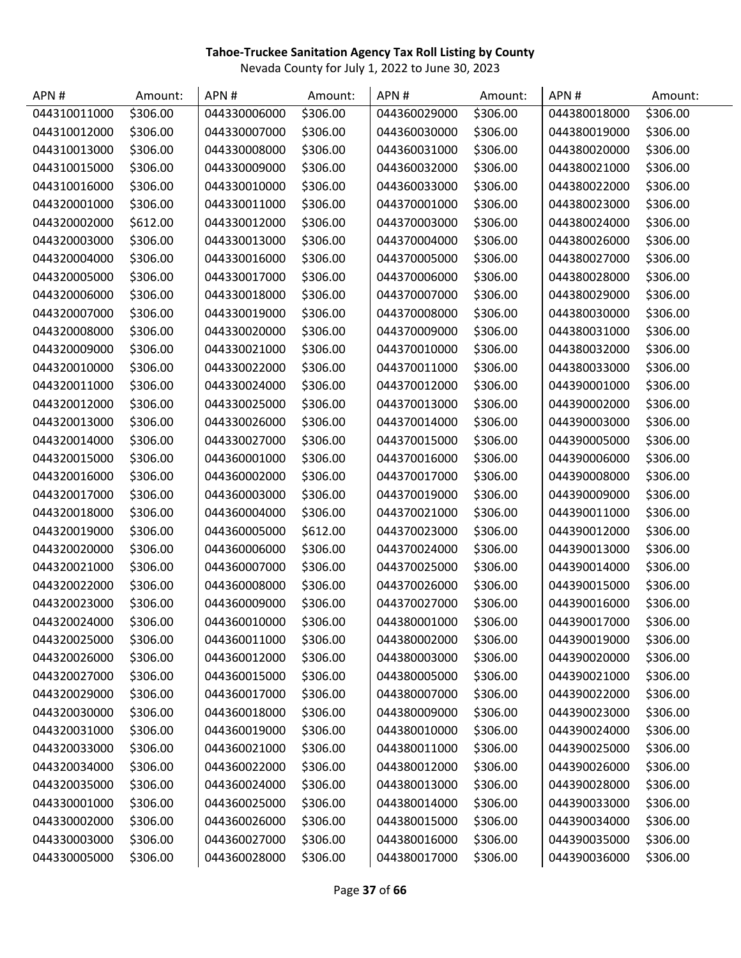| APN#         | Amount:  | APN#         | Amount:  | APN#         | Amount:  | APN#         | Amount:  |
|--------------|----------|--------------|----------|--------------|----------|--------------|----------|
| 044310011000 | \$306.00 | 044330006000 | \$306.00 | 044360029000 | \$306.00 | 044380018000 | \$306.00 |
| 044310012000 | \$306.00 | 044330007000 | \$306.00 | 044360030000 | \$306.00 | 044380019000 | \$306.00 |
| 044310013000 | \$306.00 | 044330008000 | \$306.00 | 044360031000 | \$306.00 | 044380020000 | \$306.00 |
| 044310015000 | \$306.00 | 044330009000 | \$306.00 | 044360032000 | \$306.00 | 044380021000 | \$306.00 |
| 044310016000 | \$306.00 | 044330010000 | \$306.00 | 044360033000 | \$306.00 | 044380022000 | \$306.00 |
| 044320001000 | \$306.00 | 044330011000 | \$306.00 | 044370001000 | \$306.00 | 044380023000 | \$306.00 |
| 044320002000 | \$612.00 | 044330012000 | \$306.00 | 044370003000 | \$306.00 | 044380024000 | \$306.00 |
| 044320003000 | \$306.00 | 044330013000 | \$306.00 | 044370004000 | \$306.00 | 044380026000 | \$306.00 |
| 044320004000 | \$306.00 | 044330016000 | \$306.00 | 044370005000 | \$306.00 | 044380027000 | \$306.00 |
| 044320005000 | \$306.00 | 044330017000 | \$306.00 | 044370006000 | \$306.00 | 044380028000 | \$306.00 |
| 044320006000 | \$306.00 | 044330018000 | \$306.00 | 044370007000 | \$306.00 | 044380029000 | \$306.00 |
| 044320007000 | \$306.00 | 044330019000 | \$306.00 | 044370008000 | \$306.00 | 044380030000 | \$306.00 |
| 044320008000 | \$306.00 | 044330020000 | \$306.00 | 044370009000 | \$306.00 | 044380031000 | \$306.00 |
| 044320009000 | \$306.00 | 044330021000 | \$306.00 | 044370010000 | \$306.00 | 044380032000 | \$306.00 |
| 044320010000 | \$306.00 | 044330022000 | \$306.00 | 044370011000 | \$306.00 | 044380033000 | \$306.00 |
| 044320011000 | \$306.00 | 044330024000 | \$306.00 | 044370012000 | \$306.00 | 044390001000 | \$306.00 |
| 044320012000 | \$306.00 | 044330025000 | \$306.00 | 044370013000 | \$306.00 | 044390002000 | \$306.00 |
| 044320013000 | \$306.00 | 044330026000 | \$306.00 | 044370014000 | \$306.00 | 044390003000 | \$306.00 |
| 044320014000 | \$306.00 | 044330027000 | \$306.00 | 044370015000 | \$306.00 | 044390005000 | \$306.00 |
| 044320015000 | \$306.00 | 044360001000 | \$306.00 | 044370016000 | \$306.00 | 044390006000 | \$306.00 |
| 044320016000 | \$306.00 | 044360002000 | \$306.00 | 044370017000 | \$306.00 | 044390008000 | \$306.00 |
| 044320017000 | \$306.00 | 044360003000 | \$306.00 | 044370019000 | \$306.00 | 044390009000 | \$306.00 |
| 044320018000 | \$306.00 | 044360004000 | \$306.00 | 044370021000 | \$306.00 | 044390011000 | \$306.00 |
| 044320019000 | \$306.00 | 044360005000 | \$612.00 | 044370023000 | \$306.00 | 044390012000 | \$306.00 |
| 044320020000 | \$306.00 | 044360006000 | \$306.00 | 044370024000 | \$306.00 | 044390013000 | \$306.00 |
| 044320021000 | \$306.00 | 044360007000 | \$306.00 | 044370025000 | \$306.00 | 044390014000 | \$306.00 |
| 044320022000 | \$306.00 | 044360008000 | \$306.00 | 044370026000 | \$306.00 | 044390015000 | \$306.00 |
| 044320023000 | \$306.00 | 044360009000 | \$306.00 | 044370027000 | \$306.00 | 044390016000 | \$306.00 |
| 044320024000 | \$306.00 | 044360010000 | \$306.00 | 044380001000 | \$306.00 | 044390017000 | \$306.00 |
| 044320025000 | \$306.00 | 044360011000 | \$306.00 | 044380002000 | \$306.00 | 044390019000 | \$306.00 |
| 044320026000 | \$306.00 | 044360012000 | \$306.00 | 044380003000 | \$306.00 | 044390020000 | \$306.00 |
| 044320027000 | \$306.00 | 044360015000 | \$306.00 | 044380005000 | \$306.00 | 044390021000 | \$306.00 |
| 044320029000 | \$306.00 | 044360017000 | \$306.00 | 044380007000 | \$306.00 | 044390022000 | \$306.00 |
| 044320030000 | \$306.00 | 044360018000 | \$306.00 | 044380009000 | \$306.00 | 044390023000 | \$306.00 |
| 044320031000 | \$306.00 | 044360019000 | \$306.00 | 044380010000 | \$306.00 | 044390024000 | \$306.00 |
| 044320033000 | \$306.00 | 044360021000 | \$306.00 | 044380011000 | \$306.00 | 044390025000 | \$306.00 |
| 044320034000 | \$306.00 | 044360022000 | \$306.00 | 044380012000 | \$306.00 | 044390026000 | \$306.00 |
| 044320035000 | \$306.00 | 044360024000 | \$306.00 | 044380013000 | \$306.00 | 044390028000 | \$306.00 |
| 044330001000 | \$306.00 | 044360025000 | \$306.00 | 044380014000 | \$306.00 | 044390033000 | \$306.00 |
| 044330002000 | \$306.00 | 044360026000 | \$306.00 | 044380015000 | \$306.00 | 044390034000 | \$306.00 |
| 044330003000 | \$306.00 | 044360027000 | \$306.00 | 044380016000 | \$306.00 | 044390035000 | \$306.00 |
| 044330005000 | \$306.00 | 044360028000 | \$306.00 | 044380017000 | \$306.00 | 044390036000 | \$306.00 |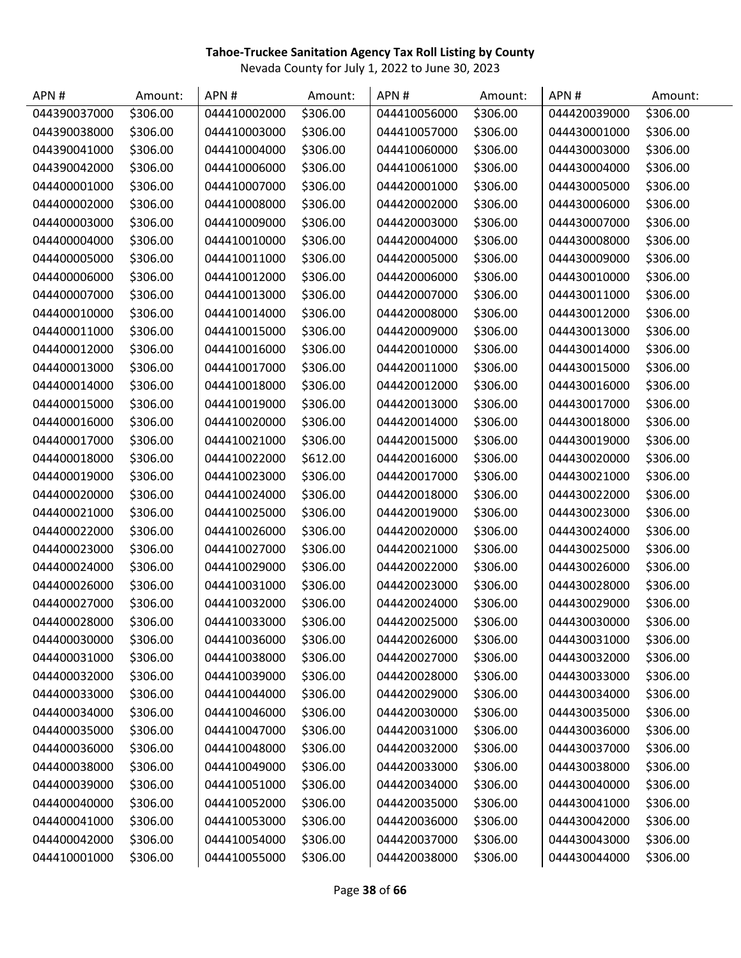| APN#         | Amount:  | APN#         | Amount:  | APN#         | Amount:  | APN#         | Amount:  |
|--------------|----------|--------------|----------|--------------|----------|--------------|----------|
| 044390037000 | \$306.00 | 044410002000 | \$306.00 | 044410056000 | \$306.00 | 044420039000 | \$306.00 |
| 044390038000 | \$306.00 | 044410003000 | \$306.00 | 044410057000 | \$306.00 | 044430001000 | \$306.00 |
| 044390041000 | \$306.00 | 044410004000 | \$306.00 | 044410060000 | \$306.00 | 044430003000 | \$306.00 |
| 044390042000 | \$306.00 | 044410006000 | \$306.00 | 044410061000 | \$306.00 | 044430004000 | \$306.00 |
| 044400001000 | \$306.00 | 044410007000 | \$306.00 | 044420001000 | \$306.00 | 044430005000 | \$306.00 |
| 044400002000 | \$306.00 | 044410008000 | \$306.00 | 044420002000 | \$306.00 | 044430006000 | \$306.00 |
| 044400003000 | \$306.00 | 044410009000 | \$306.00 | 044420003000 | \$306.00 | 044430007000 | \$306.00 |
| 044400004000 | \$306.00 | 044410010000 | \$306.00 | 044420004000 | \$306.00 | 044430008000 | \$306.00 |
| 044400005000 | \$306.00 | 044410011000 | \$306.00 | 044420005000 | \$306.00 | 044430009000 | \$306.00 |
| 044400006000 | \$306.00 | 044410012000 | \$306.00 | 044420006000 | \$306.00 | 044430010000 | \$306.00 |
| 044400007000 | \$306.00 | 044410013000 | \$306.00 | 044420007000 | \$306.00 | 044430011000 | \$306.00 |
| 044400010000 | \$306.00 | 044410014000 | \$306.00 | 044420008000 | \$306.00 | 044430012000 | \$306.00 |
| 044400011000 | \$306.00 | 044410015000 | \$306.00 | 044420009000 | \$306.00 | 044430013000 | \$306.00 |
| 044400012000 | \$306.00 | 044410016000 | \$306.00 | 044420010000 | \$306.00 | 044430014000 | \$306.00 |
| 044400013000 | \$306.00 | 044410017000 | \$306.00 | 044420011000 | \$306.00 | 044430015000 | \$306.00 |
| 044400014000 | \$306.00 | 044410018000 | \$306.00 | 044420012000 | \$306.00 | 044430016000 | \$306.00 |
| 044400015000 | \$306.00 | 044410019000 | \$306.00 | 044420013000 | \$306.00 | 044430017000 | \$306.00 |
| 044400016000 | \$306.00 | 044410020000 | \$306.00 | 044420014000 | \$306.00 | 044430018000 | \$306.00 |
| 044400017000 | \$306.00 | 044410021000 | \$306.00 | 044420015000 | \$306.00 | 044430019000 | \$306.00 |
| 044400018000 | \$306.00 | 044410022000 | \$612.00 | 044420016000 | \$306.00 | 044430020000 | \$306.00 |
| 044400019000 | \$306.00 | 044410023000 | \$306.00 | 044420017000 | \$306.00 | 044430021000 | \$306.00 |
| 044400020000 | \$306.00 | 044410024000 | \$306.00 | 044420018000 | \$306.00 | 044430022000 | \$306.00 |
| 044400021000 | \$306.00 | 044410025000 | \$306.00 | 044420019000 | \$306.00 | 044430023000 | \$306.00 |
| 044400022000 | \$306.00 | 044410026000 | \$306.00 | 044420020000 | \$306.00 | 044430024000 | \$306.00 |
| 044400023000 | \$306.00 | 044410027000 | \$306.00 | 044420021000 | \$306.00 | 044430025000 | \$306.00 |
| 044400024000 | \$306.00 | 044410029000 | \$306.00 | 044420022000 | \$306.00 | 044430026000 | \$306.00 |
| 044400026000 | \$306.00 | 044410031000 | \$306.00 | 044420023000 | \$306.00 | 044430028000 | \$306.00 |
| 044400027000 | \$306.00 | 044410032000 | \$306.00 | 044420024000 | \$306.00 | 044430029000 | \$306.00 |
| 044400028000 | \$306.00 | 044410033000 | \$306.00 | 044420025000 | \$306.00 | 044430030000 | \$306.00 |
| 044400030000 | \$306.00 | 044410036000 | \$306.00 | 044420026000 | \$306.00 | 044430031000 | \$306.00 |
| 044400031000 | \$306.00 | 044410038000 | \$306.00 | 044420027000 | \$306.00 | 044430032000 | \$306.00 |
| 044400032000 | \$306.00 | 044410039000 | \$306.00 | 044420028000 | \$306.00 | 044430033000 | \$306.00 |
| 044400033000 | \$306.00 | 044410044000 | \$306.00 | 044420029000 | \$306.00 | 044430034000 | \$306.00 |
| 044400034000 | \$306.00 | 044410046000 | \$306.00 | 044420030000 | \$306.00 | 044430035000 | \$306.00 |
| 044400035000 | \$306.00 | 044410047000 | \$306.00 | 044420031000 | \$306.00 | 044430036000 | \$306.00 |
| 044400036000 | \$306.00 | 044410048000 | \$306.00 | 044420032000 | \$306.00 | 044430037000 | \$306.00 |
| 044400038000 | \$306.00 | 044410049000 | \$306.00 | 044420033000 | \$306.00 | 044430038000 | \$306.00 |
| 044400039000 | \$306.00 | 044410051000 | \$306.00 | 044420034000 | \$306.00 | 044430040000 | \$306.00 |
| 044400040000 | \$306.00 | 044410052000 | \$306.00 | 044420035000 | \$306.00 | 044430041000 | \$306.00 |
| 044400041000 | \$306.00 | 044410053000 | \$306.00 | 044420036000 | \$306.00 | 044430042000 | \$306.00 |
| 044400042000 | \$306.00 | 044410054000 | \$306.00 | 044420037000 | \$306.00 | 044430043000 | \$306.00 |
| 044410001000 | \$306.00 | 044410055000 | \$306.00 | 044420038000 | \$306.00 | 044430044000 | \$306.00 |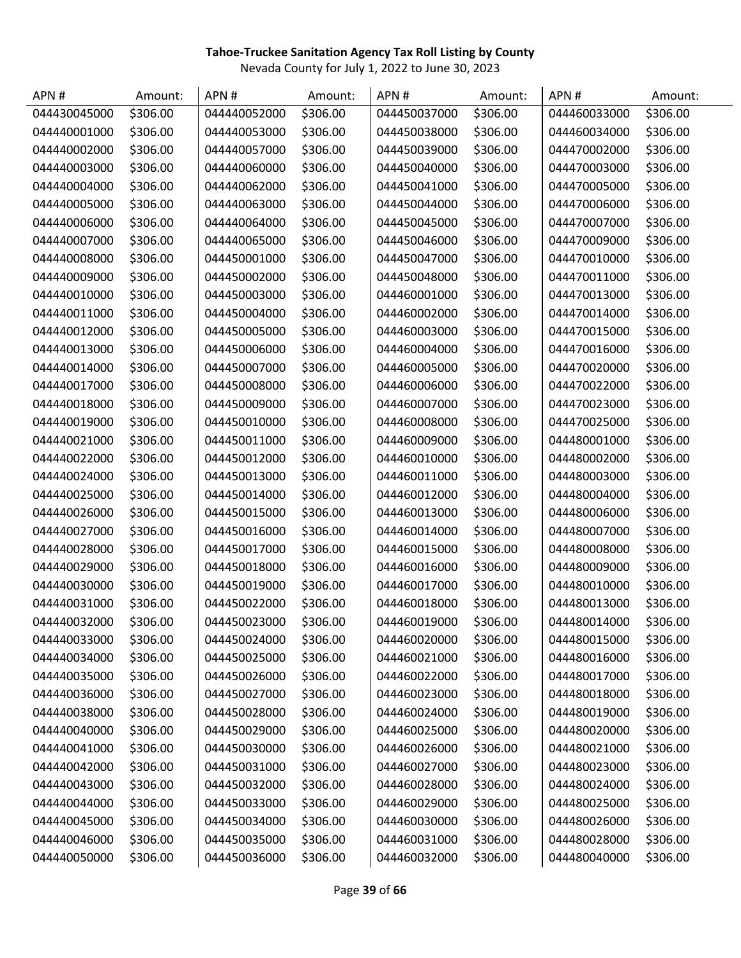| APN#         | Amount:  | APN#         | Amount:  | APN#         | Amount:  | APN#         | Amount:  |
|--------------|----------|--------------|----------|--------------|----------|--------------|----------|
| 044430045000 | \$306.00 | 044440052000 | \$306.00 | 044450037000 | \$306.00 | 044460033000 | \$306.00 |
| 044440001000 | \$306.00 | 044440053000 | \$306.00 | 044450038000 | \$306.00 | 044460034000 | \$306.00 |
| 044440002000 | \$306.00 | 044440057000 | \$306.00 | 044450039000 | \$306.00 | 044470002000 | \$306.00 |
| 044440003000 | \$306.00 | 044440060000 | \$306.00 | 044450040000 | \$306.00 | 044470003000 | \$306.00 |
| 044440004000 | \$306.00 | 044440062000 | \$306.00 | 044450041000 | \$306.00 | 044470005000 | \$306.00 |
| 044440005000 | \$306.00 | 044440063000 | \$306.00 | 044450044000 | \$306.00 | 044470006000 | \$306.00 |
| 044440006000 | \$306.00 | 044440064000 | \$306.00 | 044450045000 | \$306.00 | 044470007000 | \$306.00 |
| 044440007000 | \$306.00 | 044440065000 | \$306.00 | 044450046000 | \$306.00 | 044470009000 | \$306.00 |
| 044440008000 | \$306.00 | 044450001000 | \$306.00 | 044450047000 | \$306.00 | 044470010000 | \$306.00 |
| 044440009000 | \$306.00 | 044450002000 | \$306.00 | 044450048000 | \$306.00 | 044470011000 | \$306.00 |
| 044440010000 | \$306.00 | 044450003000 | \$306.00 | 044460001000 | \$306.00 | 044470013000 | \$306.00 |
| 044440011000 | \$306.00 | 044450004000 | \$306.00 | 044460002000 | \$306.00 | 044470014000 | \$306.00 |
| 044440012000 | \$306.00 | 044450005000 | \$306.00 | 044460003000 | \$306.00 | 044470015000 | \$306.00 |
| 044440013000 | \$306.00 | 044450006000 | \$306.00 | 044460004000 | \$306.00 | 044470016000 | \$306.00 |
| 044440014000 | \$306.00 | 044450007000 | \$306.00 | 044460005000 | \$306.00 | 044470020000 | \$306.00 |
| 044440017000 | \$306.00 | 044450008000 | \$306.00 | 044460006000 | \$306.00 | 044470022000 | \$306.00 |
| 044440018000 | \$306.00 | 044450009000 | \$306.00 | 044460007000 | \$306.00 | 044470023000 | \$306.00 |
| 044440019000 | \$306.00 | 044450010000 | \$306.00 | 044460008000 | \$306.00 | 044470025000 | \$306.00 |
| 044440021000 | \$306.00 | 044450011000 | \$306.00 | 044460009000 | \$306.00 | 044480001000 | \$306.00 |
| 044440022000 | \$306.00 | 044450012000 | \$306.00 | 044460010000 | \$306.00 | 044480002000 | \$306.00 |
| 044440024000 | \$306.00 | 044450013000 | \$306.00 | 044460011000 | \$306.00 | 044480003000 | \$306.00 |
| 044440025000 | \$306.00 | 044450014000 | \$306.00 | 044460012000 | \$306.00 | 044480004000 | \$306.00 |
| 044440026000 | \$306.00 | 044450015000 | \$306.00 | 044460013000 | \$306.00 | 044480006000 | \$306.00 |
| 044440027000 | \$306.00 | 044450016000 | \$306.00 | 044460014000 | \$306.00 | 044480007000 | \$306.00 |
| 044440028000 | \$306.00 | 044450017000 | \$306.00 | 044460015000 | \$306.00 | 044480008000 | \$306.00 |
| 044440029000 | \$306.00 | 044450018000 | \$306.00 | 044460016000 | \$306.00 | 044480009000 | \$306.00 |
| 044440030000 | \$306.00 | 044450019000 | \$306.00 | 044460017000 | \$306.00 | 044480010000 | \$306.00 |
| 044440031000 | \$306.00 | 044450022000 | \$306.00 | 044460018000 | \$306.00 | 044480013000 | \$306.00 |
| 044440032000 | \$306.00 | 044450023000 | \$306.00 | 044460019000 | \$306.00 | 044480014000 | \$306.00 |
| 044440033000 | \$306.00 | 044450024000 | \$306.00 | 044460020000 | \$306.00 | 044480015000 | \$306.00 |
| 044440034000 | \$306.00 | 044450025000 | \$306.00 | 044460021000 | \$306.00 | 044480016000 | \$306.00 |
| 044440035000 | \$306.00 | 044450026000 | \$306.00 | 044460022000 | \$306.00 | 044480017000 | \$306.00 |
| 044440036000 | \$306.00 | 044450027000 | \$306.00 | 044460023000 | \$306.00 | 044480018000 | \$306.00 |
| 044440038000 | \$306.00 | 044450028000 | \$306.00 | 044460024000 | \$306.00 | 044480019000 | \$306.00 |
| 044440040000 | \$306.00 | 044450029000 | \$306.00 | 044460025000 | \$306.00 | 044480020000 | \$306.00 |
| 044440041000 | \$306.00 | 044450030000 | \$306.00 | 044460026000 | \$306.00 | 044480021000 | \$306.00 |
| 044440042000 | \$306.00 | 044450031000 | \$306.00 | 044460027000 | \$306.00 | 044480023000 | \$306.00 |
| 044440043000 | \$306.00 | 044450032000 | \$306.00 | 044460028000 | \$306.00 | 044480024000 | \$306.00 |
| 044440044000 | \$306.00 | 044450033000 | \$306.00 | 044460029000 | \$306.00 | 044480025000 | \$306.00 |
| 044440045000 | \$306.00 | 044450034000 | \$306.00 | 044460030000 | \$306.00 | 044480026000 | \$306.00 |
| 044440046000 | \$306.00 | 044450035000 | \$306.00 | 044460031000 | \$306.00 | 044480028000 | \$306.00 |
| 044440050000 | \$306.00 | 044450036000 | \$306.00 | 044460032000 | \$306.00 | 044480040000 | \$306.00 |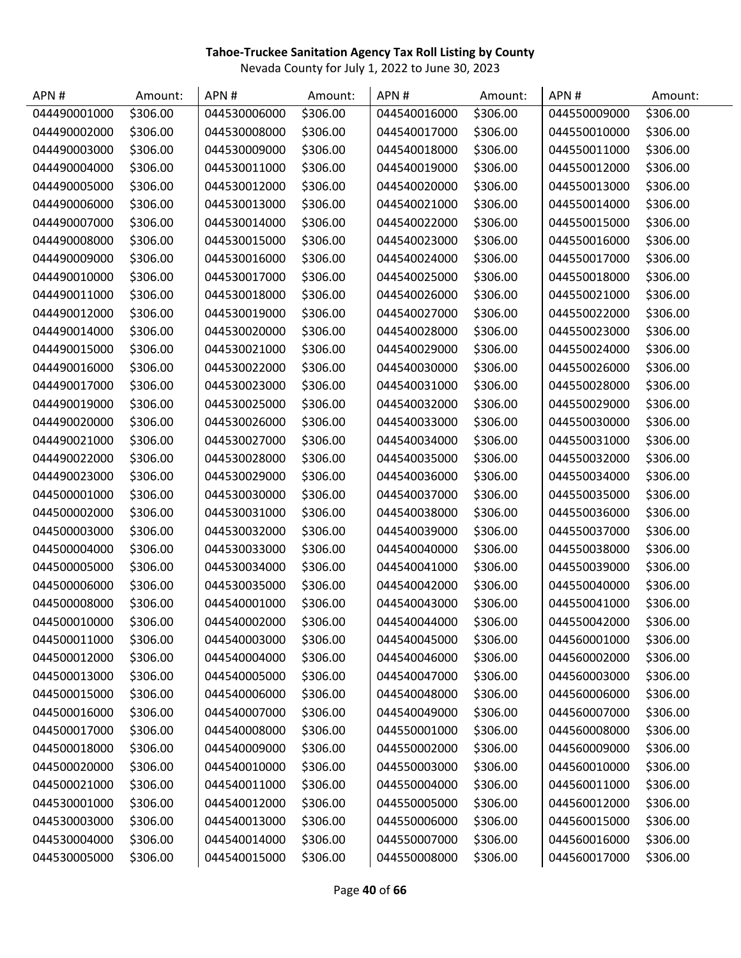| APN#         | Amount:  | APN#         | Amount:  | APN#         | Amount:  | APN#         | Amount:  |
|--------------|----------|--------------|----------|--------------|----------|--------------|----------|
| 044490001000 | \$306.00 | 044530006000 | \$306.00 | 044540016000 | \$306.00 | 044550009000 | \$306.00 |
| 044490002000 | \$306.00 | 044530008000 | \$306.00 | 044540017000 | \$306.00 | 044550010000 | \$306.00 |
| 044490003000 | \$306.00 | 044530009000 | \$306.00 | 044540018000 | \$306.00 | 044550011000 | \$306.00 |
| 044490004000 | \$306.00 | 044530011000 | \$306.00 | 044540019000 | \$306.00 | 044550012000 | \$306.00 |
| 044490005000 | \$306.00 | 044530012000 | \$306.00 | 044540020000 | \$306.00 | 044550013000 | \$306.00 |
| 044490006000 | \$306.00 | 044530013000 | \$306.00 | 044540021000 | \$306.00 | 044550014000 | \$306.00 |
| 044490007000 | \$306.00 | 044530014000 | \$306.00 | 044540022000 | \$306.00 | 044550015000 | \$306.00 |
| 044490008000 | \$306.00 | 044530015000 | \$306.00 | 044540023000 | \$306.00 | 044550016000 | \$306.00 |
| 044490009000 | \$306.00 | 044530016000 | \$306.00 | 044540024000 | \$306.00 | 044550017000 | \$306.00 |
| 044490010000 | \$306.00 | 044530017000 | \$306.00 | 044540025000 | \$306.00 | 044550018000 | \$306.00 |
| 044490011000 | \$306.00 | 044530018000 | \$306.00 | 044540026000 | \$306.00 | 044550021000 | \$306.00 |
| 044490012000 | \$306.00 | 044530019000 | \$306.00 | 044540027000 | \$306.00 | 044550022000 | \$306.00 |
| 044490014000 | \$306.00 | 044530020000 | \$306.00 | 044540028000 | \$306.00 | 044550023000 | \$306.00 |
| 044490015000 | \$306.00 | 044530021000 | \$306.00 | 044540029000 | \$306.00 | 044550024000 | \$306.00 |
| 044490016000 | \$306.00 | 044530022000 | \$306.00 | 044540030000 | \$306.00 | 044550026000 | \$306.00 |
| 044490017000 | \$306.00 | 044530023000 | \$306.00 | 044540031000 | \$306.00 | 044550028000 | \$306.00 |
| 044490019000 | \$306.00 | 044530025000 | \$306.00 | 044540032000 | \$306.00 | 044550029000 | \$306.00 |
| 044490020000 | \$306.00 | 044530026000 | \$306.00 | 044540033000 | \$306.00 | 044550030000 | \$306.00 |
| 044490021000 | \$306.00 | 044530027000 | \$306.00 | 044540034000 | \$306.00 | 044550031000 | \$306.00 |
| 044490022000 | \$306.00 | 044530028000 | \$306.00 | 044540035000 | \$306.00 | 044550032000 | \$306.00 |
| 044490023000 | \$306.00 | 044530029000 | \$306.00 | 044540036000 | \$306.00 | 044550034000 | \$306.00 |
| 044500001000 | \$306.00 | 044530030000 | \$306.00 | 044540037000 | \$306.00 | 044550035000 | \$306.00 |
| 044500002000 | \$306.00 | 044530031000 | \$306.00 | 044540038000 | \$306.00 | 044550036000 | \$306.00 |
| 044500003000 | \$306.00 | 044530032000 | \$306.00 | 044540039000 | \$306.00 | 044550037000 | \$306.00 |
| 044500004000 | \$306.00 | 044530033000 | \$306.00 | 044540040000 | \$306.00 | 044550038000 | \$306.00 |
| 044500005000 | \$306.00 | 044530034000 | \$306.00 | 044540041000 | \$306.00 | 044550039000 | \$306.00 |
| 044500006000 | \$306.00 | 044530035000 | \$306.00 | 044540042000 | \$306.00 | 044550040000 | \$306.00 |
| 044500008000 | \$306.00 | 044540001000 | \$306.00 | 044540043000 | \$306.00 | 044550041000 | \$306.00 |
| 044500010000 | \$306.00 | 044540002000 | \$306.00 | 044540044000 | \$306.00 | 044550042000 | \$306.00 |
| 044500011000 | \$306.00 | 044540003000 | \$306.00 | 044540045000 | \$306.00 | 044560001000 | \$306.00 |
| 044500012000 | \$306.00 | 044540004000 | \$306.00 | 044540046000 | \$306.00 | 044560002000 | \$306.00 |
| 044500013000 | \$306.00 | 044540005000 | \$306.00 | 044540047000 | \$306.00 | 044560003000 | \$306.00 |
| 044500015000 | \$306.00 | 044540006000 | \$306.00 | 044540048000 | \$306.00 | 044560006000 | \$306.00 |
| 044500016000 | \$306.00 | 044540007000 | \$306.00 | 044540049000 | \$306.00 | 044560007000 | \$306.00 |
| 044500017000 | \$306.00 | 044540008000 | \$306.00 | 044550001000 | \$306.00 | 044560008000 | \$306.00 |
| 044500018000 | \$306.00 | 044540009000 | \$306.00 | 044550002000 | \$306.00 | 044560009000 | \$306.00 |
| 044500020000 | \$306.00 | 044540010000 | \$306.00 | 044550003000 | \$306.00 | 044560010000 | \$306.00 |
| 044500021000 | \$306.00 | 044540011000 | \$306.00 | 044550004000 | \$306.00 | 044560011000 | \$306.00 |
| 044530001000 | \$306.00 | 044540012000 | \$306.00 | 044550005000 | \$306.00 | 044560012000 | \$306.00 |
| 044530003000 | \$306.00 | 044540013000 | \$306.00 | 044550006000 | \$306.00 | 044560015000 | \$306.00 |
| 044530004000 | \$306.00 | 044540014000 | \$306.00 | 044550007000 | \$306.00 | 044560016000 | \$306.00 |
| 044530005000 | \$306.00 | 044540015000 | \$306.00 | 044550008000 | \$306.00 | 044560017000 | \$306.00 |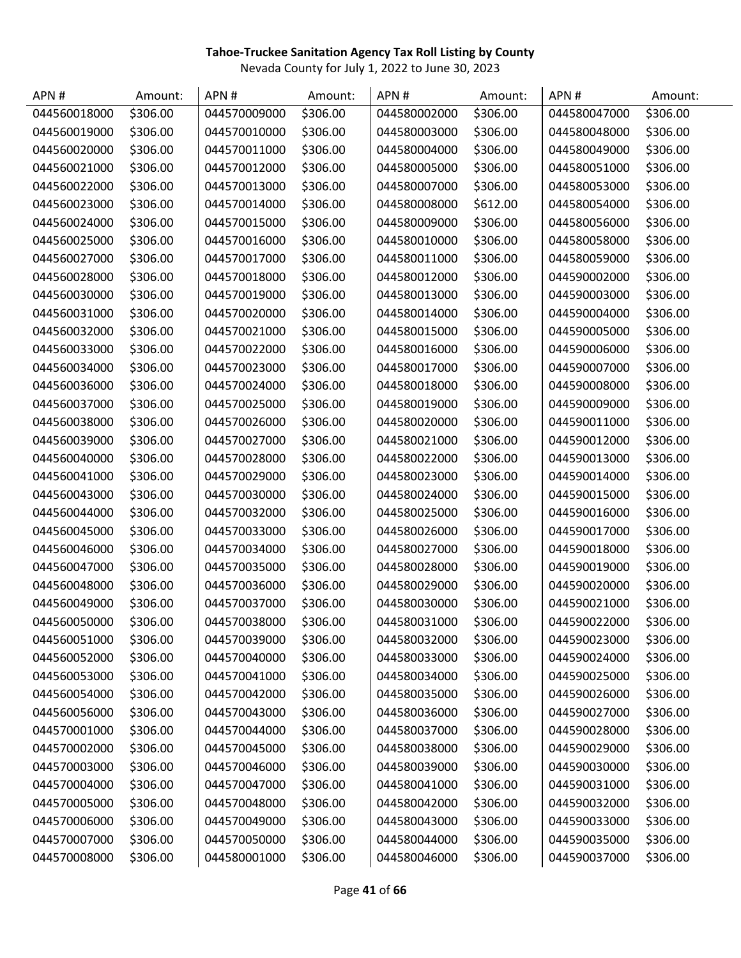| APN#         | Amount:  | APN#         | Amount:  | APN#         | Amount:  | APN#         | Amount:  |
|--------------|----------|--------------|----------|--------------|----------|--------------|----------|
| 044560018000 | \$306.00 | 044570009000 | \$306.00 | 044580002000 | \$306.00 | 044580047000 | \$306.00 |
| 044560019000 | \$306.00 | 044570010000 | \$306.00 | 044580003000 | \$306.00 | 044580048000 | \$306.00 |
| 044560020000 | \$306.00 | 044570011000 | \$306.00 | 044580004000 | \$306.00 | 044580049000 | \$306.00 |
| 044560021000 | \$306.00 | 044570012000 | \$306.00 | 044580005000 | \$306.00 | 044580051000 | \$306.00 |
| 044560022000 | \$306.00 | 044570013000 | \$306.00 | 044580007000 | \$306.00 | 044580053000 | \$306.00 |
| 044560023000 | \$306.00 | 044570014000 | \$306.00 | 044580008000 | \$612.00 | 044580054000 | \$306.00 |
| 044560024000 | \$306.00 | 044570015000 | \$306.00 | 044580009000 | \$306.00 | 044580056000 | \$306.00 |
| 044560025000 | \$306.00 | 044570016000 | \$306.00 | 044580010000 | \$306.00 | 044580058000 | \$306.00 |
| 044560027000 | \$306.00 | 044570017000 | \$306.00 | 044580011000 | \$306.00 | 044580059000 | \$306.00 |
| 044560028000 | \$306.00 | 044570018000 | \$306.00 | 044580012000 | \$306.00 | 044590002000 | \$306.00 |
| 044560030000 | \$306.00 | 044570019000 | \$306.00 | 044580013000 | \$306.00 | 044590003000 | \$306.00 |
| 044560031000 | \$306.00 | 044570020000 | \$306.00 | 044580014000 | \$306.00 | 044590004000 | \$306.00 |
| 044560032000 | \$306.00 | 044570021000 | \$306.00 | 044580015000 | \$306.00 | 044590005000 | \$306.00 |
| 044560033000 | \$306.00 | 044570022000 | \$306.00 | 044580016000 | \$306.00 | 044590006000 | \$306.00 |
| 044560034000 | \$306.00 | 044570023000 | \$306.00 | 044580017000 | \$306.00 | 044590007000 | \$306.00 |
| 044560036000 | \$306.00 | 044570024000 | \$306.00 | 044580018000 | \$306.00 | 044590008000 | \$306.00 |
| 044560037000 | \$306.00 | 044570025000 | \$306.00 | 044580019000 | \$306.00 | 044590009000 | \$306.00 |
| 044560038000 | \$306.00 | 044570026000 | \$306.00 | 044580020000 | \$306.00 | 044590011000 | \$306.00 |
| 044560039000 | \$306.00 | 044570027000 | \$306.00 | 044580021000 | \$306.00 | 044590012000 | \$306.00 |
| 044560040000 | \$306.00 | 044570028000 | \$306.00 | 044580022000 | \$306.00 | 044590013000 | \$306.00 |
| 044560041000 | \$306.00 | 044570029000 | \$306.00 | 044580023000 | \$306.00 | 044590014000 | \$306.00 |
| 044560043000 | \$306.00 | 044570030000 | \$306.00 | 044580024000 | \$306.00 | 044590015000 | \$306.00 |
| 044560044000 | \$306.00 | 044570032000 | \$306.00 | 044580025000 | \$306.00 | 044590016000 | \$306.00 |
| 044560045000 | \$306.00 | 044570033000 | \$306.00 | 044580026000 | \$306.00 | 044590017000 | \$306.00 |
| 044560046000 | \$306.00 | 044570034000 | \$306.00 | 044580027000 | \$306.00 | 044590018000 | \$306.00 |
| 044560047000 | \$306.00 | 044570035000 | \$306.00 | 044580028000 | \$306.00 | 044590019000 | \$306.00 |
| 044560048000 | \$306.00 | 044570036000 | \$306.00 | 044580029000 | \$306.00 | 044590020000 | \$306.00 |
| 044560049000 | \$306.00 | 044570037000 | \$306.00 | 044580030000 | \$306.00 | 044590021000 | \$306.00 |
| 044560050000 | \$306.00 | 044570038000 | \$306.00 | 044580031000 | \$306.00 | 044590022000 | \$306.00 |
| 044560051000 | \$306.00 | 044570039000 | \$306.00 | 044580032000 | \$306.00 | 044590023000 | \$306.00 |
| 044560052000 | \$306.00 | 044570040000 | \$306.00 | 044580033000 | \$306.00 | 044590024000 | \$306.00 |
| 044560053000 | \$306.00 | 044570041000 | \$306.00 | 044580034000 | \$306.00 | 044590025000 | \$306.00 |
| 044560054000 | \$306.00 | 044570042000 | \$306.00 | 044580035000 | \$306.00 | 044590026000 | \$306.00 |
| 044560056000 | \$306.00 | 044570043000 | \$306.00 | 044580036000 | \$306.00 | 044590027000 | \$306.00 |
| 044570001000 | \$306.00 | 044570044000 | \$306.00 | 044580037000 | \$306.00 | 044590028000 | \$306.00 |
| 044570002000 | \$306.00 | 044570045000 | \$306.00 | 044580038000 | \$306.00 | 044590029000 | \$306.00 |
| 044570003000 | \$306.00 | 044570046000 | \$306.00 | 044580039000 | \$306.00 | 044590030000 | \$306.00 |
| 044570004000 | \$306.00 | 044570047000 | \$306.00 | 044580041000 | \$306.00 | 044590031000 | \$306.00 |
| 044570005000 | \$306.00 | 044570048000 | \$306.00 | 044580042000 | \$306.00 | 044590032000 | \$306.00 |
| 044570006000 | \$306.00 | 044570049000 | \$306.00 | 044580043000 | \$306.00 | 044590033000 | \$306.00 |
| 044570007000 | \$306.00 | 044570050000 | \$306.00 | 044580044000 | \$306.00 | 044590035000 | \$306.00 |
| 044570008000 | \$306.00 | 044580001000 | \$306.00 | 044580046000 | \$306.00 | 044590037000 | \$306.00 |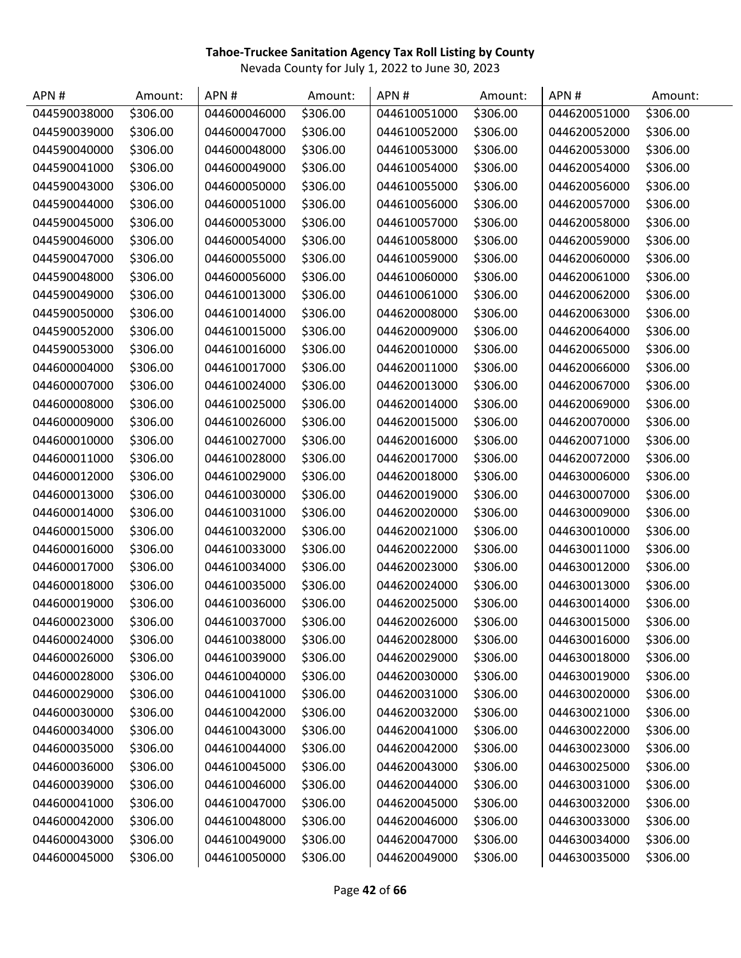| APN#         | Amount:  | APN#         | Amount:  | APN#         | Amount:  | APN#         | Amount:  |
|--------------|----------|--------------|----------|--------------|----------|--------------|----------|
| 044590038000 | \$306.00 | 044600046000 | \$306.00 | 044610051000 | \$306.00 | 044620051000 | \$306.00 |
| 044590039000 | \$306.00 | 044600047000 | \$306.00 | 044610052000 | \$306.00 | 044620052000 | \$306.00 |
| 044590040000 | \$306.00 | 044600048000 | \$306.00 | 044610053000 | \$306.00 | 044620053000 | \$306.00 |
| 044590041000 | \$306.00 | 044600049000 | \$306.00 | 044610054000 | \$306.00 | 044620054000 | \$306.00 |
| 044590043000 | \$306.00 | 044600050000 | \$306.00 | 044610055000 | \$306.00 | 044620056000 | \$306.00 |
| 044590044000 | \$306.00 | 044600051000 | \$306.00 | 044610056000 | \$306.00 | 044620057000 | \$306.00 |
| 044590045000 | \$306.00 | 044600053000 | \$306.00 | 044610057000 | \$306.00 | 044620058000 | \$306.00 |
| 044590046000 | \$306.00 | 044600054000 | \$306.00 | 044610058000 | \$306.00 | 044620059000 | \$306.00 |
| 044590047000 | \$306.00 | 044600055000 | \$306.00 | 044610059000 | \$306.00 | 044620060000 | \$306.00 |
| 044590048000 | \$306.00 | 044600056000 | \$306.00 | 044610060000 | \$306.00 | 044620061000 | \$306.00 |
| 044590049000 | \$306.00 | 044610013000 | \$306.00 | 044610061000 | \$306.00 | 044620062000 | \$306.00 |
| 044590050000 | \$306.00 | 044610014000 | \$306.00 | 044620008000 | \$306.00 | 044620063000 | \$306.00 |
| 044590052000 | \$306.00 | 044610015000 | \$306.00 | 044620009000 | \$306.00 | 044620064000 | \$306.00 |
| 044590053000 | \$306.00 | 044610016000 | \$306.00 | 044620010000 | \$306.00 | 044620065000 | \$306.00 |
| 044600004000 | \$306.00 | 044610017000 | \$306.00 | 044620011000 | \$306.00 | 044620066000 | \$306.00 |
| 044600007000 | \$306.00 | 044610024000 | \$306.00 | 044620013000 | \$306.00 | 044620067000 | \$306.00 |
| 044600008000 | \$306.00 | 044610025000 | \$306.00 | 044620014000 | \$306.00 | 044620069000 | \$306.00 |
| 044600009000 | \$306.00 | 044610026000 | \$306.00 | 044620015000 | \$306.00 | 044620070000 | \$306.00 |
| 044600010000 | \$306.00 | 044610027000 | \$306.00 | 044620016000 | \$306.00 | 044620071000 | \$306.00 |
| 044600011000 | \$306.00 | 044610028000 | \$306.00 | 044620017000 | \$306.00 | 044620072000 | \$306.00 |
| 044600012000 | \$306.00 | 044610029000 | \$306.00 | 044620018000 | \$306.00 | 044630006000 | \$306.00 |
| 044600013000 | \$306.00 | 044610030000 | \$306.00 | 044620019000 | \$306.00 | 044630007000 | \$306.00 |
| 044600014000 | \$306.00 | 044610031000 | \$306.00 | 044620020000 | \$306.00 | 044630009000 | \$306.00 |
| 044600015000 | \$306.00 | 044610032000 | \$306.00 | 044620021000 | \$306.00 | 044630010000 | \$306.00 |
| 044600016000 | \$306.00 | 044610033000 | \$306.00 | 044620022000 | \$306.00 | 044630011000 | \$306.00 |
| 044600017000 | \$306.00 | 044610034000 | \$306.00 | 044620023000 | \$306.00 | 044630012000 | \$306.00 |
| 044600018000 | \$306.00 | 044610035000 | \$306.00 | 044620024000 | \$306.00 | 044630013000 | \$306.00 |
| 044600019000 | \$306.00 | 044610036000 | \$306.00 | 044620025000 | \$306.00 | 044630014000 | \$306.00 |
| 044600023000 | \$306.00 | 044610037000 | \$306.00 | 044620026000 | \$306.00 | 044630015000 | \$306.00 |
| 044600024000 | \$306.00 | 044610038000 | \$306.00 | 044620028000 | \$306.00 | 044630016000 | \$306.00 |
| 044600026000 | \$306.00 | 044610039000 | \$306.00 | 044620029000 | \$306.00 | 044630018000 | \$306.00 |
| 044600028000 | \$306.00 | 044610040000 | \$306.00 | 044620030000 | \$306.00 | 044630019000 | \$306.00 |
| 044600029000 | \$306.00 | 044610041000 | \$306.00 | 044620031000 | \$306.00 | 044630020000 | \$306.00 |
| 044600030000 | \$306.00 | 044610042000 | \$306.00 | 044620032000 | \$306.00 | 044630021000 | \$306.00 |
| 044600034000 | \$306.00 | 044610043000 | \$306.00 | 044620041000 | \$306.00 | 044630022000 | \$306.00 |
| 044600035000 | \$306.00 | 044610044000 | \$306.00 | 044620042000 | \$306.00 | 044630023000 | \$306.00 |
| 044600036000 | \$306.00 | 044610045000 | \$306.00 | 044620043000 | \$306.00 | 044630025000 | \$306.00 |
| 044600039000 | \$306.00 | 044610046000 | \$306.00 | 044620044000 | \$306.00 | 044630031000 | \$306.00 |
| 044600041000 | \$306.00 | 044610047000 | \$306.00 | 044620045000 | \$306.00 | 044630032000 | \$306.00 |
| 044600042000 | \$306.00 | 044610048000 | \$306.00 | 044620046000 | \$306.00 | 044630033000 | \$306.00 |
| 044600043000 | \$306.00 | 044610049000 | \$306.00 | 044620047000 | \$306.00 | 044630034000 | \$306.00 |
| 044600045000 | \$306.00 | 044610050000 | \$306.00 | 044620049000 | \$306.00 | 044630035000 | \$306.00 |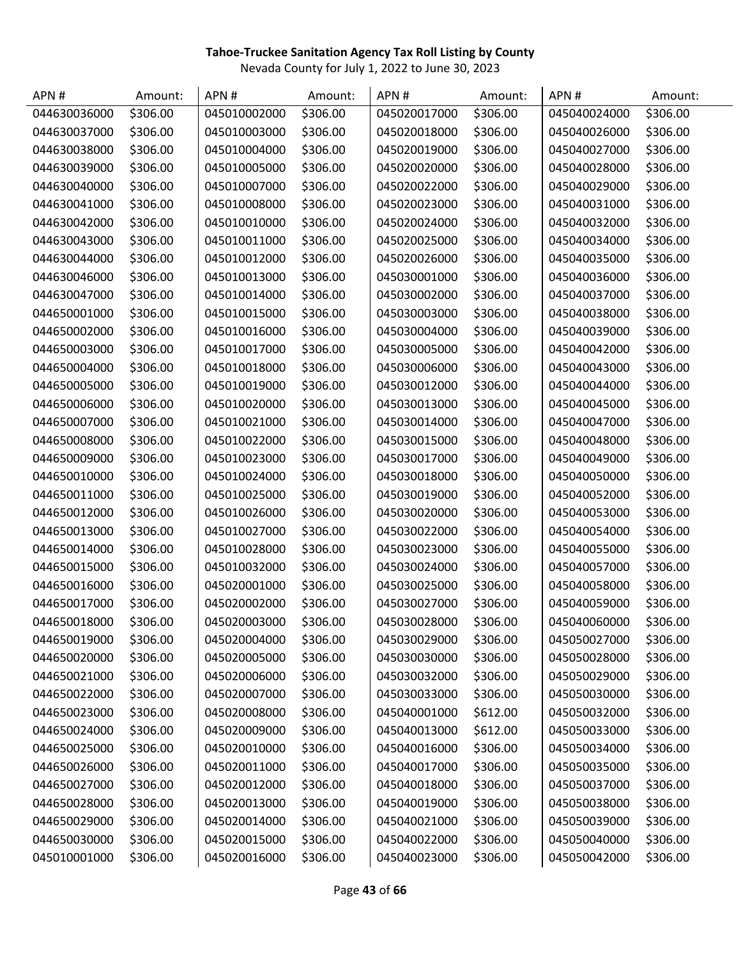| APN#         | Amount:  | APN#         | Amount:  | APN#         | Amount:  | APN#         | Amount:  |
|--------------|----------|--------------|----------|--------------|----------|--------------|----------|
| 044630036000 | \$306.00 | 045010002000 | \$306.00 | 045020017000 | \$306.00 | 045040024000 | \$306.00 |
| 044630037000 | \$306.00 | 045010003000 | \$306.00 | 045020018000 | \$306.00 | 045040026000 | \$306.00 |
| 044630038000 | \$306.00 | 045010004000 | \$306.00 | 045020019000 | \$306.00 | 045040027000 | \$306.00 |
| 044630039000 | \$306.00 | 045010005000 | \$306.00 | 045020020000 | \$306.00 | 045040028000 | \$306.00 |
| 044630040000 | \$306.00 | 045010007000 | \$306.00 | 045020022000 | \$306.00 | 045040029000 | \$306.00 |
| 044630041000 | \$306.00 | 045010008000 | \$306.00 | 045020023000 | \$306.00 | 045040031000 | \$306.00 |
| 044630042000 | \$306.00 | 045010010000 | \$306.00 | 045020024000 | \$306.00 | 045040032000 | \$306.00 |
| 044630043000 | \$306.00 | 045010011000 | \$306.00 | 045020025000 | \$306.00 | 045040034000 | \$306.00 |
| 044630044000 | \$306.00 | 045010012000 | \$306.00 | 045020026000 | \$306.00 | 045040035000 | \$306.00 |
| 044630046000 | \$306.00 | 045010013000 | \$306.00 | 045030001000 | \$306.00 | 045040036000 | \$306.00 |
| 044630047000 | \$306.00 | 045010014000 | \$306.00 | 045030002000 | \$306.00 | 045040037000 | \$306.00 |
| 044650001000 | \$306.00 | 045010015000 | \$306.00 | 045030003000 | \$306.00 | 045040038000 | \$306.00 |
| 044650002000 | \$306.00 | 045010016000 | \$306.00 | 045030004000 | \$306.00 | 045040039000 | \$306.00 |
| 044650003000 | \$306.00 | 045010017000 | \$306.00 | 045030005000 | \$306.00 | 045040042000 | \$306.00 |
| 044650004000 | \$306.00 | 045010018000 | \$306.00 | 045030006000 | \$306.00 | 045040043000 | \$306.00 |
| 044650005000 | \$306.00 | 045010019000 | \$306.00 | 045030012000 | \$306.00 | 045040044000 | \$306.00 |
| 044650006000 | \$306.00 | 045010020000 | \$306.00 | 045030013000 | \$306.00 | 045040045000 | \$306.00 |
| 044650007000 | \$306.00 | 045010021000 | \$306.00 | 045030014000 | \$306.00 | 045040047000 | \$306.00 |
| 044650008000 | \$306.00 | 045010022000 | \$306.00 | 045030015000 | \$306.00 | 045040048000 | \$306.00 |
| 044650009000 | \$306.00 | 045010023000 | \$306.00 | 045030017000 | \$306.00 | 045040049000 | \$306.00 |
| 044650010000 | \$306.00 | 045010024000 | \$306.00 | 045030018000 | \$306.00 | 045040050000 | \$306.00 |
| 044650011000 | \$306.00 | 045010025000 | \$306.00 | 045030019000 | \$306.00 | 045040052000 | \$306.00 |
| 044650012000 | \$306.00 | 045010026000 | \$306.00 | 045030020000 | \$306.00 | 045040053000 | \$306.00 |
| 044650013000 | \$306.00 | 045010027000 | \$306.00 | 045030022000 | \$306.00 | 045040054000 | \$306.00 |
| 044650014000 | \$306.00 | 045010028000 | \$306.00 | 045030023000 | \$306.00 | 045040055000 | \$306.00 |
| 044650015000 | \$306.00 | 045010032000 | \$306.00 | 045030024000 | \$306.00 | 045040057000 | \$306.00 |
| 044650016000 | \$306.00 | 045020001000 | \$306.00 | 045030025000 | \$306.00 | 045040058000 | \$306.00 |
| 044650017000 | \$306.00 | 045020002000 | \$306.00 | 045030027000 | \$306.00 | 045040059000 | \$306.00 |
| 044650018000 | \$306.00 | 045020003000 | \$306.00 | 045030028000 | \$306.00 | 045040060000 | \$306.00 |
| 044650019000 | \$306.00 | 045020004000 | \$306.00 | 045030029000 | \$306.00 | 045050027000 | \$306.00 |
| 044650020000 | \$306.00 | 045020005000 | \$306.00 | 045030030000 | \$306.00 | 045050028000 | \$306.00 |
| 044650021000 | \$306.00 | 045020006000 | \$306.00 | 045030032000 | \$306.00 | 045050029000 | \$306.00 |
| 044650022000 | \$306.00 | 045020007000 | \$306.00 | 045030033000 | \$306.00 | 045050030000 | \$306.00 |
| 044650023000 | \$306.00 | 045020008000 | \$306.00 | 045040001000 | \$612.00 | 045050032000 | \$306.00 |
| 044650024000 | \$306.00 | 045020009000 | \$306.00 | 045040013000 | \$612.00 | 045050033000 | \$306.00 |
| 044650025000 | \$306.00 | 045020010000 | \$306.00 | 045040016000 | \$306.00 | 045050034000 | \$306.00 |
| 044650026000 | \$306.00 | 045020011000 | \$306.00 | 045040017000 | \$306.00 | 045050035000 | \$306.00 |
| 044650027000 | \$306.00 | 045020012000 | \$306.00 | 045040018000 | \$306.00 | 045050037000 | \$306.00 |
| 044650028000 | \$306.00 | 045020013000 | \$306.00 | 045040019000 | \$306.00 | 045050038000 | \$306.00 |
| 044650029000 | \$306.00 | 045020014000 | \$306.00 | 045040021000 | \$306.00 | 045050039000 | \$306.00 |
| 044650030000 | \$306.00 | 045020015000 | \$306.00 | 045040022000 | \$306.00 | 045050040000 | \$306.00 |
| 045010001000 | \$306.00 | 045020016000 | \$306.00 | 045040023000 | \$306.00 | 045050042000 | \$306.00 |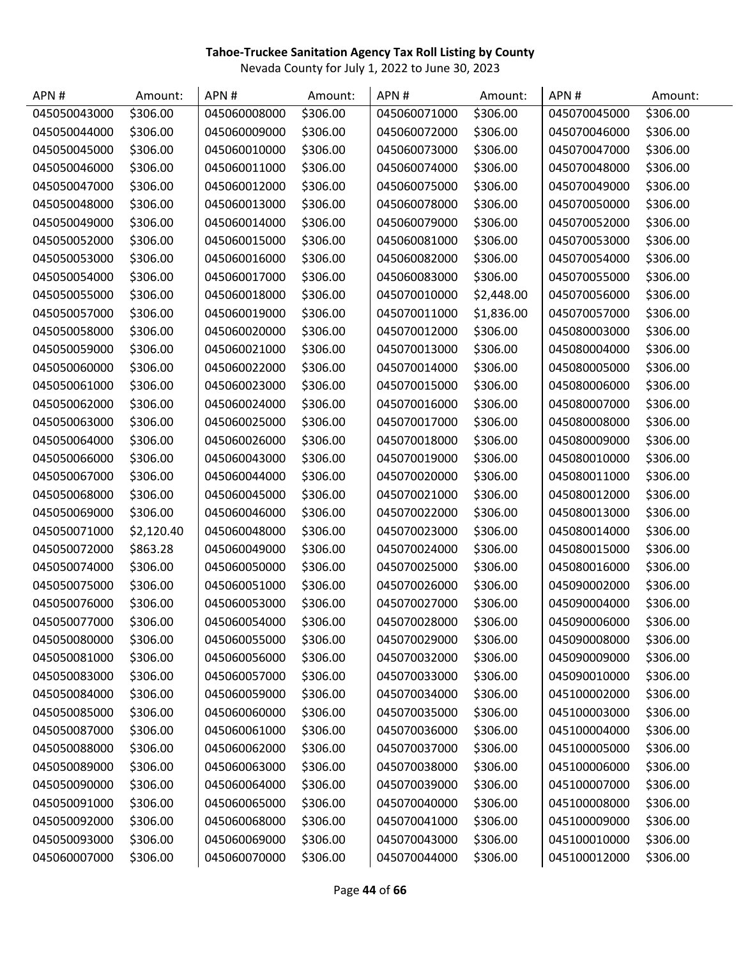| APN#         | Amount:    | APN#         | Amount:  | APN#         | Amount:    | APN#         | Amount:  |
|--------------|------------|--------------|----------|--------------|------------|--------------|----------|
| 045050043000 | \$306.00   | 045060008000 | \$306.00 | 045060071000 | \$306.00   | 045070045000 | \$306.00 |
| 045050044000 | \$306.00   | 045060009000 | \$306.00 | 045060072000 | \$306.00   | 045070046000 | \$306.00 |
| 045050045000 | \$306.00   | 045060010000 | \$306.00 | 045060073000 | \$306.00   | 045070047000 | \$306.00 |
| 045050046000 | \$306.00   | 045060011000 | \$306.00 | 045060074000 | \$306.00   | 045070048000 | \$306.00 |
| 045050047000 | \$306.00   | 045060012000 | \$306.00 | 045060075000 | \$306.00   | 045070049000 | \$306.00 |
| 045050048000 | \$306.00   | 045060013000 | \$306.00 | 045060078000 | \$306.00   | 045070050000 | \$306.00 |
| 045050049000 | \$306.00   | 045060014000 | \$306.00 | 045060079000 | \$306.00   | 045070052000 | \$306.00 |
| 045050052000 | \$306.00   | 045060015000 | \$306.00 | 045060081000 | \$306.00   | 045070053000 | \$306.00 |
| 045050053000 | \$306.00   | 045060016000 | \$306.00 | 045060082000 | \$306.00   | 045070054000 | \$306.00 |
| 045050054000 | \$306.00   | 045060017000 | \$306.00 | 045060083000 | \$306.00   | 045070055000 | \$306.00 |
| 045050055000 | \$306.00   | 045060018000 | \$306.00 | 045070010000 | \$2,448.00 | 045070056000 | \$306.00 |
| 045050057000 | \$306.00   | 045060019000 | \$306.00 | 045070011000 | \$1,836.00 | 045070057000 | \$306.00 |
| 045050058000 | \$306.00   | 045060020000 | \$306.00 | 045070012000 | \$306.00   | 045080003000 | \$306.00 |
| 045050059000 | \$306.00   | 045060021000 | \$306.00 | 045070013000 | \$306.00   | 045080004000 | \$306.00 |
| 045050060000 | \$306.00   | 045060022000 | \$306.00 | 045070014000 | \$306.00   | 045080005000 | \$306.00 |
| 045050061000 | \$306.00   | 045060023000 | \$306.00 | 045070015000 | \$306.00   | 045080006000 | \$306.00 |
| 045050062000 | \$306.00   | 045060024000 | \$306.00 | 045070016000 | \$306.00   | 045080007000 | \$306.00 |
| 045050063000 | \$306.00   | 045060025000 | \$306.00 | 045070017000 | \$306.00   | 045080008000 | \$306.00 |
| 045050064000 | \$306.00   | 045060026000 | \$306.00 | 045070018000 | \$306.00   | 045080009000 | \$306.00 |
| 045050066000 | \$306.00   | 045060043000 | \$306.00 | 045070019000 | \$306.00   | 045080010000 | \$306.00 |
| 045050067000 | \$306.00   | 045060044000 | \$306.00 | 045070020000 | \$306.00   | 045080011000 | \$306.00 |
| 045050068000 | \$306.00   | 045060045000 | \$306.00 | 045070021000 | \$306.00   | 045080012000 | \$306.00 |
| 045050069000 | \$306.00   | 045060046000 | \$306.00 | 045070022000 | \$306.00   | 045080013000 | \$306.00 |
| 045050071000 | \$2,120.40 | 045060048000 | \$306.00 | 045070023000 | \$306.00   | 045080014000 | \$306.00 |
| 045050072000 | \$863.28   | 045060049000 | \$306.00 | 045070024000 | \$306.00   | 045080015000 | \$306.00 |
| 045050074000 | \$306.00   | 045060050000 | \$306.00 | 045070025000 | \$306.00   | 045080016000 | \$306.00 |
| 045050075000 | \$306.00   | 045060051000 | \$306.00 | 045070026000 | \$306.00   | 045090002000 | \$306.00 |
| 045050076000 | \$306.00   | 045060053000 | \$306.00 | 045070027000 | \$306.00   | 045090004000 | \$306.00 |
| 045050077000 | \$306.00   | 045060054000 | \$306.00 | 045070028000 | \$306.00   | 045090006000 | \$306.00 |
| 045050080000 | \$306.00   | 045060055000 | \$306.00 | 045070029000 | \$306.00   | 045090008000 | \$306.00 |
| 045050081000 | \$306.00   | 045060056000 | \$306.00 | 045070032000 | \$306.00   | 045090009000 | \$306.00 |
| 045050083000 | \$306.00   | 045060057000 | \$306.00 | 045070033000 | \$306.00   | 045090010000 | \$306.00 |
| 045050084000 | \$306.00   | 045060059000 | \$306.00 | 045070034000 | \$306.00   | 045100002000 | \$306.00 |
| 045050085000 | \$306.00   | 045060060000 | \$306.00 | 045070035000 | \$306.00   | 045100003000 | \$306.00 |
| 045050087000 | \$306.00   | 045060061000 | \$306.00 | 045070036000 | \$306.00   | 045100004000 | \$306.00 |
| 045050088000 | \$306.00   | 045060062000 | \$306.00 | 045070037000 | \$306.00   | 045100005000 | \$306.00 |
| 045050089000 | \$306.00   | 045060063000 | \$306.00 | 045070038000 | \$306.00   | 045100006000 | \$306.00 |
| 045050090000 | \$306.00   | 045060064000 | \$306.00 | 045070039000 | \$306.00   | 045100007000 | \$306.00 |
| 045050091000 | \$306.00   | 045060065000 | \$306.00 | 045070040000 | \$306.00   | 045100008000 | \$306.00 |
| 045050092000 | \$306.00   | 045060068000 | \$306.00 | 045070041000 | \$306.00   | 045100009000 | \$306.00 |
| 045050093000 | \$306.00   | 045060069000 | \$306.00 | 045070043000 | \$306.00   | 045100010000 | \$306.00 |
| 045060007000 | \$306.00   | 045060070000 | \$306.00 | 045070044000 | \$306.00   | 045100012000 | \$306.00 |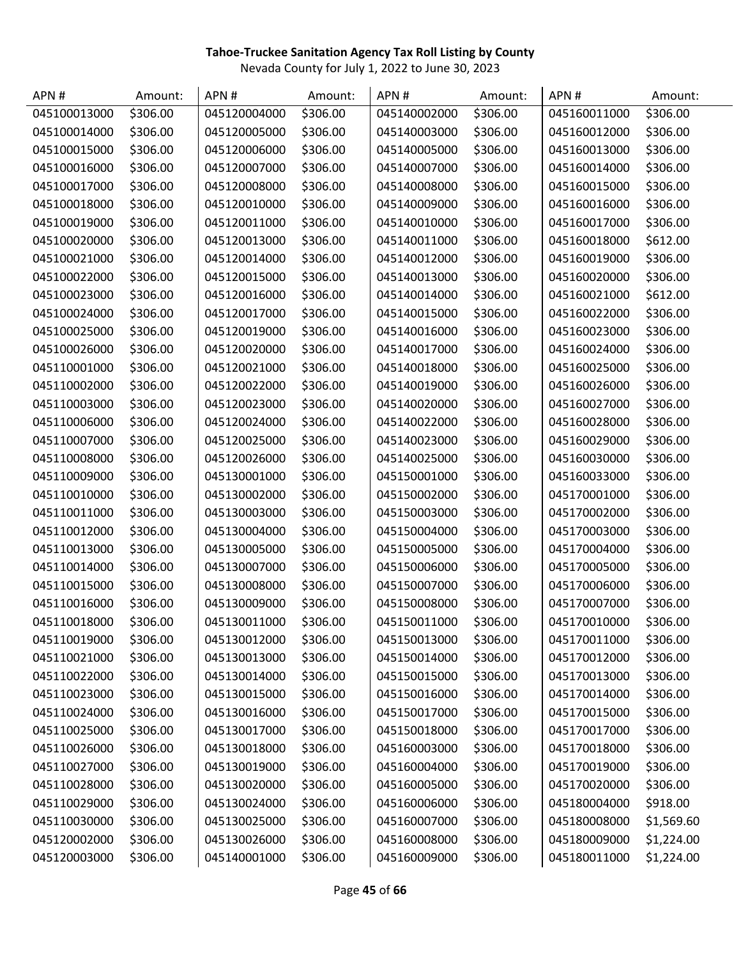| APN#         | Amount:  | APN#         | Amount:  | APN#         | Amount:  | APN#         | Amount:    |
|--------------|----------|--------------|----------|--------------|----------|--------------|------------|
| 045100013000 | \$306.00 | 045120004000 | \$306.00 | 045140002000 | \$306.00 | 045160011000 | \$306.00   |
| 045100014000 | \$306.00 | 045120005000 | \$306.00 | 045140003000 | \$306.00 | 045160012000 | \$306.00   |
| 045100015000 | \$306.00 | 045120006000 | \$306.00 | 045140005000 | \$306.00 | 045160013000 | \$306.00   |
| 045100016000 | \$306.00 | 045120007000 | \$306.00 | 045140007000 | \$306.00 | 045160014000 | \$306.00   |
| 045100017000 | \$306.00 | 045120008000 | \$306.00 | 045140008000 | \$306.00 | 045160015000 | \$306.00   |
| 045100018000 | \$306.00 | 045120010000 | \$306.00 | 045140009000 | \$306.00 | 045160016000 | \$306.00   |
| 045100019000 | \$306.00 | 045120011000 | \$306.00 | 045140010000 | \$306.00 | 045160017000 | \$306.00   |
| 045100020000 | \$306.00 | 045120013000 | \$306.00 | 045140011000 | \$306.00 | 045160018000 | \$612.00   |
| 045100021000 | \$306.00 | 045120014000 | \$306.00 | 045140012000 | \$306.00 | 045160019000 | \$306.00   |
| 045100022000 | \$306.00 | 045120015000 | \$306.00 | 045140013000 | \$306.00 | 045160020000 | \$306.00   |
| 045100023000 | \$306.00 | 045120016000 | \$306.00 | 045140014000 | \$306.00 | 045160021000 | \$612.00   |
| 045100024000 | \$306.00 | 045120017000 | \$306.00 | 045140015000 | \$306.00 | 045160022000 | \$306.00   |
| 045100025000 | \$306.00 | 045120019000 | \$306.00 | 045140016000 | \$306.00 | 045160023000 | \$306.00   |
| 045100026000 | \$306.00 | 045120020000 | \$306.00 | 045140017000 | \$306.00 | 045160024000 | \$306.00   |
| 045110001000 | \$306.00 | 045120021000 | \$306.00 | 045140018000 | \$306.00 | 045160025000 | \$306.00   |
| 045110002000 | \$306.00 | 045120022000 | \$306.00 | 045140019000 | \$306.00 | 045160026000 | \$306.00   |
| 045110003000 | \$306.00 | 045120023000 | \$306.00 | 045140020000 | \$306.00 | 045160027000 | \$306.00   |
| 045110006000 | \$306.00 | 045120024000 | \$306.00 | 045140022000 | \$306.00 | 045160028000 | \$306.00   |
| 045110007000 | \$306.00 | 045120025000 | \$306.00 | 045140023000 | \$306.00 | 045160029000 | \$306.00   |
| 045110008000 | \$306.00 | 045120026000 | \$306.00 | 045140025000 | \$306.00 | 045160030000 | \$306.00   |
| 045110009000 | \$306.00 | 045130001000 | \$306.00 | 045150001000 | \$306.00 | 045160033000 | \$306.00   |
| 045110010000 | \$306.00 | 045130002000 | \$306.00 | 045150002000 | \$306.00 | 045170001000 | \$306.00   |
| 045110011000 | \$306.00 | 045130003000 | \$306.00 | 045150003000 | \$306.00 | 045170002000 | \$306.00   |
| 045110012000 | \$306.00 | 045130004000 | \$306.00 | 045150004000 | \$306.00 | 045170003000 | \$306.00   |
| 045110013000 | \$306.00 | 045130005000 | \$306.00 | 045150005000 | \$306.00 | 045170004000 | \$306.00   |
| 045110014000 | \$306.00 | 045130007000 | \$306.00 | 045150006000 | \$306.00 | 045170005000 | \$306.00   |
| 045110015000 | \$306.00 | 045130008000 | \$306.00 | 045150007000 | \$306.00 | 045170006000 | \$306.00   |
| 045110016000 | \$306.00 | 045130009000 | \$306.00 | 045150008000 | \$306.00 | 045170007000 | \$306.00   |
| 045110018000 | \$306.00 | 045130011000 | \$306.00 | 045150011000 | \$306.00 | 045170010000 | \$306.00   |
| 045110019000 | \$306.00 | 045130012000 | \$306.00 | 045150013000 | \$306.00 | 045170011000 | \$306.00   |
| 045110021000 | \$306.00 | 045130013000 | \$306.00 | 045150014000 | \$306.00 | 045170012000 | \$306.00   |
| 045110022000 | \$306.00 | 045130014000 | \$306.00 | 045150015000 | \$306.00 | 045170013000 | \$306.00   |
| 045110023000 | \$306.00 | 045130015000 | \$306.00 | 045150016000 | \$306.00 | 045170014000 | \$306.00   |
| 045110024000 | \$306.00 | 045130016000 | \$306.00 | 045150017000 | \$306.00 | 045170015000 | \$306.00   |
| 045110025000 | \$306.00 | 045130017000 | \$306.00 | 045150018000 | \$306.00 | 045170017000 | \$306.00   |
| 045110026000 | \$306.00 | 045130018000 | \$306.00 | 045160003000 | \$306.00 | 045170018000 | \$306.00   |
| 045110027000 | \$306.00 | 045130019000 | \$306.00 | 045160004000 | \$306.00 | 045170019000 | \$306.00   |
| 045110028000 | \$306.00 | 045130020000 | \$306.00 | 045160005000 | \$306.00 | 045170020000 | \$306.00   |
| 045110029000 | \$306.00 | 045130024000 | \$306.00 | 045160006000 | \$306.00 | 045180004000 | \$918.00   |
| 045110030000 | \$306.00 | 045130025000 | \$306.00 | 045160007000 | \$306.00 | 045180008000 | \$1,569.60 |
| 045120002000 | \$306.00 | 045130026000 | \$306.00 | 045160008000 | \$306.00 | 045180009000 | \$1,224.00 |
| 045120003000 | \$306.00 | 045140001000 | \$306.00 | 045160009000 | \$306.00 | 045180011000 | \$1,224.00 |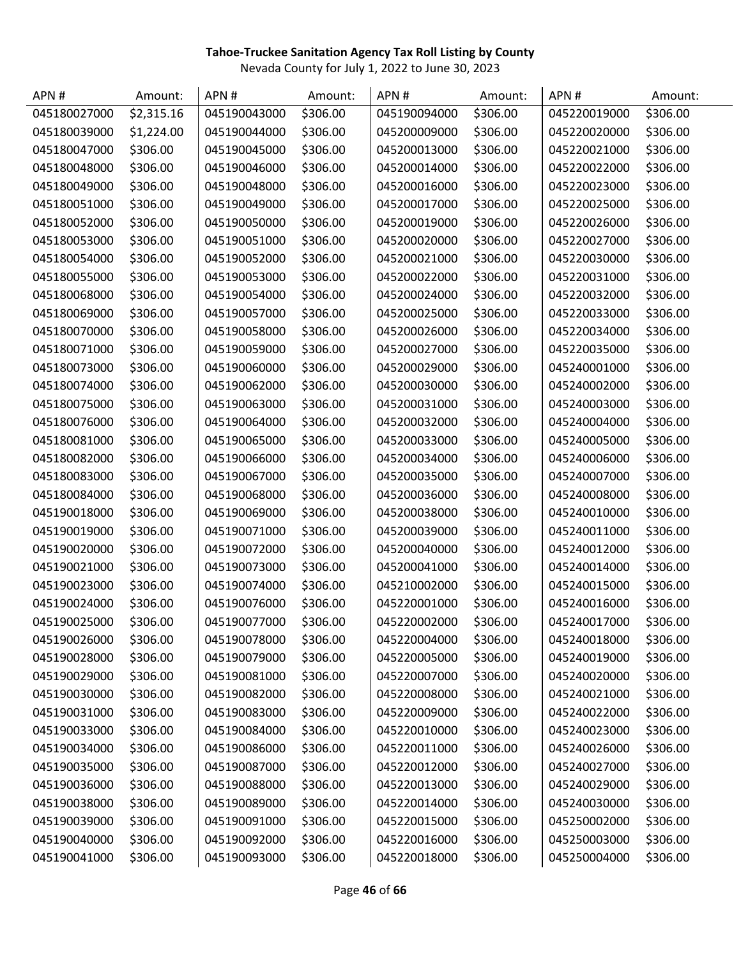| APN#         | Amount:    | APN#         | Amount:  | APN#         | Amount:  | APN#         | Amount:  |
|--------------|------------|--------------|----------|--------------|----------|--------------|----------|
| 045180027000 | \$2,315.16 | 045190043000 | \$306.00 | 045190094000 | \$306.00 | 045220019000 | \$306.00 |
| 045180039000 | \$1,224.00 | 045190044000 | \$306.00 | 045200009000 | \$306.00 | 045220020000 | \$306.00 |
| 045180047000 | \$306.00   | 045190045000 | \$306.00 | 045200013000 | \$306.00 | 045220021000 | \$306.00 |
| 045180048000 | \$306.00   | 045190046000 | \$306.00 | 045200014000 | \$306.00 | 045220022000 | \$306.00 |
| 045180049000 | \$306.00   | 045190048000 | \$306.00 | 045200016000 | \$306.00 | 045220023000 | \$306.00 |
| 045180051000 | \$306.00   | 045190049000 | \$306.00 | 045200017000 | \$306.00 | 045220025000 | \$306.00 |
| 045180052000 | \$306.00   | 045190050000 | \$306.00 | 045200019000 | \$306.00 | 045220026000 | \$306.00 |
| 045180053000 | \$306.00   | 045190051000 | \$306.00 | 045200020000 | \$306.00 | 045220027000 | \$306.00 |
| 045180054000 | \$306.00   | 045190052000 | \$306.00 | 045200021000 | \$306.00 | 045220030000 | \$306.00 |
| 045180055000 | \$306.00   | 045190053000 | \$306.00 | 045200022000 | \$306.00 | 045220031000 | \$306.00 |
| 045180068000 | \$306.00   | 045190054000 | \$306.00 | 045200024000 | \$306.00 | 045220032000 | \$306.00 |
| 045180069000 | \$306.00   | 045190057000 | \$306.00 | 045200025000 | \$306.00 | 045220033000 | \$306.00 |
| 045180070000 | \$306.00   | 045190058000 | \$306.00 | 045200026000 | \$306.00 | 045220034000 | \$306.00 |
| 045180071000 | \$306.00   | 045190059000 | \$306.00 | 045200027000 | \$306.00 | 045220035000 | \$306.00 |
| 045180073000 | \$306.00   | 045190060000 | \$306.00 | 045200029000 | \$306.00 | 045240001000 | \$306.00 |
| 045180074000 | \$306.00   | 045190062000 | \$306.00 | 045200030000 | \$306.00 | 045240002000 | \$306.00 |
| 045180075000 | \$306.00   | 045190063000 | \$306.00 | 045200031000 | \$306.00 | 045240003000 | \$306.00 |
| 045180076000 | \$306.00   | 045190064000 | \$306.00 | 045200032000 | \$306.00 | 045240004000 | \$306.00 |
| 045180081000 | \$306.00   | 045190065000 | \$306.00 | 045200033000 | \$306.00 | 045240005000 | \$306.00 |
| 045180082000 | \$306.00   | 045190066000 | \$306.00 | 045200034000 | \$306.00 | 045240006000 | \$306.00 |
| 045180083000 | \$306.00   | 045190067000 | \$306.00 | 045200035000 | \$306.00 | 045240007000 | \$306.00 |
| 045180084000 | \$306.00   | 045190068000 | \$306.00 | 045200036000 | \$306.00 | 045240008000 | \$306.00 |
| 045190018000 | \$306.00   | 045190069000 | \$306.00 | 045200038000 | \$306.00 | 045240010000 | \$306.00 |
| 045190019000 | \$306.00   | 045190071000 | \$306.00 | 045200039000 | \$306.00 | 045240011000 | \$306.00 |
| 045190020000 | \$306.00   | 045190072000 | \$306.00 | 045200040000 | \$306.00 | 045240012000 | \$306.00 |
| 045190021000 | \$306.00   | 045190073000 | \$306.00 | 045200041000 | \$306.00 | 045240014000 | \$306.00 |
| 045190023000 | \$306.00   | 045190074000 | \$306.00 | 045210002000 | \$306.00 | 045240015000 | \$306.00 |
| 045190024000 | \$306.00   | 045190076000 | \$306.00 | 045220001000 | \$306.00 | 045240016000 | \$306.00 |
| 045190025000 | \$306.00   | 045190077000 | \$306.00 | 045220002000 | \$306.00 | 045240017000 | \$306.00 |
| 045190026000 | \$306.00   | 045190078000 | \$306.00 | 045220004000 | \$306.00 | 045240018000 | \$306.00 |
| 045190028000 | \$306.00   | 045190079000 | \$306.00 | 045220005000 | \$306.00 | 045240019000 | \$306.00 |
| 045190029000 | \$306.00   | 045190081000 | \$306.00 | 045220007000 | \$306.00 | 045240020000 | \$306.00 |
| 045190030000 | \$306.00   | 045190082000 | \$306.00 | 045220008000 | \$306.00 | 045240021000 | \$306.00 |
| 045190031000 | \$306.00   | 045190083000 | \$306.00 | 045220009000 | \$306.00 | 045240022000 | \$306.00 |
| 045190033000 | \$306.00   | 045190084000 | \$306.00 | 045220010000 | \$306.00 | 045240023000 | \$306.00 |
| 045190034000 | \$306.00   | 045190086000 | \$306.00 | 045220011000 | \$306.00 | 045240026000 | \$306.00 |
| 045190035000 | \$306.00   | 045190087000 | \$306.00 | 045220012000 | \$306.00 | 045240027000 | \$306.00 |
| 045190036000 | \$306.00   | 045190088000 | \$306.00 | 045220013000 | \$306.00 | 045240029000 | \$306.00 |
| 045190038000 | \$306.00   | 045190089000 | \$306.00 | 045220014000 | \$306.00 | 045240030000 | \$306.00 |
| 045190039000 | \$306.00   | 045190091000 | \$306.00 | 045220015000 | \$306.00 | 045250002000 | \$306.00 |
| 045190040000 | \$306.00   | 045190092000 | \$306.00 | 045220016000 | \$306.00 | 045250003000 | \$306.00 |
| 045190041000 | \$306.00   | 045190093000 | \$306.00 | 045220018000 | \$306.00 | 045250004000 | \$306.00 |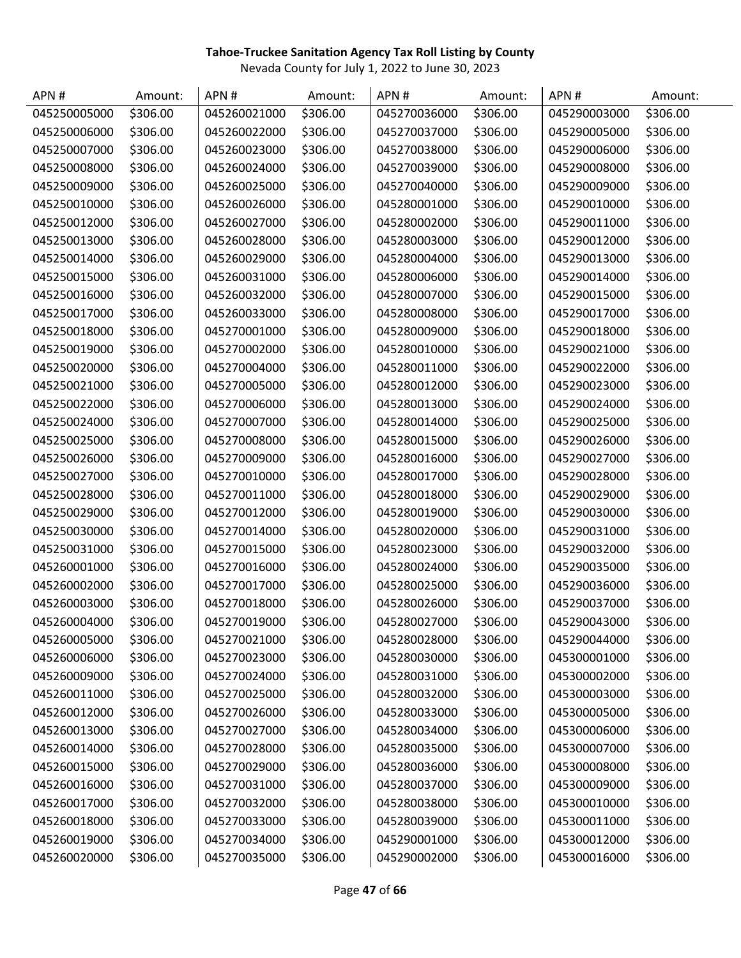| APN#         | Amount:  | APN#         | Amount:  | APN#         | Amount:  | APN#         | Amount:  |
|--------------|----------|--------------|----------|--------------|----------|--------------|----------|
| 045250005000 | \$306.00 | 045260021000 | \$306.00 | 045270036000 | \$306.00 | 045290003000 | \$306.00 |
| 045250006000 | \$306.00 | 045260022000 | \$306.00 | 045270037000 | \$306.00 | 045290005000 | \$306.00 |
| 045250007000 | \$306.00 | 045260023000 | \$306.00 | 045270038000 | \$306.00 | 045290006000 | \$306.00 |
| 045250008000 | \$306.00 | 045260024000 | \$306.00 | 045270039000 | \$306.00 | 045290008000 | \$306.00 |
| 045250009000 | \$306.00 | 045260025000 | \$306.00 | 045270040000 | \$306.00 | 045290009000 | \$306.00 |
| 045250010000 | \$306.00 | 045260026000 | \$306.00 | 045280001000 | \$306.00 | 045290010000 | \$306.00 |
| 045250012000 | \$306.00 | 045260027000 | \$306.00 | 045280002000 | \$306.00 | 045290011000 | \$306.00 |
| 045250013000 | \$306.00 | 045260028000 | \$306.00 | 045280003000 | \$306.00 | 045290012000 | \$306.00 |
| 045250014000 | \$306.00 | 045260029000 | \$306.00 | 045280004000 | \$306.00 | 045290013000 | \$306.00 |
| 045250015000 | \$306.00 | 045260031000 | \$306.00 | 045280006000 | \$306.00 | 045290014000 | \$306.00 |
| 045250016000 | \$306.00 | 045260032000 | \$306.00 | 045280007000 | \$306.00 | 045290015000 | \$306.00 |
| 045250017000 | \$306.00 | 045260033000 | \$306.00 | 045280008000 | \$306.00 | 045290017000 | \$306.00 |
| 045250018000 | \$306.00 | 045270001000 | \$306.00 | 045280009000 | \$306.00 | 045290018000 | \$306.00 |
| 045250019000 | \$306.00 | 045270002000 | \$306.00 | 045280010000 | \$306.00 | 045290021000 | \$306.00 |
| 045250020000 | \$306.00 | 045270004000 | \$306.00 | 045280011000 | \$306.00 | 045290022000 | \$306.00 |
| 045250021000 | \$306.00 | 045270005000 | \$306.00 | 045280012000 | \$306.00 | 045290023000 | \$306.00 |
| 045250022000 | \$306.00 | 045270006000 | \$306.00 | 045280013000 | \$306.00 | 045290024000 | \$306.00 |
| 045250024000 | \$306.00 | 045270007000 | \$306.00 | 045280014000 | \$306.00 | 045290025000 | \$306.00 |
| 045250025000 | \$306.00 | 045270008000 | \$306.00 | 045280015000 | \$306.00 | 045290026000 | \$306.00 |
| 045250026000 | \$306.00 | 045270009000 | \$306.00 | 045280016000 | \$306.00 | 045290027000 | \$306.00 |
| 045250027000 | \$306.00 | 045270010000 | \$306.00 | 045280017000 | \$306.00 | 045290028000 | \$306.00 |
| 045250028000 | \$306.00 | 045270011000 | \$306.00 | 045280018000 | \$306.00 | 045290029000 | \$306.00 |
| 045250029000 | \$306.00 | 045270012000 | \$306.00 | 045280019000 | \$306.00 | 045290030000 | \$306.00 |
| 045250030000 | \$306.00 | 045270014000 | \$306.00 | 045280020000 | \$306.00 | 045290031000 | \$306.00 |
| 045250031000 | \$306.00 | 045270015000 | \$306.00 | 045280023000 | \$306.00 | 045290032000 | \$306.00 |
| 045260001000 | \$306.00 | 045270016000 | \$306.00 | 045280024000 | \$306.00 | 045290035000 | \$306.00 |
| 045260002000 | \$306.00 | 045270017000 | \$306.00 | 045280025000 | \$306.00 | 045290036000 | \$306.00 |
| 045260003000 | \$306.00 | 045270018000 | \$306.00 | 045280026000 | \$306.00 | 045290037000 | \$306.00 |
| 045260004000 | \$306.00 | 045270019000 | \$306.00 | 045280027000 | \$306.00 | 045290043000 | \$306.00 |
| 045260005000 | \$306.00 | 045270021000 | \$306.00 | 045280028000 | \$306.00 | 045290044000 | \$306.00 |
| 045260006000 | \$306.00 | 045270023000 | \$306.00 | 045280030000 | \$306.00 | 045300001000 | \$306.00 |
| 045260009000 | \$306.00 | 045270024000 | \$306.00 | 045280031000 | \$306.00 | 045300002000 | \$306.00 |
| 045260011000 | \$306.00 | 045270025000 | \$306.00 | 045280032000 | \$306.00 | 045300003000 | \$306.00 |
| 045260012000 | \$306.00 | 045270026000 | \$306.00 | 045280033000 | \$306.00 | 045300005000 | \$306.00 |
| 045260013000 | \$306.00 | 045270027000 | \$306.00 | 045280034000 | \$306.00 | 045300006000 | \$306.00 |
| 045260014000 | \$306.00 | 045270028000 | \$306.00 | 045280035000 | \$306.00 | 045300007000 | \$306.00 |
| 045260015000 | \$306.00 | 045270029000 | \$306.00 | 045280036000 | \$306.00 | 045300008000 | \$306.00 |
| 045260016000 | \$306.00 | 045270031000 | \$306.00 | 045280037000 | \$306.00 | 045300009000 | \$306.00 |
| 045260017000 | \$306.00 | 045270032000 | \$306.00 | 045280038000 | \$306.00 | 045300010000 | \$306.00 |
| 045260018000 | \$306.00 | 045270033000 | \$306.00 | 045280039000 | \$306.00 | 045300011000 | \$306.00 |
| 045260019000 | \$306.00 | 045270034000 | \$306.00 | 045290001000 | \$306.00 | 045300012000 | \$306.00 |
| 045260020000 | \$306.00 | 045270035000 | \$306.00 | 045290002000 | \$306.00 | 045300016000 | \$306.00 |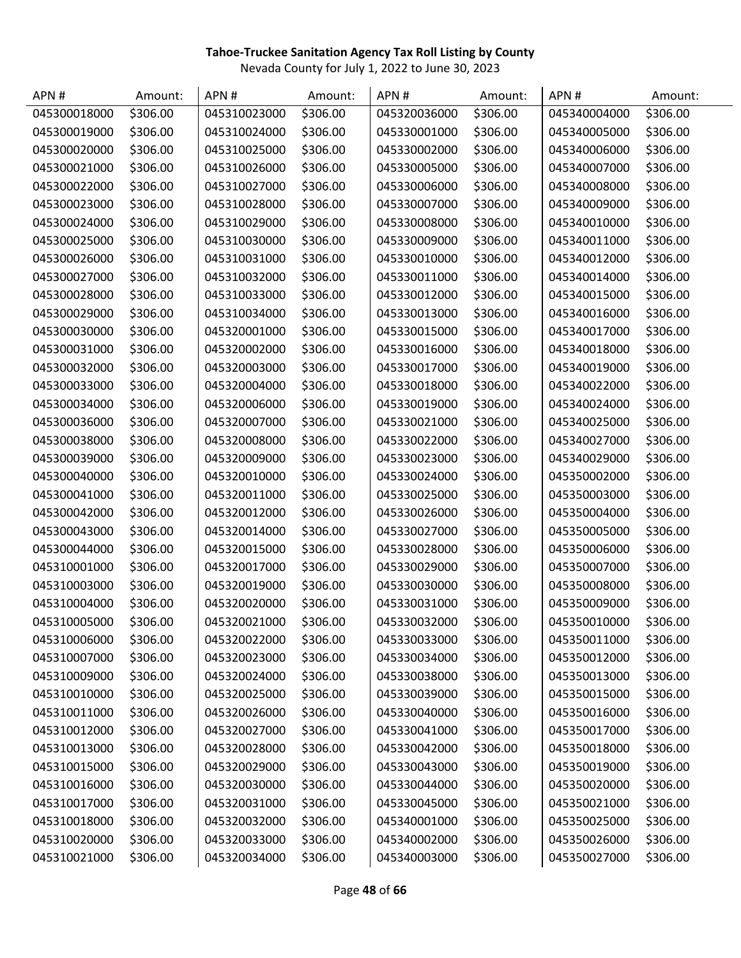| APN#         | Amount:  | APN#         | Amount:  | APN#         | Amount:  | APN#         | Amount:  |
|--------------|----------|--------------|----------|--------------|----------|--------------|----------|
| 045300018000 | \$306.00 | 045310023000 | \$306.00 | 045320036000 | \$306.00 | 045340004000 | \$306.00 |
| 045300019000 | \$306.00 | 045310024000 | \$306.00 | 045330001000 | \$306.00 | 045340005000 | \$306.00 |
| 045300020000 | \$306.00 | 045310025000 | \$306.00 | 045330002000 | \$306.00 | 045340006000 | \$306.00 |
| 045300021000 | \$306.00 | 045310026000 | \$306.00 | 045330005000 | \$306.00 | 045340007000 | \$306.00 |
| 045300022000 | \$306.00 | 045310027000 | \$306.00 | 045330006000 | \$306.00 | 045340008000 | \$306.00 |
| 045300023000 | \$306.00 | 045310028000 | \$306.00 | 045330007000 | \$306.00 | 045340009000 | \$306.00 |
| 045300024000 | \$306.00 | 045310029000 | \$306.00 | 045330008000 | \$306.00 | 045340010000 | \$306.00 |
| 045300025000 | \$306.00 | 045310030000 | \$306.00 | 045330009000 | \$306.00 | 045340011000 | \$306.00 |
| 045300026000 | \$306.00 | 045310031000 | \$306.00 | 045330010000 | \$306.00 | 045340012000 | \$306.00 |
| 045300027000 | \$306.00 | 045310032000 | \$306.00 | 045330011000 | \$306.00 | 045340014000 | \$306.00 |
| 045300028000 | \$306.00 | 045310033000 | \$306.00 | 045330012000 | \$306.00 | 045340015000 | \$306.00 |
| 045300029000 | \$306.00 | 045310034000 | \$306.00 | 045330013000 | \$306.00 | 045340016000 | \$306.00 |
| 045300030000 | \$306.00 | 045320001000 | \$306.00 | 045330015000 | \$306.00 | 045340017000 | \$306.00 |
| 045300031000 | \$306.00 | 045320002000 | \$306.00 | 045330016000 | \$306.00 | 045340018000 | \$306.00 |
| 045300032000 | \$306.00 | 045320003000 | \$306.00 | 045330017000 | \$306.00 | 045340019000 | \$306.00 |
| 045300033000 | \$306.00 | 045320004000 | \$306.00 | 045330018000 | \$306.00 | 045340022000 | \$306.00 |
| 045300034000 | \$306.00 | 045320006000 | \$306.00 | 045330019000 | \$306.00 | 045340024000 | \$306.00 |
| 045300036000 | \$306.00 | 045320007000 | \$306.00 | 045330021000 | \$306.00 | 045340025000 | \$306.00 |
| 045300038000 | \$306.00 | 045320008000 | \$306.00 | 045330022000 | \$306.00 | 045340027000 | \$306.00 |
| 045300039000 | \$306.00 | 045320009000 | \$306.00 | 045330023000 | \$306.00 | 045340029000 | \$306.00 |
| 045300040000 | \$306.00 | 045320010000 | \$306.00 | 045330024000 | \$306.00 | 045350002000 | \$306.00 |
| 045300041000 | \$306.00 | 045320011000 | \$306.00 | 045330025000 | \$306.00 | 045350003000 | \$306.00 |
| 045300042000 | \$306.00 | 045320012000 | \$306.00 | 045330026000 | \$306.00 | 045350004000 | \$306.00 |
| 045300043000 | \$306.00 | 045320014000 | \$306.00 | 045330027000 | \$306.00 | 045350005000 | \$306.00 |
| 045300044000 | \$306.00 | 045320015000 | \$306.00 | 045330028000 | \$306.00 | 045350006000 | \$306.00 |
| 045310001000 | \$306.00 | 045320017000 | \$306.00 | 045330029000 | \$306.00 | 045350007000 | \$306.00 |
| 045310003000 | \$306.00 | 045320019000 | \$306.00 | 045330030000 | \$306.00 | 045350008000 | \$306.00 |
| 045310004000 | \$306.00 | 045320020000 | \$306.00 | 045330031000 | \$306.00 | 045350009000 | \$306.00 |
| 045310005000 | \$306.00 | 045320021000 | \$306.00 | 045330032000 | \$306.00 | 045350010000 | \$306.00 |
| 045310006000 | \$306.00 | 045320022000 | \$306.00 | 045330033000 | \$306.00 | 045350011000 | \$306.00 |
| 045310007000 | \$306.00 | 045320023000 | \$306.00 | 045330034000 | \$306.00 | 045350012000 | \$306.00 |
| 045310009000 | \$306.00 | 045320024000 | \$306.00 | 045330038000 | \$306.00 | 045350013000 | \$306.00 |
| 045310010000 | \$306.00 | 045320025000 | \$306.00 | 045330039000 | \$306.00 | 045350015000 | \$306.00 |
| 045310011000 | \$306.00 | 045320026000 | \$306.00 | 045330040000 | \$306.00 | 045350016000 | \$306.00 |
| 045310012000 | \$306.00 | 045320027000 | \$306.00 | 045330041000 | \$306.00 | 045350017000 | \$306.00 |
| 045310013000 | \$306.00 | 045320028000 | \$306.00 | 045330042000 | \$306.00 | 045350018000 | \$306.00 |
| 045310015000 | \$306.00 | 045320029000 | \$306.00 | 045330043000 | \$306.00 | 045350019000 | \$306.00 |
| 045310016000 | \$306.00 | 045320030000 | \$306.00 | 045330044000 | \$306.00 | 045350020000 | \$306.00 |
| 045310017000 | \$306.00 | 045320031000 | \$306.00 | 045330045000 | \$306.00 | 045350021000 | \$306.00 |
| 045310018000 | \$306.00 | 045320032000 | \$306.00 | 045340001000 | \$306.00 | 045350025000 | \$306.00 |
| 045310020000 | \$306.00 | 045320033000 | \$306.00 | 045340002000 | \$306.00 | 045350026000 | \$306.00 |
| 045310021000 | \$306.00 | 045320034000 | \$306.00 | 045340003000 | \$306.00 | 045350027000 | \$306.00 |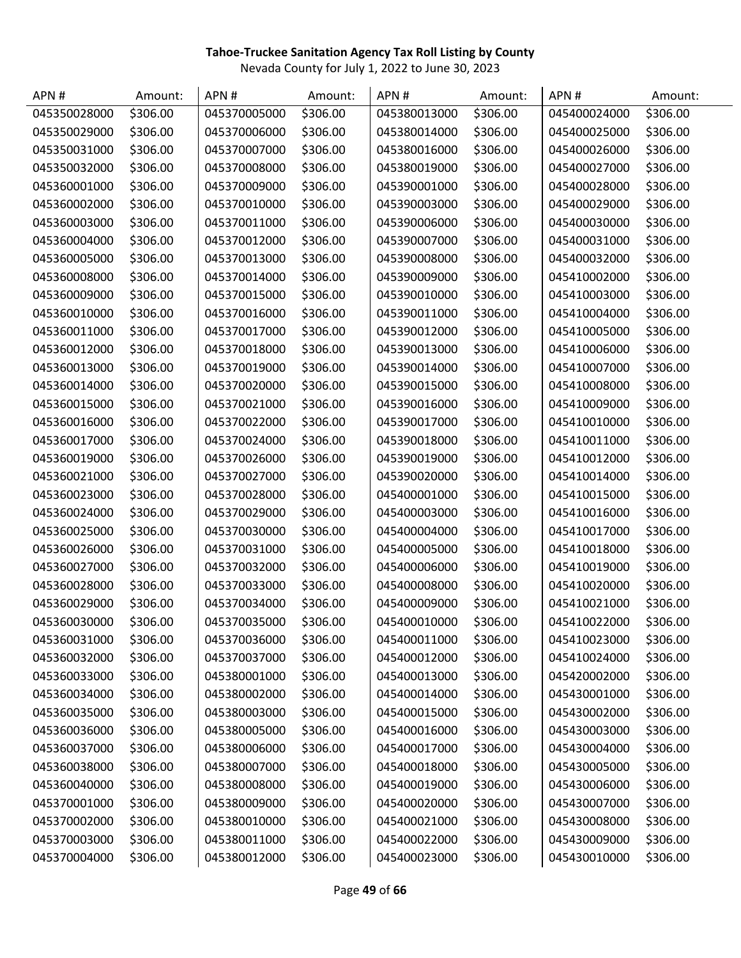| APN#         | Amount:  | APN#         | Amount:  | APN#         | Amount:  | APN#         | Amount:  |
|--------------|----------|--------------|----------|--------------|----------|--------------|----------|
| 045350028000 | \$306.00 | 045370005000 | \$306.00 | 045380013000 | \$306.00 | 045400024000 | \$306.00 |
| 045350029000 | \$306.00 | 045370006000 | \$306.00 | 045380014000 | \$306.00 | 045400025000 | \$306.00 |
| 045350031000 | \$306.00 | 045370007000 | \$306.00 | 045380016000 | \$306.00 | 045400026000 | \$306.00 |
| 045350032000 | \$306.00 | 045370008000 | \$306.00 | 045380019000 | \$306.00 | 045400027000 | \$306.00 |
| 045360001000 | \$306.00 | 045370009000 | \$306.00 | 045390001000 | \$306.00 | 045400028000 | \$306.00 |
| 045360002000 | \$306.00 | 045370010000 | \$306.00 | 045390003000 | \$306.00 | 045400029000 | \$306.00 |
| 045360003000 | \$306.00 | 045370011000 | \$306.00 | 045390006000 | \$306.00 | 045400030000 | \$306.00 |
| 045360004000 | \$306.00 | 045370012000 | \$306.00 | 045390007000 | \$306.00 | 045400031000 | \$306.00 |
| 045360005000 | \$306.00 | 045370013000 | \$306.00 | 045390008000 | \$306.00 | 045400032000 | \$306.00 |
| 045360008000 | \$306.00 | 045370014000 | \$306.00 | 045390009000 | \$306.00 | 045410002000 | \$306.00 |
| 045360009000 | \$306.00 | 045370015000 | \$306.00 | 045390010000 | \$306.00 | 045410003000 | \$306.00 |
| 045360010000 | \$306.00 | 045370016000 | \$306.00 | 045390011000 | \$306.00 | 045410004000 | \$306.00 |
| 045360011000 | \$306.00 | 045370017000 | \$306.00 | 045390012000 | \$306.00 | 045410005000 | \$306.00 |
| 045360012000 | \$306.00 | 045370018000 | \$306.00 | 045390013000 | \$306.00 | 045410006000 | \$306.00 |
| 045360013000 | \$306.00 | 045370019000 | \$306.00 | 045390014000 | \$306.00 | 045410007000 | \$306.00 |
| 045360014000 | \$306.00 | 045370020000 | \$306.00 | 045390015000 | \$306.00 | 045410008000 | \$306.00 |
| 045360015000 | \$306.00 | 045370021000 | \$306.00 | 045390016000 | \$306.00 | 045410009000 | \$306.00 |
| 045360016000 | \$306.00 | 045370022000 | \$306.00 | 045390017000 | \$306.00 | 045410010000 | \$306.00 |
| 045360017000 | \$306.00 | 045370024000 | \$306.00 | 045390018000 | \$306.00 | 045410011000 | \$306.00 |
| 045360019000 | \$306.00 | 045370026000 | \$306.00 | 045390019000 | \$306.00 | 045410012000 | \$306.00 |
| 045360021000 | \$306.00 | 045370027000 | \$306.00 | 045390020000 | \$306.00 | 045410014000 | \$306.00 |
| 045360023000 | \$306.00 | 045370028000 | \$306.00 | 045400001000 | \$306.00 | 045410015000 | \$306.00 |
| 045360024000 | \$306.00 | 045370029000 | \$306.00 | 045400003000 | \$306.00 | 045410016000 | \$306.00 |
| 045360025000 | \$306.00 | 045370030000 | \$306.00 | 045400004000 | \$306.00 | 045410017000 | \$306.00 |
| 045360026000 | \$306.00 | 045370031000 | \$306.00 | 045400005000 | \$306.00 | 045410018000 | \$306.00 |
| 045360027000 | \$306.00 | 045370032000 | \$306.00 | 045400006000 | \$306.00 | 045410019000 | \$306.00 |
| 045360028000 | \$306.00 | 045370033000 | \$306.00 | 045400008000 | \$306.00 | 045410020000 | \$306.00 |
| 045360029000 | \$306.00 | 045370034000 | \$306.00 | 045400009000 | \$306.00 | 045410021000 | \$306.00 |
| 045360030000 | \$306.00 | 045370035000 | \$306.00 | 045400010000 | \$306.00 | 045410022000 | \$306.00 |
| 045360031000 | \$306.00 | 045370036000 | \$306.00 | 045400011000 | \$306.00 | 045410023000 | \$306.00 |
| 045360032000 | \$306.00 | 045370037000 | \$306.00 | 045400012000 | \$306.00 | 045410024000 | \$306.00 |
| 045360033000 | \$306.00 | 045380001000 | \$306.00 | 045400013000 | \$306.00 | 045420002000 | \$306.00 |
| 045360034000 | \$306.00 | 045380002000 | \$306.00 | 045400014000 | \$306.00 | 045430001000 | \$306.00 |
| 045360035000 | \$306.00 | 045380003000 | \$306.00 | 045400015000 | \$306.00 | 045430002000 | \$306.00 |
| 045360036000 | \$306.00 | 045380005000 | \$306.00 | 045400016000 | \$306.00 | 045430003000 | \$306.00 |
| 045360037000 | \$306.00 | 045380006000 | \$306.00 | 045400017000 | \$306.00 | 045430004000 | \$306.00 |
| 045360038000 | \$306.00 | 045380007000 | \$306.00 | 045400018000 | \$306.00 | 045430005000 | \$306.00 |
| 045360040000 | \$306.00 | 045380008000 | \$306.00 | 045400019000 | \$306.00 | 045430006000 | \$306.00 |
| 045370001000 | \$306.00 | 045380009000 | \$306.00 | 045400020000 | \$306.00 | 045430007000 | \$306.00 |
| 045370002000 | \$306.00 | 045380010000 | \$306.00 | 045400021000 | \$306.00 | 045430008000 | \$306.00 |
| 045370003000 | \$306.00 | 045380011000 | \$306.00 | 045400022000 | \$306.00 | 045430009000 | \$306.00 |
| 045370004000 | \$306.00 | 045380012000 | \$306.00 | 045400023000 | \$306.00 | 045430010000 | \$306.00 |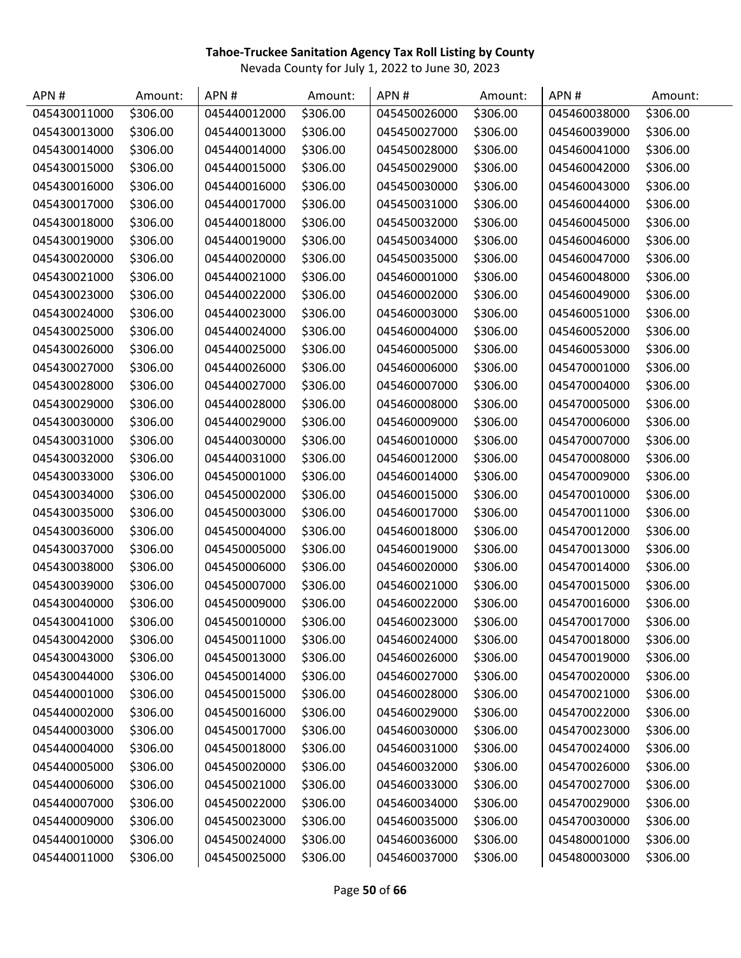| APN #        | Amount:  | APN#         | Amount:  | APN#         | Amount:  | APN#         | Amount:  |
|--------------|----------|--------------|----------|--------------|----------|--------------|----------|
| 045430011000 | \$306.00 | 045440012000 | \$306.00 | 045450026000 | \$306.00 | 045460038000 | \$306.00 |
| 045430013000 | \$306.00 | 045440013000 | \$306.00 | 045450027000 | \$306.00 | 045460039000 | \$306.00 |
| 045430014000 | \$306.00 | 045440014000 | \$306.00 | 045450028000 | \$306.00 | 045460041000 | \$306.00 |
| 045430015000 | \$306.00 | 045440015000 | \$306.00 | 045450029000 | \$306.00 | 045460042000 | \$306.00 |
| 045430016000 | \$306.00 | 045440016000 | \$306.00 | 045450030000 | \$306.00 | 045460043000 | \$306.00 |
| 045430017000 | \$306.00 | 045440017000 | \$306.00 | 045450031000 | \$306.00 | 045460044000 | \$306.00 |
| 045430018000 | \$306.00 | 045440018000 | \$306.00 | 045450032000 | \$306.00 | 045460045000 | \$306.00 |
| 045430019000 | \$306.00 | 045440019000 | \$306.00 | 045450034000 | \$306.00 | 045460046000 | \$306.00 |
| 045430020000 | \$306.00 | 045440020000 | \$306.00 | 045450035000 | \$306.00 | 045460047000 | \$306.00 |
| 045430021000 | \$306.00 | 045440021000 | \$306.00 | 045460001000 | \$306.00 | 045460048000 | \$306.00 |
| 045430023000 | \$306.00 | 045440022000 | \$306.00 | 045460002000 | \$306.00 | 045460049000 | \$306.00 |
| 045430024000 | \$306.00 | 045440023000 | \$306.00 | 045460003000 | \$306.00 | 045460051000 | \$306.00 |
| 045430025000 | \$306.00 | 045440024000 | \$306.00 | 045460004000 | \$306.00 | 045460052000 | \$306.00 |
| 045430026000 | \$306.00 | 045440025000 | \$306.00 | 045460005000 | \$306.00 | 045460053000 | \$306.00 |
| 045430027000 | \$306.00 | 045440026000 | \$306.00 | 045460006000 | \$306.00 | 045470001000 | \$306.00 |
| 045430028000 | \$306.00 | 045440027000 | \$306.00 | 045460007000 | \$306.00 | 045470004000 | \$306.00 |
| 045430029000 | \$306.00 | 045440028000 | \$306.00 | 045460008000 | \$306.00 | 045470005000 | \$306.00 |
| 045430030000 | \$306.00 | 045440029000 | \$306.00 | 045460009000 | \$306.00 | 045470006000 | \$306.00 |
| 045430031000 | \$306.00 | 045440030000 | \$306.00 | 045460010000 | \$306.00 | 045470007000 | \$306.00 |
| 045430032000 | \$306.00 | 045440031000 | \$306.00 | 045460012000 | \$306.00 | 045470008000 | \$306.00 |
| 045430033000 | \$306.00 | 045450001000 | \$306.00 | 045460014000 | \$306.00 | 045470009000 | \$306.00 |
| 045430034000 | \$306.00 | 045450002000 | \$306.00 | 045460015000 | \$306.00 | 045470010000 | \$306.00 |
| 045430035000 | \$306.00 | 045450003000 | \$306.00 | 045460017000 | \$306.00 | 045470011000 | \$306.00 |
| 045430036000 | \$306.00 | 045450004000 | \$306.00 | 045460018000 | \$306.00 | 045470012000 | \$306.00 |
| 045430037000 | \$306.00 | 045450005000 | \$306.00 | 045460019000 | \$306.00 | 045470013000 | \$306.00 |
| 045430038000 | \$306.00 | 045450006000 | \$306.00 | 045460020000 | \$306.00 | 045470014000 | \$306.00 |
| 045430039000 | \$306.00 | 045450007000 | \$306.00 | 045460021000 | \$306.00 | 045470015000 | \$306.00 |
| 045430040000 | \$306.00 | 045450009000 | \$306.00 | 045460022000 | \$306.00 | 045470016000 | \$306.00 |
| 045430041000 | \$306.00 | 045450010000 | \$306.00 | 045460023000 | \$306.00 | 045470017000 | \$306.00 |
| 045430042000 | \$306.00 | 045450011000 | \$306.00 | 045460024000 | \$306.00 | 045470018000 | \$306.00 |
| 045430043000 | \$306.00 | 045450013000 | \$306.00 | 045460026000 | \$306.00 | 045470019000 | \$306.00 |
| 045430044000 | \$306.00 | 045450014000 | \$306.00 | 045460027000 | \$306.00 | 045470020000 | \$306.00 |
| 045440001000 | \$306.00 | 045450015000 | \$306.00 | 045460028000 | \$306.00 | 045470021000 | \$306.00 |
| 045440002000 | \$306.00 | 045450016000 | \$306.00 | 045460029000 | \$306.00 | 045470022000 | \$306.00 |
| 045440003000 | \$306.00 | 045450017000 | \$306.00 | 045460030000 | \$306.00 | 045470023000 | \$306.00 |
| 045440004000 | \$306.00 | 045450018000 | \$306.00 | 045460031000 | \$306.00 | 045470024000 | \$306.00 |
| 045440005000 | \$306.00 | 045450020000 | \$306.00 | 045460032000 | \$306.00 | 045470026000 | \$306.00 |
| 045440006000 | \$306.00 | 045450021000 | \$306.00 | 045460033000 | \$306.00 | 045470027000 | \$306.00 |
| 045440007000 | \$306.00 | 045450022000 | \$306.00 | 045460034000 | \$306.00 | 045470029000 | \$306.00 |
| 045440009000 | \$306.00 | 045450023000 | \$306.00 | 045460035000 | \$306.00 | 045470030000 | \$306.00 |
| 045440010000 | \$306.00 | 045450024000 | \$306.00 | 045460036000 | \$306.00 | 045480001000 | \$306.00 |
| 045440011000 | \$306.00 | 045450025000 | \$306.00 | 045460037000 | \$306.00 | 045480003000 | \$306.00 |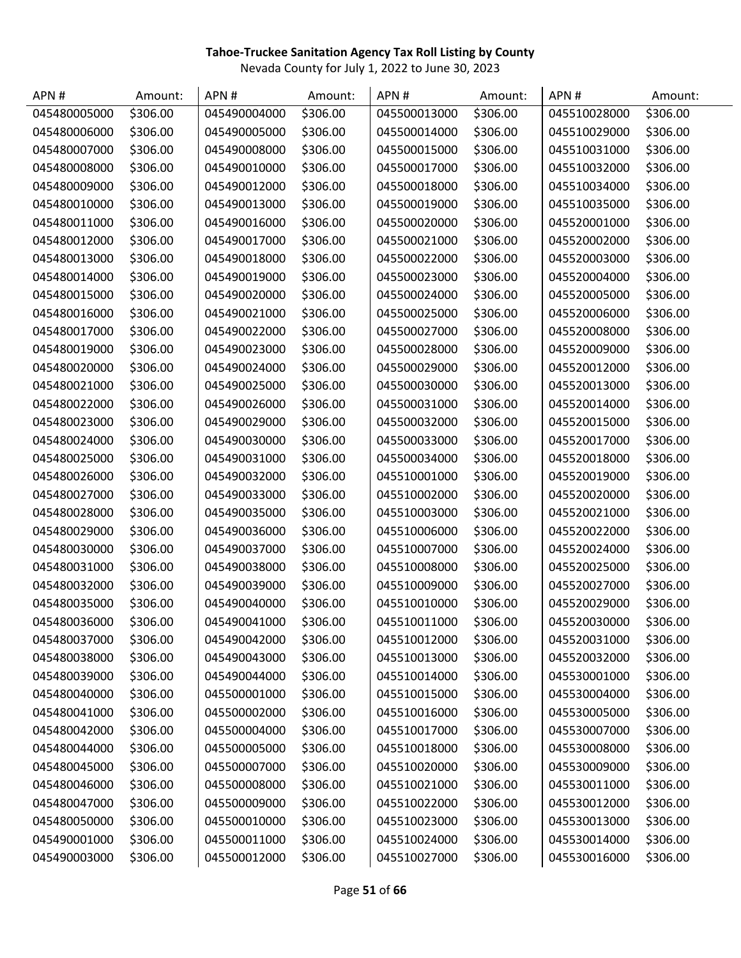| APN#         | Amount:  | APN#         | Amount:  | APN#         | Amount:  | APN#         | Amount:  |
|--------------|----------|--------------|----------|--------------|----------|--------------|----------|
| 045480005000 | \$306.00 | 045490004000 | \$306.00 | 045500013000 | \$306.00 | 045510028000 | \$306.00 |
| 045480006000 | \$306.00 | 045490005000 | \$306.00 | 045500014000 | \$306.00 | 045510029000 | \$306.00 |
| 045480007000 | \$306.00 | 045490008000 | \$306.00 | 045500015000 | \$306.00 | 045510031000 | \$306.00 |
| 045480008000 | \$306.00 | 045490010000 | \$306.00 | 045500017000 | \$306.00 | 045510032000 | \$306.00 |
| 045480009000 | \$306.00 | 045490012000 | \$306.00 | 045500018000 | \$306.00 | 045510034000 | \$306.00 |
| 045480010000 | \$306.00 | 045490013000 | \$306.00 | 045500019000 | \$306.00 | 045510035000 | \$306.00 |
| 045480011000 | \$306.00 | 045490016000 | \$306.00 | 045500020000 | \$306.00 | 045520001000 | \$306.00 |
| 045480012000 | \$306.00 | 045490017000 | \$306.00 | 045500021000 | \$306.00 | 045520002000 | \$306.00 |
| 045480013000 | \$306.00 | 045490018000 | \$306.00 | 045500022000 | \$306.00 | 045520003000 | \$306.00 |
| 045480014000 | \$306.00 | 045490019000 | \$306.00 | 045500023000 | \$306.00 | 045520004000 | \$306.00 |
| 045480015000 | \$306.00 | 045490020000 | \$306.00 | 045500024000 | \$306.00 | 045520005000 | \$306.00 |
| 045480016000 | \$306.00 | 045490021000 | \$306.00 | 045500025000 | \$306.00 | 045520006000 | \$306.00 |
| 045480017000 | \$306.00 | 045490022000 | \$306.00 | 045500027000 | \$306.00 | 045520008000 | \$306.00 |
| 045480019000 | \$306.00 | 045490023000 | \$306.00 | 045500028000 | \$306.00 | 045520009000 | \$306.00 |
| 045480020000 | \$306.00 | 045490024000 | \$306.00 | 045500029000 | \$306.00 | 045520012000 | \$306.00 |
| 045480021000 | \$306.00 | 045490025000 | \$306.00 | 045500030000 | \$306.00 | 045520013000 | \$306.00 |
| 045480022000 | \$306.00 | 045490026000 | \$306.00 | 045500031000 | \$306.00 | 045520014000 | \$306.00 |
| 045480023000 | \$306.00 | 045490029000 | \$306.00 | 045500032000 | \$306.00 | 045520015000 | \$306.00 |
| 045480024000 | \$306.00 | 045490030000 | \$306.00 | 045500033000 | \$306.00 | 045520017000 | \$306.00 |
| 045480025000 | \$306.00 | 045490031000 | \$306.00 | 045500034000 | \$306.00 | 045520018000 | \$306.00 |
| 045480026000 | \$306.00 | 045490032000 | \$306.00 | 045510001000 | \$306.00 | 045520019000 | \$306.00 |
| 045480027000 | \$306.00 | 045490033000 | \$306.00 | 045510002000 | \$306.00 | 045520020000 | \$306.00 |
| 045480028000 | \$306.00 | 045490035000 | \$306.00 | 045510003000 | \$306.00 | 045520021000 | \$306.00 |
| 045480029000 | \$306.00 | 045490036000 | \$306.00 | 045510006000 | \$306.00 | 045520022000 | \$306.00 |
| 045480030000 | \$306.00 | 045490037000 | \$306.00 | 045510007000 | \$306.00 | 045520024000 | \$306.00 |
| 045480031000 | \$306.00 | 045490038000 | \$306.00 | 045510008000 | \$306.00 | 045520025000 | \$306.00 |
| 045480032000 | \$306.00 | 045490039000 | \$306.00 | 045510009000 | \$306.00 | 045520027000 | \$306.00 |
| 045480035000 | \$306.00 | 045490040000 | \$306.00 | 045510010000 | \$306.00 | 045520029000 | \$306.00 |
| 045480036000 | \$306.00 | 045490041000 | \$306.00 | 045510011000 | \$306.00 | 045520030000 | \$306.00 |
| 045480037000 | \$306.00 | 045490042000 | \$306.00 | 045510012000 | \$306.00 | 045520031000 | \$306.00 |
| 045480038000 | \$306.00 | 045490043000 | \$306.00 | 045510013000 | \$306.00 | 045520032000 | \$306.00 |
| 045480039000 | \$306.00 | 045490044000 | \$306.00 | 045510014000 | \$306.00 | 045530001000 | \$306.00 |
| 045480040000 | \$306.00 | 045500001000 | \$306.00 | 045510015000 | \$306.00 | 045530004000 | \$306.00 |
| 045480041000 | \$306.00 | 045500002000 | \$306.00 | 045510016000 | \$306.00 | 045530005000 | \$306.00 |
| 045480042000 | \$306.00 | 045500004000 | \$306.00 | 045510017000 | \$306.00 | 045530007000 | \$306.00 |
| 045480044000 | \$306.00 | 045500005000 | \$306.00 | 045510018000 | \$306.00 | 045530008000 | \$306.00 |
| 045480045000 | \$306.00 | 045500007000 | \$306.00 | 045510020000 | \$306.00 | 045530009000 | \$306.00 |
| 045480046000 | \$306.00 | 045500008000 | \$306.00 | 045510021000 | \$306.00 | 045530011000 | \$306.00 |
| 045480047000 | \$306.00 | 045500009000 | \$306.00 | 045510022000 | \$306.00 | 045530012000 | \$306.00 |
| 045480050000 | \$306.00 | 045500010000 | \$306.00 | 045510023000 | \$306.00 | 045530013000 | \$306.00 |
| 045490001000 | \$306.00 | 045500011000 | \$306.00 | 045510024000 | \$306.00 | 045530014000 | \$306.00 |
| 045490003000 | \$306.00 | 045500012000 | \$306.00 | 045510027000 | \$306.00 | 045530016000 | \$306.00 |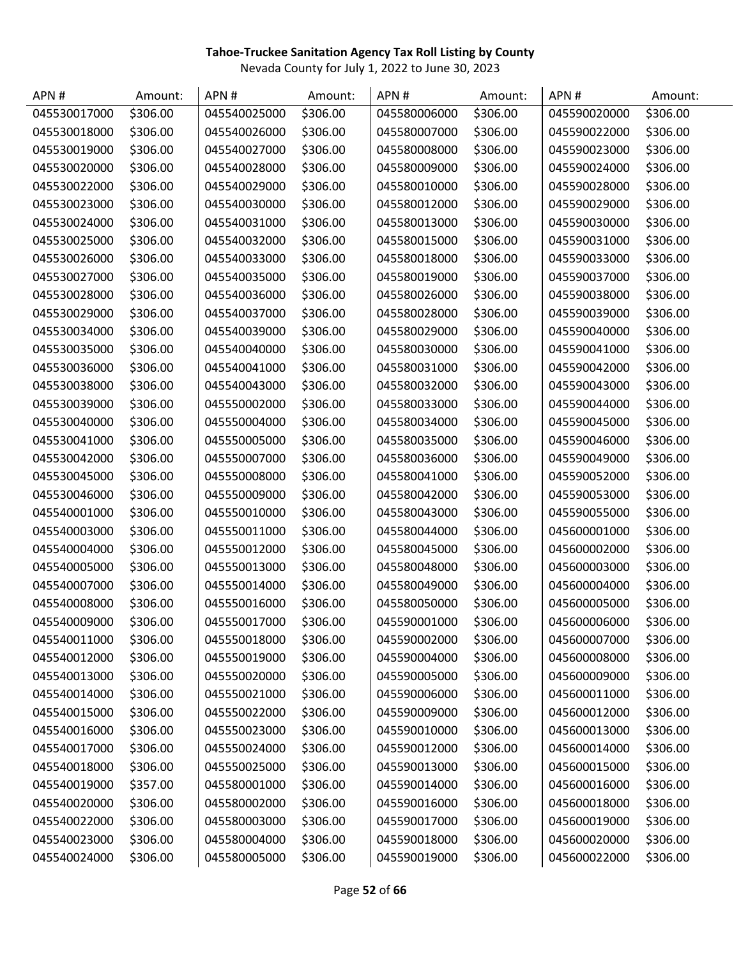| APN#         | Amount:  | APN#         | Amount:  | APN#         | Amount:  | APN#         | Amount:  |
|--------------|----------|--------------|----------|--------------|----------|--------------|----------|
| 045530017000 | \$306.00 | 045540025000 | \$306.00 | 045580006000 | \$306.00 | 045590020000 | \$306.00 |
| 045530018000 | \$306.00 | 045540026000 | \$306.00 | 045580007000 | \$306.00 | 045590022000 | \$306.00 |
| 045530019000 | \$306.00 | 045540027000 | \$306.00 | 045580008000 | \$306.00 | 045590023000 | \$306.00 |
| 045530020000 | \$306.00 | 045540028000 | \$306.00 | 045580009000 | \$306.00 | 045590024000 | \$306.00 |
| 045530022000 | \$306.00 | 045540029000 | \$306.00 | 045580010000 | \$306.00 | 045590028000 | \$306.00 |
| 045530023000 | \$306.00 | 045540030000 | \$306.00 | 045580012000 | \$306.00 | 045590029000 | \$306.00 |
| 045530024000 | \$306.00 | 045540031000 | \$306.00 | 045580013000 | \$306.00 | 045590030000 | \$306.00 |
| 045530025000 | \$306.00 | 045540032000 | \$306.00 | 045580015000 | \$306.00 | 045590031000 | \$306.00 |
| 045530026000 | \$306.00 | 045540033000 | \$306.00 | 045580018000 | \$306.00 | 045590033000 | \$306.00 |
| 045530027000 | \$306.00 | 045540035000 | \$306.00 | 045580019000 | \$306.00 | 045590037000 | \$306.00 |
| 045530028000 | \$306.00 | 045540036000 | \$306.00 | 045580026000 | \$306.00 | 045590038000 | \$306.00 |
| 045530029000 | \$306.00 | 045540037000 | \$306.00 | 045580028000 | \$306.00 | 045590039000 | \$306.00 |
| 045530034000 | \$306.00 | 045540039000 | \$306.00 | 045580029000 | \$306.00 | 045590040000 | \$306.00 |
| 045530035000 | \$306.00 | 045540040000 | \$306.00 | 045580030000 | \$306.00 | 045590041000 | \$306.00 |
| 045530036000 | \$306.00 | 045540041000 | \$306.00 | 045580031000 | \$306.00 | 045590042000 | \$306.00 |
| 045530038000 | \$306.00 | 045540043000 | \$306.00 | 045580032000 | \$306.00 | 045590043000 | \$306.00 |
| 045530039000 | \$306.00 | 045550002000 | \$306.00 | 045580033000 | \$306.00 | 045590044000 | \$306.00 |
| 045530040000 | \$306.00 | 045550004000 | \$306.00 | 045580034000 | \$306.00 | 045590045000 | \$306.00 |
| 045530041000 | \$306.00 | 045550005000 | \$306.00 | 045580035000 | \$306.00 | 045590046000 | \$306.00 |
| 045530042000 | \$306.00 | 045550007000 | \$306.00 | 045580036000 | \$306.00 | 045590049000 | \$306.00 |
| 045530045000 | \$306.00 | 045550008000 | \$306.00 | 045580041000 | \$306.00 | 045590052000 | \$306.00 |
| 045530046000 | \$306.00 | 045550009000 | \$306.00 | 045580042000 | \$306.00 | 045590053000 | \$306.00 |
| 045540001000 | \$306.00 | 045550010000 | \$306.00 | 045580043000 | \$306.00 | 045590055000 | \$306.00 |
| 045540003000 | \$306.00 | 045550011000 | \$306.00 | 045580044000 | \$306.00 | 045600001000 | \$306.00 |
| 045540004000 | \$306.00 | 045550012000 | \$306.00 | 045580045000 | \$306.00 | 045600002000 | \$306.00 |
| 045540005000 | \$306.00 | 045550013000 | \$306.00 | 045580048000 | \$306.00 | 045600003000 | \$306.00 |
| 045540007000 | \$306.00 | 045550014000 | \$306.00 | 045580049000 | \$306.00 | 045600004000 | \$306.00 |
| 045540008000 | \$306.00 | 045550016000 | \$306.00 | 045580050000 | \$306.00 | 045600005000 | \$306.00 |
| 045540009000 | \$306.00 | 045550017000 | \$306.00 | 045590001000 | \$306.00 | 045600006000 | \$306.00 |
| 045540011000 | \$306.00 | 045550018000 | \$306.00 | 045590002000 | \$306.00 | 045600007000 | \$306.00 |
| 045540012000 | \$306.00 | 045550019000 | \$306.00 | 045590004000 | \$306.00 | 045600008000 | \$306.00 |
| 045540013000 | \$306.00 | 045550020000 | \$306.00 | 045590005000 | \$306.00 | 045600009000 | \$306.00 |
| 045540014000 | \$306.00 | 045550021000 | \$306.00 | 045590006000 | \$306.00 | 045600011000 | \$306.00 |
| 045540015000 | \$306.00 | 045550022000 | \$306.00 | 045590009000 | \$306.00 | 045600012000 | \$306.00 |
| 045540016000 | \$306.00 | 045550023000 | \$306.00 | 045590010000 | \$306.00 | 045600013000 | \$306.00 |
| 045540017000 | \$306.00 | 045550024000 | \$306.00 | 045590012000 | \$306.00 | 045600014000 | \$306.00 |
| 045540018000 | \$306.00 | 045550025000 | \$306.00 | 045590013000 | \$306.00 | 045600015000 | \$306.00 |
| 045540019000 | \$357.00 | 045580001000 | \$306.00 | 045590014000 | \$306.00 | 045600016000 | \$306.00 |
| 045540020000 | \$306.00 | 045580002000 | \$306.00 | 045590016000 | \$306.00 | 045600018000 | \$306.00 |
| 045540022000 | \$306.00 | 045580003000 | \$306.00 | 045590017000 | \$306.00 | 045600019000 | \$306.00 |
| 045540023000 | \$306.00 | 045580004000 | \$306.00 | 045590018000 | \$306.00 | 045600020000 | \$306.00 |
| 045540024000 | \$306.00 | 045580005000 | \$306.00 | 045590019000 | \$306.00 | 045600022000 | \$306.00 |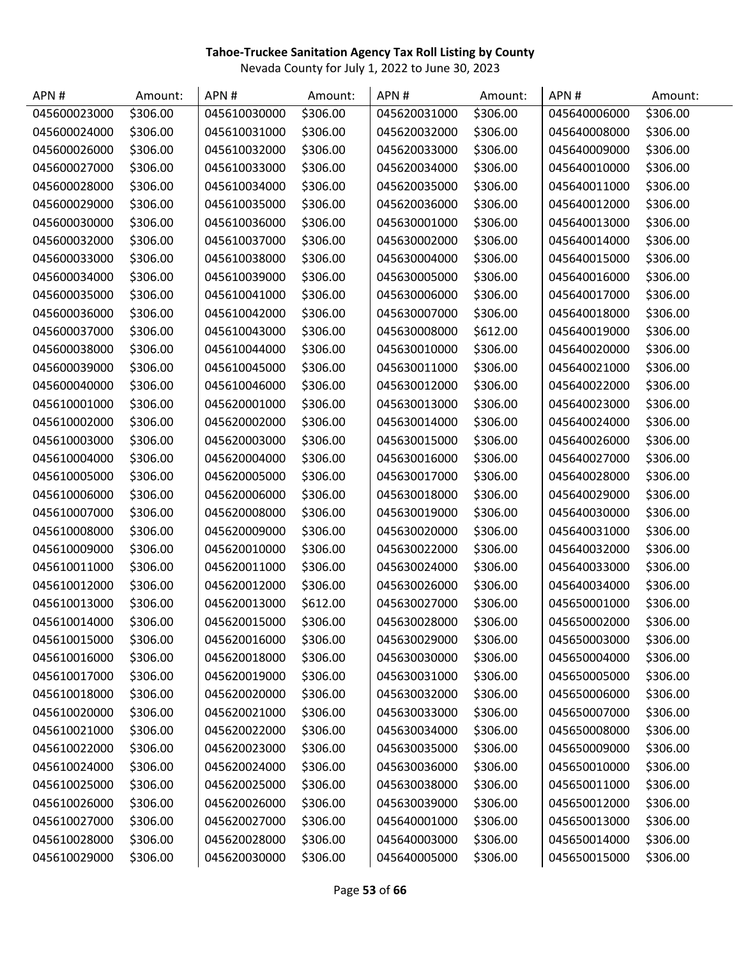| APN#         | Amount:  | APN#         | Amount:  | APN#         | Amount:  | APN#         | Amount:  |
|--------------|----------|--------------|----------|--------------|----------|--------------|----------|
| 045600023000 | \$306.00 | 045610030000 | \$306.00 | 045620031000 | \$306.00 | 045640006000 | \$306.00 |
| 045600024000 | \$306.00 | 045610031000 | \$306.00 | 045620032000 | \$306.00 | 045640008000 | \$306.00 |
| 045600026000 | \$306.00 | 045610032000 | \$306.00 | 045620033000 | \$306.00 | 045640009000 | \$306.00 |
| 045600027000 | \$306.00 | 045610033000 | \$306.00 | 045620034000 | \$306.00 | 045640010000 | \$306.00 |
| 045600028000 | \$306.00 | 045610034000 | \$306.00 | 045620035000 | \$306.00 | 045640011000 | \$306.00 |
| 045600029000 | \$306.00 | 045610035000 | \$306.00 | 045620036000 | \$306.00 | 045640012000 | \$306.00 |
| 045600030000 | \$306.00 | 045610036000 | \$306.00 | 045630001000 | \$306.00 | 045640013000 | \$306.00 |
| 045600032000 | \$306.00 | 045610037000 | \$306.00 | 045630002000 | \$306.00 | 045640014000 | \$306.00 |
| 045600033000 | \$306.00 | 045610038000 | \$306.00 | 045630004000 | \$306.00 | 045640015000 | \$306.00 |
| 045600034000 | \$306.00 | 045610039000 | \$306.00 | 045630005000 | \$306.00 | 045640016000 | \$306.00 |
| 045600035000 | \$306.00 | 045610041000 | \$306.00 | 045630006000 | \$306.00 | 045640017000 | \$306.00 |
| 045600036000 | \$306.00 | 045610042000 | \$306.00 | 045630007000 | \$306.00 | 045640018000 | \$306.00 |
| 045600037000 | \$306.00 | 045610043000 | \$306.00 | 045630008000 | \$612.00 | 045640019000 | \$306.00 |
| 045600038000 | \$306.00 | 045610044000 | \$306.00 | 045630010000 | \$306.00 | 045640020000 | \$306.00 |
| 045600039000 | \$306.00 | 045610045000 | \$306.00 | 045630011000 | \$306.00 | 045640021000 | \$306.00 |
| 045600040000 | \$306.00 | 045610046000 | \$306.00 | 045630012000 | \$306.00 | 045640022000 | \$306.00 |
| 045610001000 | \$306.00 | 045620001000 | \$306.00 | 045630013000 | \$306.00 | 045640023000 | \$306.00 |
| 045610002000 | \$306.00 | 045620002000 | \$306.00 | 045630014000 | \$306.00 | 045640024000 | \$306.00 |
| 045610003000 | \$306.00 | 045620003000 | \$306.00 | 045630015000 | \$306.00 | 045640026000 | \$306.00 |
| 045610004000 | \$306.00 | 045620004000 | \$306.00 | 045630016000 | \$306.00 | 045640027000 | \$306.00 |
| 045610005000 | \$306.00 | 045620005000 | \$306.00 | 045630017000 | \$306.00 | 045640028000 | \$306.00 |
| 045610006000 | \$306.00 | 045620006000 | \$306.00 | 045630018000 | \$306.00 | 045640029000 | \$306.00 |
| 045610007000 | \$306.00 | 045620008000 | \$306.00 | 045630019000 | \$306.00 | 045640030000 | \$306.00 |
| 045610008000 | \$306.00 | 045620009000 | \$306.00 | 045630020000 | \$306.00 | 045640031000 | \$306.00 |
| 045610009000 | \$306.00 | 045620010000 | \$306.00 | 045630022000 | \$306.00 | 045640032000 | \$306.00 |
| 045610011000 | \$306.00 | 045620011000 | \$306.00 | 045630024000 | \$306.00 | 045640033000 | \$306.00 |
| 045610012000 | \$306.00 | 045620012000 | \$306.00 | 045630026000 | \$306.00 | 045640034000 | \$306.00 |
| 045610013000 | \$306.00 | 045620013000 | \$612.00 | 045630027000 | \$306.00 | 045650001000 | \$306.00 |
| 045610014000 | \$306.00 | 045620015000 | \$306.00 | 045630028000 | \$306.00 | 045650002000 | \$306.00 |
| 045610015000 | \$306.00 | 045620016000 | \$306.00 | 045630029000 | \$306.00 | 045650003000 | \$306.00 |
| 045610016000 | \$306.00 | 045620018000 | \$306.00 | 045630030000 | \$306.00 | 045650004000 | \$306.00 |
| 045610017000 | \$306.00 | 045620019000 | \$306.00 | 045630031000 | \$306.00 | 045650005000 | \$306.00 |
| 045610018000 | \$306.00 | 045620020000 | \$306.00 | 045630032000 | \$306.00 | 045650006000 | \$306.00 |
| 045610020000 | \$306.00 | 045620021000 | \$306.00 | 045630033000 | \$306.00 | 045650007000 | \$306.00 |
| 045610021000 | \$306.00 | 045620022000 | \$306.00 | 045630034000 | \$306.00 | 045650008000 | \$306.00 |
| 045610022000 | \$306.00 | 045620023000 | \$306.00 | 045630035000 | \$306.00 | 045650009000 | \$306.00 |
| 045610024000 | \$306.00 | 045620024000 | \$306.00 | 045630036000 | \$306.00 | 045650010000 | \$306.00 |
| 045610025000 | \$306.00 | 045620025000 | \$306.00 | 045630038000 | \$306.00 | 045650011000 | \$306.00 |
| 045610026000 | \$306.00 | 045620026000 | \$306.00 | 045630039000 | \$306.00 | 045650012000 | \$306.00 |
| 045610027000 | \$306.00 | 045620027000 | \$306.00 | 045640001000 | \$306.00 | 045650013000 | \$306.00 |
| 045610028000 | \$306.00 | 045620028000 | \$306.00 | 045640003000 | \$306.00 | 045650014000 | \$306.00 |
| 045610029000 | \$306.00 | 045620030000 | \$306.00 | 045640005000 | \$306.00 | 045650015000 | \$306.00 |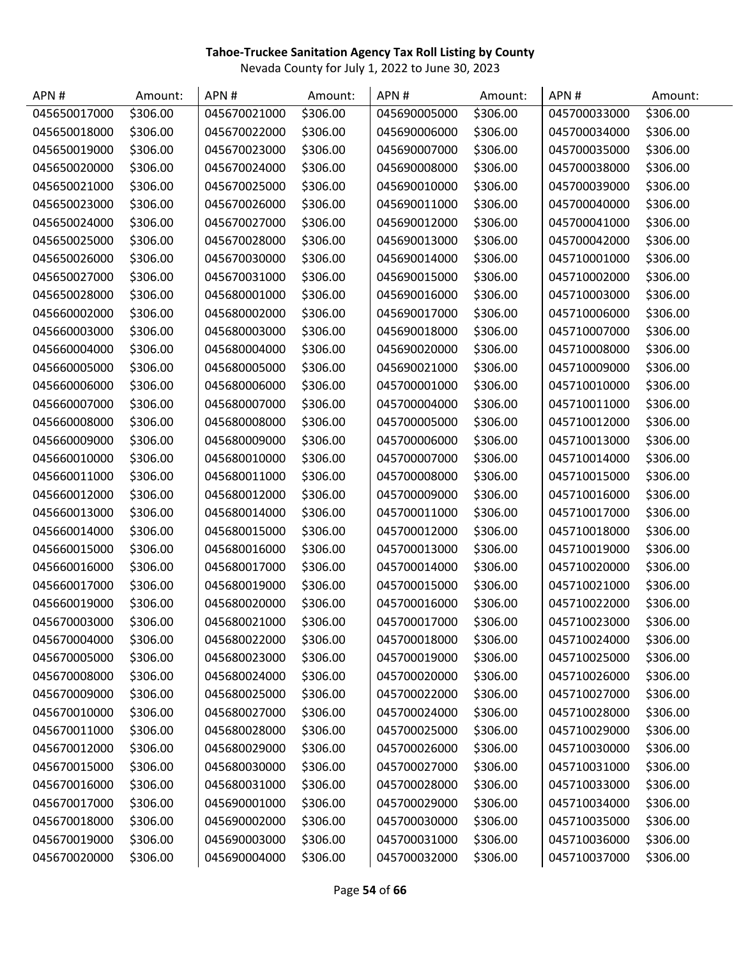| APN #        | Amount:  | APN#         | Amount:  | APN#         | Amount:  | APN#         | Amount:  |
|--------------|----------|--------------|----------|--------------|----------|--------------|----------|
| 045650017000 | \$306.00 | 045670021000 | \$306.00 | 045690005000 | \$306.00 | 045700033000 | \$306.00 |
| 045650018000 | \$306.00 | 045670022000 | \$306.00 | 045690006000 | \$306.00 | 045700034000 | \$306.00 |
| 045650019000 | \$306.00 | 045670023000 | \$306.00 | 045690007000 | \$306.00 | 045700035000 | \$306.00 |
| 045650020000 | \$306.00 | 045670024000 | \$306.00 | 045690008000 | \$306.00 | 045700038000 | \$306.00 |
| 045650021000 | \$306.00 | 045670025000 | \$306.00 | 045690010000 | \$306.00 | 045700039000 | \$306.00 |
| 045650023000 | \$306.00 | 045670026000 | \$306.00 | 045690011000 | \$306.00 | 045700040000 | \$306.00 |
| 045650024000 | \$306.00 | 045670027000 | \$306.00 | 045690012000 | \$306.00 | 045700041000 | \$306.00 |
| 045650025000 | \$306.00 | 045670028000 | \$306.00 | 045690013000 | \$306.00 | 045700042000 | \$306.00 |
| 045650026000 | \$306.00 | 045670030000 | \$306.00 | 045690014000 | \$306.00 | 045710001000 | \$306.00 |
| 045650027000 | \$306.00 | 045670031000 | \$306.00 | 045690015000 | \$306.00 | 045710002000 | \$306.00 |
| 045650028000 | \$306.00 | 045680001000 | \$306.00 | 045690016000 | \$306.00 | 045710003000 | \$306.00 |
| 045660002000 | \$306.00 | 045680002000 | \$306.00 | 045690017000 | \$306.00 | 045710006000 | \$306.00 |
| 045660003000 | \$306.00 | 045680003000 | \$306.00 | 045690018000 | \$306.00 | 045710007000 | \$306.00 |
| 045660004000 | \$306.00 | 045680004000 | \$306.00 | 045690020000 | \$306.00 | 045710008000 | \$306.00 |
| 045660005000 | \$306.00 | 045680005000 | \$306.00 | 045690021000 | \$306.00 | 045710009000 | \$306.00 |
| 045660006000 | \$306.00 | 045680006000 | \$306.00 | 045700001000 | \$306.00 | 045710010000 | \$306.00 |
| 045660007000 | \$306.00 | 045680007000 | \$306.00 | 045700004000 | \$306.00 | 045710011000 | \$306.00 |
| 045660008000 | \$306.00 | 045680008000 | \$306.00 | 045700005000 | \$306.00 | 045710012000 | \$306.00 |
| 045660009000 | \$306.00 | 045680009000 | \$306.00 | 045700006000 | \$306.00 | 045710013000 | \$306.00 |
| 045660010000 | \$306.00 | 045680010000 | \$306.00 | 045700007000 | \$306.00 | 045710014000 | \$306.00 |
| 045660011000 | \$306.00 | 045680011000 | \$306.00 | 045700008000 | \$306.00 | 045710015000 | \$306.00 |
| 045660012000 | \$306.00 | 045680012000 | \$306.00 | 045700009000 | \$306.00 | 045710016000 | \$306.00 |
| 045660013000 | \$306.00 | 045680014000 | \$306.00 | 045700011000 | \$306.00 | 045710017000 | \$306.00 |
| 045660014000 | \$306.00 | 045680015000 | \$306.00 | 045700012000 | \$306.00 | 045710018000 | \$306.00 |
| 045660015000 | \$306.00 | 045680016000 | \$306.00 | 045700013000 | \$306.00 | 045710019000 | \$306.00 |
| 045660016000 | \$306.00 | 045680017000 | \$306.00 | 045700014000 | \$306.00 | 045710020000 | \$306.00 |
| 045660017000 | \$306.00 | 045680019000 | \$306.00 | 045700015000 | \$306.00 | 045710021000 | \$306.00 |
| 045660019000 | \$306.00 | 045680020000 | \$306.00 | 045700016000 | \$306.00 | 045710022000 | \$306.00 |
| 045670003000 | \$306.00 | 045680021000 | \$306.00 | 045700017000 | \$306.00 | 045710023000 | \$306.00 |
| 045670004000 | \$306.00 | 045680022000 | \$306.00 | 045700018000 | \$306.00 | 045710024000 | \$306.00 |
| 045670005000 | \$306.00 | 045680023000 | \$306.00 | 045700019000 | \$306.00 | 045710025000 | \$306.00 |
| 045670008000 | \$306.00 | 045680024000 | \$306.00 | 045700020000 | \$306.00 | 045710026000 | \$306.00 |
| 045670009000 | \$306.00 | 045680025000 | \$306.00 | 045700022000 | \$306.00 | 045710027000 | \$306.00 |
| 045670010000 | \$306.00 | 045680027000 | \$306.00 | 045700024000 | \$306.00 | 045710028000 | \$306.00 |
| 045670011000 | \$306.00 | 045680028000 | \$306.00 | 045700025000 | \$306.00 | 045710029000 | \$306.00 |
| 045670012000 | \$306.00 | 045680029000 | \$306.00 | 045700026000 | \$306.00 | 045710030000 | \$306.00 |
| 045670015000 | \$306.00 | 045680030000 | \$306.00 | 045700027000 | \$306.00 | 045710031000 | \$306.00 |
| 045670016000 | \$306.00 | 045680031000 | \$306.00 | 045700028000 | \$306.00 | 045710033000 | \$306.00 |
| 045670017000 | \$306.00 | 045690001000 | \$306.00 | 045700029000 | \$306.00 | 045710034000 | \$306.00 |
| 045670018000 | \$306.00 | 045690002000 | \$306.00 | 045700030000 | \$306.00 | 045710035000 | \$306.00 |
| 045670019000 | \$306.00 | 045690003000 | \$306.00 | 045700031000 | \$306.00 | 045710036000 | \$306.00 |
| 045670020000 | \$306.00 | 045690004000 | \$306.00 | 045700032000 | \$306.00 | 045710037000 | \$306.00 |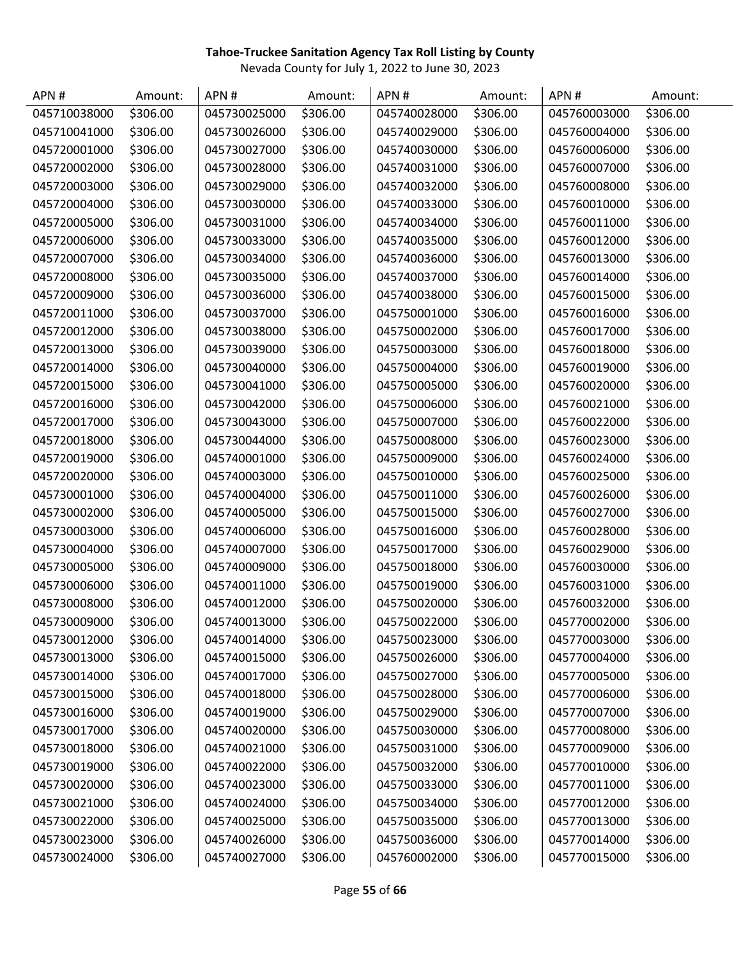| APN#         | Amount:  | APN#         | Amount:  | APN#         | Amount:  | APN#         | Amount:  |
|--------------|----------|--------------|----------|--------------|----------|--------------|----------|
| 045710038000 | \$306.00 | 045730025000 | \$306.00 | 045740028000 | \$306.00 | 045760003000 | \$306.00 |
| 045710041000 | \$306.00 | 045730026000 | \$306.00 | 045740029000 | \$306.00 | 045760004000 | \$306.00 |
| 045720001000 | \$306.00 | 045730027000 | \$306.00 | 045740030000 | \$306.00 | 045760006000 | \$306.00 |
| 045720002000 | \$306.00 | 045730028000 | \$306.00 | 045740031000 | \$306.00 | 045760007000 | \$306.00 |
| 045720003000 | \$306.00 | 045730029000 | \$306.00 | 045740032000 | \$306.00 | 045760008000 | \$306.00 |
| 045720004000 | \$306.00 | 045730030000 | \$306.00 | 045740033000 | \$306.00 | 045760010000 | \$306.00 |
| 045720005000 | \$306.00 | 045730031000 | \$306.00 | 045740034000 | \$306.00 | 045760011000 | \$306.00 |
| 045720006000 | \$306.00 | 045730033000 | \$306.00 | 045740035000 | \$306.00 | 045760012000 | \$306.00 |
| 045720007000 | \$306.00 | 045730034000 | \$306.00 | 045740036000 | \$306.00 | 045760013000 | \$306.00 |
| 045720008000 | \$306.00 | 045730035000 | \$306.00 | 045740037000 | \$306.00 | 045760014000 | \$306.00 |
| 045720009000 | \$306.00 | 045730036000 | \$306.00 | 045740038000 | \$306.00 | 045760015000 | \$306.00 |
| 045720011000 | \$306.00 | 045730037000 | \$306.00 | 045750001000 | \$306.00 | 045760016000 | \$306.00 |
| 045720012000 | \$306.00 | 045730038000 | \$306.00 | 045750002000 | \$306.00 | 045760017000 | \$306.00 |
| 045720013000 | \$306.00 | 045730039000 | \$306.00 | 045750003000 | \$306.00 | 045760018000 | \$306.00 |
| 045720014000 | \$306.00 | 045730040000 | \$306.00 | 045750004000 | \$306.00 | 045760019000 | \$306.00 |
| 045720015000 | \$306.00 | 045730041000 | \$306.00 | 045750005000 | \$306.00 | 045760020000 | \$306.00 |
| 045720016000 | \$306.00 | 045730042000 | \$306.00 | 045750006000 | \$306.00 | 045760021000 | \$306.00 |
| 045720017000 | \$306.00 | 045730043000 | \$306.00 | 045750007000 | \$306.00 | 045760022000 | \$306.00 |
| 045720018000 | \$306.00 | 045730044000 | \$306.00 | 045750008000 | \$306.00 | 045760023000 | \$306.00 |
| 045720019000 | \$306.00 | 045740001000 | \$306.00 | 045750009000 | \$306.00 | 045760024000 | \$306.00 |
| 045720020000 | \$306.00 | 045740003000 | \$306.00 | 045750010000 | \$306.00 | 045760025000 | \$306.00 |
| 045730001000 | \$306.00 | 045740004000 | \$306.00 | 045750011000 | \$306.00 | 045760026000 | \$306.00 |
| 045730002000 | \$306.00 | 045740005000 | \$306.00 | 045750015000 | \$306.00 | 045760027000 | \$306.00 |
| 045730003000 | \$306.00 | 045740006000 | \$306.00 | 045750016000 | \$306.00 | 045760028000 | \$306.00 |
| 045730004000 | \$306.00 | 045740007000 | \$306.00 | 045750017000 | \$306.00 | 045760029000 | \$306.00 |
| 045730005000 | \$306.00 | 045740009000 | \$306.00 | 045750018000 | \$306.00 | 045760030000 | \$306.00 |
| 045730006000 | \$306.00 | 045740011000 | \$306.00 | 045750019000 | \$306.00 | 045760031000 | \$306.00 |
| 045730008000 | \$306.00 | 045740012000 | \$306.00 | 045750020000 | \$306.00 | 045760032000 | \$306.00 |
| 045730009000 | \$306.00 | 045740013000 | \$306.00 | 045750022000 | \$306.00 | 045770002000 | \$306.00 |
| 045730012000 | \$306.00 | 045740014000 | \$306.00 | 045750023000 | \$306.00 | 045770003000 | \$306.00 |
| 045730013000 | \$306.00 | 045740015000 | \$306.00 | 045750026000 | \$306.00 | 045770004000 | \$306.00 |
| 045730014000 | \$306.00 | 045740017000 | \$306.00 | 045750027000 | \$306.00 | 045770005000 | \$306.00 |
| 045730015000 | \$306.00 | 045740018000 | \$306.00 | 045750028000 | \$306.00 | 045770006000 | \$306.00 |
| 045730016000 | \$306.00 | 045740019000 | \$306.00 | 045750029000 | \$306.00 | 045770007000 | \$306.00 |
| 045730017000 | \$306.00 | 045740020000 | \$306.00 | 045750030000 | \$306.00 | 045770008000 | \$306.00 |
| 045730018000 | \$306.00 | 045740021000 | \$306.00 | 045750031000 | \$306.00 | 045770009000 | \$306.00 |
| 045730019000 | \$306.00 | 045740022000 | \$306.00 | 045750032000 | \$306.00 | 045770010000 | \$306.00 |
| 045730020000 | \$306.00 | 045740023000 | \$306.00 | 045750033000 | \$306.00 | 045770011000 | \$306.00 |
| 045730021000 | \$306.00 | 045740024000 | \$306.00 | 045750034000 | \$306.00 | 045770012000 | \$306.00 |
| 045730022000 | \$306.00 | 045740025000 | \$306.00 | 045750035000 | \$306.00 | 045770013000 | \$306.00 |
| 045730023000 | \$306.00 | 045740026000 | \$306.00 | 045750036000 | \$306.00 | 045770014000 | \$306.00 |
| 045730024000 | \$306.00 | 045740027000 | \$306.00 | 045760002000 | \$306.00 | 045770015000 | \$306.00 |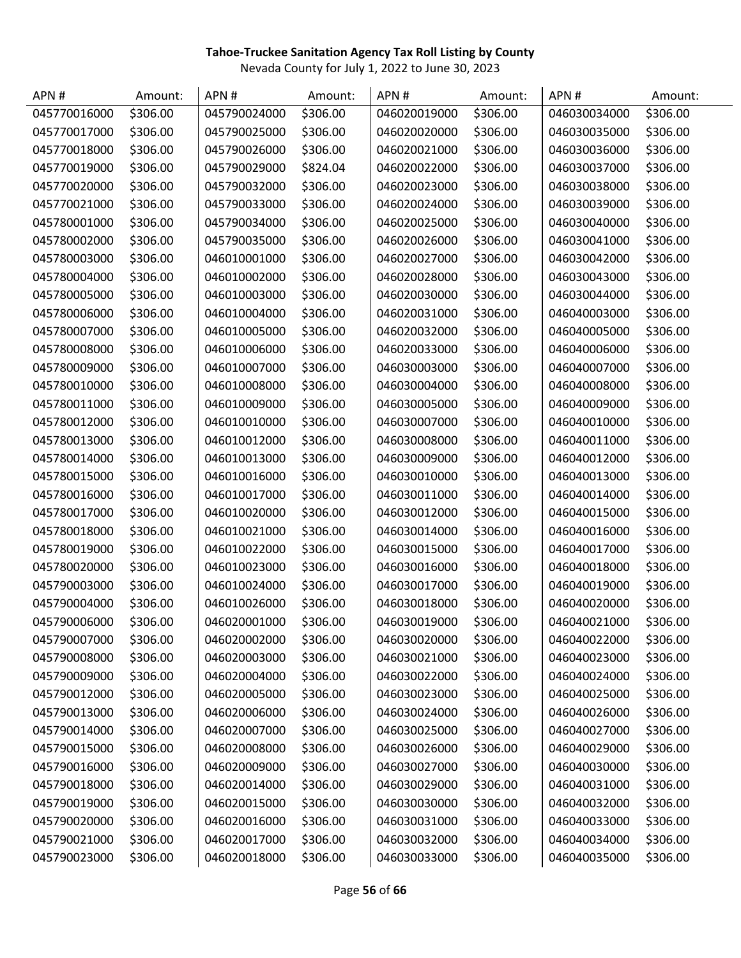| APN#         | Amount:  | APN#         | Amount:  | APN#         | Amount:  | APN#         | Amount:  |
|--------------|----------|--------------|----------|--------------|----------|--------------|----------|
| 045770016000 | \$306.00 | 045790024000 | \$306.00 | 046020019000 | \$306.00 | 046030034000 | \$306.00 |
| 045770017000 | \$306.00 | 045790025000 | \$306.00 | 046020020000 | \$306.00 | 046030035000 | \$306.00 |
| 045770018000 | \$306.00 | 045790026000 | \$306.00 | 046020021000 | \$306.00 | 046030036000 | \$306.00 |
| 045770019000 | \$306.00 | 045790029000 | \$824.04 | 046020022000 | \$306.00 | 046030037000 | \$306.00 |
| 045770020000 | \$306.00 | 045790032000 | \$306.00 | 046020023000 | \$306.00 | 046030038000 | \$306.00 |
| 045770021000 | \$306.00 | 045790033000 | \$306.00 | 046020024000 | \$306.00 | 046030039000 | \$306.00 |
| 045780001000 | \$306.00 | 045790034000 | \$306.00 | 046020025000 | \$306.00 | 046030040000 | \$306.00 |
| 045780002000 | \$306.00 | 045790035000 | \$306.00 | 046020026000 | \$306.00 | 046030041000 | \$306.00 |
| 045780003000 | \$306.00 | 046010001000 | \$306.00 | 046020027000 | \$306.00 | 046030042000 | \$306.00 |
| 045780004000 | \$306.00 | 046010002000 | \$306.00 | 046020028000 | \$306.00 | 046030043000 | \$306.00 |
| 045780005000 | \$306.00 | 046010003000 | \$306.00 | 046020030000 | \$306.00 | 046030044000 | \$306.00 |
| 045780006000 | \$306.00 | 046010004000 | \$306.00 | 046020031000 | \$306.00 | 046040003000 | \$306.00 |
| 045780007000 | \$306.00 | 046010005000 | \$306.00 | 046020032000 | \$306.00 | 046040005000 | \$306.00 |
| 045780008000 | \$306.00 | 046010006000 | \$306.00 | 046020033000 | \$306.00 | 046040006000 | \$306.00 |
| 045780009000 | \$306.00 | 046010007000 | \$306.00 | 046030003000 | \$306.00 | 046040007000 | \$306.00 |
| 045780010000 | \$306.00 | 046010008000 | \$306.00 | 046030004000 | \$306.00 | 046040008000 | \$306.00 |
| 045780011000 | \$306.00 | 046010009000 | \$306.00 | 046030005000 | \$306.00 | 046040009000 | \$306.00 |
| 045780012000 | \$306.00 | 046010010000 | \$306.00 | 046030007000 | \$306.00 | 046040010000 | \$306.00 |
| 045780013000 | \$306.00 | 046010012000 | \$306.00 | 046030008000 | \$306.00 | 046040011000 | \$306.00 |
| 045780014000 | \$306.00 | 046010013000 | \$306.00 | 046030009000 | \$306.00 | 046040012000 | \$306.00 |
| 045780015000 | \$306.00 | 046010016000 | \$306.00 | 046030010000 | \$306.00 | 046040013000 | \$306.00 |
| 045780016000 | \$306.00 | 046010017000 | \$306.00 | 046030011000 | \$306.00 | 046040014000 | \$306.00 |
| 045780017000 | \$306.00 | 046010020000 | \$306.00 | 046030012000 | \$306.00 | 046040015000 | \$306.00 |
| 045780018000 | \$306.00 | 046010021000 | \$306.00 | 046030014000 | \$306.00 | 046040016000 | \$306.00 |
| 045780019000 | \$306.00 | 046010022000 | \$306.00 | 046030015000 | \$306.00 | 046040017000 | \$306.00 |
| 045780020000 | \$306.00 | 046010023000 | \$306.00 | 046030016000 | \$306.00 | 046040018000 | \$306.00 |
| 045790003000 | \$306.00 | 046010024000 | \$306.00 | 046030017000 | \$306.00 | 046040019000 | \$306.00 |
| 045790004000 | \$306.00 | 046010026000 | \$306.00 | 046030018000 | \$306.00 | 046040020000 | \$306.00 |
| 045790006000 | \$306.00 | 046020001000 | \$306.00 | 046030019000 | \$306.00 | 046040021000 | \$306.00 |
| 045790007000 | \$306.00 | 046020002000 | \$306.00 | 046030020000 | \$306.00 | 046040022000 | \$306.00 |
| 045790008000 | \$306.00 | 046020003000 | \$306.00 | 046030021000 | \$306.00 | 046040023000 | \$306.00 |
| 045790009000 | \$306.00 | 046020004000 | \$306.00 | 046030022000 | \$306.00 | 046040024000 | \$306.00 |
| 045790012000 | \$306.00 | 046020005000 | \$306.00 | 046030023000 | \$306.00 | 046040025000 | \$306.00 |
| 045790013000 | \$306.00 | 046020006000 | \$306.00 | 046030024000 | \$306.00 | 046040026000 | \$306.00 |
| 045790014000 | \$306.00 | 046020007000 | \$306.00 | 046030025000 | \$306.00 | 046040027000 | \$306.00 |
| 045790015000 | \$306.00 | 046020008000 | \$306.00 | 046030026000 | \$306.00 | 046040029000 | \$306.00 |
| 045790016000 | \$306.00 | 046020009000 | \$306.00 | 046030027000 | \$306.00 | 046040030000 | \$306.00 |
| 045790018000 | \$306.00 | 046020014000 | \$306.00 | 046030029000 | \$306.00 | 046040031000 | \$306.00 |
| 045790019000 | \$306.00 | 046020015000 | \$306.00 | 046030030000 | \$306.00 | 046040032000 | \$306.00 |
| 045790020000 | \$306.00 | 046020016000 | \$306.00 | 046030031000 | \$306.00 | 046040033000 | \$306.00 |
| 045790021000 | \$306.00 | 046020017000 | \$306.00 | 046030032000 | \$306.00 | 046040034000 | \$306.00 |
| 045790023000 | \$306.00 | 046020018000 | \$306.00 | 046030033000 | \$306.00 | 046040035000 | \$306.00 |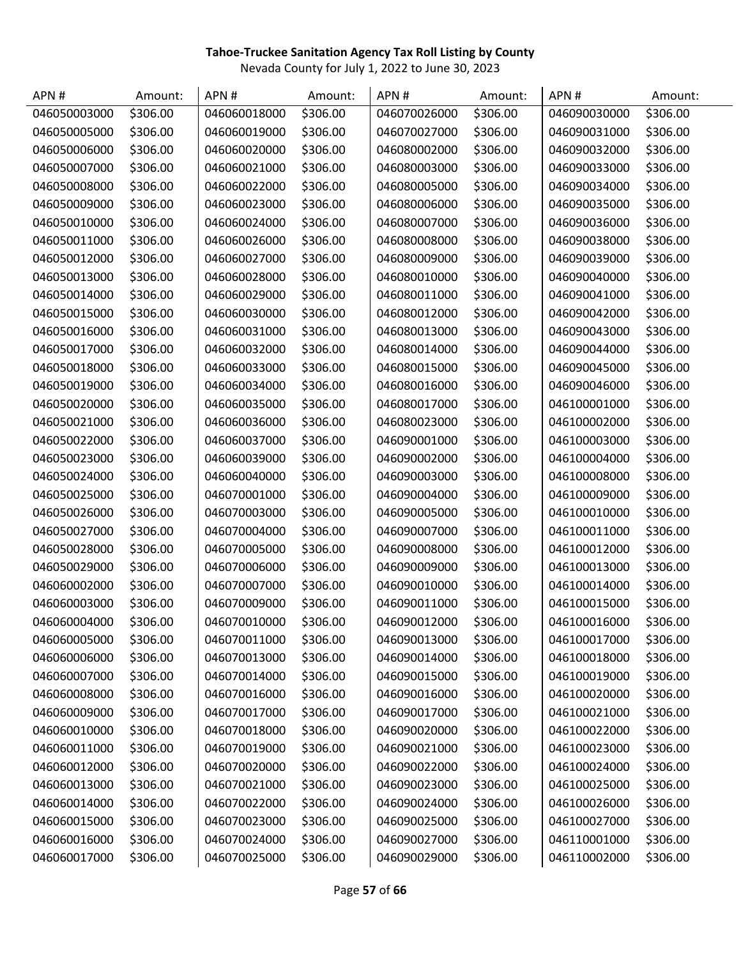| APN#         | Amount:  | APN#         | Amount:  | APN#         | Amount:  | APN#         | Amount:  |
|--------------|----------|--------------|----------|--------------|----------|--------------|----------|
| 046050003000 | \$306.00 | 046060018000 | \$306.00 | 046070026000 | \$306.00 | 046090030000 | \$306.00 |
| 046050005000 | \$306.00 | 046060019000 | \$306.00 | 046070027000 | \$306.00 | 046090031000 | \$306.00 |
| 046050006000 | \$306.00 | 046060020000 | \$306.00 | 046080002000 | \$306.00 | 046090032000 | \$306.00 |
| 046050007000 | \$306.00 | 046060021000 | \$306.00 | 046080003000 | \$306.00 | 046090033000 | \$306.00 |
| 046050008000 | \$306.00 | 046060022000 | \$306.00 | 046080005000 | \$306.00 | 046090034000 | \$306.00 |
| 046050009000 | \$306.00 | 046060023000 | \$306.00 | 046080006000 | \$306.00 | 046090035000 | \$306.00 |
| 046050010000 | \$306.00 | 046060024000 | \$306.00 | 046080007000 | \$306.00 | 046090036000 | \$306.00 |
| 046050011000 | \$306.00 | 046060026000 | \$306.00 | 046080008000 | \$306.00 | 046090038000 | \$306.00 |
| 046050012000 | \$306.00 | 046060027000 | \$306.00 | 046080009000 | \$306.00 | 046090039000 | \$306.00 |
| 046050013000 | \$306.00 | 046060028000 | \$306.00 | 046080010000 | \$306.00 | 046090040000 | \$306.00 |
| 046050014000 | \$306.00 | 046060029000 | \$306.00 | 046080011000 | \$306.00 | 046090041000 | \$306.00 |
| 046050015000 | \$306.00 | 046060030000 | \$306.00 | 046080012000 | \$306.00 | 046090042000 | \$306.00 |
| 046050016000 | \$306.00 | 046060031000 | \$306.00 | 046080013000 | \$306.00 | 046090043000 | \$306.00 |
| 046050017000 | \$306.00 | 046060032000 | \$306.00 | 046080014000 | \$306.00 | 046090044000 | \$306.00 |
| 046050018000 | \$306.00 | 046060033000 | \$306.00 | 046080015000 | \$306.00 | 046090045000 | \$306.00 |
| 046050019000 | \$306.00 | 046060034000 | \$306.00 | 046080016000 | \$306.00 | 046090046000 | \$306.00 |
| 046050020000 | \$306.00 | 046060035000 | \$306.00 | 046080017000 | \$306.00 | 046100001000 | \$306.00 |
| 046050021000 | \$306.00 | 046060036000 | \$306.00 | 046080023000 | \$306.00 | 046100002000 | \$306.00 |
| 046050022000 | \$306.00 | 046060037000 | \$306.00 | 046090001000 | \$306.00 | 046100003000 | \$306.00 |
| 046050023000 | \$306.00 | 046060039000 | \$306.00 | 046090002000 | \$306.00 | 046100004000 | \$306.00 |
| 046050024000 | \$306.00 | 046060040000 | \$306.00 | 046090003000 | \$306.00 | 046100008000 | \$306.00 |
| 046050025000 | \$306.00 | 046070001000 | \$306.00 | 046090004000 | \$306.00 | 046100009000 | \$306.00 |
| 046050026000 | \$306.00 | 046070003000 | \$306.00 | 046090005000 | \$306.00 | 046100010000 | \$306.00 |
| 046050027000 | \$306.00 | 046070004000 | \$306.00 | 046090007000 | \$306.00 | 046100011000 | \$306.00 |
| 046050028000 | \$306.00 | 046070005000 | \$306.00 | 046090008000 | \$306.00 | 046100012000 | \$306.00 |
| 046050029000 | \$306.00 | 046070006000 | \$306.00 | 046090009000 | \$306.00 | 046100013000 | \$306.00 |
| 046060002000 | \$306.00 | 046070007000 | \$306.00 | 046090010000 | \$306.00 | 046100014000 | \$306.00 |
| 046060003000 | \$306.00 | 046070009000 | \$306.00 | 046090011000 | \$306.00 | 046100015000 | \$306.00 |
| 046060004000 | \$306.00 | 046070010000 | \$306.00 | 046090012000 | \$306.00 | 046100016000 | \$306.00 |
| 046060005000 | \$306.00 | 046070011000 | \$306.00 | 046090013000 | \$306.00 | 046100017000 | \$306.00 |
| 046060006000 | \$306.00 | 046070013000 | \$306.00 | 046090014000 | \$306.00 | 046100018000 | \$306.00 |
| 046060007000 | \$306.00 | 046070014000 | \$306.00 | 046090015000 | \$306.00 | 046100019000 | \$306.00 |
| 046060008000 | \$306.00 | 046070016000 | \$306.00 | 046090016000 | \$306.00 | 046100020000 | \$306.00 |
| 046060009000 | \$306.00 | 046070017000 | \$306.00 | 046090017000 | \$306.00 | 046100021000 | \$306.00 |
| 046060010000 | \$306.00 | 046070018000 | \$306.00 | 046090020000 | \$306.00 | 046100022000 | \$306.00 |
| 046060011000 | \$306.00 | 046070019000 | \$306.00 | 046090021000 | \$306.00 | 046100023000 | \$306.00 |
| 046060012000 | \$306.00 | 046070020000 | \$306.00 | 046090022000 | \$306.00 | 046100024000 | \$306.00 |
| 046060013000 | \$306.00 | 046070021000 | \$306.00 | 046090023000 | \$306.00 | 046100025000 | \$306.00 |
| 046060014000 | \$306.00 | 046070022000 | \$306.00 | 046090024000 | \$306.00 | 046100026000 | \$306.00 |
| 046060015000 | \$306.00 | 046070023000 | \$306.00 | 046090025000 | \$306.00 | 046100027000 | \$306.00 |
| 046060016000 | \$306.00 | 046070024000 | \$306.00 | 046090027000 | \$306.00 | 046110001000 | \$306.00 |
| 046060017000 | \$306.00 | 046070025000 | \$306.00 | 046090029000 | \$306.00 | 046110002000 | \$306.00 |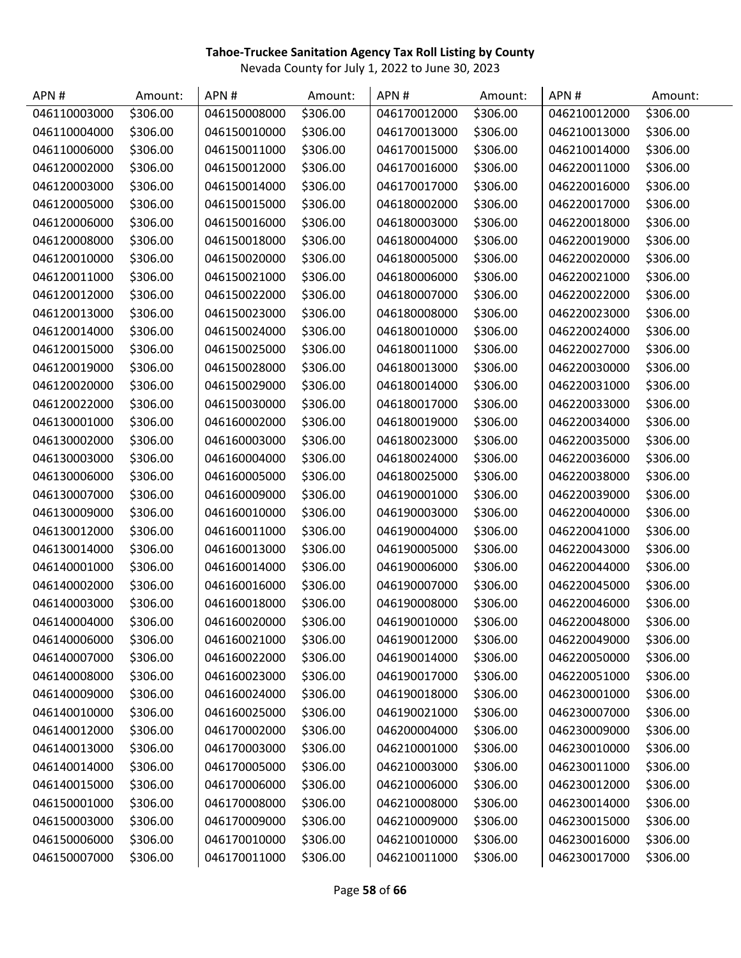| APN#         | Amount:  | APN#         | Amount:  | APN#         | Amount:  | APN#         | Amount:  |
|--------------|----------|--------------|----------|--------------|----------|--------------|----------|
| 046110003000 | \$306.00 | 046150008000 | \$306.00 | 046170012000 | \$306.00 | 046210012000 | \$306.00 |
| 046110004000 | \$306.00 | 046150010000 | \$306.00 | 046170013000 | \$306.00 | 046210013000 | \$306.00 |
| 046110006000 | \$306.00 | 046150011000 | \$306.00 | 046170015000 | \$306.00 | 046210014000 | \$306.00 |
| 046120002000 | \$306.00 | 046150012000 | \$306.00 | 046170016000 | \$306.00 | 046220011000 | \$306.00 |
| 046120003000 | \$306.00 | 046150014000 | \$306.00 | 046170017000 | \$306.00 | 046220016000 | \$306.00 |
| 046120005000 | \$306.00 | 046150015000 | \$306.00 | 046180002000 | \$306.00 | 046220017000 | \$306.00 |
| 046120006000 | \$306.00 | 046150016000 | \$306.00 | 046180003000 | \$306.00 | 046220018000 | \$306.00 |
| 046120008000 | \$306.00 | 046150018000 | \$306.00 | 046180004000 | \$306.00 | 046220019000 | \$306.00 |
| 046120010000 | \$306.00 | 046150020000 | \$306.00 | 046180005000 | \$306.00 | 046220020000 | \$306.00 |
| 046120011000 | \$306.00 | 046150021000 | \$306.00 | 046180006000 | \$306.00 | 046220021000 | \$306.00 |
| 046120012000 | \$306.00 | 046150022000 | \$306.00 | 046180007000 | \$306.00 | 046220022000 | \$306.00 |
| 046120013000 | \$306.00 | 046150023000 | \$306.00 | 046180008000 | \$306.00 | 046220023000 | \$306.00 |
| 046120014000 | \$306.00 | 046150024000 | \$306.00 | 046180010000 | \$306.00 | 046220024000 | \$306.00 |
| 046120015000 | \$306.00 | 046150025000 | \$306.00 | 046180011000 | \$306.00 | 046220027000 | \$306.00 |
| 046120019000 | \$306.00 | 046150028000 | \$306.00 | 046180013000 | \$306.00 | 046220030000 | \$306.00 |
| 046120020000 | \$306.00 | 046150029000 | \$306.00 | 046180014000 | \$306.00 | 046220031000 | \$306.00 |
| 046120022000 | \$306.00 | 046150030000 | \$306.00 | 046180017000 | \$306.00 | 046220033000 | \$306.00 |
| 046130001000 | \$306.00 | 046160002000 | \$306.00 | 046180019000 | \$306.00 | 046220034000 | \$306.00 |
| 046130002000 | \$306.00 | 046160003000 | \$306.00 | 046180023000 | \$306.00 | 046220035000 | \$306.00 |
| 046130003000 | \$306.00 | 046160004000 | \$306.00 | 046180024000 | \$306.00 | 046220036000 | \$306.00 |
| 046130006000 | \$306.00 | 046160005000 | \$306.00 | 046180025000 | \$306.00 | 046220038000 | \$306.00 |
| 046130007000 | \$306.00 | 046160009000 | \$306.00 | 046190001000 | \$306.00 | 046220039000 | \$306.00 |
| 046130009000 | \$306.00 | 046160010000 | \$306.00 | 046190003000 | \$306.00 | 046220040000 | \$306.00 |
| 046130012000 | \$306.00 | 046160011000 | \$306.00 | 046190004000 | \$306.00 | 046220041000 | \$306.00 |
| 046130014000 | \$306.00 | 046160013000 | \$306.00 | 046190005000 | \$306.00 | 046220043000 | \$306.00 |
| 046140001000 | \$306.00 | 046160014000 | \$306.00 | 046190006000 | \$306.00 | 046220044000 | \$306.00 |
| 046140002000 | \$306.00 | 046160016000 | \$306.00 | 046190007000 | \$306.00 | 046220045000 | \$306.00 |
| 046140003000 | \$306.00 | 046160018000 | \$306.00 | 046190008000 | \$306.00 | 046220046000 | \$306.00 |
| 046140004000 | \$306.00 | 046160020000 | \$306.00 | 046190010000 | \$306.00 | 046220048000 | \$306.00 |
| 046140006000 | \$306.00 | 046160021000 | \$306.00 | 046190012000 | \$306.00 | 046220049000 | \$306.00 |
| 046140007000 | \$306.00 | 046160022000 | \$306.00 | 046190014000 | \$306.00 | 046220050000 | \$306.00 |
| 046140008000 | \$306.00 | 046160023000 | \$306.00 | 046190017000 | \$306.00 | 046220051000 | \$306.00 |
| 046140009000 | \$306.00 | 046160024000 | \$306.00 | 046190018000 | \$306.00 | 046230001000 | \$306.00 |
| 046140010000 | \$306.00 | 046160025000 | \$306.00 | 046190021000 | \$306.00 | 046230007000 | \$306.00 |
| 046140012000 | \$306.00 | 046170002000 | \$306.00 | 046200004000 | \$306.00 | 046230009000 | \$306.00 |
| 046140013000 | \$306.00 | 046170003000 | \$306.00 | 046210001000 | \$306.00 | 046230010000 | \$306.00 |
| 046140014000 | \$306.00 | 046170005000 | \$306.00 | 046210003000 | \$306.00 | 046230011000 | \$306.00 |
| 046140015000 | \$306.00 | 046170006000 | \$306.00 | 046210006000 | \$306.00 | 046230012000 | \$306.00 |
| 046150001000 | \$306.00 | 046170008000 | \$306.00 | 046210008000 | \$306.00 | 046230014000 | \$306.00 |
| 046150003000 | \$306.00 | 046170009000 | \$306.00 | 046210009000 | \$306.00 | 046230015000 | \$306.00 |
| 046150006000 | \$306.00 | 046170010000 | \$306.00 | 046210010000 | \$306.00 | 046230016000 | \$306.00 |
| 046150007000 | \$306.00 | 046170011000 | \$306.00 | 046210011000 | \$306.00 | 046230017000 | \$306.00 |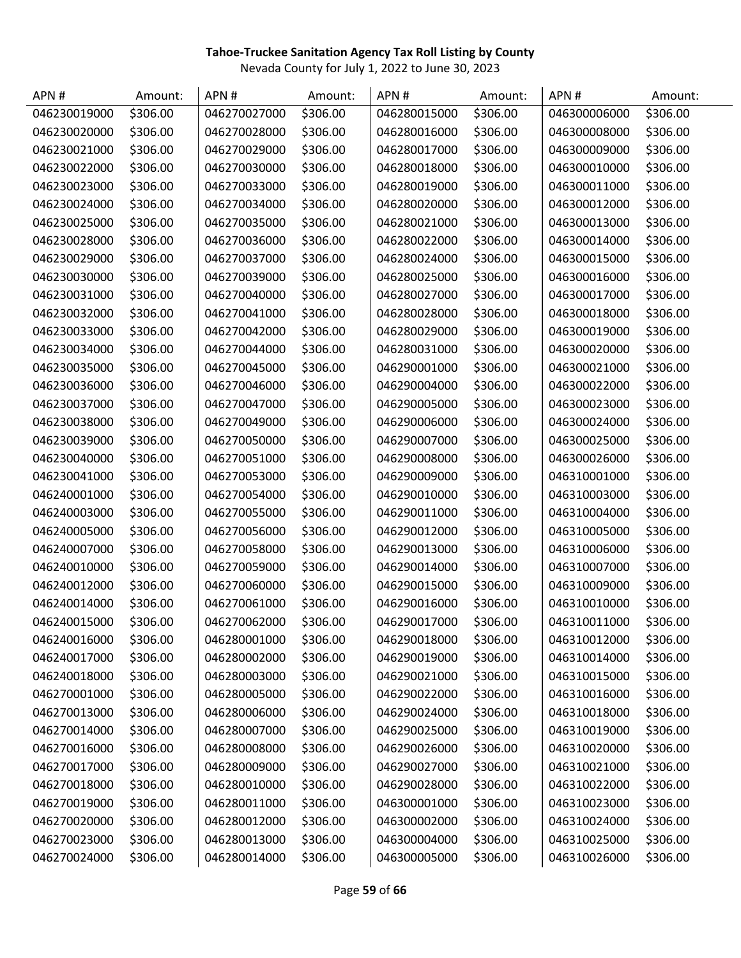| APN#         | Amount:  | APN#         | Amount:  | APN#         | Amount:  | APN#         | Amount:  |
|--------------|----------|--------------|----------|--------------|----------|--------------|----------|
| 046230019000 | \$306.00 | 046270027000 | \$306.00 | 046280015000 | \$306.00 | 046300006000 | \$306.00 |
| 046230020000 | \$306.00 | 046270028000 | \$306.00 | 046280016000 | \$306.00 | 046300008000 | \$306.00 |
| 046230021000 | \$306.00 | 046270029000 | \$306.00 | 046280017000 | \$306.00 | 046300009000 | \$306.00 |
| 046230022000 | \$306.00 | 046270030000 | \$306.00 | 046280018000 | \$306.00 | 046300010000 | \$306.00 |
| 046230023000 | \$306.00 | 046270033000 | \$306.00 | 046280019000 | \$306.00 | 046300011000 | \$306.00 |
| 046230024000 | \$306.00 | 046270034000 | \$306.00 | 046280020000 | \$306.00 | 046300012000 | \$306.00 |
| 046230025000 | \$306.00 | 046270035000 | \$306.00 | 046280021000 | \$306.00 | 046300013000 | \$306.00 |
| 046230028000 | \$306.00 | 046270036000 | \$306.00 | 046280022000 | \$306.00 | 046300014000 | \$306.00 |
| 046230029000 | \$306.00 | 046270037000 | \$306.00 | 046280024000 | \$306.00 | 046300015000 | \$306.00 |
| 046230030000 | \$306.00 | 046270039000 | \$306.00 | 046280025000 | \$306.00 | 046300016000 | \$306.00 |
| 046230031000 | \$306.00 | 046270040000 | \$306.00 | 046280027000 | \$306.00 | 046300017000 | \$306.00 |
| 046230032000 | \$306.00 | 046270041000 | \$306.00 | 046280028000 | \$306.00 | 046300018000 | \$306.00 |
| 046230033000 | \$306.00 | 046270042000 | \$306.00 | 046280029000 | \$306.00 | 046300019000 | \$306.00 |
| 046230034000 | \$306.00 | 046270044000 | \$306.00 | 046280031000 | \$306.00 | 046300020000 | \$306.00 |
| 046230035000 | \$306.00 | 046270045000 | \$306.00 | 046290001000 | \$306.00 | 046300021000 | \$306.00 |
| 046230036000 | \$306.00 | 046270046000 | \$306.00 | 046290004000 | \$306.00 | 046300022000 | \$306.00 |
| 046230037000 | \$306.00 | 046270047000 | \$306.00 | 046290005000 | \$306.00 | 046300023000 | \$306.00 |
| 046230038000 | \$306.00 | 046270049000 | \$306.00 | 046290006000 | \$306.00 | 046300024000 | \$306.00 |
| 046230039000 | \$306.00 | 046270050000 | \$306.00 | 046290007000 | \$306.00 | 046300025000 | \$306.00 |
| 046230040000 | \$306.00 | 046270051000 | \$306.00 | 046290008000 | \$306.00 | 046300026000 | \$306.00 |
| 046230041000 | \$306.00 | 046270053000 | \$306.00 | 046290009000 | \$306.00 | 046310001000 | \$306.00 |
| 046240001000 | \$306.00 | 046270054000 | \$306.00 | 046290010000 | \$306.00 | 046310003000 | \$306.00 |
| 046240003000 | \$306.00 | 046270055000 | \$306.00 | 046290011000 | \$306.00 | 046310004000 | \$306.00 |
| 046240005000 | \$306.00 | 046270056000 | \$306.00 | 046290012000 | \$306.00 | 046310005000 | \$306.00 |
| 046240007000 | \$306.00 | 046270058000 | \$306.00 | 046290013000 | \$306.00 | 046310006000 | \$306.00 |
| 046240010000 | \$306.00 | 046270059000 | \$306.00 | 046290014000 | \$306.00 | 046310007000 | \$306.00 |
| 046240012000 | \$306.00 | 046270060000 | \$306.00 | 046290015000 | \$306.00 | 046310009000 | \$306.00 |
| 046240014000 | \$306.00 | 046270061000 | \$306.00 | 046290016000 | \$306.00 | 046310010000 | \$306.00 |
| 046240015000 | \$306.00 | 046270062000 | \$306.00 | 046290017000 | \$306.00 | 046310011000 | \$306.00 |
| 046240016000 | \$306.00 | 046280001000 | \$306.00 | 046290018000 | \$306.00 | 046310012000 | \$306.00 |
| 046240017000 | \$306.00 | 046280002000 | \$306.00 | 046290019000 | \$306.00 | 046310014000 | \$306.00 |
| 046240018000 | \$306.00 | 046280003000 | \$306.00 | 046290021000 | \$306.00 | 046310015000 | \$306.00 |
| 046270001000 | \$306.00 | 046280005000 | \$306.00 | 046290022000 | \$306.00 | 046310016000 | \$306.00 |
| 046270013000 | \$306.00 | 046280006000 | \$306.00 | 046290024000 | \$306.00 | 046310018000 | \$306.00 |
| 046270014000 | \$306.00 | 046280007000 | \$306.00 | 046290025000 | \$306.00 | 046310019000 | \$306.00 |
| 046270016000 | \$306.00 | 046280008000 | \$306.00 | 046290026000 | \$306.00 | 046310020000 | \$306.00 |
| 046270017000 | \$306.00 | 046280009000 | \$306.00 | 046290027000 | \$306.00 | 046310021000 | \$306.00 |
| 046270018000 | \$306.00 | 046280010000 | \$306.00 | 046290028000 | \$306.00 | 046310022000 | \$306.00 |
| 046270019000 | \$306.00 | 046280011000 | \$306.00 | 046300001000 | \$306.00 | 046310023000 | \$306.00 |
| 046270020000 | \$306.00 | 046280012000 | \$306.00 | 046300002000 | \$306.00 | 046310024000 | \$306.00 |
| 046270023000 | \$306.00 | 046280013000 | \$306.00 | 046300004000 | \$306.00 | 046310025000 | \$306.00 |
| 046270024000 | \$306.00 | 046280014000 | \$306.00 | 046300005000 | \$306.00 | 046310026000 | \$306.00 |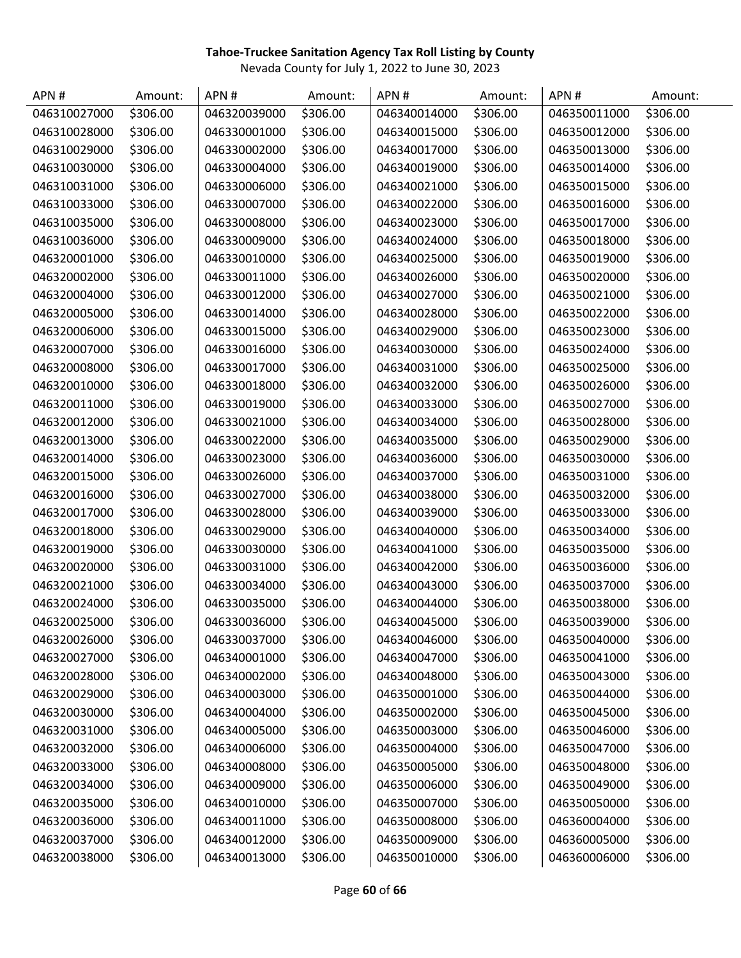| APN#         | Amount:  | APN#         | Amount:  | APN#         | Amount:  | APN#         | Amount:  |
|--------------|----------|--------------|----------|--------------|----------|--------------|----------|
| 046310027000 | \$306.00 | 046320039000 | \$306.00 | 046340014000 | \$306.00 | 046350011000 | \$306.00 |
| 046310028000 | \$306.00 | 046330001000 | \$306.00 | 046340015000 | \$306.00 | 046350012000 | \$306.00 |
| 046310029000 | \$306.00 | 046330002000 | \$306.00 | 046340017000 | \$306.00 | 046350013000 | \$306.00 |
| 046310030000 | \$306.00 | 046330004000 | \$306.00 | 046340019000 | \$306.00 | 046350014000 | \$306.00 |
| 046310031000 | \$306.00 | 046330006000 | \$306.00 | 046340021000 | \$306.00 | 046350015000 | \$306.00 |
| 046310033000 | \$306.00 | 046330007000 | \$306.00 | 046340022000 | \$306.00 | 046350016000 | \$306.00 |
| 046310035000 | \$306.00 | 046330008000 | \$306.00 | 046340023000 | \$306.00 | 046350017000 | \$306.00 |
| 046310036000 | \$306.00 | 046330009000 | \$306.00 | 046340024000 | \$306.00 | 046350018000 | \$306.00 |
| 046320001000 | \$306.00 | 046330010000 | \$306.00 | 046340025000 | \$306.00 | 046350019000 | \$306.00 |
| 046320002000 | \$306.00 | 046330011000 | \$306.00 | 046340026000 | \$306.00 | 046350020000 | \$306.00 |
| 046320004000 | \$306.00 | 046330012000 | \$306.00 | 046340027000 | \$306.00 | 046350021000 | \$306.00 |
| 046320005000 | \$306.00 | 046330014000 | \$306.00 | 046340028000 | \$306.00 | 046350022000 | \$306.00 |
| 046320006000 | \$306.00 | 046330015000 | \$306.00 | 046340029000 | \$306.00 | 046350023000 | \$306.00 |
| 046320007000 | \$306.00 | 046330016000 | \$306.00 | 046340030000 | \$306.00 | 046350024000 | \$306.00 |
| 046320008000 | \$306.00 | 046330017000 | \$306.00 | 046340031000 | \$306.00 | 046350025000 | \$306.00 |
| 046320010000 | \$306.00 | 046330018000 | \$306.00 | 046340032000 | \$306.00 | 046350026000 | \$306.00 |
| 046320011000 | \$306.00 | 046330019000 | \$306.00 | 046340033000 | \$306.00 | 046350027000 | \$306.00 |
| 046320012000 | \$306.00 | 046330021000 | \$306.00 | 046340034000 | \$306.00 | 046350028000 | \$306.00 |
| 046320013000 | \$306.00 | 046330022000 | \$306.00 | 046340035000 | \$306.00 | 046350029000 | \$306.00 |
| 046320014000 | \$306.00 | 046330023000 | \$306.00 | 046340036000 | \$306.00 | 046350030000 | \$306.00 |
| 046320015000 | \$306.00 | 046330026000 | \$306.00 | 046340037000 | \$306.00 | 046350031000 | \$306.00 |
| 046320016000 | \$306.00 | 046330027000 | \$306.00 | 046340038000 | \$306.00 | 046350032000 | \$306.00 |
| 046320017000 | \$306.00 | 046330028000 | \$306.00 | 046340039000 | \$306.00 | 046350033000 | \$306.00 |
| 046320018000 | \$306.00 | 046330029000 | \$306.00 | 046340040000 | \$306.00 | 046350034000 | \$306.00 |
| 046320019000 | \$306.00 | 046330030000 | \$306.00 | 046340041000 | \$306.00 | 046350035000 | \$306.00 |
| 046320020000 | \$306.00 | 046330031000 | \$306.00 | 046340042000 | \$306.00 | 046350036000 | \$306.00 |
| 046320021000 | \$306.00 | 046330034000 | \$306.00 | 046340043000 | \$306.00 | 046350037000 | \$306.00 |
| 046320024000 | \$306.00 | 046330035000 | \$306.00 | 046340044000 | \$306.00 | 046350038000 | \$306.00 |
| 046320025000 | \$306.00 | 046330036000 | \$306.00 | 046340045000 | \$306.00 | 046350039000 | \$306.00 |
| 046320026000 | \$306.00 | 046330037000 | \$306.00 | 046340046000 | \$306.00 | 046350040000 | \$306.00 |
| 046320027000 | \$306.00 | 046340001000 | \$306.00 | 046340047000 | \$306.00 | 046350041000 | \$306.00 |
| 046320028000 | \$306.00 | 046340002000 | \$306.00 | 046340048000 | \$306.00 | 046350043000 | \$306.00 |
| 046320029000 | \$306.00 | 046340003000 | \$306.00 | 046350001000 | \$306.00 | 046350044000 | \$306.00 |
| 046320030000 | \$306.00 | 046340004000 | \$306.00 | 046350002000 | \$306.00 | 046350045000 | \$306.00 |
| 046320031000 | \$306.00 | 046340005000 | \$306.00 | 046350003000 | \$306.00 | 046350046000 | \$306.00 |
| 046320032000 | \$306.00 | 046340006000 | \$306.00 | 046350004000 | \$306.00 | 046350047000 | \$306.00 |
| 046320033000 | \$306.00 | 046340008000 | \$306.00 | 046350005000 | \$306.00 | 046350048000 | \$306.00 |
| 046320034000 | \$306.00 | 046340009000 | \$306.00 | 046350006000 | \$306.00 | 046350049000 | \$306.00 |
| 046320035000 | \$306.00 | 046340010000 | \$306.00 | 046350007000 | \$306.00 | 046350050000 | \$306.00 |
| 046320036000 | \$306.00 | 046340011000 | \$306.00 | 046350008000 | \$306.00 | 046360004000 | \$306.00 |
| 046320037000 | \$306.00 | 046340012000 | \$306.00 | 046350009000 | \$306.00 | 046360005000 | \$306.00 |
| 046320038000 | \$306.00 | 046340013000 | \$306.00 | 046350010000 | \$306.00 | 046360006000 | \$306.00 |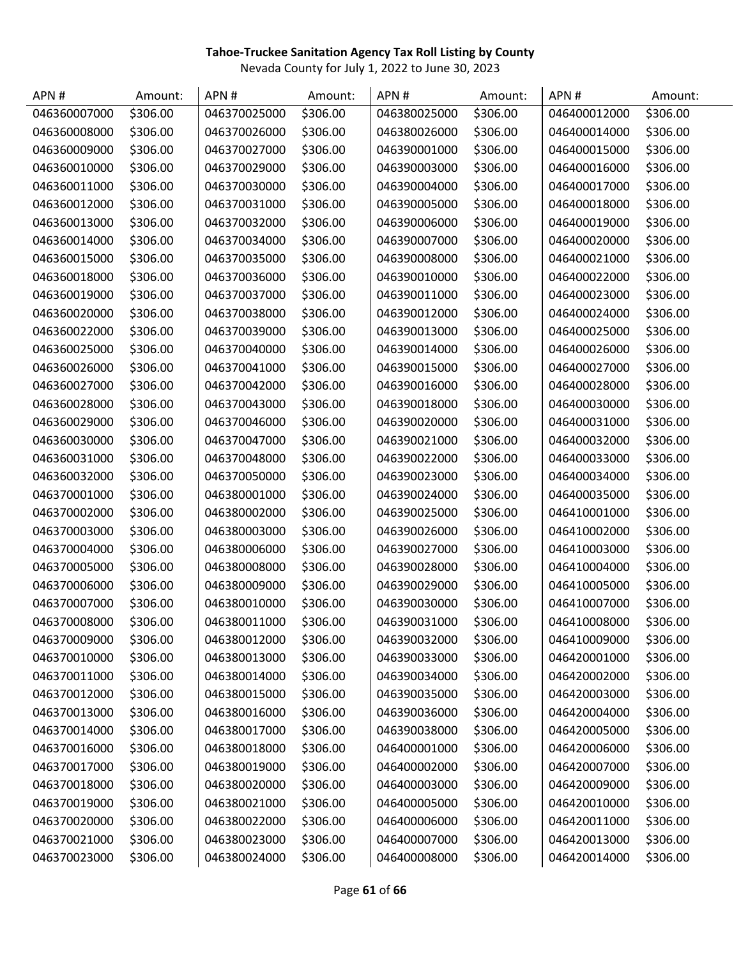| APN#         | Amount:  | APN#         | Amount:  | APN#         | Amount:  | APN#         | Amount:  |
|--------------|----------|--------------|----------|--------------|----------|--------------|----------|
| 046360007000 | \$306.00 | 046370025000 | \$306.00 | 046380025000 | \$306.00 | 046400012000 | \$306.00 |
| 046360008000 | \$306.00 | 046370026000 | \$306.00 | 046380026000 | \$306.00 | 046400014000 | \$306.00 |
| 046360009000 | \$306.00 | 046370027000 | \$306.00 | 046390001000 | \$306.00 | 046400015000 | \$306.00 |
| 046360010000 | \$306.00 | 046370029000 | \$306.00 | 046390003000 | \$306.00 | 046400016000 | \$306.00 |
| 046360011000 | \$306.00 | 046370030000 | \$306.00 | 046390004000 | \$306.00 | 046400017000 | \$306.00 |
| 046360012000 | \$306.00 | 046370031000 | \$306.00 | 046390005000 | \$306.00 | 046400018000 | \$306.00 |
| 046360013000 | \$306.00 | 046370032000 | \$306.00 | 046390006000 | \$306.00 | 046400019000 | \$306.00 |
| 046360014000 | \$306.00 | 046370034000 | \$306.00 | 046390007000 | \$306.00 | 046400020000 | \$306.00 |
| 046360015000 | \$306.00 | 046370035000 | \$306.00 | 046390008000 | \$306.00 | 046400021000 | \$306.00 |
| 046360018000 | \$306.00 | 046370036000 | \$306.00 | 046390010000 | \$306.00 | 046400022000 | \$306.00 |
| 046360019000 | \$306.00 | 046370037000 | \$306.00 | 046390011000 | \$306.00 | 046400023000 | \$306.00 |
| 046360020000 | \$306.00 | 046370038000 | \$306.00 | 046390012000 | \$306.00 | 046400024000 | \$306.00 |
| 046360022000 | \$306.00 | 046370039000 | \$306.00 | 046390013000 | \$306.00 | 046400025000 | \$306.00 |
| 046360025000 | \$306.00 | 046370040000 | \$306.00 | 046390014000 | \$306.00 | 046400026000 | \$306.00 |
| 046360026000 | \$306.00 | 046370041000 | \$306.00 | 046390015000 | \$306.00 | 046400027000 | \$306.00 |
| 046360027000 | \$306.00 | 046370042000 | \$306.00 | 046390016000 | \$306.00 | 046400028000 | \$306.00 |
| 046360028000 | \$306.00 | 046370043000 | \$306.00 | 046390018000 | \$306.00 | 046400030000 | \$306.00 |
| 046360029000 | \$306.00 | 046370046000 | \$306.00 | 046390020000 | \$306.00 | 046400031000 | \$306.00 |
| 046360030000 | \$306.00 | 046370047000 | \$306.00 | 046390021000 | \$306.00 | 046400032000 | \$306.00 |
| 046360031000 | \$306.00 | 046370048000 | \$306.00 | 046390022000 | \$306.00 | 046400033000 | \$306.00 |
| 046360032000 | \$306.00 | 046370050000 | \$306.00 | 046390023000 | \$306.00 | 046400034000 | \$306.00 |
| 046370001000 | \$306.00 | 046380001000 | \$306.00 | 046390024000 | \$306.00 | 046400035000 | \$306.00 |
| 046370002000 | \$306.00 | 046380002000 | \$306.00 | 046390025000 | \$306.00 | 046410001000 | \$306.00 |
| 046370003000 | \$306.00 | 046380003000 | \$306.00 | 046390026000 | \$306.00 | 046410002000 | \$306.00 |
| 046370004000 | \$306.00 | 046380006000 | \$306.00 | 046390027000 | \$306.00 | 046410003000 | \$306.00 |
| 046370005000 | \$306.00 | 046380008000 | \$306.00 | 046390028000 | \$306.00 | 046410004000 | \$306.00 |
| 046370006000 | \$306.00 | 046380009000 | \$306.00 | 046390029000 | \$306.00 | 046410005000 | \$306.00 |
| 046370007000 | \$306.00 | 046380010000 | \$306.00 | 046390030000 | \$306.00 | 046410007000 | \$306.00 |
| 046370008000 | \$306.00 | 046380011000 | \$306.00 | 046390031000 | \$306.00 | 046410008000 | \$306.00 |
| 046370009000 | \$306.00 | 046380012000 | \$306.00 | 046390032000 | \$306.00 | 046410009000 | \$306.00 |
| 046370010000 | \$306.00 | 046380013000 | \$306.00 | 046390033000 | \$306.00 | 046420001000 | \$306.00 |
| 046370011000 | \$306.00 | 046380014000 | \$306.00 | 046390034000 | \$306.00 | 046420002000 | \$306.00 |
| 046370012000 | \$306.00 | 046380015000 | \$306.00 | 046390035000 | \$306.00 | 046420003000 | \$306.00 |
| 046370013000 | \$306.00 | 046380016000 | \$306.00 | 046390036000 | \$306.00 | 046420004000 | \$306.00 |
| 046370014000 | \$306.00 | 046380017000 | \$306.00 | 046390038000 | \$306.00 | 046420005000 | \$306.00 |
| 046370016000 | \$306.00 | 046380018000 | \$306.00 | 046400001000 | \$306.00 | 046420006000 | \$306.00 |
| 046370017000 | \$306.00 | 046380019000 | \$306.00 | 046400002000 | \$306.00 | 046420007000 | \$306.00 |
| 046370018000 | \$306.00 | 046380020000 | \$306.00 | 046400003000 | \$306.00 | 046420009000 | \$306.00 |
| 046370019000 | \$306.00 | 046380021000 | \$306.00 | 046400005000 | \$306.00 | 046420010000 | \$306.00 |
| 046370020000 | \$306.00 | 046380022000 | \$306.00 | 046400006000 | \$306.00 | 046420011000 | \$306.00 |
| 046370021000 | \$306.00 | 046380023000 | \$306.00 | 046400007000 | \$306.00 | 046420013000 | \$306.00 |
| 046370023000 | \$306.00 | 046380024000 | \$306.00 | 046400008000 | \$306.00 | 046420014000 | \$306.00 |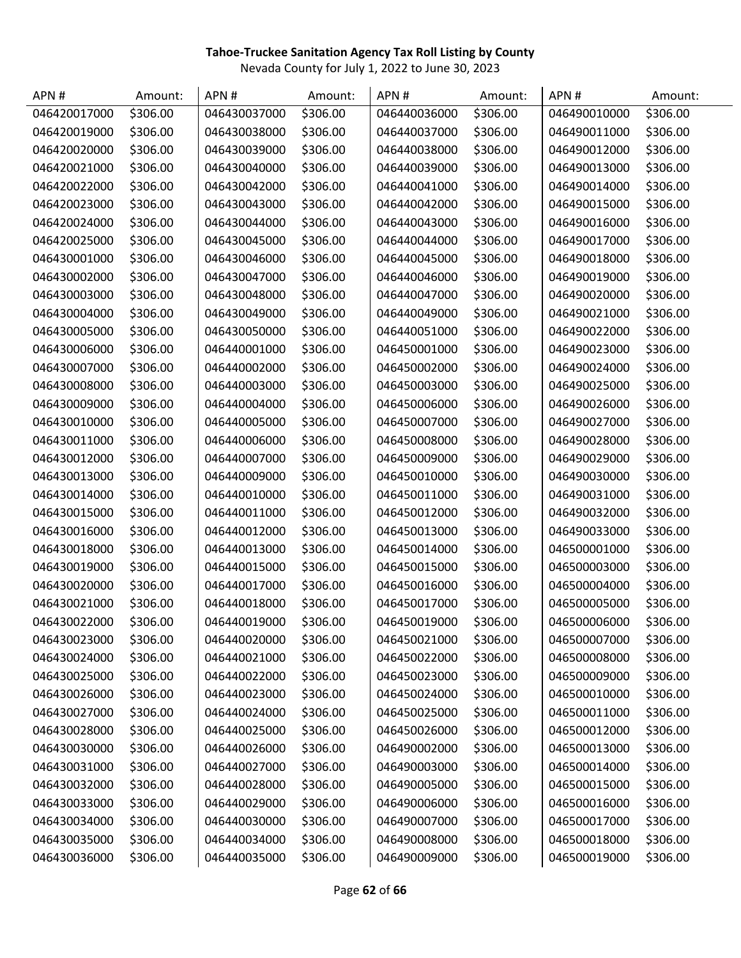| APN#         | Amount:  | APN#         | Amount:  | APN#         | Amount:  | APN#         | Amount:  |
|--------------|----------|--------------|----------|--------------|----------|--------------|----------|
| 046420017000 | \$306.00 | 046430037000 | \$306.00 | 046440036000 | \$306.00 | 046490010000 | \$306.00 |
| 046420019000 | \$306.00 | 046430038000 | \$306.00 | 046440037000 | \$306.00 | 046490011000 | \$306.00 |
| 046420020000 | \$306.00 | 046430039000 | \$306.00 | 046440038000 | \$306.00 | 046490012000 | \$306.00 |
| 046420021000 | \$306.00 | 046430040000 | \$306.00 | 046440039000 | \$306.00 | 046490013000 | \$306.00 |
| 046420022000 | \$306.00 | 046430042000 | \$306.00 | 046440041000 | \$306.00 | 046490014000 | \$306.00 |
| 046420023000 | \$306.00 | 046430043000 | \$306.00 | 046440042000 | \$306.00 | 046490015000 | \$306.00 |
| 046420024000 | \$306.00 | 046430044000 | \$306.00 | 046440043000 | \$306.00 | 046490016000 | \$306.00 |
| 046420025000 | \$306.00 | 046430045000 | \$306.00 | 046440044000 | \$306.00 | 046490017000 | \$306.00 |
| 046430001000 | \$306.00 | 046430046000 | \$306.00 | 046440045000 | \$306.00 | 046490018000 | \$306.00 |
| 046430002000 | \$306.00 | 046430047000 | \$306.00 | 046440046000 | \$306.00 | 046490019000 | \$306.00 |
| 046430003000 | \$306.00 | 046430048000 | \$306.00 | 046440047000 | \$306.00 | 046490020000 | \$306.00 |
| 046430004000 | \$306.00 | 046430049000 | \$306.00 | 046440049000 | \$306.00 | 046490021000 | \$306.00 |
| 046430005000 | \$306.00 | 046430050000 | \$306.00 | 046440051000 | \$306.00 | 046490022000 | \$306.00 |
| 046430006000 | \$306.00 | 046440001000 | \$306.00 | 046450001000 | \$306.00 | 046490023000 | \$306.00 |
| 046430007000 | \$306.00 | 046440002000 | \$306.00 | 046450002000 | \$306.00 | 046490024000 | \$306.00 |
| 046430008000 | \$306.00 | 046440003000 | \$306.00 | 046450003000 | \$306.00 | 046490025000 | \$306.00 |
| 046430009000 | \$306.00 | 046440004000 | \$306.00 | 046450006000 | \$306.00 | 046490026000 | \$306.00 |
| 046430010000 | \$306.00 | 046440005000 | \$306.00 | 046450007000 | \$306.00 | 046490027000 | \$306.00 |
| 046430011000 | \$306.00 | 046440006000 | \$306.00 | 046450008000 | \$306.00 | 046490028000 | \$306.00 |
| 046430012000 | \$306.00 | 046440007000 | \$306.00 | 046450009000 | \$306.00 | 046490029000 | \$306.00 |
| 046430013000 | \$306.00 | 046440009000 | \$306.00 | 046450010000 | \$306.00 | 046490030000 | \$306.00 |
| 046430014000 | \$306.00 | 046440010000 | \$306.00 | 046450011000 | \$306.00 | 046490031000 | \$306.00 |
| 046430015000 | \$306.00 | 046440011000 | \$306.00 | 046450012000 | \$306.00 | 046490032000 | \$306.00 |
| 046430016000 | \$306.00 | 046440012000 | \$306.00 | 046450013000 | \$306.00 | 046490033000 | \$306.00 |
| 046430018000 | \$306.00 | 046440013000 | \$306.00 | 046450014000 | \$306.00 | 046500001000 | \$306.00 |
| 046430019000 | \$306.00 | 046440015000 | \$306.00 | 046450015000 | \$306.00 | 046500003000 | \$306.00 |
| 046430020000 | \$306.00 | 046440017000 | \$306.00 | 046450016000 | \$306.00 | 046500004000 | \$306.00 |
| 046430021000 | \$306.00 | 046440018000 | \$306.00 | 046450017000 | \$306.00 | 046500005000 | \$306.00 |
| 046430022000 | \$306.00 | 046440019000 | \$306.00 | 046450019000 | \$306.00 | 046500006000 | \$306.00 |
| 046430023000 | \$306.00 | 046440020000 | \$306.00 | 046450021000 | \$306.00 | 046500007000 | \$306.00 |
| 046430024000 | \$306.00 | 046440021000 | \$306.00 | 046450022000 | \$306.00 | 046500008000 | \$306.00 |
| 046430025000 | \$306.00 | 046440022000 | \$306.00 | 046450023000 | \$306.00 | 046500009000 | \$306.00 |
| 046430026000 | \$306.00 | 046440023000 | \$306.00 | 046450024000 | \$306.00 | 046500010000 | \$306.00 |
| 046430027000 | \$306.00 | 046440024000 | \$306.00 | 046450025000 | \$306.00 | 046500011000 | \$306.00 |
| 046430028000 | \$306.00 | 046440025000 | \$306.00 | 046450026000 | \$306.00 | 046500012000 | \$306.00 |
| 046430030000 | \$306.00 | 046440026000 | \$306.00 | 046490002000 | \$306.00 | 046500013000 | \$306.00 |
| 046430031000 | \$306.00 | 046440027000 | \$306.00 | 046490003000 | \$306.00 | 046500014000 | \$306.00 |
| 046430032000 | \$306.00 | 046440028000 | \$306.00 | 046490005000 | \$306.00 | 046500015000 | \$306.00 |
| 046430033000 | \$306.00 | 046440029000 | \$306.00 | 046490006000 | \$306.00 | 046500016000 | \$306.00 |
| 046430034000 | \$306.00 | 046440030000 | \$306.00 | 046490007000 | \$306.00 | 046500017000 | \$306.00 |
| 046430035000 | \$306.00 | 046440034000 | \$306.00 | 046490008000 | \$306.00 | 046500018000 | \$306.00 |
| 046430036000 | \$306.00 | 046440035000 | \$306.00 | 046490009000 | \$306.00 | 046500019000 | \$306.00 |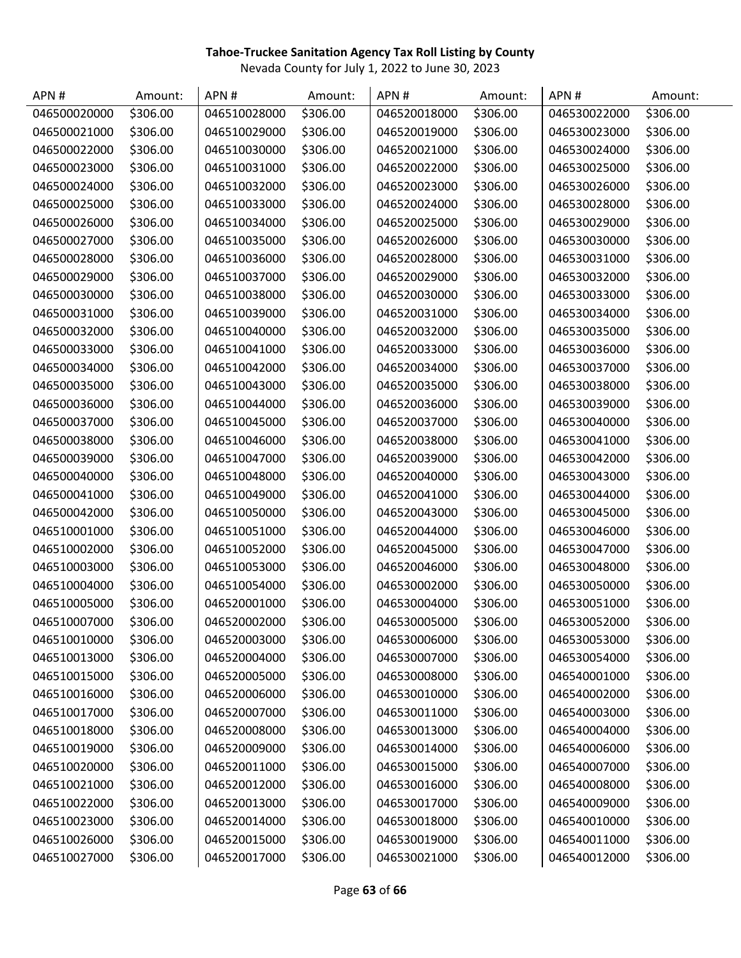| APN#         | Amount:  | APN#         | Amount:  | APN#         | Amount:  | APN#         | Amount:  |
|--------------|----------|--------------|----------|--------------|----------|--------------|----------|
| 046500020000 | \$306.00 | 046510028000 | \$306.00 | 046520018000 | \$306.00 | 046530022000 | \$306.00 |
| 046500021000 | \$306.00 | 046510029000 | \$306.00 | 046520019000 | \$306.00 | 046530023000 | \$306.00 |
| 046500022000 | \$306.00 | 046510030000 | \$306.00 | 046520021000 | \$306.00 | 046530024000 | \$306.00 |
| 046500023000 | \$306.00 | 046510031000 | \$306.00 | 046520022000 | \$306.00 | 046530025000 | \$306.00 |
| 046500024000 | \$306.00 | 046510032000 | \$306.00 | 046520023000 | \$306.00 | 046530026000 | \$306.00 |
| 046500025000 | \$306.00 | 046510033000 | \$306.00 | 046520024000 | \$306.00 | 046530028000 | \$306.00 |
| 046500026000 | \$306.00 | 046510034000 | \$306.00 | 046520025000 | \$306.00 | 046530029000 | \$306.00 |
| 046500027000 | \$306.00 | 046510035000 | \$306.00 | 046520026000 | \$306.00 | 046530030000 | \$306.00 |
| 046500028000 | \$306.00 | 046510036000 | \$306.00 | 046520028000 | \$306.00 | 046530031000 | \$306.00 |
| 046500029000 | \$306.00 | 046510037000 | \$306.00 | 046520029000 | \$306.00 | 046530032000 | \$306.00 |
| 046500030000 | \$306.00 | 046510038000 | \$306.00 | 046520030000 | \$306.00 | 046530033000 | \$306.00 |
| 046500031000 | \$306.00 | 046510039000 | \$306.00 | 046520031000 | \$306.00 | 046530034000 | \$306.00 |
| 046500032000 | \$306.00 | 046510040000 | \$306.00 | 046520032000 | \$306.00 | 046530035000 | \$306.00 |
| 046500033000 | \$306.00 | 046510041000 | \$306.00 | 046520033000 | \$306.00 | 046530036000 | \$306.00 |
| 046500034000 | \$306.00 | 046510042000 | \$306.00 | 046520034000 | \$306.00 | 046530037000 | \$306.00 |
| 046500035000 | \$306.00 | 046510043000 | \$306.00 | 046520035000 | \$306.00 | 046530038000 | \$306.00 |
| 046500036000 | \$306.00 | 046510044000 | \$306.00 | 046520036000 | \$306.00 | 046530039000 | \$306.00 |
| 046500037000 | \$306.00 | 046510045000 | \$306.00 | 046520037000 | \$306.00 | 046530040000 | \$306.00 |
| 046500038000 | \$306.00 | 046510046000 | \$306.00 | 046520038000 | \$306.00 | 046530041000 | \$306.00 |
| 046500039000 | \$306.00 | 046510047000 | \$306.00 | 046520039000 | \$306.00 | 046530042000 | \$306.00 |
| 046500040000 | \$306.00 | 046510048000 | \$306.00 | 046520040000 | \$306.00 | 046530043000 | \$306.00 |
| 046500041000 | \$306.00 | 046510049000 | \$306.00 | 046520041000 | \$306.00 | 046530044000 | \$306.00 |
| 046500042000 | \$306.00 | 046510050000 | \$306.00 | 046520043000 | \$306.00 | 046530045000 | \$306.00 |
| 046510001000 | \$306.00 | 046510051000 | \$306.00 | 046520044000 | \$306.00 | 046530046000 | \$306.00 |
| 046510002000 | \$306.00 | 046510052000 | \$306.00 | 046520045000 | \$306.00 | 046530047000 | \$306.00 |
| 046510003000 | \$306.00 | 046510053000 | \$306.00 | 046520046000 | \$306.00 | 046530048000 | \$306.00 |
| 046510004000 | \$306.00 | 046510054000 | \$306.00 | 046530002000 | \$306.00 | 046530050000 | \$306.00 |
| 046510005000 | \$306.00 | 046520001000 | \$306.00 | 046530004000 | \$306.00 | 046530051000 | \$306.00 |
| 046510007000 | \$306.00 | 046520002000 | \$306.00 | 046530005000 | \$306.00 | 046530052000 | \$306.00 |
| 046510010000 | \$306.00 | 046520003000 | \$306.00 | 046530006000 | \$306.00 | 046530053000 | \$306.00 |
| 046510013000 | \$306.00 | 046520004000 | \$306.00 | 046530007000 | \$306.00 | 046530054000 | \$306.00 |
| 046510015000 | \$306.00 | 046520005000 | \$306.00 | 046530008000 | \$306.00 | 046540001000 | \$306.00 |
| 046510016000 | \$306.00 | 046520006000 | \$306.00 | 046530010000 | \$306.00 | 046540002000 | \$306.00 |
| 046510017000 | \$306.00 | 046520007000 | \$306.00 | 046530011000 | \$306.00 | 046540003000 | \$306.00 |
| 046510018000 | \$306.00 | 046520008000 | \$306.00 | 046530013000 | \$306.00 | 046540004000 | \$306.00 |
| 046510019000 | \$306.00 | 046520009000 | \$306.00 | 046530014000 | \$306.00 | 046540006000 | \$306.00 |
| 046510020000 | \$306.00 | 046520011000 | \$306.00 | 046530015000 | \$306.00 | 046540007000 | \$306.00 |
| 046510021000 | \$306.00 | 046520012000 | \$306.00 | 046530016000 | \$306.00 | 046540008000 | \$306.00 |
| 046510022000 | \$306.00 | 046520013000 | \$306.00 | 046530017000 | \$306.00 | 046540009000 | \$306.00 |
| 046510023000 | \$306.00 | 046520014000 | \$306.00 | 046530018000 | \$306.00 | 046540010000 | \$306.00 |
| 046510026000 | \$306.00 | 046520015000 | \$306.00 | 046530019000 | \$306.00 | 046540011000 | \$306.00 |
| 046510027000 | \$306.00 | 046520017000 | \$306.00 | 046530021000 | \$306.00 | 046540012000 | \$306.00 |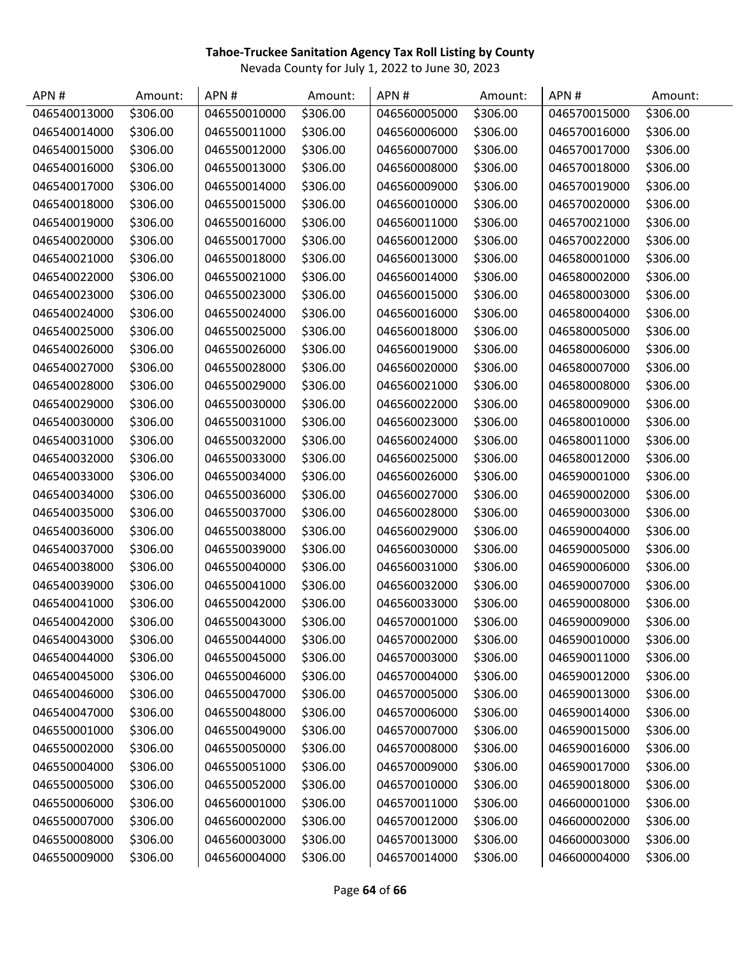| APN #        | Amount:  | APN#         | Amount:  | APN#         | Amount:  | APN#         | Amount:  |
|--------------|----------|--------------|----------|--------------|----------|--------------|----------|
| 046540013000 | \$306.00 | 046550010000 | \$306.00 | 046560005000 | \$306.00 | 046570015000 | \$306.00 |
| 046540014000 | \$306.00 | 046550011000 | \$306.00 | 046560006000 | \$306.00 | 046570016000 | \$306.00 |
| 046540015000 | \$306.00 | 046550012000 | \$306.00 | 046560007000 | \$306.00 | 046570017000 | \$306.00 |
| 046540016000 | \$306.00 | 046550013000 | \$306.00 | 046560008000 | \$306.00 | 046570018000 | \$306.00 |
| 046540017000 | \$306.00 | 046550014000 | \$306.00 | 046560009000 | \$306.00 | 046570019000 | \$306.00 |
| 046540018000 | \$306.00 | 046550015000 | \$306.00 | 046560010000 | \$306.00 | 046570020000 | \$306.00 |
| 046540019000 | \$306.00 | 046550016000 | \$306.00 | 046560011000 | \$306.00 | 046570021000 | \$306.00 |
| 046540020000 | \$306.00 | 046550017000 | \$306.00 | 046560012000 | \$306.00 | 046570022000 | \$306.00 |
| 046540021000 | \$306.00 | 046550018000 | \$306.00 | 046560013000 | \$306.00 | 046580001000 | \$306.00 |
| 046540022000 | \$306.00 | 046550021000 | \$306.00 | 046560014000 | \$306.00 | 046580002000 | \$306.00 |
| 046540023000 | \$306.00 | 046550023000 | \$306.00 | 046560015000 | \$306.00 | 046580003000 | \$306.00 |
| 046540024000 | \$306.00 | 046550024000 | \$306.00 | 046560016000 | \$306.00 | 046580004000 | \$306.00 |
| 046540025000 | \$306.00 | 046550025000 | \$306.00 | 046560018000 | \$306.00 | 046580005000 | \$306.00 |
| 046540026000 | \$306.00 | 046550026000 | \$306.00 | 046560019000 | \$306.00 | 046580006000 | \$306.00 |
| 046540027000 | \$306.00 | 046550028000 | \$306.00 | 046560020000 | \$306.00 | 046580007000 | \$306.00 |
| 046540028000 | \$306.00 | 046550029000 | \$306.00 | 046560021000 | \$306.00 | 046580008000 | \$306.00 |
| 046540029000 | \$306.00 | 046550030000 | \$306.00 | 046560022000 | \$306.00 | 046580009000 | \$306.00 |
| 046540030000 | \$306.00 | 046550031000 | \$306.00 | 046560023000 | \$306.00 | 046580010000 | \$306.00 |
| 046540031000 | \$306.00 | 046550032000 | \$306.00 | 046560024000 | \$306.00 | 046580011000 | \$306.00 |
| 046540032000 | \$306.00 | 046550033000 | \$306.00 | 046560025000 | \$306.00 | 046580012000 | \$306.00 |
| 046540033000 | \$306.00 | 046550034000 | \$306.00 | 046560026000 | \$306.00 | 046590001000 | \$306.00 |
| 046540034000 | \$306.00 | 046550036000 | \$306.00 | 046560027000 | \$306.00 | 046590002000 | \$306.00 |
| 046540035000 | \$306.00 | 046550037000 | \$306.00 | 046560028000 | \$306.00 | 046590003000 | \$306.00 |
| 046540036000 | \$306.00 | 046550038000 | \$306.00 | 046560029000 | \$306.00 | 046590004000 | \$306.00 |
| 046540037000 | \$306.00 | 046550039000 | \$306.00 | 046560030000 | \$306.00 | 046590005000 | \$306.00 |
| 046540038000 | \$306.00 | 046550040000 | \$306.00 | 046560031000 | \$306.00 | 046590006000 | \$306.00 |
| 046540039000 | \$306.00 | 046550041000 | \$306.00 | 046560032000 | \$306.00 | 046590007000 | \$306.00 |
| 046540041000 | \$306.00 | 046550042000 | \$306.00 | 046560033000 | \$306.00 | 046590008000 | \$306.00 |
| 046540042000 | \$306.00 | 046550043000 | \$306.00 | 046570001000 | \$306.00 | 046590009000 | \$306.00 |
| 046540043000 | \$306.00 | 046550044000 | \$306.00 | 046570002000 | \$306.00 | 046590010000 | \$306.00 |
| 046540044000 | \$306.00 | 046550045000 | \$306.00 | 046570003000 | \$306.00 | 046590011000 | \$306.00 |
| 046540045000 | \$306.00 | 046550046000 | \$306.00 | 046570004000 | \$306.00 | 046590012000 | \$306.00 |
| 046540046000 | \$306.00 | 046550047000 | \$306.00 | 046570005000 | \$306.00 | 046590013000 | \$306.00 |
| 046540047000 | \$306.00 | 046550048000 | \$306.00 | 046570006000 | \$306.00 | 046590014000 | \$306.00 |
| 046550001000 | \$306.00 | 046550049000 | \$306.00 | 046570007000 | \$306.00 | 046590015000 | \$306.00 |
| 046550002000 | \$306.00 | 046550050000 | \$306.00 | 046570008000 | \$306.00 | 046590016000 | \$306.00 |
| 046550004000 | \$306.00 | 046550051000 | \$306.00 | 046570009000 | \$306.00 | 046590017000 | \$306.00 |
| 046550005000 | \$306.00 | 046550052000 | \$306.00 | 046570010000 | \$306.00 | 046590018000 | \$306.00 |
| 046550006000 | \$306.00 | 046560001000 | \$306.00 | 046570011000 | \$306.00 | 046600001000 | \$306.00 |
| 046550007000 | \$306.00 | 046560002000 | \$306.00 | 046570012000 | \$306.00 | 046600002000 | \$306.00 |
| 046550008000 | \$306.00 | 046560003000 | \$306.00 | 046570013000 | \$306.00 | 046600003000 | \$306.00 |
| 046550009000 | \$306.00 | 046560004000 | \$306.00 | 046570014000 | \$306.00 | 046600004000 | \$306.00 |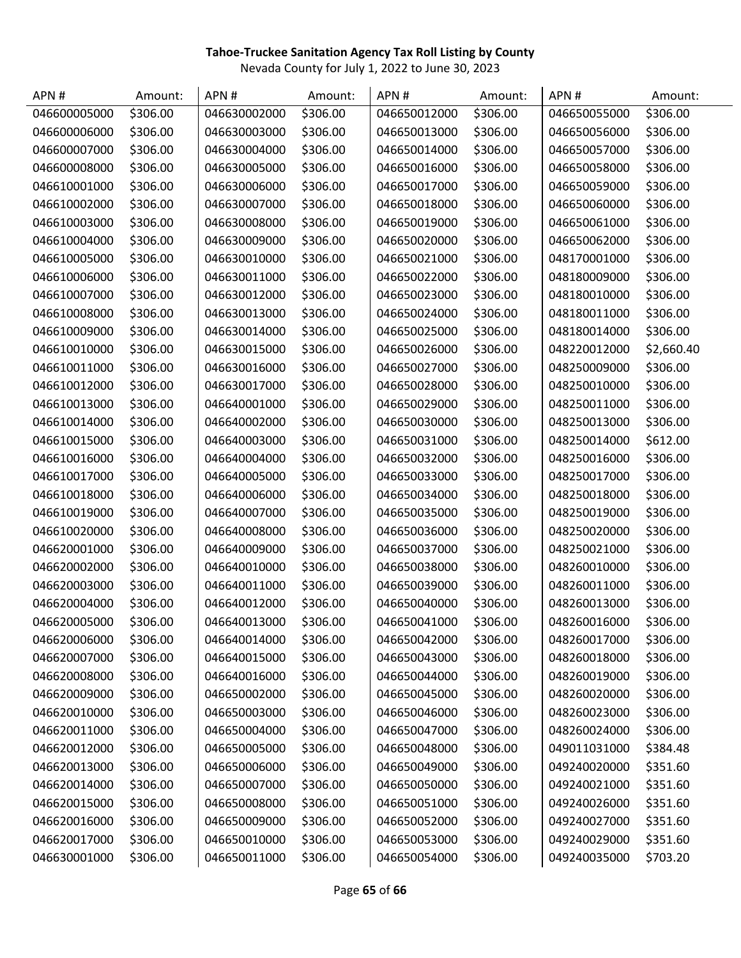| APN #        | Amount:  | APN#         | Amount:  | APN#         | Amount:  | APN#         | Amount:    |
|--------------|----------|--------------|----------|--------------|----------|--------------|------------|
| 046600005000 | \$306.00 | 046630002000 | \$306.00 | 046650012000 | \$306.00 | 046650055000 | \$306.00   |
| 046600006000 | \$306.00 | 046630003000 | \$306.00 | 046650013000 | \$306.00 | 046650056000 | \$306.00   |
| 046600007000 | \$306.00 | 046630004000 | \$306.00 | 046650014000 | \$306.00 | 046650057000 | \$306.00   |
| 046600008000 | \$306.00 | 046630005000 | \$306.00 | 046650016000 | \$306.00 | 046650058000 | \$306.00   |
| 046610001000 | \$306.00 | 046630006000 | \$306.00 | 046650017000 | \$306.00 | 046650059000 | \$306.00   |
| 046610002000 | \$306.00 | 046630007000 | \$306.00 | 046650018000 | \$306.00 | 046650060000 | \$306.00   |
| 046610003000 | \$306.00 | 046630008000 | \$306.00 | 046650019000 | \$306.00 | 046650061000 | \$306.00   |
| 046610004000 | \$306.00 | 046630009000 | \$306.00 | 046650020000 | \$306.00 | 046650062000 | \$306.00   |
| 046610005000 | \$306.00 | 046630010000 | \$306.00 | 046650021000 | \$306.00 | 048170001000 | \$306.00   |
| 046610006000 | \$306.00 | 046630011000 | \$306.00 | 046650022000 | \$306.00 | 048180009000 | \$306.00   |
| 046610007000 | \$306.00 | 046630012000 | \$306.00 | 046650023000 | \$306.00 | 048180010000 | \$306.00   |
| 046610008000 | \$306.00 | 046630013000 | \$306.00 | 046650024000 | \$306.00 | 048180011000 | \$306.00   |
| 046610009000 | \$306.00 | 046630014000 | \$306.00 | 046650025000 | \$306.00 | 048180014000 | \$306.00   |
| 046610010000 | \$306.00 | 046630015000 | \$306.00 | 046650026000 | \$306.00 | 048220012000 | \$2,660.40 |
| 046610011000 | \$306.00 | 046630016000 | \$306.00 | 046650027000 | \$306.00 | 048250009000 | \$306.00   |
| 046610012000 | \$306.00 | 046630017000 | \$306.00 | 046650028000 | \$306.00 | 048250010000 | \$306.00   |
| 046610013000 | \$306.00 | 046640001000 | \$306.00 | 046650029000 | \$306.00 | 048250011000 | \$306.00   |
| 046610014000 | \$306.00 | 046640002000 | \$306.00 | 046650030000 | \$306.00 | 048250013000 | \$306.00   |
| 046610015000 | \$306.00 | 046640003000 | \$306.00 | 046650031000 | \$306.00 | 048250014000 | \$612.00   |
| 046610016000 | \$306.00 | 046640004000 | \$306.00 | 046650032000 | \$306.00 | 048250016000 | \$306.00   |
| 046610017000 | \$306.00 | 046640005000 | \$306.00 | 046650033000 | \$306.00 | 048250017000 | \$306.00   |
| 046610018000 | \$306.00 | 046640006000 | \$306.00 | 046650034000 | \$306.00 | 048250018000 | \$306.00   |
| 046610019000 | \$306.00 | 046640007000 | \$306.00 | 046650035000 | \$306.00 | 048250019000 | \$306.00   |
| 046610020000 | \$306.00 | 046640008000 | \$306.00 | 046650036000 | \$306.00 | 048250020000 | \$306.00   |
| 046620001000 | \$306.00 | 046640009000 | \$306.00 | 046650037000 | \$306.00 | 048250021000 | \$306.00   |
| 046620002000 | \$306.00 | 046640010000 | \$306.00 | 046650038000 | \$306.00 | 048260010000 | \$306.00   |
| 046620003000 | \$306.00 | 046640011000 | \$306.00 | 046650039000 | \$306.00 | 048260011000 | \$306.00   |
| 046620004000 | \$306.00 | 046640012000 | \$306.00 | 046650040000 | \$306.00 | 048260013000 | \$306.00   |
| 046620005000 | \$306.00 | 046640013000 | \$306.00 | 046650041000 | \$306.00 | 048260016000 | \$306.00   |
| 046620006000 | \$306.00 | 046640014000 | \$306.00 | 046650042000 | \$306.00 | 048260017000 | \$306.00   |
| 046620007000 | \$306.00 | 046640015000 | \$306.00 | 046650043000 | \$306.00 | 048260018000 | \$306.00   |
| 046620008000 | \$306.00 | 046640016000 | \$306.00 | 046650044000 | \$306.00 | 048260019000 | \$306.00   |
| 046620009000 | \$306.00 | 046650002000 | \$306.00 | 046650045000 | \$306.00 | 048260020000 | \$306.00   |
| 046620010000 | \$306.00 | 046650003000 | \$306.00 | 046650046000 | \$306.00 | 048260023000 | \$306.00   |
| 046620011000 | \$306.00 | 046650004000 | \$306.00 | 046650047000 | \$306.00 | 048260024000 | \$306.00   |
| 046620012000 | \$306.00 | 046650005000 | \$306.00 | 046650048000 | \$306.00 | 049011031000 | \$384.48   |
| 046620013000 | \$306.00 | 046650006000 | \$306.00 | 046650049000 | \$306.00 | 049240020000 | \$351.60   |
| 046620014000 | \$306.00 | 046650007000 | \$306.00 | 046650050000 | \$306.00 | 049240021000 | \$351.60   |
| 046620015000 | \$306.00 | 046650008000 | \$306.00 | 046650051000 | \$306.00 | 049240026000 | \$351.60   |
| 046620016000 | \$306.00 | 046650009000 | \$306.00 | 046650052000 | \$306.00 | 049240027000 | \$351.60   |
| 046620017000 | \$306.00 | 046650010000 | \$306.00 | 046650053000 | \$306.00 | 049240029000 | \$351.60   |
| 046630001000 | \$306.00 | 046650011000 | \$306.00 | 046650054000 | \$306.00 | 049240035000 | \$703.20   |